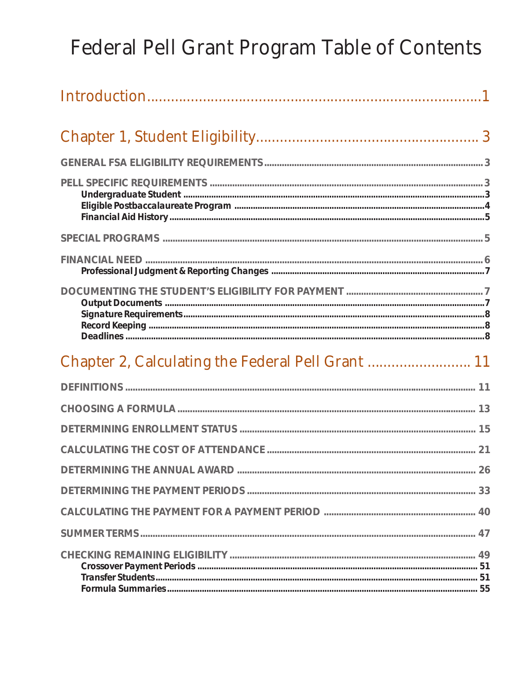## Federal Pell Grant Program Table of Contents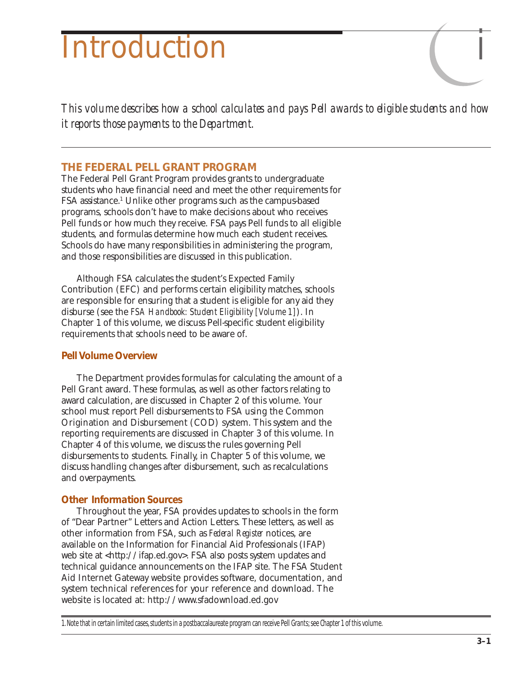# Introduction *i*

*This volume describes how a school calculates and pays Pell awards to eligible students and how it reports those payments to the Department.*

## **THE FEDERAL PELL GRANT PROGRAM**

The Federal Pell Grant Program provides grants to undergraduate students who have financial need and meet the other requirements for FSA assistance.1 Unlike other programs such as the campus-based programs, schools don't have to make decisions about who receives Pell funds or how much they receive. FSA pays Pell funds to all eligible students, and formulas determine how much each student receives. Schools do have many responsibilities in administering the program, and those responsibilities are discussed in this publication.

Although FSA calculates the student's Expected Family Contribution (EFC) and performs certain eligibility matches, schools are responsible for ensuring that a student is eligible for any aid they disburse (see the *FSA Handbook: Student Eligibility [Volume 1]*). In Chapter 1 of this volume, we discuss Pell-specific student eligibility requirements that schools need to be aware of.

## *Pell Volume Overview*

The Department provides formulas for calculating the amount of a Pell Grant award. These formulas, as well as other factors relating to award calculation, are discussed in Chapter 2 of this volume. Your school must report Pell disbursements to FSA using the Common Origination and Disbursement (COD) system. This system and the reporting requirements are discussed in Chapter 3 of this volume. In Chapter 4 of this volume, we discuss the rules governing Pell disbursements to students. Finally, in Chapter 5 of this volume, we discuss handling changes after disbursement, such as recalculations and overpayments.

## *Other Information Sources*

Throughout the year, FSA provides updates to schools in the form of "Dear Partner" Letters and Action Letters. These letters, as well as other information from FSA, such as *Federal Register* notices, are available on the Information for Financial Aid Professionals (IFAP) web site at <http://ifap.ed.gov>. FSA also posts system updates and technical guidance announcements on the IFAP site. The FSA Student Aid Internet Gateway website provides software, documentation, and system technical references for your reference and download. The website is located at: http://www.sfadownload.ed.gov

1. Note that in certain limited cases, students in a postbaccalaureate program can receive Pell Grants; see Chapter 1 of this volume.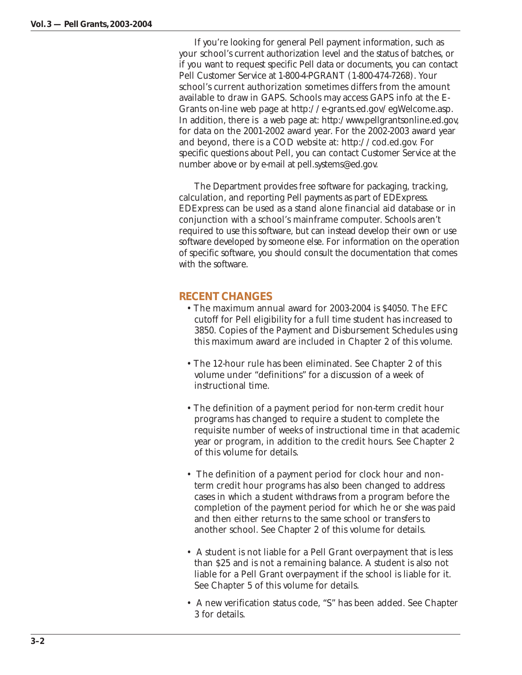If you're looking for general Pell payment information, such as your school's current authorization level and the status of batches, or if you want to request specific Pell data or documents, you can contact Pell Customer Service at 1-800-4-PGRANT (1-800-474-7268). Your school's current authorization sometimes differs from the amount available to draw in GAPS. Schools may access GAPS info at the E-Grants on-line web page at http://e-grants.ed.gov/egWelcome.asp. In addition, there is a web page at: http:/www.pellgrantsonline.ed.gov, for data on the 2001-2002 award year. For the 2002-2003 award year and beyond, there is a COD website at: http://cod.ed.gov. For specific questions about Pell, you can contact Customer Service at the number above or by e-mail at pell.systems@ed.gov.

The Department provides free software for packaging, tracking, calculation, and reporting Pell payments as part of EDExpress. EDExpress can be used as a stand alone financial aid database or in conjunction with a school's mainframe computer. Schools aren't required to use this software, but can instead develop their own or use software developed by someone else. For information on the operation of specific software, you should consult the documentation that comes with the software.

## **RECENT CHANGES**

- The maximum annual award for 2003-2004 is \$4050. The EFC cutoff for Pell eligibility for a full time student has increased to 3850. Copies of the Payment and Disbursement Schedules using this maximum award are included in Chapter 2 of this volume.
- The 12-hour rule has been eliminated. See Chapter 2 of this volume under "definitions" for a discussion of a week of instructional time.
- The definition of a payment period for non-term credit hour programs has changed to require a student to complete the requisite number of weeks of instructional time in that academic year or program, in addition to the credit hours. See Chapter 2 of this volume for details.
- The definition of a payment period for clock hour and nonterm credit hour programs has also been changed to address cases in which a student withdraws from a program before the completion of the payment period for which he or she was paid and then either returns to the same school or transfers to another school. See Chapter 2 of this volume for details.
- A student is not liable for a Pell Grant overpayment that is less than \$25 and is not a remaining balance. A student is also not liable for a Pell Grant overpayment if the school is liable for it. See Chapter 5 of this volume for details.
- A new verification status code, "S" has been added. See Chapter 3 for details.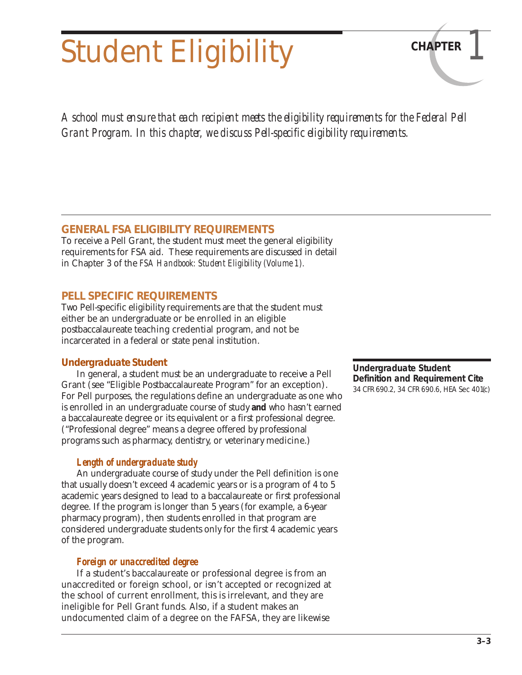# Student Eligibility **CHAPTER**

*A school must ensure that each recipient meets the eligibility requirements for the Federal Pell Grant Program. In this chapter, we discuss Pell-specific eligibility requirements.*

## **GENERAL FSA ELIGIBILITY REQUIREMENTS**

To receive a Pell Grant, the student must meet the general eligibility requirements for FSA aid. These requirements are discussed in detail in Chapter 3 of the *FSA Handbook: Student Eligibility (Volume 1).*

## **PELL SPECIFIC REQUIREMENTS**

Two Pell-specific eligibility requirements are that the student must either be an undergraduate or be enrolled in an eligible postbaccalaureate teaching credential program, and not be incarcerated in a federal or state penal institution.

## *Undergraduate Student*

In general, a student must be an undergraduate to receive a Pell Grant (see "Eligible Postbaccalaureate Program" for an exception). For Pell purposes, the regulations define an undergraduate as one who is enrolled in an undergraduate course of study **and** who hasn't earned a baccalaureate degree or its equivalent or a first professional degree. ("Professional degree" means a degree offered by professional programs such as pharmacy, dentistry, or veterinary medicine.)

## *Length of undergraduate study*

An undergraduate course of study under the Pell definition is one that usually doesn't exceed 4 academic years or is a program of 4 to 5 academic years designed to lead to a baccalaureate or first professional degree. If the program is longer than 5 years (for example, a 6-year pharmacy program), then students enrolled in that program are considered undergraduate students only for the first 4 academic years of the program.

## *Foreign or unaccredited degree*

If a student's baccalaureate or professional degree is from an unaccredited or foreign school, or isn't accepted or recognized at the school of current enrollment, this is irrelevant, and they are ineligible for Pell Grant funds. Also, if a student makes an undocumented claim of a degree on the FAFSA, they are likewise

#### **Undergraduate Student Definition and Requirement Cite** 34 CFR 690.2, 34 CFR 690.6, HEA Sec 401(c)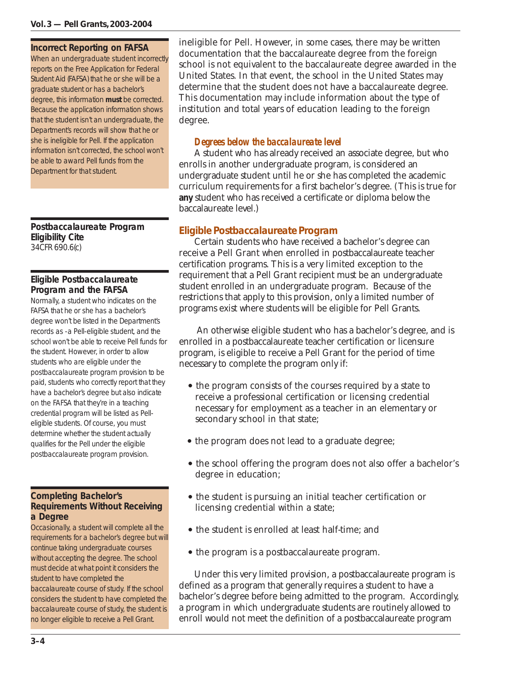#### **Incorrect Reporting on FAFSA**

When an undergraduate student incorrectly reports on the Free Application for Federal Student Aid (FAFSA) that he or she will be a graduate student or has a bachelor's degree, this information **must** be corrected. Because the application information shows that the student isn't an undergraduate, the Department's records will show that he or she is ineligible for Pell. If the application information isn't corrected, the school won't be able to award Pell funds from the Department for that student.

**Postbaccalaureate Program Eligibility Cite** 34CFR 690.6(c)

#### **Eligible Postbaccalaureate Program and the FAFSA**

Normally, a student who indicates on the FAFSA that he or she has a bachelor's degree won't be listed in the Department's records as -a Pell-eligible student, and the school won't be able to receive Pell funds for the student. However, in order to allow students who are eligible under the postbaccalaureate program provision to be paid, students who correctly report that they have a bachelor's degree but also indicate on the FAFSA that they're in a teaching credential program will be listed as Pelleligible students. Of course, you must determine whether the student actually qualifies for the Pell under the eligible postbaccalaureate program provision.

#### **Completing Bachelor's Requirements Without Receiving a Degree**

Occasionally, a student will complete all the requirements for a bachelor's degree but will continue taking undergraduate courses without accepting the degree. The school must decide at what point it considers the student to have completed the baccalaureate course of study. If the school considers the student to have completed the baccalaureate course of study, the student is no longer eligible to receive a Pell Grant.

ineligible for Pell. However, in some cases, there may be written documentation that the baccalaureate degree from the foreign school is not equivalent to the baccalaureate degree awarded in the United States. In that event, the school in the United States may determine that the student does not have a baccalaureate degree. This documentation may include information about the type of institution and total years of education leading to the foreign degree.

## *Degrees below the baccalaureate level*

A student who has already received an associate degree, but who enrolls in another undergraduate program, is considered an undergraduate student until he or she has completed the academic curriculum requirements for a first bachelor's degree. (This is true for **any** student who has received a certificate or diploma below the baccalaureate level.)

## *Eligible Postbaccalaureate Program*

Certain students who have received a bachelor's degree can receive a Pell Grant when enrolled in postbaccalaureate teacher certification programs. This is a very limited exception to the requirement that a Pell Grant recipient must be an undergraduate student enrolled in an undergraduate program. Because of the restrictions that apply to this provision, only a limited number of programs exist where students will be eligible for Pell Grants.

 An otherwise eligible student who has a bachelor's degree, and is enrolled in a postbaccalaureate teacher certification or licensure program, is eligible to receive a Pell Grant for the period of time necessary to complete the program only if:

- the program consists of the courses required by a state to receive a professional certification or licensing credential necessary for employment as a teacher in an elementary or secondary school in that state;
- the program does not lead to a graduate degree;
- the school offering the program does not also offer a bachelor's degree in education;
- the student is pursuing an initial teacher certification or licensing credential within a state;
- the student is enrolled at least half-time; and
- the program is a postbaccalaureate program.

Under this very limited provision, a postbaccalaureate program is defined as a program that generally requires a student to have a bachelor's degree before being admitted to the program. Accordingly, a program in which undergraduate students are routinely allowed to enroll would not meet the definition of a postbaccalaureate program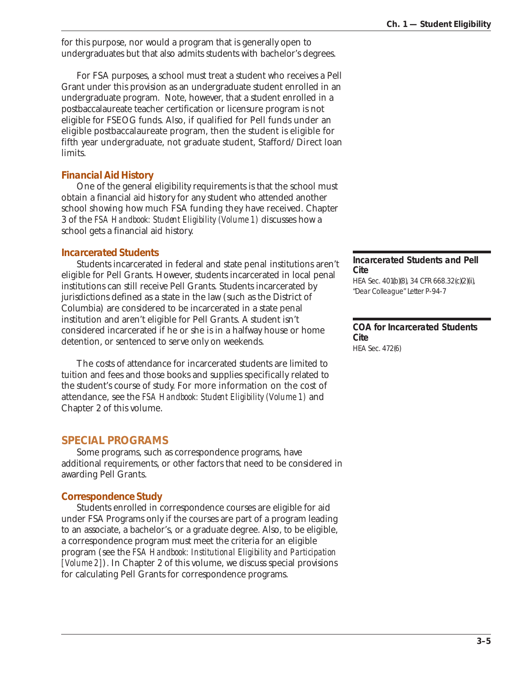for this purpose, nor would a program that is generally open to undergraduates but that also admits students with bachelor's degrees.

For FSA purposes, a school must treat a student who receives a Pell Grant under this provision as an undergraduate student enrolled in an undergraduate program. Note, however, that a student enrolled in a postbaccalaureate teacher certification or licensure program is not eligible for FSEOG funds. Also, if qualified for Pell funds under an eligible postbaccalaureate program, then the student is eligible for fifth year undergraduate, not graduate student, Stafford/Direct loan limits.

## *Financial Aid History*

One of the general eligibility requirements is that the school must obtain a financial aid history for any student who attended another school showing how much FSA funding they have received. Chapter 3 of the *FSA Handbook: Student Eligibility (Volume 1)* discusses how a school gets a financial aid history.

## *Incarcerated Students*

Students incarcerated in federal and state penal institutions aren't eligible for Pell Grants. However, students incarcerated in local penal institutions can still receive Pell Grants. Students incarcerated by jurisdictions defined as a state in the law (such as the District of Columbia) are considered to be incarcerated in a state penal institution and aren't eligible for Pell Grants. A student isn't considered incarcerated if he or she is in a halfway house or home detention, or sentenced to serve only on weekends.

The costs of attendance for incarcerated students are limited to tuition and fees and those books and supplies specifically related to the student's course of study. For more information on the cost of attendance, see the *FSA Handbook: Student Eligibility (Volume 1)* and Chapter 2 of this volume.

## **SPECIAL PROGRAMS**

Some programs, such as correspondence programs, have additional requirements, or other factors that need to be considered in awarding Pell Grants.

## *Correspondence Study*

Students enrolled in correspondence courses are eligible for aid under FSA Programs only if the courses are part of a program leading to an associate, a bachelor's, or a graduate degree. Also, to be eligible, a correspondence program must meet the criteria for an eligible program (see the *FSA Handbook: Institutional Eligibility and Participation [Volume 2]*). In Chapter 2 of this volume, we discuss special provisions for calculating Pell Grants for correspondence programs.

#### **Incarcerated Students and Pell Cite**

HEA Sec. 401(b)(8), 34 CFR 668.32(c)(2)(ii), "Dear Colleague" Letter P-94-7

#### **COA for Incarcerated Students Cite** HEA Sec. 472(6)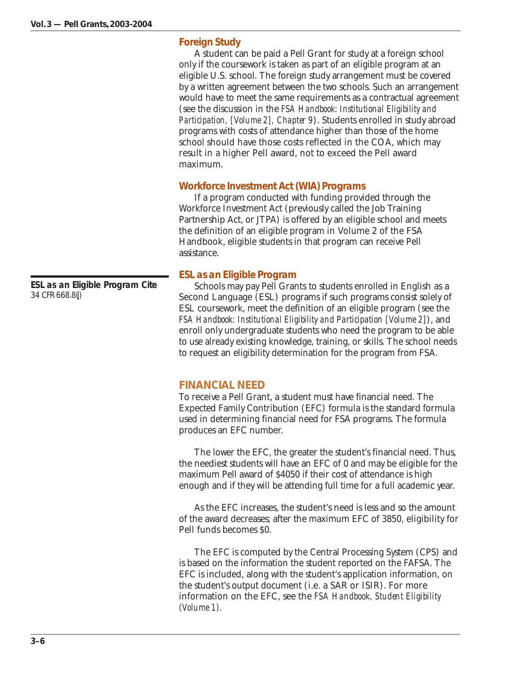## *Foreign Study*

A student can be paid a Pell Grant for study at a foreign school only if the coursework is taken as part of an eligible program at an eligible U.S. school. The foreign study arrangement must be covered by a written agreement between the two schools. Such an arrangement would have to meet the same requirements as a contractual agreement (see the discussion in the *FSA Handbook: Institutional Eligibility and Participation, [Volume 2], Chapter 9*). Students enrolled in study abroad programs with costs of attendance higher than those of the home school should have those costs reflected in the COA, which may result in a higher Pell award, not to exceed the Pell award maximum.

## *Workforce Investment Act (WIA) Programs*

If a program conducted with funding provided through the Workforce Investment Act (previously called the Job Training Partnership Act, or JTPA) is offered by an eligible school and meets the definition of an eligible program in Volume 2 of the FSA Handbook, eligible students in that program can receive Pell assistance.

## *ESL as an Eligible Program*

Schools may pay Pell Grants to students enrolled in English as a Second Language (ESL) programs if such programs consist solely of ESL coursework, meet the definition of an eligible program (see the *FSA Handbook: Institutional Eligibility and Participation [Volume 2]*), and enroll only undergraduate students who need the program to be able to use already existing knowledge, training, or skills. The school needs to request an eligibility determination for the program from FSA.

## **FINANCIAL NEED**

To receive a Pell Grant, a student must have financial need. The Expected Family Contribution (EFC) formula is the standard formula used in determining financial need for FSA programs. The formula produces an EFC number.

The lower the EFC, the greater the student's financial need. Thus, the neediest students will have an EFC of 0 and may be eligible for the maximum Pell award of \$4050 if their cost of attendance is high enough and if they will be attending full time for a full academic year.

As the EFC increases, the student's need is less and so the amount of the award decreases; after the maximum EFC of 3850, eligibility for Pell funds becomes \$0.

The EFC is computed by the Central Processing System (CPS) and is based on the information the student reported on the FAFSA. The EFC is included, along with the student's application information, on the student's output document (i.e. a SAR or ISIR). For more information on the EFC, see the *FSA Handbook, Student Eligibility (Volume 1).*

**ESL as an Eligible Program Cite** 34 CFR 668.8(j)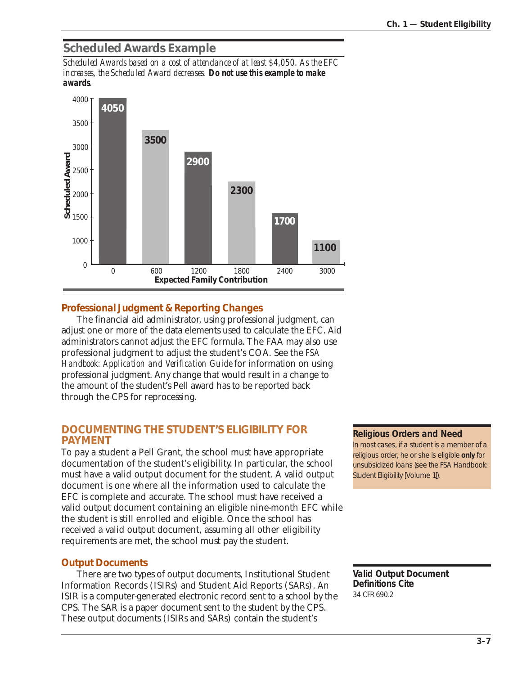## **Scheduled Awards Example**

*Scheduled Awards based on a cost of attendance of at least \$4,050. As the EFC increases, the Scheduled Award decreases. Do not use this example to make awards.*



## *Professional Judgment & Reporting Changes*

The financial aid administrator, using professional judgment, can adjust one or more of the data elements used to calculate the EFC. Aid administrators cannot adjust the EFC formula. The FAA may also use professional judgment to adjust the student's COA. See the *FSA Handbook: Application and Verification Guide* for information on using professional judgment. Any change that would result in a change to the amount of the student's Pell award has to be reported back through the CPS for reprocessing.

## **DOCUMENTING THE STUDENT'S ELIGIBILITY FOR PAYMENT**

To pay a student a Pell Grant, the school must have appropriate documentation of the student's eligibility. In particular, the school must have a valid output document for the student. A valid output document is one where all the information used to calculate the EFC is complete and accurate. The school must have received a valid output document containing an eligible nine-month EFC while the student is still enrolled and eligible. Once the school has received a valid output document, assuming all other eligibility requirements are met, the school must pay the student.

## *Output Documents*

There are two types of output documents, Institutional Student Information Records (ISIRs) and Student Aid Reports (SARs). An ISIR is a computer-generated electronic record sent to a school by the CPS. The SAR is a paper document sent to the student by the CPS. These output documents (ISIRs and SARs) contain the student's

#### **Religious Orders and Need**

In most cases, if a student is a member of a religious order, he or she is eligible **only** for unsubsidized loans (see the FSA Handbook: Student Eligibility [Volume 1]).

**Valid Output Document Definitions Cite** 34 CFR 690.2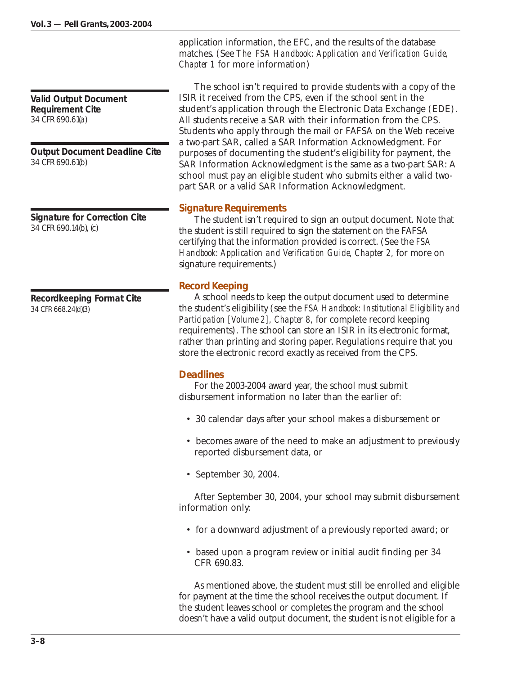**Valid Output Document Requirement Cite** 34 CFR 690.61(a)

**Output Document Deadline Cite** 34 CFR 690.61(b)

**Signature for Correction Cite** 34 CFR 690.14(b), (c)

**Recordkeeping Format Cite** 34 CFR 668.24(d)(3)

application information, the EFC, and the results of the database matches. (See *The FSA Handbook: Application and Verification Guide, Chapter 1* for more information)

The school isn't required to provide students with a copy of the ISIR it received from the CPS, even if the school sent in the student's application through the Electronic Data Exchange (EDE). All students receive a SAR with their information from the CPS. Students who apply through the mail or FAFSA on the Web receive a two-part SAR, called a SAR Information Acknowledgment. For purposes of documenting the student's eligibility for payment, the SAR Information Acknowledgment is the same as a two-part SAR: A school must pay an eligible student who submits either a valid twopart SAR or a valid SAR Information Acknowledgment.

## *Signature Requirements*

The student isn't required to sign an output document. Note that the student is still required to sign the statement on the FAFSA certifying that the information provided is correct. (See the *FSA* Handbook: Application and Verification Guide, Chapter 2, for more on signature requirements.)

## *Record Keeping*

A school needs to keep the output document used to determine the student's eligibility (see the *FSA Handbook: Institutional Eligibility and Participation [Volume 2], Chapter 8,* for complete record keeping requirements). The school can store an ISIR in its electronic format, rather than printing and storing paper. Regulations require that you store the electronic record exactly as received from the CPS.

#### *Deadlines*

For the 2003-2004 award year, the school must submit disbursement information no later than the earlier of:

- 30 calendar days after your school makes a disbursement or
- becomes aware of the need to make an adjustment to previously reported disbursement data, or
- September 30, 2004.

After September 30, 2004, your school may submit disbursement information only:

- for a downward adjustment of a previously reported award; or
- based upon a program review or initial audit finding per 34 CFR 690.83.

As mentioned above, the student must still be enrolled and eligible for payment at the time the school receives the output document. If the student leaves school or completes the program and the school doesn't have a valid output document, the student is not eligible for a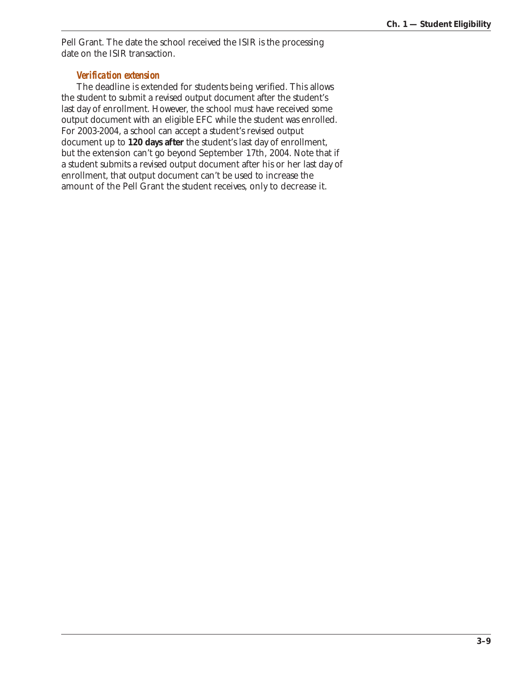Pell Grant. The date the school received the ISIR is the processing date on the ISIR transaction.

#### *Verification extension*

The deadline is extended for students being verified. This allows the student to submit a revised output document after the student's last day of enrollment. However, the school must have received some output document with an eligible EFC while the student was enrolled. For 2003-2004, a school can accept a student's revised output document up to **120 days after** the student's last day of enrollment, but the extension can't go beyond September 17th, 2004. Note that if a student submits a revised output document after his or her last day of enrollment, that output document can't be used to increase the amount of the Pell Grant the student receives, only to decrease it.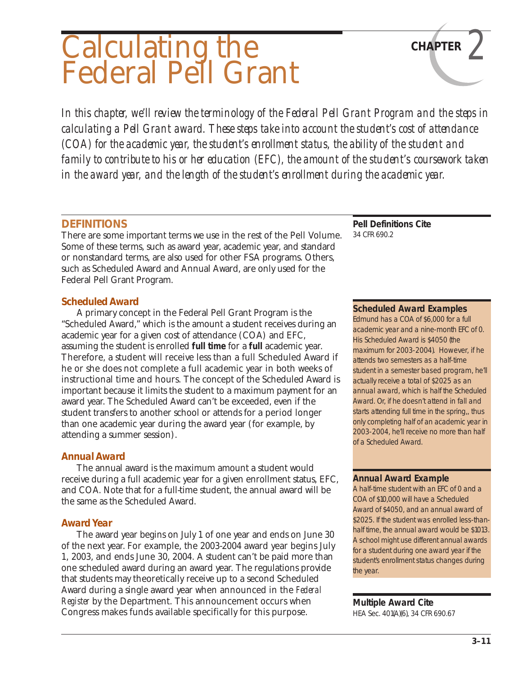## Calculating the Federal Pell Grant

*In this chapter, we'll review the terminology of the Federal Pell Grant Program and the steps in calculating a Pell Grant award. These steps take into account the student's cost of attendance (COA) for the academic year, the student's enrollment status, the ability of the student and family to contribute to his or her education (EFC), the amount of the student's coursework taken in the award year, and the length of the student's enrollment during the academic year.*

## **DEFINITIONS**

There are some important terms we use in the rest of the Pell Volume. Some of these terms, such as award year, academic year, and standard or nonstandard terms, are also used for other FSA programs. Others, such as Scheduled Award and Annual Award, are only used for the Federal Pell Grant Program.

## *Scheduled Award*

A primary concept in the Federal Pell Grant Program is the "Scheduled Award," which is the amount a student receives during an academic year for a given cost of attendance (COA) and EFC, assuming the student is enrolled **full time** for a **full** academic year. Therefore, a student will receive less than a full Scheduled Award if he or she does not complete a full academic year in both weeks of instructional time and hours. The concept of the Scheduled Award is important because it limits the student to a maximum payment for an award year. The Scheduled Award can't be exceeded, even if the student transfers to another school or attends for a period longer than one academic year during the award year (for example, by attending a summer session).

## *Annual Award*

The annual award is the maximum amount a student would receive during a full academic year for a given enrollment status, EFC, and COA. Note that for a full-time student, the annual award will be the same as the Scheduled Award.

## *Award Year*

The award year begins on July 1 of one year and ends on June 30 of the next year. For example, the 2003-2004 award year begins July 1, 2003, and ends June 30, 2004. A student can't be paid more than one scheduled award during an award year. The regulations provide that students may theoretically receive up to a second Scheduled Award during a single award year when announced in the *Federal Register* by the Department. This announcement occurs when Congress makes funds available specifically for this purpose.

**Pell Definitions Cite** 34 CFR 690.2

## **Scheduled Award Examples**

**CHAPTER** *2*

Edmund has a COA of \$6,000 for a full academic year and a nine-month EFC of 0. His Scheduled Award is \$4050 (the maximum for 2003-2004). However, if he attends two semesters as a half-time student in a semester based program, he'll actually receive a total of \$2025 as an annual award, which is half the Scheduled Award. Or, if he doesn't attend in fall and starts attending full time in the spring,, thus only completing half of an academic year in 2003-2004, he'll receive no more than half of a Scheduled Award.

## **Annual Award Example**

A half-time student with an EFC of 0 and a COA of \$10,000 will have a Scheduled Award of \$4050, and an annual award of \$2025. If the student was enrolled less-thanhalf time, the annual award would be \$1013. A school might use different annual awards for a student during one award year if the student's enrollment status changes during the year.

## **Multiple Award Cite**

HEA Sec. 401(A)(6), 34 CFR 690.67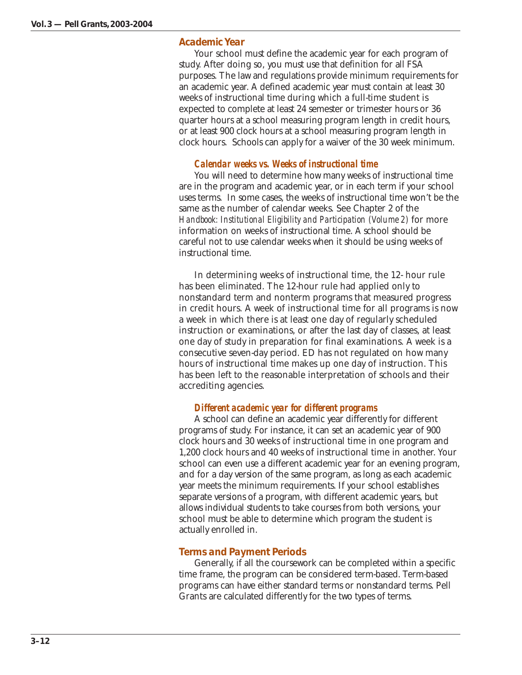## *Academic Year*

Your school must define the academic year for each program of study. After doing so, you must use that definition for all FSA purposes. The law and regulations provide minimum requirements for an academic year. A defined academic year must contain at least 30 weeks of instructional time during which a full-time student is expected to complete at least 24 semester or trimester hours or 36 quarter hours at a school measuring program length in credit hours, or at least 900 clock hours at a school measuring program length in clock hours. Schools can apply for a waiver of the 30 week minimum.

#### *Calendar weeks vs. Weeks of instructional time*

You will need to determine how many weeks of instructional time are in the program and academic year, or in each term if your school uses terms. In some cases, the weeks of instructional time won't be the same as the number of calendar weeks. See Chapter 2 of the *Handbook: Institutional Eligibility and Participation (Volume 2)* for more information on weeks of instructional time. A school should be careful not to use calendar weeks when it should be using weeks of instructional time.

In determining weeks of instructional time, the 12- hour rule has been eliminated. The 12-hour rule had applied only to nonstandard term and nonterm programs that measured progress in credit hours. A week of instructional time for all programs is now a week in which there is at least one day of regularly scheduled instruction or examinations, or after the last day of classes, at least one day of study in preparation for final examinations. A week is a consecutive seven-day period. ED has not regulated on how many hours of instructional time makes up one day of instruction. This has been left to the reasonable interpretation of schools and their accrediting agencies.

#### *Different academic year for different programs*

A school can define an academic year differently for different programs of study. For instance, it can set an academic year of 900 clock hours and 30 weeks of instructional time in one program and 1,200 clock hours and 40 weeks of instructional time in another. Your school can even use a different academic year for an evening program, and for a day version of the same program, as long as each academic year meets the minimum requirements. If your school establishes separate versions of a program, with different academic years, but allows individual students to take courses from both versions, your school must be able to determine which program the student is actually enrolled in.

#### *Terms and Payment Periods*

Generally, if all the coursework can be completed within a specific time frame, the program can be considered term-based. Term-based programs can have either standard terms or nonstandard terms. Pell Grants are calculated differently for the two types of terms.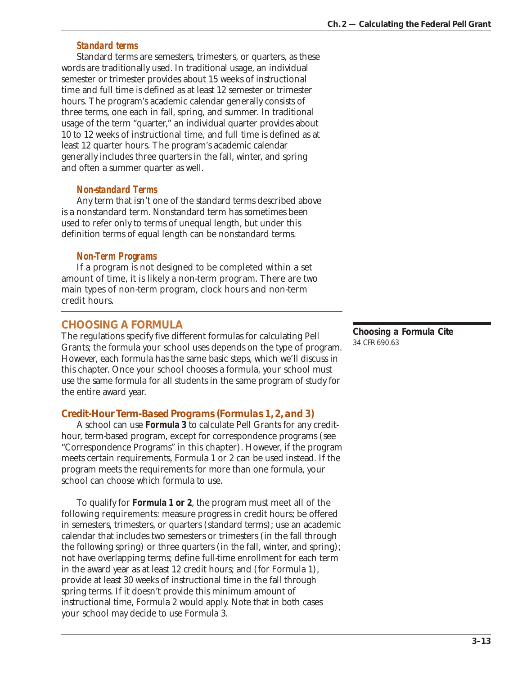## *Standard terms*

Standard terms are semesters, trimesters, or quarters, as these words are traditionally used. In traditional usage, an individual semester or trimester provides about 15 weeks of instructional time and full time is defined as at least 12 semester or trimester hours. The program's academic calendar generally consists of three terms, one each in fall, spring, and summer. In traditional usage of the term "quarter," an individual quarter provides about 10 to 12 weeks of instructional time, and full time is defined as at least 12 quarter hours. The program's academic calendar generally includes three quarters in the fall, winter, and spring and often a summer quarter as well.

## *Non-standard Terms*

Any term that isn't one of the standard terms described above is a nonstandard term. Nonstandard term has sometimes been used to refer only to terms of unequal length, but under this definition terms of equal length can be nonstandard terms.

## *Non-Term Programs*

If a program is not designed to be completed within a set amount of time, it is likely a non-term program. There are two main types of non-term program, clock hours and non-term credit hours.

## **CHOOSING A FORMULA**

The regulations specify five different formulas for calculating Pell Grants; the formula your school uses depends on the type of program. However, each formula has the same basic steps, which we'll discuss in this chapter. Once your school chooses a formula, your school must use the same formula for all students in the same program of study for the entire award year.

## *Credit-Hour Term-Based Programs (Formulas 1, 2, and 3)*

A school can use **Formula 3** to calculate Pell Grants for any credithour, term-based program, except for correspondence programs (see "Correspondence Programs" in this chapter). However, if the program meets certain requirements, Formula 1 or 2 can be used instead. If the program meets the requirements for more than one formula, your school can choose which formula to use.

To qualify for **Formula 1 or 2**, the program must meet all of the following requirements: measure progress in credit hours; be offered in semesters, trimesters, or quarters (standard terms); use an academic calendar that includes two semesters or trimesters (in the fall through the following spring) or three quarters (in the fall, winter, and spring); not have overlapping terms; define full-time enrollment for each term in the award year as at least 12 credit hours; and (for Formula 1), provide at least 30 weeks of instructional time in the fall through spring terms. If it doesn't provide this minimum amount of instructional time, Formula 2 would apply. Note that in both cases your school may decide to use Formula 3.

**Choosing a Formula Cite** 34 CFR 690.63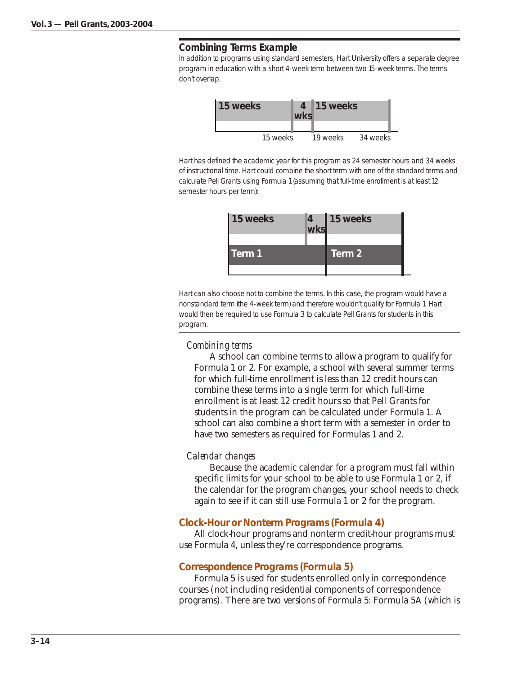#### **Combining Terms Example**

In addition to programs using standard semesters, Hart University offers a separate degree program in education with a short 4-week term between two 15-week terms. The terms don't overlap.



Hart has defined the academic year for this program as 24 semester hours and 34 weeks of instructional time. Hart could combine the short term with one of the standard terms and calculate Pell Grants using Formula 1 (assuming that full-time enrollment is at least 12 semester hours per term):

| 15 weeks | $\frac{4}{W}$ ks | 15 weeks |
|----------|------------------|----------|
| Term 1   |                  | Term 2   |

Hart can also choose not to combine the terms. In this case, the program would have a nonstandard term (the 4-week term) and therefore wouldn't qualify for Formula 1. Hart would then be required to use Formula 3 to calculate Pell Grants for students in this program.

#### *Combining terms*

A school can combine terms to allow a program to qualify for Formula 1 or 2. For example, a school with several summer terms for which full-time enrollment is less than 12 credit hours can combine these terms into a single term for which full-time enrollment is at least 12 credit hours so that Pell Grants for students in the program can be calculated under Formula 1. A school can also combine a short term with a semester in order to have two semesters as required for Formulas 1 and 2.

#### *Calendar changes*

Because the academic calendar for a program must fall within specific limits for your school to be able to use Formula 1 or 2, if the calendar for the program changes, your school needs to check again to see if it can still use Formula 1 or 2 for the program.

#### *Clock-Hour or Nonterm Programs (Formula 4)*

All clock-hour programs and nonterm credit-hour programs must use Formula 4, unless they're correspondence programs.

#### *Correspondence Programs (Formula 5)*

Formula 5 is used for students enrolled only in correspondence courses (not including residential components of correspondence programs). There are two versions of Formula 5: Formula 5A (which is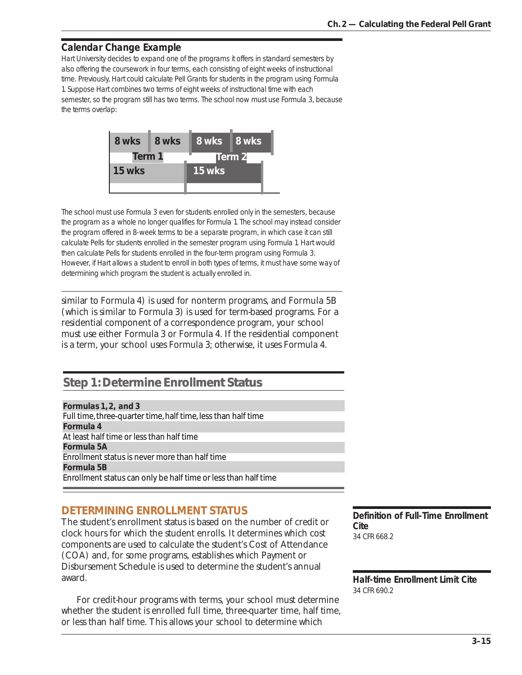## **Calendar Change Example**

Hart University decides to expand one of the programs it offers in standard semesters by also offering the coursework in four terms, each consisting of eight weeks of instructional time. Previously, Hart could calculate Pell Grants for students in the program using Formula 1. Suppose Hart combines two terms of eight weeks of instructional time with each semester, so the program still has two terms. The school now must use Formula 3, because the terms overlap:



The school must use Formula 3 even for students enrolled only in the semesters, because the program as a whole no longer qualifies for Formula 1. The school may instead consider the program offered in 8-week terms to be a separate program, in which case it can still calculate Pells for students enrolled in the semester program using Formula 1. Hart would then calculate Pells for students enrolled in the four-term program using Formula 3. However, if Hart allows a student to enroll in both types of terms, it must have some way of determining which program the student is actually enrolled in.

similar to Formula 4) is used for nonterm programs, and Formula 5B (which is similar to Formula 3) is used for term-based programs. For a residential component of a correspondence program, your school must use either Formula 3 or Formula 4. If the residential component is a term, your school uses Formula 3; otherwise, it uses Formula 4.

## **Step 1: Determine Enrollment Status Status**

*Formulas 1, 2, and 3* Full time, three-quarter time, half time, less than half time *Formula 4* At least half time or less than half time *Formula 5A* Enrollment status is never more than half time *Formula 5B* Enrollment status can only be half time or less than half time

## **DETERMINING ENROLLMENT STATUS**

The student's enrollment status is based on the number of credit or clock hours for which the student enrolls. It determines which cost components are used to calculate the student's Cost of Attendance (COA) and, for some programs, establishes which Payment or Disbursement Schedule is used to determine the student's annual award.

For credit-hour programs with terms, your school must determine whether the student is enrolled full time, three-quarter time, half time, or less than half time. This allows your school to determine which

**Definition of Full-Time Enrollment Cite** 34 CFR 668.2

**Half-time Enrollment Limit Cite** 34 CFR 690.2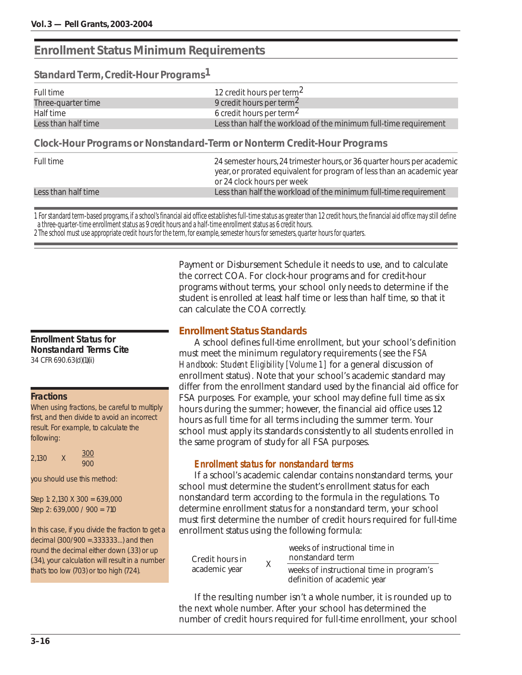## **Enrollment Status Minimum Requirements**

*Standard Term, Credit-Hour Programs1*

| Full time           | 12 credit hours per term <sup>2</sup>                            |
|---------------------|------------------------------------------------------------------|
| Three-quarter time  | 9 credit hours per term <sup>2</sup>                             |
| Half time           | 6 credit hours per term <sup>2</sup>                             |
| Less than half time | Less than half the workload of the minimum full-time requirement |
|                     |                                                                  |

*Clock-Hour Programs or Nonstandard-Term or Nonterm Credit-Hour Programs*

| Full time           | 24 semester hours, 24 trimester hours, or 36 quarter hours per academic<br>year, or prorated equivalent for program of less than an academic year<br>or 24 clock hours per week |
|---------------------|---------------------------------------------------------------------------------------------------------------------------------------------------------------------------------|
| Less than half time | Less than half the workload of the minimum full-time requirement                                                                                                                |

1 For standard term-based programs, if a school's financial aid office establishes full-time status as greater than 12 credit hours, the financial aid office may still define a three-quarter-time enrollment status as 9 credit hours and a half-time enrollment status as 6 credit hours.

2 The school must use appropriate credit hours for the term, for example, semester hours for semesters, quarter hours for quarters.

#### **Enrollment Status for Nonstandard Terms Cite** 34 CFR 690.63(d)(1)(ii)

#### **Fractions**

When using fractions, be careful to multiply first, and then divide to avoid an incorrect result. For example, to calculate the following:

|       | Χ | 300 |
|-------|---|-----|
| 2,130 |   | 900 |

you should use this method:

Step 1: 2,130 X 300 = 639,000 Step 2: 639,000 / 900 = 710

In this case, if you divide the fraction to get a decimal (300/900 =.333333...) and then round the decimal either down (.33) or up (.34), your calculation will result in a number that's too low (703) or too high (724).

Payment or Disbursement Schedule it needs to use, and to calculate the correct COA. For clock-hour programs and for credit-hour programs without terms, your school only needs to determine if the student is enrolled at least half time or less than half time, so that it can calculate the COA correctly.

## *Enrollment Status Standards*

A school defines full-time enrollment, but your school's definition must meet the minimum regulatory requirements (see the *FSA Handbook: Student Eligibility [Volume 1]* for a general discussion of enrollment status). Note that your school's academic standard may differ from the enrollment standard used by the financial aid office for FSA purposes. For example, your school may define full time as six hours during the summer; however, the financial aid office uses 12 hours as full time for all terms including the summer term. Your school must apply its standards consistently to all students enrolled in the same program of study for all FSA purposes.

## *Enrollment status for nonstandard terms*

If a school's academic calendar contains nonstandard terms, your school must determine the student's enrollment status for each nonstandard term according to the formula in the regulations. To determine enrollment status for a nonstandard term, your school must first determine the number of credit hours required for full-time enrollment status using the following formula:

| Credit hours in | X | weeks of instructional time in<br>nonstandard term                      |
|-----------------|---|-------------------------------------------------------------------------|
| academic year   |   | weeks of instructional time in program's<br>definition of academic year |

If the resulting number isn't a whole number, it is rounded up to the next whole number. After your school has determined the number of credit hours required for full-time enrollment, your school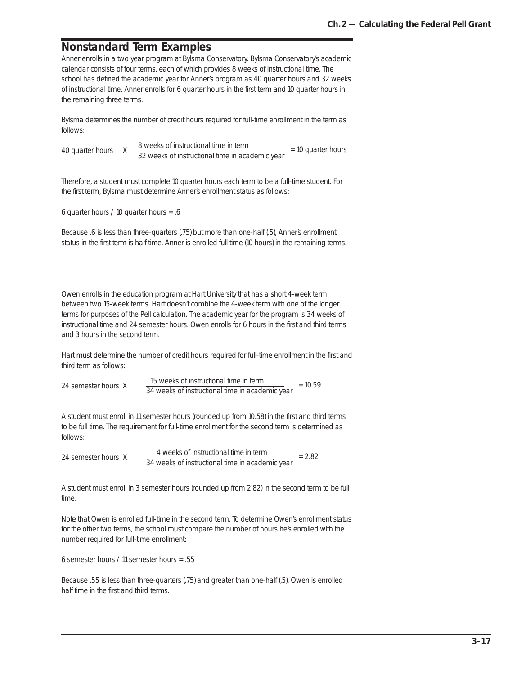## **Nonstandard Term Examples**

Anner enrolls in a two year program at Bylsma Conservatory. Bylsma Conservatory's academic calendar consists of four terms, each of which provides 8 weeks of instructional time. The school has defined the academic year for Anner's program as 40 quarter hours and 32 weeks of instructional time. Anner enrolls for 6 quarter hours in the first term and 10 quarter hours in the remaining three terms.

Bylsma determines the number of credit hours required for full-time enrollment in the term as follows:

40 quarter hours  $X = \frac{8 \text{ weeks of instructional time in term}}{32 \text{ weeks of international time.} \times 1000}$  $\frac{32}{2}$  weeks of instructional time in academic year = 10 quarter hours

Therefore, a student must complete 10 quarter hours each term to be a full-time student. For the first term, Bylsma must determine Anner's enrollment status as follows:

6 quarter hours / 10 quarter hours = .6

Because .6 is less than three-quarters (.75) but more than one-half (.5), Anner's enrollment status in the first term is half time. Anner is enrolled full time (10 hours) in the remaining terms.

Owen enrolls in the education program at Hart University that has a short 4-week term between two 15-week terms. Hart doesn't combine the 4-week term with one of the longer terms for purposes of the Pell calculation. The academic year for the program is 34 weeks of instructional time and 24 semester hours. Owen enrolls for 6 hours in the first and third terms and 3 hours in the second term.

Hart must determine the number of credit hours required for full-time enrollment in the first and third term as follows:

24 semester hours X 15 weeks of instructional time in term 34 weeks of instructional time in academic year  $= 10.59$ 

A student must enroll in 11 semester hours (rounded up from 10.58) in the first and third terms to be full time. The requirement for full-time enrollment for the second term is determined as follows:

24 semester hours X 4 weeks of instructional time in term 34 weeks of instructional time in academic year = 2.82

A student must enroll in 3 semester hours (rounded up from 2.82) in the second term to be full time.

Note that Owen is enrolled full-time in the second term. To determine Owen's enrollment status for the other two terms, the school must compare the number of hours he's enrolled with the number required for full-time enrollment:

6 semester hours / 11 semester hours = .55

Because .55 is less than three-quarters (.75) and greater than one-half (.5), Owen is enrolled half time in the first and third terms.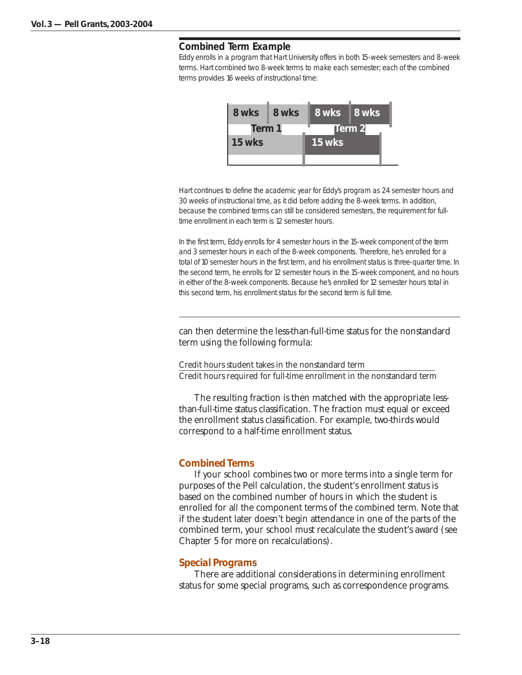#### **Combined Term Example**

Eddy enrolls in a program that Hart University offers in both 15-week semesters and 8-week terms. Hart combined two 8-week terms to make each semester; each of the combined terms provides 16 weeks of instructional time:



Hart continues to define the academic year for Eddy's program as 24 semester hours and 30 weeks of instructional time, as it did before adding the 8-week terms. In addition, because the combined terms can still be considered semesters, the requirement for fulltime enrollment in each term is 12 semester hours.

In the first term, Eddy enrolls for 4 semester hours in the 15-week component of the term and 3 semester hours in each of the 8-week components. Therefore, he's enrolled for a total of 10 semester hours in the first term, and his enrollment status is three-quarter time. In the second term, he enrolls for 12 semester hours in the 15-week component, and no hours in either of the 8-week components. Because he's enrolled for 12 semester hours total in this second term, his enrollment status for the second term is full time.

can then determine the less-than-full-time status for the nonstandard term using the following formula:

Credit hours student takes in the nonstandard term Credit hours required for full-time enrollment in the nonstandard term

The resulting fraction is then matched with the appropriate lessthan-full-time status classification. The fraction must equal or exceed the enrollment status classification. For example, two-thirds would correspond to a half-time enrollment status.

#### *Combined Terms*

If your school combines two or more terms into a single term for purposes of the Pell calculation, the student's enrollment status is based on the combined number of hours in which the student is enrolled for all the component terms of the combined term. Note that if the student later doesn't begin attendance in one of the parts of the combined term, your school must recalculate the student's award (see Chapter 5 for more on recalculations).

#### *Special Programs*

There are additional considerations in determining enrollment status for some special programs, such as correspondence programs.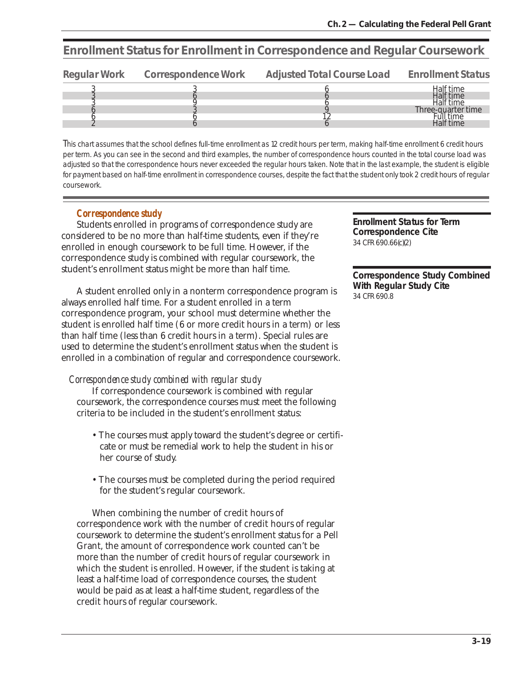## **Enrollment Status for Enrollment in Correspondence and Regular Coursework**

| Regular Work Correspondence Work | Adjusted Total Course Load | <b>Enrollment Status</b>        |
|----------------------------------|----------------------------|---------------------------------|
|                                  |                            | Half time                       |
|                                  |                            | Half time                       |
|                                  |                            |                                 |
|                                  |                            | Half time<br>Three-quarter time |
|                                  |                            | -ull time                       |
|                                  |                            | Half time                       |

This chart assumes that the school defines full-time enrollment as 12 credit hours per term, making half-time enrollment 6 credit hours per term. As you can see in the second and third examples, the number of correspondence hours counted in the total course load was adjusted so that the correspondence hours never exceeded the regular hours taken. Note that in the last example, the student is eligible for payment based on half-time enrollment in correspondence courses, despite the fact that the student only took 2 credit hours of regular coursework.

## *Correspondence study*

Students enrolled in programs of correspondence study are considered to be no more than half-time students, even if they're enrolled in enough coursework to be full time. However, if the correspondence study is combined with regular coursework, the student's enrollment status might be more than half time.

A student enrolled only in a nonterm correspondence program is always enrolled half time. For a student enrolled in a term correspondence program, your school must determine whether the student is enrolled half time (6 or more credit hours in a term) or less than half time (less than 6 credit hours in a term). Special rules are used to determine the student's enrollment status when the student is enrolled in a combination of regular and correspondence coursework.

## *Correspondence study combined with regular study*

If correspondence coursework is combined with regular coursework, the correspondence courses must meet the following criteria to be included in the student's enrollment status:

- The courses must apply toward the student's degree or certificate or must be remedial work to help the student in his or her course of study.
- The courses must be completed during the period required for the student's regular coursework.

When combining the number of credit hours of correspondence work with the number of credit hours of regular coursework to determine the student's enrollment status for a Pell Grant, the amount of correspondence work counted can't be more than the number of credit hours of regular coursework in which the student is enrolled. However, if the student is taking at least a half-time load of correspondence courses, the student would be paid as at least a half-time student, regardless of the credit hours of regular coursework.

**Enrollment Status for Term Correspondence Cite** 34 CFR 690.66(c)(2)

**Correspondence Study Combined With Regular Study Cite** 34 CFR 690.8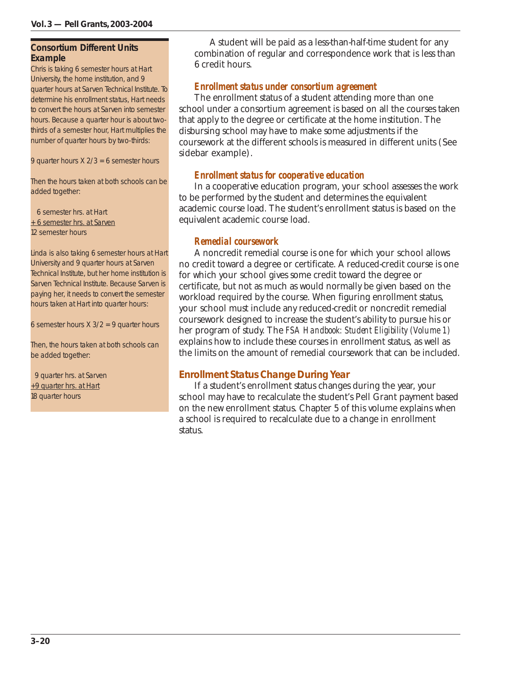#### **Consortium Different Units Example**

Chris is taking 6 semester hours at Hart University, the home institution, and 9 quarter hours at Sarven Technical Institute. To determine his enrollment status, Hart needs to convert the hours at Sarven into semester hours. Because a quarter hour is about twothirds of a semester hour, Hart multiplies the number of quarter hours by two-thirds:

9 quarter hours X 2/3 = 6 semester hours

Then the hours taken at both schools can be added together:

 6 semester hrs. at Hart + 6 semester hrs. at Sarven 12 semester hours

Linda is also taking 6 semester hours at Hart University and 9 quarter hours at Sarven Technical Institute, but her home institution is Sarven Technical Institute. Because Sarven is paying her, it needs to convert the semester hours taken at Hart into quarter hours:

6 semester hours  $X$  3/2 = 9 quarter hours

Then, the hours taken at both schools can be added together:

 9 quarter hrs. at Sarven +9 quarter hrs. at Hart 18 quarter hours

A student will be paid as a less-than-half-time student for any combination of regular and correspondence work that is less than 6 credit hours.

## *Enrollment status under consortium agreement*

The enrollment status of a student attending more than one school under a consortium agreement is based on all the courses taken that apply to the degree or certificate at the home institution. The disbursing school may have to make some adjustments if the coursework at the different schools is measured in different units (See sidebar example).

## *Enrollment status for cooperative education*

In a cooperative education program, your school assesses the work to be performed by the student and determines the equivalent academic course load. The student's enrollment status is based on the equivalent academic course load.

## *Remedial coursework*

A noncredit remedial course is one for which your school allows no credit toward a degree or certificate. A reduced-credit course is one for which your school gives some credit toward the degree or certificate, but not as much as would normally be given based on the workload required by the course. When figuring enrollment status, your school must include any reduced-credit or noncredit remedial coursework designed to increase the student's ability to pursue his or her program of study. The *FSA Handbook: Student Eligibility (Volume 1)* explains how to include these courses in enrollment status, as well as the limits on the amount of remedial coursework that can be included.

## *Enrollment Status Change During Year*

If a student's enrollment status changes during the year, your school may have to recalculate the student's Pell Grant payment based on the new enrollment status. Chapter 5 of this volume explains when a school is required to recalculate due to a change in enrollment status.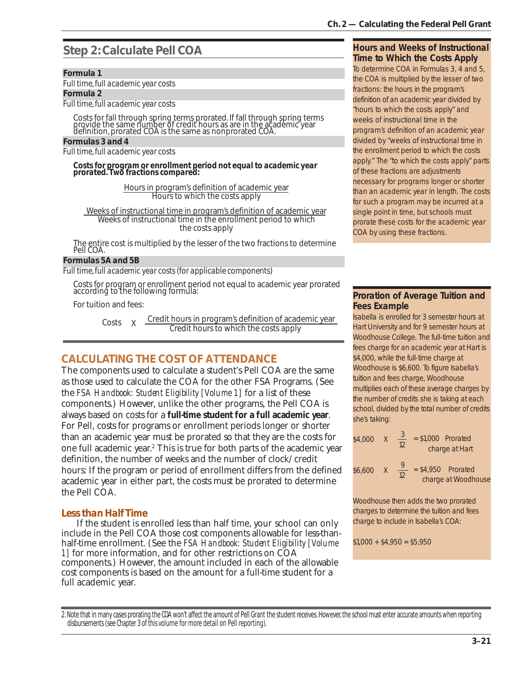## **Step 2: Calculate Pell COA**

#### *Formula 1*

*Full time, full academic year costs*

*Formula 2*

*Full time, full academic year costs*

Costs for fall through spring terms prorated. If fall through spring terms provide the same number of credit hours as are in the academic year definition, prorated COA is the same as nonprorated COA.

#### *Formulas 3 and 4*

*Full time, full academic year costs*

*Costs for program or enrollment period not equal to academic year prorated. Two fractions compared:*

> Hours in program's definition of academic year Hours to which the costs apply

Weeks of instructional time in program's definition of academic year Weeks of instructional time in the enrollment period to which the costs apply

The entire cost is multiplied by the lesser of the two fractions to determine Pell COA.

#### *Formulas 5A and 5B*

*Full time, full academic year costs (for applicable components)*

Costs for program or enrollment period not equal to academic year prorated according to the following formula:

For tuition and fees:

Costs  $X \frac{\text{Credit hours in program's definition of academic year}}{\text{Credit hours to which the costs apply}}$ 

## **CALCULATING THE COST OF ATTENDANCE**

The components used to calculate a student's Pell COA are the same as those used to calculate the COA for the other FSA Programs. (See the *FSA Handbook: Student Eligibility [Volume 1]* for a list of these components.) However, unlike the other programs, the Pell COA is always based on costs for a **full-time student for a full academic year**. For Pell, costs for programs or enrollment periods longer or shorter than an academic year must be prorated so that they are the costs for one full academic year.<sup>2</sup> This is true for both parts of the academic year definition, the number of weeks and the number of clock/credit hours: If the program or period of enrollment differs from the defined academic year in either part, the costs must be prorated to determine the Pell COA.

## *Less than Half Time*

If the student is enrolled less than half time, your school can only include in the Pell COA those cost components allowable for less-thanhalf-time enrollment. (See the *FSA Handbook: Student Eligibility [Volume 1]* for more information, and for other restrictions on COA components.) However, the amount included in each of the allowable cost components is based on the amount for a full-time student for a full academic year.

#### **Hours and Weeks of Instructional Time to Which the Costs Apply**

To determine COA in Formulas 3, 4 and 5, the COA is multiplied by the lesser of two fractions: the hours in the program's definition of an academic year divided by "hours to which the costs apply" and weeks of instructional time in the program's definition of an academic year divided by "weeks of instructional time in the enrollment period to which the costs apply." The "to which the costs apply" parts of these fractions are adjustments necessary for programs longer or shorter than an academic year in length. The costs for such a program may be incurred at a single point in time, but schools must prorate these costs for the academic year COA by using these fractions.

## **Proration of Average Tuition and Fees Example**

Isabella is enrolled for 3 semester hours at Hart University and for 9 semester hours at Woodhouse College. The full-time tuition and fees charge for an academic year at Hart is \$4,000, while the full-time charge at Woodhouse is \$6,600. To figure Isabella's tuition and fees charge, Woodhouse multiplies each of these average charges by the number of credits she is taking at each school, divided by the total number of credits she's taking:

\$4,000 X 
$$
\frac{3}{12}
$$
 = \$1,000 Porated  
charge at Hart  
\$6,600 X  $\frac{9}{12}$  = \$4,950 Porated

12

charge at Woodhouse

Woodhouse then adds the two prorated charges to determine the tuition and fees charge to include in Isabella's COA:

 $$1,000 + $4,950 = $5,950$ 

2. Note that in many cases prorating the COA won't affect the amount of Pell Grant the student receives. However, the school must enter accurate amounts when reporting disbursements (see Chapter 3 of this volume for more detail on Pell reporting).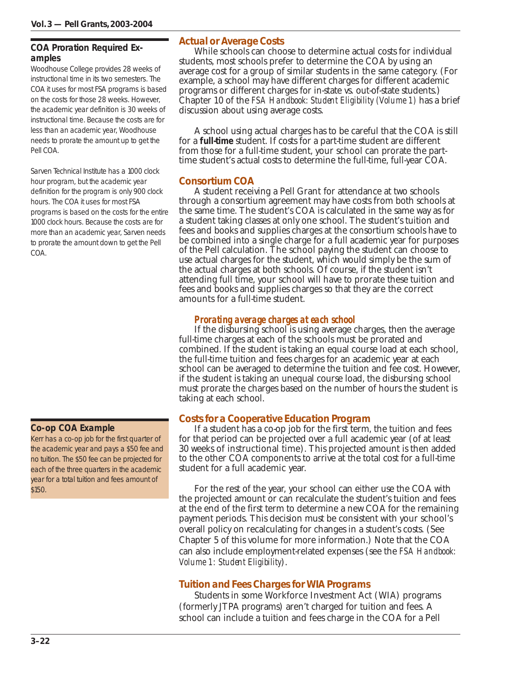## **COA Proration Required Examples**

Woodhouse College provides 28 weeks of instructional time in its two semesters. The COA it uses for most FSA programs is based on the costs for those 28 weeks. However, the academic year definition is 30 weeks of instructional time. Because the costs are for less than an academic year, Woodhouse needs to prorate the amount up to get the Pell COA.

Sarven Technical Institute has a 1000 clock hour program, but the academic year definition for the program is only 900 clock hours. The COA it uses for most FSA programs is based on the costs for the entire 1000 clock hours. Because the costs are for more than an academic year, Sarven needs to prorate the amount down to get the Pell COA.

## **Co-op COA Example**

Kerr has a co-op job for the first quarter of the academic year and pays a \$50 fee and no tuition. The \$50 fee can be projected for each of the three quarters in the academic year for a total tuition and fees amount of \$150.

## *Actual or Average Costs*

While schools can choose to determine actual costs for individual students, most schools prefer to determine the COA by using an average cost for a group of similar students in the same category. (For example, a school may have different charges for different academic programs or different charges for in-state vs. out-of-state students.) Chapter 10 of the *FSA Handbook: Student Eligibility (Volume 1)* has a brief discussion about using average costs.

A school using actual charges has to be careful that the COA is still for a **full-time** student. If costs for a part-time student are different from those for a full-time student, your school can prorate the parttime student's actual costs to determine the full-time, full-year COA.

## *Consortium COA*

A student receiving a Pell Grant for attendance at two schools through a consortium agreement may have costs from both schools at the same time. The student's COA is calculated in the same way as for a student taking classes at only one school. The student's tuition and fees and books and supplies charges at the consortium schools have to be combined into a single charge for a full academic year for purposes of the Pell calculation. The school paying the student can choose to use actual charges for the student, which would simply be the sum of the actual charges at both schools. Of course, if the student isn't attending full time, your school will have to prorate these tuition and fees and books and supplies charges so that they are the correct amounts for a full-time student.

## *Prorating average charges at each school*

If the disbursing school is using average charges, then the average full-time charges at each of the schools must be prorated and combined. If the student is taking an equal course load at each school, the full-time tuition and fees charges for an academic year at each school can be averaged to determine the tuition and fee cost. However, if the student is taking an unequal course load, the disbursing school must prorate the charges based on the number of hours the student is taking at each school.

## *Costs for a Cooperative Education Program*

If a student has a co-op job for the first term, the tuition and fees for that period can be projected over a full academic year (of at least 30 weeks of instructional time). This projected amount is then added to the other COA components to arrive at the total cost for a full-time student for a full academic year.

For the rest of the year, your school can either use the COA with the projected amount or can recalculate the student's tuition and fees at the end of the first term to determine a new COA for the remaining payment periods. This decision must be consistent with your school's overall policy on recalculating for changes in a student's costs. (See Chapter 5 of this volume for more information.) Note that the COA can also include employment-related expenses (see the *FSA Handbook: Volume 1: Student Eligibility*).

## *Tuition and Fees Charges for WIA Programs*

Students in some Workforce Investment Act (WIA) programs (formerly JTPA programs) aren't charged for tuition and fees. A school can include a tuition and fees charge in the COA for a Pell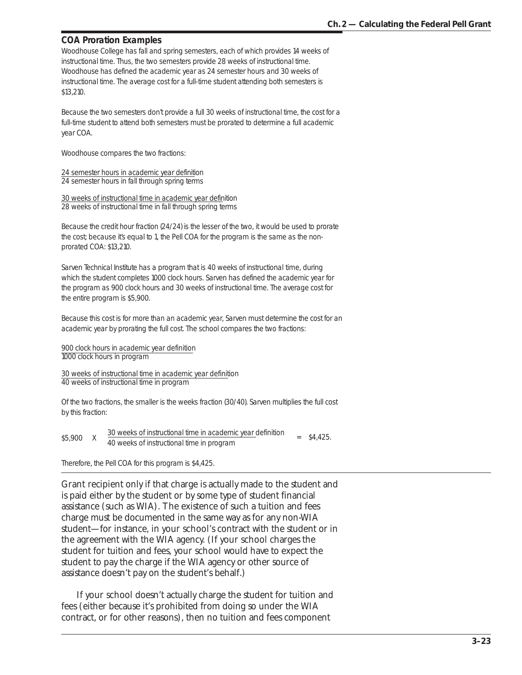## **COA Proration Examples**

Woodhouse College has fall and spring semesters, each of which provides 14 weeks of instructional time. Thus, the two semesters provide 28 weeks of instructional time. Woodhouse has defined the academic year as 24 semester hours and 30 weeks of instructional time. The average cost for a full-time student attending both semesters is \$13,210.

Because the two semesters don't provide a full 30 weeks of instructional time, the cost for a full-time student to attend both semesters must be prorated to determine a full academic year COA.

Woodhouse compares the two fractions:

24 semester hours in academic year definition 24 semester hours in fall through spring terms

30 weeks of instructional time in academic year definition 28 weeks of instructional time in fall through spring terms

Because the credit hour fraction (24/24) is the lesser of the two, it would be used to prorate the cost; because it's equal to 1, the Pell COA for the program is the same as the nonprorated COA: \$13,210.

Sarven Technical Institute has a program that is 40 weeks of instructional time, during which the student completes 1000 clock hours. Sarven has defined the academic year for the program as 900 clock hours and 30 weeks of instructional time. The average cost for the entire program is \$5,900.

Because this cost is for more than an academic year, Sarven must determine the cost for an academic year by prorating the full cost. The school compares the two fractions:

900 clock hours in academic year definition 1000 clock hours in program

30 weeks of instructional time in academic year definition 40 weeks of instructional time in program

Of the two fractions, the smaller is the weeks fraction (30/40). Sarven multiplies the full cost by this fraction:

| \$5,900 | 30 weeks of instructional time in academic year definition | $=$ \$4,425. |
|---------|------------------------------------------------------------|--------------|
|         | 40 weeks of instructional time in program                  |              |

Therefore, the Pell COA for this program is \$4,425.

Grant recipient only if that charge is actually made to the student and is paid either by the student or by some type of student financial assistance (such as WIA). The existence of such a tuition and fees charge must be documented in the same way as for any non-WIA student—for instance, in your school's contract with the student or in the agreement with the WIA agency. (If your school charges the student for tuition and fees, your school would have to expect the student to pay the charge if the WIA agency or other source of assistance doesn't pay on the student's behalf.)

If your school doesn't actually charge the student for tuition and fees (either because it's prohibited from doing so under the WIA contract, or for other reasons), then no tuition and fees component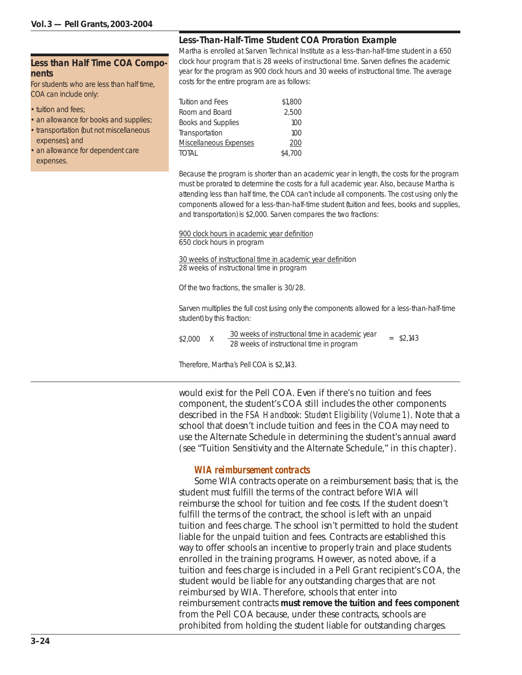#### **Less than Half Time COA Components**

For students who are less than half time, COA can include only:

- tuition and fees:
- an allowance for books and supplies; • transportation (but not miscellaneous
- expenses); and
- an allowance for dependent care expenses.

## **Less-Than-Half-Time Student COA Proration Example**

Martha is enrolled at Sarven Technical Institute as a less-than-half-time student in a 650 clock hour program that is 28 weeks of instructional time. Sarven defines the academic year for the program as 900 clock hours and 30 weeks of instructional time. The average costs for the entire program are as follows:

| \$1,800 |
|---------|
| 2.500   |
| 100     |
| 100     |
| 200     |
| \$4,700 |
|         |

Because the program is shorter than an academic year in length, the costs for the program must be prorated to determine the costs for a full academic year. Also, because Martha is attending less than half time, the COA can't include all components. The cost using only the components allowed for a less-than-half-time student (tuition and fees, books and supplies, and transportation) is \$2,000. Sarven compares the two fractions:

900 clock hours in academic year definition 650 clock hours in program

30 weeks of instructional time in academic year definition 28 weeks of instructional time in program

Of the two fractions, the smaller is 30/28.

Sarven multiplies the full cost (using only the components allowed for a less-than-half-time student) by this fraction:

| \$2,000 |  | 30 weeks of instructional time in academic year |  | $=$ \$2.143 |  |
|---------|--|-------------------------------------------------|--|-------------|--|
|         |  | 28 weeks of instructional time in program       |  |             |  |
|         |  |                                                 |  |             |  |

Therefore, Martha's Pell COA is \$2,143.

would exist for the Pell COA. Even if there's no tuition and fees component, the student's COA still includes the other components described in the *FSA Handbook: Student Eligibility (Volume 1)*. Note that a school that doesn't include tuition and fees in the COA may need to use the Alternate Schedule in determining the student's annual award (see "Tuition Sensitivity and the Alternate Schedule," in this chapter).

#### *WIA reimbursement contracts*

Some WIA contracts operate on a reimbursement basis; that is, the student must fulfill the terms of the contract before WIA will reimburse the school for tuition and fee costs. If the student doesn't fulfill the terms of the contract, the school is left with an unpaid tuition and fees charge. The school isn't permitted to hold the student liable for the unpaid tuition and fees. Contracts are established this way to offer schools an incentive to properly train and place students enrolled in the training programs. However, as noted above, if a tuition and fees charge is included in a Pell Grant recipient's COA, the student would be liable for any outstanding charges that are not reimbursed by WIA. Therefore, schools that enter into reimbursement contracts **must remove the tuition and fees component** from the Pell COA because, under these contracts, schools are prohibited from holding the student liable for outstanding charges.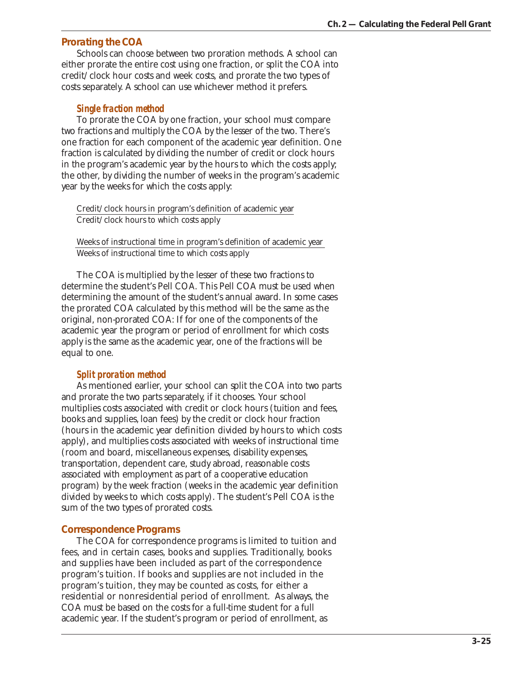## *Prorating the COA*

Schools can choose between two proration methods. A school can either prorate the entire cost using one fraction, or split the COA into credit/clock hour costs and week costs, and prorate the two types of costs separately. A school can use whichever method it prefers.

#### *Single fraction method*

To prorate the COA by one fraction, your school must compare two fractions and multiply the COA by the lesser of the two. There's one fraction for each component of the academic year definition. One fraction is calculated by dividing the number of credit or clock hours in the program's academic year by the hours to which the costs apply; the other, by dividing the number of weeks in the program's academic year by the weeks for which the costs apply:

Credit/clock hours in program's definition of academic year Credit/clock hours to which costs apply

Weeks of instructional time in program's definition of academic year Weeks of instructional time to which costs apply

The COA is multiplied by the lesser of these two fractions to determine the student's Pell COA. This Pell COA must be used when determining the amount of the student's annual award. In some cases the prorated COA calculated by this method will be the same as the original, non-prorated COA: If for one of the components of the academic year the program or period of enrollment for which costs apply is the same as the academic year, one of the fractions will be equal to one.

#### *Split proration method*

As mentioned earlier, your school can split the COA into two parts and prorate the two parts separately, if it chooses. Your school multiplies costs associated with credit or clock hours (tuition and fees, books and supplies, loan fees) by the credit or clock hour fraction (hours in the academic year definition divided by hours to which costs apply), and multiplies costs associated with weeks of instructional time (room and board, miscellaneous expenses, disability expenses, transportation, dependent care, study abroad, reasonable costs associated with employment as part of a cooperative education program) by the week fraction (weeks in the academic year definition divided by weeks to which costs apply). The student's Pell COA is the sum of the two types of prorated costs.

#### *Correspondence Programs*

The COA for correspondence programs is limited to tuition and fees, and in certain cases, books and supplies. Traditionally, books and supplies have been included as part of the correspondence program's tuition. If books and supplies are not included in the program's tuition, they may be counted as costs, for either a residential or nonresidential period of enrollment. As always, the COA must be based on the costs for a full-time student for a full academic year. If the student's program or period of enrollment, as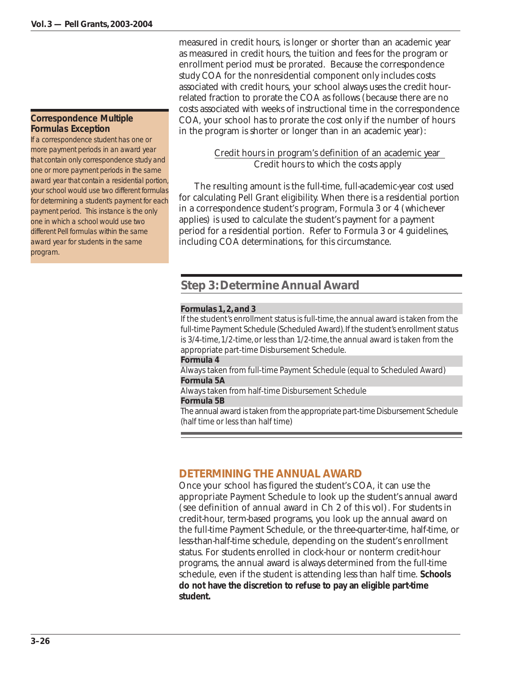## **Correspondence Multiple Formulas Exception**

If a correspondence student has one or more payment periods in an award year that contain only correspondence study and one or more payment periods in the same award year that contain a residential portion, your school would use two different formulas for determining a student's payment for each payment period. This instance is the only one in which a school would use two different Pell formulas within the same award year for students in the same program.

measured in credit hours, is longer or shorter than an academic year as measured in credit hours, the tuition and fees for the program or enrollment period must be prorated. Because the correspondence study COA for the nonresidential component only includes costs associated with credit hours, your school always uses the credit hourrelated fraction to prorate the COA as follows (because there are no costs associated with weeks of instructional time in the correspondence COA, your school has to prorate the cost only if the number of hours in the program is shorter or longer than in an academic year):

> Credit hours in program's definition of an academic year Credit hours to which the costs apply

The resulting amount is the full-time, full-academic-year cost used for calculating Pell Grant eligibility. When there is a residential portion in a correspondence student's program, Formula 3 or 4 (whichever applies) is used to calculate the student's payment for a payment period for a residential portion. Refer to Formula 3 or 4 guidelines, including COA determinations, for this circumstance.

## **Step 3: Determine Annual Award**

#### *Formulas 1, 2, and 3*

If the student's enrollment status is full-time, the annual award is taken from the full-time Payment Schedule (Scheduled Award). If the student's enrollment status is 3/4-time, 1/2-time, or less than 1/2-time, the annual award is taken from the appropriate part-time Disbursement Schedule.

#### *Formula 4*

Always taken from full-time Payment Schedule (equal to Scheduled Award) *Formula 5A*

Always taken from half-time Disbursement Schedule

#### *Formula 5B*

The annual award is taken from the appropriate part-time Disbursement Schedule (half time or less than half time)

## **DETERMINING THE ANNUAL AWARD**

Once your school has figured the student's COA, it can use the appropriate Payment Schedule to look up the student's annual award (see definition of annual award in Ch 2 of this vol). For students in credit-hour, term-based programs, you look up the annual award on the full-time Payment Schedule, or the three-quarter-time, half-time, or less-than-half-time schedule, depending on the student's enrollment status. For students enrolled in clock-hour or nonterm credit-hour programs, the annual award is always determined from the full-time schedule, even if the student is attending less than half time. **Schools do not have the discretion to refuse to pay an eligible part-time student.**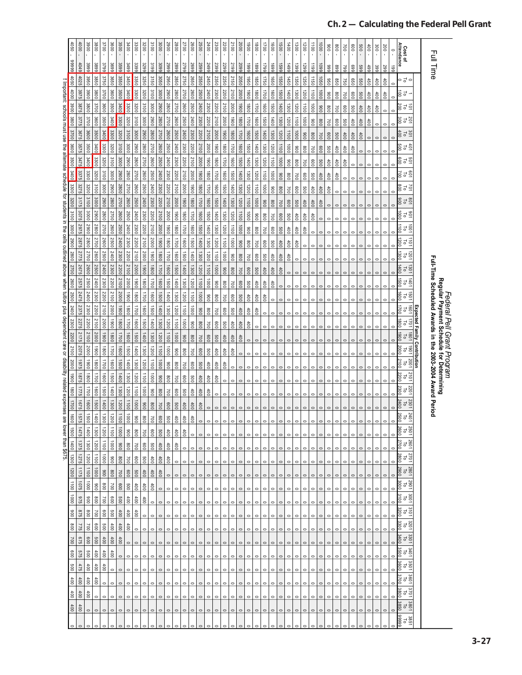|                                                                                                                                                              | 090                | 000          | 3900                  | 3800                                          | 3700           | 3600            | 3500            | 3400                      | 3300              | 3200             | 3100                  | 3000         | 0067                    | 0087                     | 2700                                     | <b>2600</b>        | 2500                   | 2400                    | 2300        | 2200                       | 2100    | 2000                       | 0061               | $\frac{1}{2}$      | 00L                | 009                | 0091               | 1400               | 1300               | 00Z1               | $\overrightarrow{00}$ | 0001               | 006                | 008                | $00\lambda$        | 009                | 009     | 60 <sup>4</sup> | 300     | $200 -$ | $\circ$<br>$\mathbf{r}$ | Cost of<br>Attendance                                         |              |                                                                                                                                           |  |
|--------------------------------------------------------------------------------------------------------------------------------------------------------------|--------------------|--------------|-----------------------|-----------------------------------------------|----------------|-----------------|-----------------|---------------------------|-------------------|------------------|-----------------------|--------------|-------------------------|--------------------------|------------------------------------------|--------------------|------------------------|-------------------------|-------------|----------------------------|---------|----------------------------|--------------------|--------------------|--------------------|--------------------|--------------------|--------------------|--------------------|--------------------|-----------------------|--------------------|--------------------|--------------------|--------------------|--------------------|---------|-----------------|---------|---------|-------------------------|---------------------------------------------------------------|--------------|-------------------------------------------------------------------------------------------------------------------------------------------|--|
|                                                                                                                                                              | 66666              | 4049         | 3999                  | 3899                                          | 3799           | 3696            | 3599            | 3499                      | 3399              | 3299             | 3199                  | 3099         | 6662                    | 5899                     | 6617                                     | 5692               | 5599                   | 5499                    | 2399        | 2299                       | 5199    | 5099                       | 6661               | 6681               | 6621               | 6691               | 6691               | 66#1               | 1399               | 66Z1               | 6611                  | 6601               | 666                | 668                | 662                | 669                | 669     | 66+             | 399     | 667     | 661                     |                                                               |              | Full Time                                                                                                                                 |  |
|                                                                                                                                                              |                    | 4025         | 3950                  | 3850                                          | 3750           | 3650            | 3550            | 3450                      | 3350              | 3250             | 3150                  | 3050         | 2950                    | 2850                     | 2750                                     | 2650               | 2550                   | 2450                    | 2350        | 2250                       | 2150    | 2050                       | 1950               | 1850               | 1750               | 1650               | 1550               | 1450               | 1350               | 1250               | 1150                  | 1050               | 096                | 098                | 750                | 099                | 099     | 450             | 400     | 100     |                         | ∍ ನ ∘                                                         |              |                                                                                                                                           |  |
| I Important schools must use the alternate ochedule for students in the cells outlined above when tuition plus dependent care or gisability related expenses | 4050 4000          | 3975         | 3900                  | 3800                                          | 3700           | 3600            | 3500            | 3400                      | 3300              | 3200             | 3100                  | 3000         | 0067                    | 2800                     | 2700                                     | 2600               | 2500                   | 2400                    | 2300        | 2200                       | 2100    | 2000                       | 1900               | 1800               | 1700               | 1600               | 00 <sub>9</sub>    | 1400               | 1300               | 1200               | 1100                  | 1000               | 006                | 008                | 700                | 008                | 009     | 100             | 100     | 600     | $\circ$                 | $\frac{1}{5}$                                                 |              |                                                                                                                                           |  |
|                                                                                                                                                              | 3900               | 3875         | 3800                  | 3700                                          | 3600           | 3500            | 3400            | 3300                      | 3200              | 3100             | 3000                  | 2900         | 2800                    | 2700                     | 2600                                     | 2500               | 2400                   | 2300                    | 2200        | 2100                       | 2000    | 1900                       | 1800               | 1700               | 1600               | 1500               | 1400               | 1300               | 1200               | 0011               | 1000                  | 006                | 008                | 002                | 009                | 009                | 400     | 400             | 60t     |         |                         | 15 15 20<br>200                                               |              |                                                                                                                                           |  |
|                                                                                                                                                              | 3800               | 3775         | 3700                  | 3600                                          | 3500           | 3400            | 3300            | 3200                      | 3100              | 3000             | 2900                  | 2800         | 2700                    | 0097                     | 2500                                     | 2400               | 2300                   | 2200                    | 2100        | 2000                       | 1900    | 1800                       | 1700               | 1600               | 1500               | 1400               | 1300               | 1200               | 1100               | 0001               | 006                   | 008                | 007                | 009                | 009                | 600                | 400     | 400             |         | $\circ$ |                         | 25 P S                                                        |              |                                                                                                                                           |  |
|                                                                                                                                                              | 3700               | 3675         | 3600                  | 3500                                          | 3400           | 3300            | 3200            | 3100                      | 3000              | 0067             | 2800                  | 2700         | 2600                    | 0097                     | 2400                                     | 2300               | 2200                   | 2100                    | 2000        | 1900                       | 1800    | 1700                       | 1600               | 1500               | 1400               | 1300               | 1200               | 0011               | 0001               | 006                | 008                   | 700                | 009                | 009                | 400                | 400                | 400     |                 |         |         |                         | 301<br>Po<br>400                                              |              |                                                                                                                                           |  |
|                                                                                                                                                              | 3600               | 3575         | 3500                  | 3400                                          | 3300           | 3200            | 3100            | 3000                      | 2900              | 2800             | 2700                  | 2600         | 2500                    | 2400                     | 2300                                     | 2200               | 2100                   | 2000                    | 1900        | 1800                       | 1700    | 1600                       | 1500               | 1400               | 1300               | 1200               | 11001              | 0001               | 006                | 008                | 002                   | 009                | 009                | 100                | 100                | 100                | $\sim$  |                 |         |         |                         | $rac{4}{10}$                                                  |              |                                                                                                                                           |  |
|                                                                                                                                                              | 3500               | 3475         | 3400                  | 3300                                          | 3200           | 3100            | 3000            | 2900                      | 2800              | 2700             | 2600                  | 2500         | 2400                    | 2300                     | 2200                                     | 2100               | 2000                   | 0061                    | 1800        | 1700                       | 1600    | 1500                       | 1400               | 1300               | 1200               | 1100               | $1000$             | 006                | 008                | 002                | 009                   | 009                | 600                | $^{400}$           | $\frac{1}{6}$      | $\circ$            |         |                 |         |         |                         | 55<br>10<br>60                                                |              |                                                                                                                                           |  |
|                                                                                                                                                              | 3400               | 3375         | 3300                  | 3200                                          | 3100           | 3000            | 2900            | 2800                      | 2700              | 0097             | 2500                  | 2400         | 2300                    | 2200                     | 2100                                     | 2000               | 1900                   | 1800                    | 1700        | 1600                       | 1500    | 1400                       | 1300               | 1200               | 11001              | 1000               | 006                | 008                | 1001               | 009                | 009                   | 100                | 400                | 400                | $\circ$            | $\circ$            |         |                 |         |         |                         | 801<br>700                                                    |              |                                                                                                                                           |  |
|                                                                                                                                                              | 3300               | 3275         | 3200                  | 3100                                          | 3000           | 0067            | 2800            | 2700                      | 2600              | 2500             | 2400                  | 2300         | 00ZZ                    | 2100                     | 2000                                     | 0061               | 1800                   | 1700                    | 1600        | 1500                       | 1400    | 1300                       | 1200               | 1100               | 0001               | 006                | 008                | 002                | 009                | 009                | 100                   | 400                | 00 <sub>0</sub>    | $\circ$            |                    |                    |         |                 |         |         |                         | $\frac{5}{10}$<br>ខ្លី                                        |              |                                                                                                                                           |  |
|                                                                                                                                                              | 3200               | 3175         | 3100                  | 3000                                          | 2900           | 2800            | 2700            | 2600                      | 2500              | 2400             | 2300                  | 2200         | 2100                    | 2000                     | 1900                                     | 1800               | 1700                   | 1600                    | 1500        | 1400                       | 1300    | 1200                       | 1100               | 1000               | 006                | $008$              | $00\lambda$        | 009                | 009                | 100                | 400                   | 400                | $\circ$            | $\circ$            |                    |                    |         |                 |         |         |                         | 801<br>Poo                                                    |              |                                                                                                                                           |  |
|                                                                                                                                                              | 3100               | 3075         | 3000                  | 0062                                          | 2800           | 2700            | 2600            | 2500                      | 2400              | 2300             | 2200                  | 2100         | 2000                    | 0061                     | 1800                                     | $\overline{0011}$  | 1600                   | 1500                    | 1400        | 1300                       | 1200    | 1100                       | 0001               | 006                | $\frac{80}{2}$     | 100 <sub>2</sub>   | 009                | 009                | 100                | 100                | 100                   | $\circ$            | $\circ$            | $\circ$            |                    | $\circ$            | $\circ$ |                 |         |         |                         | $\frac{5}{10}$                                                |              |                                                                                                                                           |  |
|                                                                                                                                                              | 3000               | 2975         | 2900                  | 2800                                          | 2700           | 2600            | 2500            | 2400                      | 2300              | 2200             | 2100                  | 2000         | 0061                    | 1800                     | 0021                                     | 1600               | 1500                   | 1400                    | 1300        | 1200                       | 1100    | 0001                       | 006                | 800                | 002                | 009                | 009                | 400                | 400                | 400                |                       |                    |                    |                    |                    |                    |         |                 |         |         |                         | $\begin{array}{c}\n1001 \\ 0\n\end{array}$<br>1100            |              |                                                                                                                                           |  |
|                                                                                                                                                              | 2900               | 2875         | 2800                  | 2700                                          | 2600           | 2500            | 2400            | 2300                      | 2200              | 2100             | 2000                  | 1900         | 1800                    | 1700                     | 1600                                     | 1500               | 1400                   | 1300                    | 1200        | 1100                       | 0001    | 006                        | 008                | 700                | 009                | 009                | 400                | 100                | 400                | $\circ$            | $\circ$               | $\circ$            |                    |                    |                    |                    |         |                 |         |         |                         | 1011<br>1200<br>$\overline{c}$                                |              |                                                                                                                                           |  |
|                                                                                                                                                              | 2800               | 2775         | 2700                  | 2600                                          | 2500           | 2400            | 2300            | 2200                      | 2100              | 2000             | 1800                  | 1800         | 00L1                    | 1600                     | 1500                                     | 1400               | 1300                   | 1200                    | <b>1100</b> | 0001                       | 006     | 008                        | 700                | 009                | 009                | 600                | $400$              | 400                | $\circ$            | $\circ$            |                       |                    |                    |                    |                    |                    |         |                 |         |         |                         | 1201<br>500                                                   |              |                                                                                                                                           |  |
|                                                                                                                                                              | 2700               | 2675         | 2600                  | 2500                                          | 2400           | 2300            | 2200            | 2100                      | 2000              | 1900             | 1800                  | 1700         | 1600                    | 00 <sub>S</sub> L        | 1400                                     | 1300               | 1200                   | 1100                    | 0001        | 006                        | 008     | 700                        | 009                | 009                | 100t               | 100                | 100                | $\circ$            | $\circ$            | $\circ$            | $\circ$               | $\circ$            | $\circ$            | 0                  |                    | $\circ$            | $\circ$ |                 |         |         |                         | 1301                                                          |              |                                                                                                                                           |  |
|                                                                                                                                                              | 2600               | 2575         | 2500                  | 2400                                          | 2300           | 2200            | 2100            | 2000                      | 1900              | $\frac{1800}{1}$ | 1700                  | 1600         | 1500                    | 1400                     | 1300                                     | 1200               | 1100                   | $\overrightarrow{0001}$ | 006         | 008                        | 002     | 009                        | 009                | $400$              | $400$              | 60t                | $\circ$            | $\circ$            | $\circ$            | $\circ$            | $\circ$               |                    |                    |                    |                    |                    |         |                 |         |         |                         | $rac{1401}{10}$<br>DCC                                        |              |                                                                                                                                           |  |
|                                                                                                                                                              | 2500               | 2475         | 2400                  | 2300                                          | 2200           | 2100            | 2000            | 1900                      | 1800              | 1700             | 1600                  | 1500         | 1400                    | 1300                     | 1200                                     | 1100               | 0001                   | 006                     | 008         | 700                        | 009     | 009                        | 400                | 400                | 400                | $\circ$            | $\circ$            | $\circ$            | $\circ$            | $\circ$            |                       | $\circ$            | $\circ$            |                    |                    |                    |         |                 |         |         |                         | $\frac{1501}{70}$<br>$\frac{1}{2}$<br>1001                    |              |                                                                                                                                           |  |
|                                                                                                                                                              | 2400               | 2375         | 2300                  | 00ZZ                                          | 2100           | 2000            | 1800            | 1800                      | 1700              | 1600             | 1500<br>1400          | 1400         | 1300                    | 1200                     | $\frac{1100}{\pi}$<br>$\frac{1000}{\pi}$ | $\frac{1000}{\pi}$ | 006                    | 008                     | 700         | 009                        | 009     | 400                        | 400                | 400                | $\circ$            |                    | $\circ$            | $\circ$            | $\circ$            | 0                  |                       |                    |                    |                    |                    |                    |         |                 |         |         |                         | 1701<br>$\overline{\circ}$                                    | Expected     |                                                                                                                                           |  |
|                                                                                                                                                              | 2300<br>2200       | 2275<br>2175 | 2200<br>2100          | 2100<br>2000                                  | 2000<br>1900   | 1900<br>1800    | 1800<br>1700    | 1700<br>1600              | 1600<br>1500      | 1500<br>1400     | 1300                  | 1300<br>1200 | 1200<br>$\frac{110}{2}$ | $\frac{1100}{2}$<br>0001 |                                          | 006                | 008                    | $100\lambda$            | 009         | 009                        | 100     | 100                        | 100                | $\circ$            | $\circ$            | $\circ$            | $\circ$            | $\circ$            | $\circ$            | $\circ$            | $\circ$               | $\circ$            | $\circ$            |                    |                    |                    |         |                 |         |         |                         | 1081<br>5                                                     | Family       |                                                                                                                                           |  |
|                                                                                                                                                              | 2100               | 2075         | 2000                  | 1900                                          | 1800           | 1700            | 1600            | 10091                     | 1400              | 1300             | 1200                  | 1100         | 0001                    |                          | 006                                      | 008                | 100 <sub>2</sub>       | 009                     | 009         | 400                        | 400     | 100t                       | $\circ$            |                    |                    |                    | $\circ$            | $\circ$            | $\circ$            | $\circ$            | $\circ$               | $\circ$            | $\circ$            | 0                  |                    |                    |         |                 |         |         |                         | 1061<br>2000<br>$\overline{\circ}$                            |              | Full-Time Scheduled Awards in the 2003-2004 Award Period<br><i>Federal Pell Grant Program</i><br>Regular Payment Schedule for Determining |  |
|                                                                                                                                                              | 2000               | 1975         | 1900                  | 1800                                          | 00L1           | 1600            | 1500            | 1400                      | 1300              | 1200             | 1100                  | 1000         |                         | 006                      | 008                                      | 007                | 009                    | 009                     | 100t        | 600                        | 100     |                            |                    |                    |                    |                    |                    |                    |                    |                    |                       |                    |                    |                    |                    |                    |         |                 |         |         |                         | 2001<br>Jo                                                    | Contribution |                                                                                                                                           |  |
|                                                                                                                                                              | $\frac{1}{2}$      | <b>1875</b>  | 0081                  | 1700                                          | 1600           | <b>1500</b>     | 1400            | 1300                      | 1200              | 1100             | 1000                  | 006          | 006<br>008              | 008                      | 002<br>009                               | 009                | 009                    | 100                     | 100         | 400                        | $\circ$ | $\circ$                    | $\circ$            |                    |                    |                    | $\circ$            | $\circ$            | $\circ$            | 0                  |                       |                    |                    |                    |                    |                    |         |                 |         |         |                         | 2101<br>2200<br>J                                             |              |                                                                                                                                           |  |
|                                                                                                                                                              | 1800               | 3775         | 00L1                  | 1600                                          | 1500           | 1400            | 1300            | 1200                      | 1100              | 1000             | 006                   | 800          | 1001                    | 700<br>$\frac{1}{2}$     | 009                                      | 009<br>100         | 00 <sup>†</sup><br>100 | 600<br>100              | 100         | $\circ$                    | $\circ$ | $\circ$                    | $\circ$            | $\circ$            | $\circ$            | $\circ$            | $\circ$            | $\circ$            | $\circ$            | $\circ$            | $\circ$               | $\circ$            | $\circ$            | 0                  | $\circ$            | $\circ$            | $\circ$ |                 |         |         |                         | 2201                                                          |              |                                                                                                                                           |  |
|                                                                                                                                                              | 1700               | <b>1675</b>  | 1600                  | 1500                                          | 1400           | 1300            | 1200            | 1100                      | 1000              | 006              | 008                   | 002          | 009                     | 009                      | $rac{400}{2}$                            | $\frac{400}{2}$    | $\frac{400}{200}$      |                         | $\circ$     | $\circ$                    | $\circ$ | $\circ$                    | $\circ$            | $\circ$            | $\circ$            | $\circ$            | $\circ$            | $\circ$            | $\circ$            | $\circ$            | $\circ$               | $\circ$            | $\circ$            | $\circ$            | $\circ$            | $\circ$            | $\circ$ | $\circ$         | $\circ$ | $\circ$ | $\circ$                 | 2301<br>2400                                                  |              |                                                                                                                                           |  |
|                                                                                                                                                              | 1600               |              | ģ                     | $\sharp$                                      | ದ              | $\vec{z}$       |                 | $\frac{1000}{2}$          |                   |                  |                       | $\circ$      |                         | 400                      | $\overline{5}$                           | $rac{5}{6}$        |                        | $\circ$                 | $\circ$     | $\circ$                    | $\circ$ | $\circ$                    | $\circ$            | $\circ$            | $\circ$            | $\circ$            | $\circ$            | $\circ$            | $\circ$            | $\circ$            | $\circ$               |                    | $\circ$ $\circ$    | $\circ$            | $\circ$            | $\circ$            | $\circ$ |                 | $\circ$ |         |                         | 2401<br>25                                                    |              |                                                                                                                                           |  |
| are lower than \$675.                                                                                                                                        | 1500               | G<br>1475    | $\frac{8}{2}$<br>1400 | $\frac{8}{1}$<br>1300                         | 1200           | 1100            | 1000            | 006                       | 008               | 700              | $\overline{0}$<br>009 | 009          | $400$                   | $\frac{400}{2}$          | $\frac{400}{2}$                          | $\circ$            | $\circ$<br>$\circ$     | $\circ$<br>$\circ$      | $\circ$     | $\circ$ $\circ$<br>$\circ$ | $\circ$ | $\circ$ $\circ$<br>$\circ$ | $\circ$<br>$\circ$ | $\circ$<br>$\circ$ | $\circ$<br>$\circ$ | $\circ$<br>$\circ$ | $\circ$<br>$\circ$ | $\circ$<br>$\circ$ | $\circ$<br>$\circ$ | $\circ$<br>$\circ$ | $\circ$<br>$\circ$    | $\circ$<br>$\circ$ | $\circ$<br>$\circ$ | $\circ$<br>$\circ$ | $\circ$<br>$\circ$ | $\circ$<br>$\circ$ | $\circ$ |                 |         | $\circ$ |                         | $\begin{array}{c} 2501 \\ 260 \\ 2600 \end{array}$            |              |                                                                                                                                           |  |
|                                                                                                                                                              | $\frac{1400}{\pi}$ | 1375         | $\frac{1300}{2}$      | 1200                                          | $\frac{1}{10}$ | $0001$          | $\frac{8}{100}$ | $\overline{\mathtt{008}}$ | $100\,\mathrm{L}$ | 009              | 009                   | 600t         | $\frac{40}{3}$          | 60                       | $\circ$                                  | $\circ$            | $\circ$                | $\circ$                 | $\circ$     | $\circ$                    | $\circ$ | $\circ$                    | $\circ$            | $\circ$            | $\circ$            | $\circ$            | $\circ$            | $\circ$            | $\circ$            | $\circ$            | $\circ$               | $\circ$            | $\circ$            | $\circ$            | $\circ$            | $\circ$            | $\circ$ |                 | $\circ$ | $\circ$ | $\circ$                 | 2700<br>2601                                                  |              |                                                                                                                                           |  |
|                                                                                                                                                              | 1300               | 1275         | 1200                  | 1100                                          | 0001           | 006             | $\rm 008$       | $00\lambda$               | 009               | 009              | $400$                 | $400$        | $400$                   | $\circ$                  | $\circ$                                  | $\circ$            | $\circ$                | $\circ$                 | $\circ$     | $\circ$                    | $\circ$ | $\circ$                    | $\circ$            | $\circ$            | $\circ$            | $\circ$            | $\circ$            | $\circ$            | $\circ$            | $\circ$            | $\circ$               | $\circ$            | $\circ$            | $\circ$            | $\circ$            | $\circ$            | $\circ$ |                 |         | $\circ$ |                         | $\frac{2701}{100}$                                            |              |                                                                                                                                           |  |
|                                                                                                                                                              | 1200               | <b>1175</b>  | 1100                  | $\frac{1000}{\pi}$                            | 006            | 008             | 700             | 009                       | 009               | $^{400}$         | 400                   | 400          | $\circ$                 | $\circ$                  | $\circ$                                  | $\circ$            |                        | $\circ$                 | $\circ$     | $\circ$                    |         | $\circ$                    |                    |                    |                    |                    | $\circ$            | $\circ$            | $\circ$            |                    |                       |                    |                    |                    |                    |                    |         |                 |         |         |                         | $\begin{array}{c}\n 2801 \\  \hline\n 2900\n \end{array}$     |              |                                                                                                                                           |  |
|                                                                                                                                                              | 1100               | 3201         | $\frac{1000}{\pi}$    | 006                                           | 008            | 700             | 009             | 009                       | 400               | 400              | 400                   | $\circ$      | $\circ$                 | $\circ$                  | $\circ$                                  | $\circ$            | $\circ$                | $\circ$                 | $\circ$     | $\circ$                    | $\circ$ | $\circ$                    | $\circ$            | $\circ$            | $\circ$            | $\circ$            | $\circ$            | $\circ$            | $\circ$            | $\circ$            | $\circ$               | $\circ$            | $\circ$            | $\circ$            | $\circ$            | $\circ$            | $\circ$ | $\circ$         | $\circ$ | $\circ$ | $\circ$                 | 2901<br>3000                                                  |              |                                                                                                                                           |  |
|                                                                                                                                                              | 0001               | 975          | 006                   | $\frac{8}{2}$                                 | 002            | 009             | 009             | 600t                      | $^{400}$          | 600t             |                       | $\circ$      | $\circ$                 | $\circ$                  | $\circ$                                  | $\circ$            | $\circ$                | $\circ$                 | $\circ$     | $\circ$                    | $\circ$ | $\circ$                    | $\circ$            | $\circ$            | $\circ$            | $\circ$            | $\circ$            | $\circ$            | $\circ$            | $\circ$            | $\circ$               | $\circ$            | $\circ$            | $\circ$            |                    |                    |         |                 |         |         |                         | 3001                                                          |              |                                                                                                                                           |  |
|                                                                                                                                                              | 006                | 875          | $\frac{80}{2}$        | $ \breve{\varepsilon} $ $\breve{\varepsilon}$ |                | 009             | 100             | 600                       | 100               | $\circ$          | $\circ$               | $\circ$      | $\circ$                 | $\circ$                  | $\circ$                                  | $\circ$            | $\circ$                | $\circ$                 | $\circ$     | $\circ$                    | $\circ$ | $\circ$                    | $\circ$            | $\circ$            | $\circ$            | $\circ$            | $\circ$            | $\circ$            | $\circ$            | $\circ$            | $\circ$               | $\circ$            | $\circ$            | $\circ$            | $\circ$            | $\circ$            | $\circ$ |                 |         |         | $\circ$                 | 31011<br>$\overline{c}$                                       |              |                                                                                                                                           |  |
|                                                                                                                                                              | 008                | 775          | 700                   | $\frac{1}{2}$                                 | 009            | $rac{400}{\pi}$ | $400$           | $400\,$                   | $\circ$           | $\circ$          | $\circ$               |              | $\circ$                 | $\circ$                  | $\circ$                                  | $\circ$            | $\circ$                | $\circ$                 | $\circ$     | $\circ$                    | $\circ$ | $\circ$                    | $\circ$            | $\circ$            | $\circ$            | $\circ$            | $\circ$            | $\circ$            | $\circ$            | $\circ$            | $\circ$               | $\circ$            | $\circ$            | $\circ$            | $\circ$            | $\circ$            | $\circ$ |                 | $\circ$ | $\circ$ | $\circ$                 | $3201$<br>$3200$                                              |              |                                                                                                                                           |  |
|                                                                                                                                                              | 002                | 675          | $\frac{80}{3}$        | $\frac{500}{3}$                               | $rac{40}{100}$ | $400$           | $400$           | $\circ$                   | $\circ$           |                  |                       |              |                         | $\circ$                  | $\circ$                                  | $\circ$            | $\circ$                | $\circ$                 | $\circ$     | $\circ$                    | $\circ$ | $\circ$                    | $\circ$            |                    | $\circ$            | $\circ$            | $\circ$            | $\circ$            | $\circ$            | $\circ$            | $\circ$               | $\circ$            | $\circ$            | $\circ$            |                    |                    |         |                 |         |         |                         | $\begin{array}{c} 3301 \\ \bf{70} \\ 3400 \end{array}$        |              |                                                                                                                                           |  |
|                                                                                                                                                              | 600                | 575          | 009                   | $\frac{400}{3}$                               |                | $\frac{4}{5}$   | $\circ$         | $\circ$                   | $\circ$           |                  | $\circ$               | $\circ$      | $\circ$                 | $\circ$                  | $\circ$                                  | $\circ$            | $\circ$                | $\circ$                 | $\circ$     | $\circ$                    | $\circ$ | $\circ$                    | $\circ$            | $\circ$            | $\circ$            | $\circ$            | $\circ$            | $\circ$            | $\circ$            | $\circ$            | $\circ$               | $\circ$            | $\circ$            |                    | $\circ$            | $\circ$            | $\circ$ |                 |         |         |                         | 3500<br>3401                                                  |              |                                                                                                                                           |  |
|                                                                                                                                                              | 009                | 475          | $\frac{400}{2}$       | $\frac{4}{5}$                                 |                | $\circ$         | $\circ$         | $\circ$                   | $\circ$           | $\circ$          | $\circ$               | $\circ$      | $\circ$                 | $\circ$                  | $\circ$                                  | $\circ$            | $\circ$                | $\circ$                 | $\circ$     | $\circ$                    | $\circ$ | $\circ$                    | $\circ$            | $\circ$            | $\circ$            | $\circ$            | $\circ$            | $\circ$            | $\circ$            | $\circ$            | $\circ$               | $\circ$            | $\circ$            | $\circ$            | $\circ$            | $\circ$            | $\circ$ | $\circ$         | $\circ$ | $\circ$ | $\circ$                 | 3501<br>361<br>360                                            |              |                                                                                                                                           |  |
|                                                                                                                                                              | 100t               | 400          | $\frac{400}{3}$       | $\frac{40}{3}$                                | $\circ$        | $\circ$         | $\circ$         | $\circ$                   | $\circ$           | $\circ$          | $\circ$               | $\circ$      | $\circ$                 | $\circ$                  | $\circ$                                  | $\circ$            | $\circ$                | $\circ$                 | $\circ$     | $\circ$                    | $\circ$ | $\circ$                    | $\circ$            | $\circ$            | $\circ$            | $\circ$            | $\circ$            | $\circ$            | $\circ$            | $\circ$            | $\circ$               | $\circ$            | $\circ$            | $\circ$            | $\circ$            | $\circ$            | $\circ$ | $\circ$         | $\circ$ | $\circ$ | $\circ$                 | 3601<br>3700                                                  |              |                                                                                                                                           |  |
|                                                                                                                                                              | $\frac{400}{2}$    | 400          | $\frac{1}{6}$         | $\circ$                                       | $\circ$        | $\circ$         | $\circ$         |                           |                   |                  |                       |              |                         |                          | $\circ$                                  | $\circ$            | $\circ$                | $\circ$                 | $\circ$     | 0                          | $\circ$ | $\circ$                    | $\circ$            | $\circ$            | $\circ$            |                    | $\circ$            | $\circ$            | $\circ$            | $\circ$            | $\circ$               |                    |                    |                    |                    |                    |         |                 |         |         |                         | 3701<br>3800                                                  |              |                                                                                                                                           |  |
|                                                                                                                                                              | $\frac{400}{2}$    | 400          | $\circ$               | $\circ$                                       | $\circ$        | $\circ$         | $\circ$         | $\circ$                   | $\circ$           | $\circ$          | $\circ$               | $\circ$      | $\circ$                 | $\circ$                  | $\circ$                                  | $\circ$            | $\circ$                | $\circ$                 | $\circ$     | $\circ$                    |         | $\circ$ $\circ$            | $\circ$            | $\circ$            | $\circ$            | $\circ$            | $\circ$            | $\circ$            | $\circ$            | $\circ$            | $\circ$               | $\circ$            | $\circ$            | $\circ$            | $\circ$            | $\circ$            | $\circ$ | $\circ$         | $\circ$ | $\circ$ | $\circ$                 | $\begin{array}{c} 3801 \\ \underline{10} \\ 3850 \end{array}$ |              |                                                                                                                                           |  |
|                                                                                                                                                              |                    |              |                       |                                               |                |                 |                 |                           |                   |                  |                       |              |                         |                          |                                          |                    |                        |                         | $\circ$     | $\circ$                    |         | $\circ$   $\circ$          |                    |                    |                    |                    |                    |                    |                    |                    |                       |                    |                    |                    |                    |                    |         |                 |         |         |                         | 3851<br>0To<br>0999                                           |              |                                                                                                                                           |  |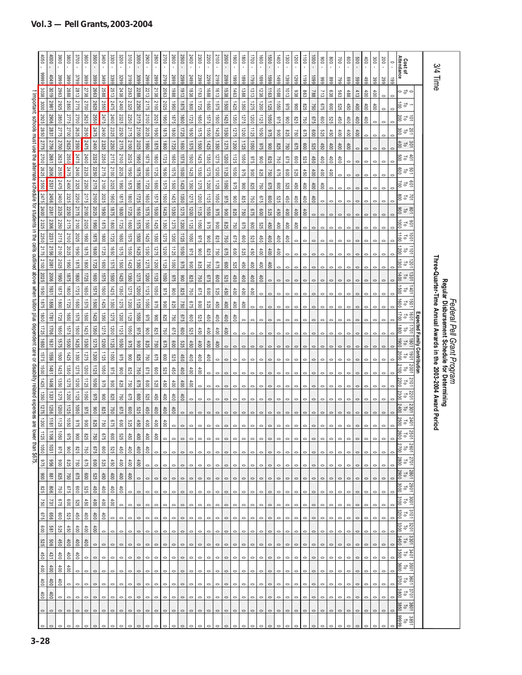|                                                    | 050                      | 0000            | 3900            | 3800               | 3700                   | 3600            | 3500             | 3400            | 3300           | 3200            | 3100               | 3000        | 2900             | 2800           | 2700        | 2600            | 2500        | 2400            | 2300        | 2200        | 2100            | 2000            | 0061            | $\overline{0}$ | 1700            | 0091            | 0091       | 1400            | 1300             | 1200       | $\frac{11}{10}$ | 0001     | $\rm 006$               | $\frac{8}{2}$   | 001             | $\frac{8}{2}$ | 009             | 60t             | 300            | 200     | $\circ$      | Cost of<br>Attendance                |                              |                                                                |                                                                                    |
|----------------------------------------------------|--------------------------|-----------------|-----------------|--------------------|------------------------|-----------------|------------------|-----------------|----------------|-----------------|--------------------|-------------|------------------|----------------|-------------|-----------------|-------------|-----------------|-------------|-------------|-----------------|-----------------|-----------------|----------------|-----------------|-----------------|------------|-----------------|------------------|------------|-----------------|----------|-------------------------|-----------------|-----------------|---------------|-----------------|-----------------|----------------|---------|--------------|--------------------------------------|------------------------------|----------------------------------------------------------------|------------------------------------------------------------------------------------|
|                                                    | 66666                    | 4049            | 3999            | 3899               | 3799                   | 3696            | 3599             | 3499            | 3399           | 3299            | 3199               | 3099        | 6667             | 6687           | 2799        | 6697            | 5599        | 5499            | 2399        | 2299        | 5199            | 6607            | 6661            | 6681           | 1799            | 6691            | 6691       | 66†1            | 1399             | 6621       | 1199            | 6601     | 666                     | 668             | 662             | 669           | 669             | 66+             | 399            | 667     | 661          |                                      |                              | 3/4 Time                                                       |                                                                                    |
|                                                    | 3038                     | 3019            | 2963            | 2888               | 2813                   | 2738            | 2663             | 2588            | 2513           | 2438            | 2363               | 2288        | 2213             | 2138           | 2063        | 8861            | 1913        | 1838            | 1763        | 1688        | 1813            | 1538            | 1463            | 1388           | 1313            | 1238            | 1163       | 1088            | 1013             | 838        | 863             | 788      | 713                     | 838             | 563             | 488           | 413             | 600             | 100            | $\circ$ | $\circ$      | っぱっ                                  |                              |                                                                |                                                                                    |
|                                                    | 3000                     | 2981            | 2925            | 2850               | 2775                   | 2700            | 2625             | 2550            | 2475           | 2400            | 2325               | 2250        | 2175             | 2100           | 2025        | 0961            | 1875        | 0081            | 1725        | 0991        | 3291            | 1500            | 1425            | 1350           | 375             | 1200            | 1125       | 0901            | 875              | 006        | 825             | 097      | 970                     | 009             | 525             | 450           | 60t             | $\frac{400}{2}$ | $\frac{4}{10}$ | $\circ$ | $\circ$      | ra<br>So                             |                              |                                                                |                                                                                    |
| Important: schools must use the alternate schedule | 2925                     | 2906            | 3850            | 2775               | 2700                   | 2625            | 2550             | 2475            | 2400           | 2325            | 2250               | 2175        | 2100             | 2025           | 0961        | <b>9281</b>     | 1800        | 1725            | 1650        | <b>S75</b>  | <b>1500</b>     | 1425            | 1350            | 1275           | 1200            | 1125            | 050        | 975             | 006              | <b>825</b> | 097             | 975      | 009                     | 525             | 450             | 400           | 100             | 600             | $\circ$        | $\circ$ | $\circ$      | iers                                 |                              |                                                                |                                                                                    |
|                                                    | 2850                     | 2831            | 2775            | 2700               | 2625                   | 2550            | 2475             | 2400            | 2325           | 2250            | 2175               | 2100        | 2025             | 0981           | 1875        | 0081            | 1725        | 1650            | <b>1575</b> | 0091        | 1425            | 1350            | 1275            | 1200           | 1125            | 1050            | <b>975</b> | 006             | <b>S25</b>       | 092        | 975             | 009      | <b>S29</b>              | 450             | 600             | 100           | 60 <sup>†</sup> | $\circ$         | $\circ$        | $\circ$ | $\mathbf{C}$ | 25 12<br>26                          |                              |                                                                |                                                                                    |
|                                                    | 2775                     | 2756            | 2700            | 2625               | 2550                   | 2475            | 2400             | 2325            | 2250           | 2175            | 2100               | 2025        | 0961             | <b>1875</b>    | 1800        | 1725            | 0991        | <b>S75</b>      | 1500        | 1425        | 1350            | <b>1275</b>     | 1200            | 1125           | 090             | 875             | 006        | 825             | <b>150</b>       | 975        | 009             | 525      | 450                     | 00 <sub>0</sub> | 60 <sup>†</sup> | 60t           | $\circ$         |                 |                |         |              | 30.10<br>ā                           |                              |                                                                |                                                                                    |
|                                                    | 2700                     | 2681            | 2625            | 2550               | 2475                   | 2400            | 2325             | 2250            | 2175           | 2100            | 2025               | 0961        | <b>1875</b>      | 0081           | 1725        | 0991            | <b>S75</b>  | 00 <sub>S</sub> | 1425        | 1350        | 375             | 1200            | 1125            | 0901           | <b>975</b>      | 006             | 825        | 750             | 975              | 009        | 525             | 450      | $\overline{\mathbb{S}}$ | 100             | $\frac{4}{10}$  | $\circ$       |                 |                 |                |         |              | 4 0 1<br>S 0 1                       |                              |                                                                |                                                                                    |
|                                                    | 2625                     | 2606            | 2550            | 2475               | 2400                   | 2325            | 2250             | 2175            | 2100           | 2025            | 0961               | 1875        | $\frac{1800}{2}$ | 1725           | 1650        | <b>S75</b>      | 1500        | 1425            | 1350        | <b>1275</b> | 1200            | 1125            | 0901            | 975            | 006             | 825             | 750        | 675             | 009              | 529        | 450             | $^{400}$ | 60                      | 00 <sub>0</sub> | $\circ$         | $\circ$       |                 |                 |                | $\circ$ | C            | 89 5 5<br>8 7 5                      |                              |                                                                |                                                                                    |
|                                                    | 2550                     | 2531            | 2475            | 2400               | 2325                   | 2250            | 2175             | 2100            | 2025           | 0961            | <b>1875</b>        | 1800        | 1725             | 0991           | <b>1575</b> | 1500            | 1425        | 1350            | 375         | 1200        | 1125            | 1050            | 875             | 006            | <b>S25</b>      | 750             | 975        | 000             | 525              | 450        | $^{400}$        | 100      | 600t                    | $\circ$         |                 |               |                 |                 |                |         |              | $\frac{5}{10}$<br>700                |                              |                                                                |                                                                                    |
|                                                    | 2475                     | 2456            | 2400            | 2325               | 2250                   | 2175            | 2100             | 2025            | 0961           | <b>1875</b>     | 1800               | 1725        | 0991             | 1575           | <b>1500</b> | 1425            | 1350        | 1275            | 1200        | 1125        | 0901            | 926             | 006             | <b>928</b>     | 097             | 975             | 009        | 525             | 450              | $400$      | 100             | $400$    | $\circ$                 |                 |                 |               |                 |                 |                | $\circ$ | $\mathbf{C}$ | E P S                                |                              |                                                                |                                                                                    |
| for students                                       | 2400                     | 2381            | 2325            | 2250               | 2175                   | 2100            | 2025             | 0961            | <b>1875</b>    | 1800            | 1725               | 0991        | <b>1575</b>      | 1500           | 1425        | 1350            | <b>1275</b> | 1200            | 1125        | 0901        | 975             | 006             | <b>825</b>      | 092            | 975             | 009             | 525        | 450             | 100              | 400        | 100             | $\circ$  | $\circ$                 |                 |                 |               |                 |                 |                |         |              | $\frac{5}{10}$                       |                              |                                                                |                                                                                    |
| 3                                                  | 2325                     | 2306            | 2250            | 2175               | 2100                   | 2025            | 1950             | <b>1875</b>     | 1800           | 1725            | 1650               | <b>1575</b> | 00SI             | 1425           | 1350        | 372             | 1200        | 1125            | 1050        | 9/5         | 006             | <b>S25</b>      | <b>09Z</b>      | 975            | 008             | 525             | 450        | 400             | 600              | 400        | $\circ$         |          |                         |                 |                 |               |                 |                 |                |         |              | $\frac{5}{10}$<br>$\mathbb{S}$       |                              |                                                                |                                                                                    |
| 글                                                  | 2250                     | 2231            | 2175            | 2100               | 2025                   | 0961            | 31875            | 1800            | 1725           | 1650            | S <sub>1</sub> 375 | 1500        | 1425             | 1350           | 1275        | 1200            | 1125        | 0901            | <b>915</b>  | 006         | 825             | 092             | 975             | $\frac{80}{2}$ | <b>529</b>      | 450             | 400        | $400\,$         | $\frac{40}{100}$ | $\circ$    | $\circ$         |          |                         | $\circ$         |                 |               |                 |                 |                |         | $\circ$      | 11001<br>1001<br>ಕ                   |                              |                                                                |                                                                                    |
| <u>ရေး</u>                                         | 2175                     | 2156            | 2100            | 2025               | 0961                   | <b>1875</b>     | 1800             | 1725            | 0991           | <b>1575</b>     | <b>1500</b>        | 1425        | 1350             | 375            | 1200        | 1125            | 0901        | 975             | 006         | 825         | 097             | 975             | 600             | 529            | 450             | $\frac{400}{2}$ | 400        | $rac{400}{\pi}$ | $\circ$          |            |                 | $\circ$  | $\circ$                 | $\circ$         |                 |               |                 |                 |                | $\circ$ | $\circ$      | 1011<br>1200<br>급                    |                              |                                                                |                                                                                    |
| outlined                                           | 2100                     | 2081            | 2025            | 0961               | $978$                  | 0081            | 1725             | 0991            | <b>9291</b>    | 1500            | 1425               | 1350        | 1275             | 1200           | 1125        | 0901            | 975         | 006             | 825         | 092         | 975             | 009             | 525             | 450            | 100             | 400             | 400        |                 |                  |            |                 |          |                         |                 |                 |               |                 |                 |                |         | $\mathbf{C}$ | $\frac{1201}{10}$<br>ğΩ              |                              | Three-Quarter-Time Annual Awards in the 2003-2004 Award Period |                                                                                    |
|                                                    | 2025                     | 2006            | 0961            | <b>1875</b>        | 1800                   | 1725            | 1650             | 9181            | 0091           | 1425            | 1350               | 1275        | 1200             | 1125           | 1050        | 975             | 006         | <b>925</b>      | 097         | 975         | 009             | 525             | 450             | 100            | 100             | 100             |            |                 |                  |            |                 |          |                         |                 |                 |               |                 |                 |                |         |              | 1301<br>đ                            |                              |                                                                |                                                                                    |
| above when tuition                                 | 0961                     | 1931            | 5781            | 1800               | 1725                   | 0991            | 575              | 00 <sub>9</sub> | 1425           | 1350            | 1275               | 1200        | 1125             | 0901           | $975$       | 006             | <b>825</b>  | 09L             | 970         | 009         | <b>525</b>      | 450             | $\frac{4}{100}$ | $400$          | $\frac{400}{2}$ | $\circ$         | $\circ$    |                 |                  |            |                 | $\circ$  | 0                       | $\circ$         |                 | $\circ$       | $\circ$         | 0               | 0              | $\circ$ | $\circ$      | 1401<br>$\overline{\circ}$<br>ទី     |                              |                                                                | <i>Federal Pell Grant Program</i><br>Regular Disbursement Schedule for Determining |
|                                                    | 1875                     | 9981            | 0081            | 1725               | 0991                   | <b>9491</b>     | <b>1500</b>      | 1425            | 1350           | 575             | 1200               | 1125        | 0901             | <b>975</b>     | 006         | <b>928</b>      | 092         | 975             | 009         | 529         | 450             | $400$           | 400             | $400$          | $\circ$         | $\circ$         |            |                 |                  |            |                 |          |                         |                 |                 |               |                 |                 |                |         | $\circ$      | 1091<br>$\frac{1600}{2}$<br>급        |                              |                                                                |                                                                                    |
|                                                    | 1800                     | 1871            | 1725            | 1650               | <b>S<sub>1</sub>91</b> | 1500            | 1425             | 1350            | 1275           | 1200            | 1125               | 0901        | 975              | 006            | 528         | 092             | 975         | 009             | 525         | 450         | 600             | 00 <sub>0</sub> | 00 <sub>0</sub> |                |                 |                 |            |                 |                  |            |                 |          |                         |                 |                 |               |                 |                 |                |         |              | 1001<br>ಕ                            |                              |                                                                |                                                                                    |
| plus dependent                                     | 1725                     | 9021            | 1650            | S <sub>1</sub> 975 | 1500                   | 1425            | 1350             | 1275            | 1200           | 1125            | 0901               | <b>975</b>  | 006              | <b>S25</b>     | 750         | 9/3             | 000         | <b>529</b>      | 450         | 400         | $\frac{400}{2}$ | $^{400}$        | $\circ$         | $\circ$        | $\mathbf{C}$    | $\mathbf{C}$    |            |                 |                  |            |                 | $\circ$  | $\circ$                 | $\circ$         | 0               | $\circ$       | $\circ$         | $\circ$         | $\circ$        | $\circ$ | $\circ$      | 1021<br>$\frac{80}{20}$<br>ಕ         |                              |                                                                |                                                                                    |
|                                                    | 0991                     | 1631            | <b>S75</b>      | <b>00SL</b>        | 1425                   | 1350            | 375              | 1200            | 1125           | 0901            | 975                | 006         | 825              | 092            | 975         | $009$           | 525         | 450             | 400         | $400$       | $\frac{400}{2}$ | $\circ$         | $\circ$         |                |                 |                 |            |                 |                  |            |                 |          |                         |                 |                 |               |                 |                 |                |         |              | 1081<br>0061<br>ᇢ                    | Expected Family Contribution |                                                                |                                                                                    |
| care or                                            | S <sub>1</sub> 975       | 1556            | 0091            | 1425               | 1350                   | 1275            | 1200             | 1125            | 0901           | 975             | 006                | <b>825</b>  | 097              | 975            | 009         | 525             | 450         | 600             | 60          | 400         |                 |                 |                 |                |                 |                 |            |                 |                  |            |                 |          |                         |                 |                 |               |                 |                 |                |         | c            | 1061<br>ᇹ                            |                              |                                                                |                                                                                    |
|                                                    | 1500                     | 1481            | 1425            | 1350               | <b>SZ2</b>             | 1200            | 1125             | 0901            | <b>975</b>     | 006             | <b>825</b>         | 097         | 875              | 009            | 525         | 450             | 100         | 600             | 60          | $\circ$     |                 |                 |                 |                |                 |                 |            |                 |                  |            |                 |          |                         |                 |                 |               |                 |                 |                |         | $\circ$      | 2100<br>2001<br>ᇹ                    |                              |                                                                |                                                                                    |
|                                                    | 1425                     | 1406            | 1350            | 375                | 1200                   | 1125            | 0901             | 975             | $006$          | <b>928</b>      | 092                | 975         | 009              | 525            | $450$       | 400             | 60t         | 60t             | $\circ$     | $\circ$     |                 |                 |                 |                |                 |                 |            |                 |                  |            |                 |          |                         |                 |                 |               |                 |                 |                | $\circ$ | $\circ$      | 2101<br>급                            |                              |                                                                |                                                                                    |
|                                                    | 1350                     | 1331            | 575             | 1200               | 1125                   | 0901            | 975              | 006             | <b>928</b>     | 092             | 975                | 009         | 529              | 450            | 400         | 60 <sup>†</sup> | 100         | $\circ$         | $\circ$     |             |                 |                 |                 |                |                 |                 |            |                 |                  |            |                 |          |                         |                 |                 |               |                 |                 |                | $\circ$ | $\circ$      | 2201<br>ಕ                            |                              |                                                                |                                                                                    |
| disability related expenses are                    | 375                      | 1256            | 1200            | 1125               | 0901                   | 975             | 006              | <b>S25</b>      | 750            | 975             | 009                | 525         | 450              | 400            | 600         | 600             | $\circ$     | $\circ$         | $\circ$     |             |                 |                 |                 |                |                 |                 |            |                 |                  |            |                 |          |                         |                 |                 |               |                 |                 |                |         |              | 2301<br>ō                            |                              |                                                                |                                                                                    |
|                                                    | 1200                     | 181             | 1125            | 0901               | 9/5                    | 006             | <b>928</b>       | 150             | 975            | $\frac{600}{2}$ | <b>929</b>         | 450         | 400              | 100            | 400         | $\circ$         | $\circ$     |                 | $\circ$     | $\circ$     |                 | $\circ$         | $\circ$         | $\circ$        | $\circ$         |                 |            |                 |                  |            |                 |          |                         | $\circ$         |                 | $\circ$       | $\circ$         | $\circ$         | $\circ$        | $\circ$ | $\circ$      | $\frac{2401}{70}$                    |                              |                                                                |                                                                                    |
| lower than \$675.                                  | $\overline{\phantom{0}}$ | $rac{1}{2}$     | 090             | 975                | $\frac{6}{100}$        | <b>SZ8</b>      | $\overline{0}$   | 9/5             | $\frac{60}{2}$ | <b>929</b>      | 69                 | 100         | $\frac{400}{20}$ | $\frac{40}{3}$ | $\circ$     | $\circ$         | $\circ$     | $\circ$         | $\circ$     | $\circ$     | $\circ$         | $\circ$         | $\circ$         | $\circ$        | $\circ$         | $\circ$         |            |                 |                  |            |                 |          |                         |                 |                 |               |                 |                 |                |         |              | 2501                                 |                              |                                                                |                                                                                    |
|                                                    | 125 1050                 | 1031            | 975             | $\frac{6}{100}$    | <b>928</b>             | 097             | 975              | 009             | 525            | 450             | $400\,$            | 600         | 100              | $\circ$        | $\circ$     | $\circ$         | $\circ$     | $\circ$         | $\circ$     | $\circ$     | $\circ$         | $\circ$         | $\circ$         | $\circ$        | $\circ$         | $\circ$         | $\circ$    | $\circ$         | $\circ$          | $\circ$    | $\circ$         | $\circ$  | $\circ$                 | $\circ$         | $\circ$         | $\circ$       | $\circ$         | $\circ$         | $\circ$        | $\circ$ | $\circ$      | 2700<br>1097<br>đ                    |                              |                                                                |                                                                                    |
|                                                    | 875                      | 996             | 006             | <b>S28</b>         | 092                    | 975             | 009              | 529             | 450            | $\frac{400}{3}$ | 600                | 00          | $\circ$          | $\circ$        | $\circ$     |                 |             |                 | $\circ$     |             |                 |                 |                 | $\circ$        | $\circ$         | $\circ$         |            |                 |                  |            |                 |          |                         |                 |                 |               |                 |                 |                | $\circ$ | $\circ$      | 2800<br>2701<br>$\overline{\circ}$   |                              |                                                                |                                                                                    |
|                                                    | 006                      | 188             | <b>825</b>      | 092                | 975                    | 009             | 525              | 450             | $400$          | $rac{400}{1}$   | $^{400}$           | $\circ$     | $\circ$          | $\circ$        | $\circ$     |                 | $\circ$     | $\circ$         | $\circ$     | $\circ$     | $\circ$         | $\circ$         | $\circ$         | $\circ$        | $\circ$         | $\circ$         | $\circ$    |                 |                  |            |                 |          |                         |                 |                 |               |                 |                 | $\circ$        | $\circ$ | $\circ$      | $\frac{2801}{70}$<br>006Z            |                              |                                                                |                                                                                    |
|                                                    | 825                      | 908             | 092             | 979                | $\frac{9}{6}$          | 525             | $\frac{450}{20}$ | $^{400}$        | $^{400}$       | $rac{400}{1}$   | $\circ$            | $\circ$     | $\circ$          | $\circ$        | $\circ$     | $\circ$         | $\circ$     | $\circ$         | $\circ$     | $\circ$     | $\circ$         | $\circ$         | $\circ$         | $\circ$        | $\circ$         | $\circ$         | $\circ$    | $\circ$         |                  | $\circ$    | $\circ$         | $\circ$  | $\circ$                 | $\circ$         | $\circ$         |               | $\circ$         | $\circ$         | $\circ$        | $\circ$ | $\circ$      | 2901<br>3000<br>đ                    |                              |                                                                |                                                                                    |
|                                                    | 091                      | 731             | 975             | 009                | 525                    | 450             | 600              | 600             | 100t           | $\circ$         | $\circ$            | $\circ$     |                  |                |             |                 | $\circ$     | $\circ$         | $\circ$     | $\circ$     |                 | $\circ$         | $\circ$         | 0              | $\circ$         | $\circ$         |            |                 |                  |            |                 | $\circ$  |                         |                 |                 |               |                 |                 | $\circ$        | $\circ$ | $\circ$      | $\frac{3001}{5}$<br>$\frac{3100}{2}$ |                              |                                                                |                                                                                    |
|                                                    | 675                      | 999             | 009             | 525                | 450                    | $\ddot{\circ}$  | 60t              | 60 <sup>†</sup> | $\circ$        | $\circ$         | $\circ$            |             |                  |                |             |                 | $\circ$     | $\circ$         | $\circ$     | 0           | $\circ$         | $\circ$         | 0               | 0              | $\circ$         | $\circ$         |            |                 |                  |            |                 |          |                         |                 |                 |               |                 |                 |                |         | $\circ$      | $\frac{3}{101}$<br>3200              |                              |                                                                |                                                                                    |
|                                                    | 009                      | 189             | 529             | 450                | $\frac{1}{6}$          | 60 <sup>†</sup> | $\frac{1}{2}$    | $\circ$         | $\circ$        | $\circ$         | $\circ$            | $\circ$     |                  |                | $\circ$     |                 | $\circ$     | $\circ$         | $\circ$     | $\circ$     | $\circ$         | $\circ$         | $\circ$         | $\circ$        | $\circ$         | $\circ$         | $\circ$    | $\circ$         |                  |            |                 |          |                         |                 |                 |               |                 |                 |                | $\circ$ | $\circ$      | 3201<br>$\overline{\circ}$           |                              |                                                                |                                                                                    |
|                                                    | 525                      | 90 <sub>5</sub> | 450             | 100                | 100                    | 100t            | $\circ$          | $\circ$         | $\circ$        | $\circ$         | $\circ$            | $\circ$     |                  | $\circ$        | $\circ$     | $\circ$         | $\circ$     | $\circ$         | $\circ$     | $\circ$     | $\circ$         | $\circ$         | $\circ$         | $\circ$        | $\circ$         | $\circ$         | $\circ$    |                 |                  |            |                 |          |                         |                 |                 |               |                 | $\circ$         | $\circ$        | $\circ$ | $\circ$      | 3301<br>3400<br>$\overline{c}$       |                              |                                                                |                                                                                    |
|                                                    | 450                      | 431             | 600             | 60t                | 100t                   | $\circ$         | $\circ$          | $\circ$         | $\circ$        |                 | $\circ$            |             |                  |                | $\circ$     | $\circ$         | $\circ$     | $\circ$         | $\circ$     | $\circ$     | $\circ$         | $\circ$         | $\circ$         | $\circ$        | $\circ$         | $\circ$         | $\circ$    | $\circ$         |                  |            |                 |          |                         |                 |                 |               |                 |                 | $\circ$        | $\circ$ | $\circ$      | $rac{3401}{10}$<br>3500              |                              |                                                                |                                                                                    |
|                                                    | 100                      | $60t$           | $400$           | $\frac{1}{6}$      | $\circ$                | $\circ$         | $\circ$          | $\circ$         | $\circ$        | $\circ$         | $\circ$            | $\circ$     | $\circ$          | $\circ$        | $\circ$     | $\circ$         | $\circ$     | $\circ$         | $\circ$     | $\circ$     | $\circ$         | $\circ$         | $\circ$         | $\circ$        | $\circ$         | $\circ$         | $\circ$    | $\circ$         | $\circ$          | $\circ$    | $\circ$         | $\circ$  | $\circ$                 | $\circ$         | $\circ$         | $\circ$       | $\circ$         | $\circ$         | $\circ$        | $\circ$ | $\circ$      | 3501<br>$\vec{c}$                    |                              |                                                                |                                                                                    |
|                                                    | 100                      | 400             | $\frac{400}{2}$ | $\circ$            | $\circ$                | $\circ$         | $\circ$          | $\circ$         | $\circ$        | $\circ$         | $\circ$            |             |                  | $\circ$        | $\circ$     | $\circ$         | $\circ$     | $\circ$         | $\circ$     | $\circ$     | $\circ$         | $\circ$         | $\circ$         | $\circ$        | $\circ$         | $\circ$         | $\circ$    | 0               | $\circ$          | $\circ$    | $\circ$         | $\circ$  | $\circ$                 | $\circ$         | $\circ$         | $\circ$       | $\circ$         | $\circ$         | $\circ$        | $\circ$ | $\circ$      | 3601<br>$\overline{\circ}$           |                              |                                                                |                                                                                    |
|                                                    | 600t                     | 100t            | $\circ$         | $\circ$            | $\circ$                | $\circ$         | $\circ$          | $\circ$         | 0              | $\circ$         | $\circ$            | $\circ$     | $\circ$          | $\circ$        | $\circ$     | $\circ$         | $\circ$     | $\circ$         | $\circ$     | $\circ$     | $\circ$         | $\circ$         | $\circ$         | $\circ$        | $\circ$         | $\circ$         | $\circ$    | $\circ$         | $\circ$          | $\circ$    | $\circ$         | $\circ$  | $\circ$                 | $\circ$         | 0               | $\circ$       | $\circ$         | 0               | $\circ$        | $\circ$ | $\circ$      | 3701<br>3800<br>$\overline{\circ}$   |                              |                                                                |                                                                                    |
|                                                    | $\circ$                  | $\circ$         | $\circ$         | $\circ$            | $\circ$                | $\circ$         | $\circ$          | $\circ$         | $\circ$        | $\circ$         | $\circ$            | $\circ$     | $\circ$          | $\circ$        | $\circ$     | $\circ$         | $\circ$     | $\circ$         | $\circ$     | $\circ$     | $\circ$         | $\circ$         | $\circ$         | $\circ$        | $\circ$         | $\circ$         | $\circ$    | $\circ$         | $\circ$          | $\circ$    | $\circ$         | $\circ$  | $\circ$                 | $\circ$         | $\circ$         | $\circ$       | $\circ$         | $\circ$         | $\circ$        | $\circ$ | $\circ$      | 3801<br>3850<br>$\overline{\circ}$   |                              |                                                                |                                                                                    |
|                                                    |                          |                 |                 |                    |                        |                 |                  |                 |                |                 |                    |             |                  |                |             |                 |             | $\circ$         | $\circ$     | $\circ$     | $\circ$         | $\circ$         | $\circ$         | $\circ$        | $\circ$         | $\circ$         | $\circ$    |                 |                  |            |                 |          |                         |                 |                 |               |                 |                 |                |         |              | 66666<br>3851                        |                              |                                                                |                                                                                    |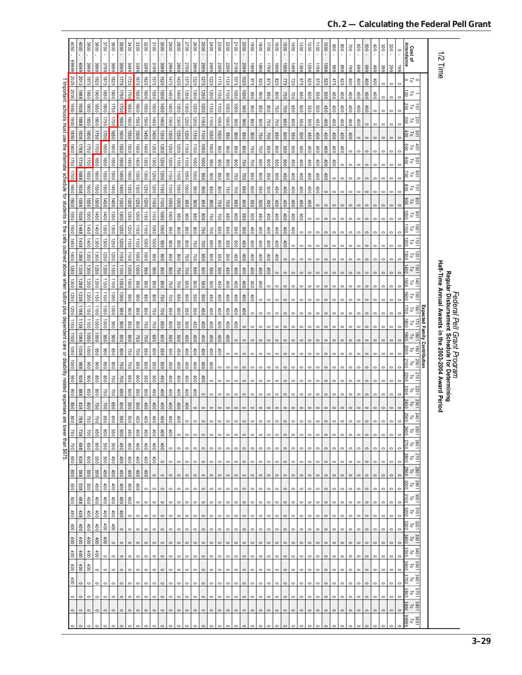|                                                                                                                                                             | 0.501   | $\overline{5}$ | 3900                                  | 3800            | 3700          | 3600              | 3500             | 3400            | 3300            | 3200           | 3100                                | 3000      | 0067              | 2800        | 2700            | <b>2600</b>        | 2500    | 2400                     | 2300                | 2200    | 2100            | 2000                            | 0061       | 0081                                                    | 1700    | $\overline{5}$  | 0091     | $00$ <sup><math>\dagger</math></sup> | 1300    | 00Z        | $\overline{001}$ | $\overline{001}$ | $\frac{8}{100}$ | 008     | 700             | 009             | 009            | 00 <sup>†</sup> | 300             |                  |                      |                                                     |                              |                                                       |                                                                                    |
|-------------------------------------------------------------------------------------------------------------------------------------------------------------|---------|----------------|---------------------------------------|-----------------|---------------|-------------------|------------------|-----------------|-----------------|----------------|-------------------------------------|-----------|-------------------|-------------|-----------------|--------------------|---------|--------------------------|---------------------|---------|-----------------|---------------------------------|------------|---------------------------------------------------------|---------|-----------------|----------|--------------------------------------|---------|------------|------------------|------------------|-----------------|---------|-----------------|-----------------|----------------|-----------------|-----------------|------------------|----------------------|-----------------------------------------------------|------------------------------|-------------------------------------------------------|------------------------------------------------------------------------------------|
|                                                                                                                                                             |         |                |                                       |                 |               |                   |                  |                 |                 |                |                                     |           |                   |             |                 |                    |         |                          |                     |         |                 |                                 |            | $\epsilon$                                              |         |                 |          |                                      |         |            | $\mathbf{r}$     | $\mathbf{r}$     | $\mathbf{r}$    |         |                 |                 |                | $\epsilon$      |                 | 200<br>$\bar{1}$ | $\circ$<br>$\bar{1}$ | Cost of<br>Attendance                               |                              |                                                       |                                                                                    |
|                                                                                                                                                             | 66666   | 4049           | 3999                                  | 3899            | 3799          | 3699              | 3599             | 86 tc           | 3399            | 3299           | 3199                                | 3099      | 6667              | 5899        | 5799            | 6692               | 2599    | 5499                     | 2399                | 8299    | 5199            | 5099                            | 6661       | 6681                                                    | 6621    | 6691            | 6691     | 66#1                                 | 1399    | 6671       | 6611             | 6601             | 666             | 668     | 662             | 669             | 669            | 499             | 399             | 667              | 661                  |                                                     |                              | 1/2 Time                                              |                                                                                    |
|                                                                                                                                                             | 2025    | 2013           | 3261                                  | 1925            | 3281          | 1825              | 1775             | 1725            | 1675            | 1625           | <b>S</b> /S <sub>1</sub>            | 1525      | 1475              | 1425        | 1375            | 1325               | 1275    | 1225                     | 1175                | 1125    | 3201            | 1025                            | <b>S75</b> | 325                                                     | 875     | 825             | 522      | 725                                  | 975     | <b>625</b> | 575              | 525              | 475             | 425     | 00 <sub>0</sub> | 00 <sub>0</sub> | 400            | 100             | $\circ$         | $\circ$          | $\circ$              | っさっ                                                 |                              |                                                       |                                                                                    |
|                                                                                                                                                             | 2000    | 1988           | 1950                                  | 0061            | 0981          | 1800              | 0921             | 1700            | 1650            | 1600           | 1550                                | 1500      | 09+1              | 1400        | 1350            | 1300               | 1250    | 1200                     | 1150                | 1100    | 0901            | 0001                            | 096        | 006                                                     | 098     | 008             | 092      | 700                                  | 099     | 009        | 099              | 009              | 450             | 600     | 600             | 600             | 400            | 600             |                 |                  |                      | 흥검                                                  |                              |                                                       |                                                                                    |
|                                                                                                                                                             | 1950    | 1938           | 0061                                  | 0981            | 1800          | 0921              | 1700             | 1650            | 1600            | 1550           | 00 <sub>9</sub>                     | 1450      | 1400              | 1350        | 1300            | 1250               | 1200    | <b>USD</b>               | 0011                | 0901    | 0001            | 090                             | 006        | 098                                                     | 008     | 750             | 001      | 099                                  | 009     | 099        | 009              | 450              | 60t             | 400     | 400             | 400             | $400$          | $\circ$         | $\circ$         | $\circ$          | $\circ$              | 호 일                                                 |                              |                                                       |                                                                                    |
|                                                                                                                                                             | 1800    | 1888           | 0981                                  | 1800            | 1750          | 1700              | 1650             | 1600            | 1550            | 1500           | 1450                                | 1400      | 1350              | 1300        | 1250            | 1200               | 1150    | 1100                     | 1050                | 0001    | 096             | 006                             | 098        | 008                                                     | 750     | 700             | 099      | 009                                  | 099     | 009        | 450              | 100              | 60 <sub>0</sub> | 100     | 60t             | 600             | $\circ$        | $\circ$         |                 |                  |                      | 201<br>10<br>300                                    |                              |                                                       |                                                                                    |
|                                                                                                                                                             | 1850    | 1838           | 1800                                  | 1750            | 1700          | 1650              | 1600             | 1550            | <b>1500</b>     | 1450           | 1400                                | 1350      | 1300              | 1250        | 1200            | $\frac{1150}{2}$   | 1100    | 1050                     | 1000                | 096     | 006             | 098                             | 008        | 150                                                     | 700     | 099             | 009      | 099                                  | 009     | 450        | 100              | 100              | 1000            | 100t    | 100             | $\circ$         | $\circ$        | $\circ$         | $\circ$         | $\circ$          |                      | 301<br>To 5                                         |                              |                                                       |                                                                                    |
|                                                                                                                                                             | ison    | 1788           | 1750                                  | 1700            | 1650          | 1600              | 1550             | 1500            | 1450            | 1400           | 1350                                | 1300      | 1250              | 1200        | 09LL            | $\frac{1100}{\pi}$ | 1050    | 0001                     | 096                 | 006     | 098             | 008                             | 092        | 700                                                     | 099     | 009             | 099      | 009                                  | 450     | 400        | 600              | 100              | 600             | 600     | $\circ$         | 0               |                |                 | 0               |                  |                      | 4g1<br>Sa                                           |                              |                                                       |                                                                                    |
|                                                                                                                                                             | 1750    | 1738           | 1700                                  | 0991            | 1600          | <b>0991</b>       | 1500             | 1450            | 1400            | 1350           | 1300                                | 1250      | 1200              | <b>USD</b>  | 0011            | $\frac{1050}{2}$   | 1000    | 096                      | 006                 | 098     | 008             | 097                             | 007        | 099                                                     | 009     | 099             | 009      | 450                                  | 400     | 100        | 100              | 400              | 100             | $\circ$ | $\circ$         | $\circ$         | $\circ$        | $\circ$         | $\circ$         | $\circ$          |                      | 50 T 0<br>0<br>0<br>0<br>0<br>0<br>0<br>0<br>0<br>1 |                              |                                                       |                                                                                    |
|                                                                                                                                                             | 1700    | 1688           | 1650                                  | 1600            | 1550          | 1500              | 1450             | 1400            | 1350            | 1300           | 1250                                | 1200      | 1150              | $1100$      | 0901            | 1000               | 090     | 006                      | 098                 | 008     | 750             | 001                             | 099        | 009                                                     | 099     | 009             | 450      | 400                                  | 400     | $400$      | 100              | 400              | $\circ$         |         |                 |                 | $\overline{a}$ |                 | $\circ$         | $\circ$          |                      | 801<br>20                                           |                              |                                                       |                                                                                    |
|                                                                                                                                                             | 1650    | 1638           | 1600                                  | 1550            | 1500          | 1450              | 1400             | 1350            | 1300            | 1250           | 1200                                | 1150      | 1100              | 090         | 1000            | 096                | 006     | 098                      | 008                 | 097     | 700             | 099                             | 009        | 099                                                     | 009     | 450             | 400      | 400                                  | 400     | 400        | 100t             | $\circ$          |                 |         |                 |                 |                |                 |                 |                  |                      | 800<br>$\frac{5}{10}$                               |                              |                                                       |                                                                                    |
|                                                                                                                                                             | 1600    | 1588           | 1550                                  | 00SL            | 1450          | 1400              | 1350             | 1300            | 1250            | 1200           | 1150                                | 1100      | 0901              | $0001$      | 096             | 006                | 098     | 008                      | 092                 | 002     | 099             | 009                             | 099        | 009                                                     | 450     | 00 <sub>0</sub> | 400      | 00 <sub>0</sub>                      | 400     | 100        | $\circ$          | $\circ$          | $\circ$         | $\circ$ | $\circ$         | $\circ$         | $\circ$        | $\circ$         | $\circ$         | $\circ$          |                      | 801<br>To<br>900                                    |                              |                                                       |                                                                                    |
|                                                                                                                                                             | 1550    | 1538           | 1500                                  | 1450            | 1400          | 1350              | 1300             | 1250            | 1200            | 1150           | $\begin{array}{c} 1100 \end{array}$ | 0901      | $\overline{0001}$ | 090         | 006             | 098                | 008     | 092                      | 001                 | 099     | 009             | 550                             | 009        | 450                                                     | 100     | 100             | $100 +$  | 600                                  | 600     | $\circ$    | $\circ$          | $\circ$          |                 |         |                 |                 |                |                 |                 |                  |                      | $\frac{5}{10}$                                      |                              |                                                       |                                                                                    |
| important: schools must use the alternate scheckle for students in the cells outlined above when tuition plus dependent care or disability related expenses | 1500    | 1488           | 1450                                  | 1400            | 1350          | 1300              | 1250             | 1200            | 1150            | 1100           | 0901                                | 1000      | 096               | 006         | 098             | 008                | 091     | 00L                      | 099                 | 009     | 099             | 009                             | 450        | 400                                                     | 400     | 400             | $400$    | 400                                  | $\circ$ | $\circ$    |                  |                  |                 |         |                 |                 |                |                 |                 |                  |                      | $1001$<br>J<br>$\vec{e}$                            |                              |                                                       |                                                                                    |
|                                                                                                                                                             | 1450    | 1438           | 1400                                  | 1350            | 1300          | 1250              | 1200             | 1150            | 1100            | 090            | 0001                                | 096       | 006               | 098         | 008             | 091                | 001     | 099                      | 009                 | 099     | 009             | 450                             | 400        | 600                                                     | 400     | 600             | $^{400}$ |                                      |         |            |                  | 0                |                 |         |                 |                 |                |                 |                 |                  |                      | 1011<br>200<br>$\overline{\circ}$                   |                              |                                                       |                                                                                    |
|                                                                                                                                                             | 1400    | 1388           | 1350                                  | loosu           | 1250          | 1200              | 1150             | 1001            | 1050            | 1000           | 096                                 | 006       | 098               | 008         | 097             | 007                | 099     | 009                      | 099                 | 009     | 450             | 100                             | 100        | 100                                                     | 100     | 100             | $\circ$  | $\circ$                              | $\circ$ | $\circ$    | 0                | $\circ$          | 0               |         |                 | 0               | 0              | c               | $\circ$         | $\circ$          | $\circ$              | $rac{201}{10}$<br>ຮຶ                                |                              |                                                       |                                                                                    |
|                                                                                                                                                             | 1350    | 1338           | 1300                                  | 1250            | 1200          | 1150              | 1100             | 0901            | 1000            | 090            | 006                                 | 020       | 008               | 750         | 700             | 099                | 009     | 099                      | 009                 | 450     | 100             | $^{400}$                        | 100        | 100                                                     | 400     | $\circ$         |          |                                      |         | 0          |                  |                  |                 |         |                 |                 |                |                 |                 |                  |                      | 1301<br>$\overline{a}$                              |                              |                                                       |                                                                                    |
|                                                                                                                                                             | 1300    | 1288           | 0971                                  | 00ZJ            | <b>USD</b>    | $\frac{1}{2}$     | 050              | 1000            | 096             | 006            | 098                                 | $008$     | 750               | $\tilde{8}$ | 099             | 009                | 099     | 00g                      | 450                 | 400     | 400             | $400$                           | 400        | 100                                                     | $\circ$ |                 |          |                                      |         | $\circ$    |                  | $\circ$          |                 |         |                 |                 |                |                 |                 |                  |                      | 1401<br>g0                                          |                              |                                                       |                                                                                    |
|                                                                                                                                                             | 1250    | 1238           | 1200                                  | 1150            | 1100          | 0901              | 0001             | 096             | 006             | 098            | 008                                 | 097       | 700               | 099         | 009             | 099                | 009     | 450                      | 600                 | 100     | 00 <sub>0</sub> | 400                             | $400$      | $\circ$                                                 | $\circ$ |                 |          |                                      |         |            |                  | $\circ$          |                 |         |                 |                 | 0              |                 | $\circ$         | $\circ$          |                      | 1091<br>ᇦ                                           |                              | Half-Time Annual Awards in the 2003-2004 Award Period | <i>Federal Pell Grant Program</i><br>Regular Disbursement Schedule for Determining |
|                                                                                                                                                             | 1200    | 1188           | 1150                                  | 1100            | 1050          | 1000              | 096              | 006             | 098             | 008            | 092                                 | 700       | 099               | 009         | 099             | 009                | 450     | 400                      | 00 <sub>0</sub>     | 100t    | 100             | 400                             | $\circ$    | $\circ$                                                 | $\circ$ |                 |          |                                      |         |            |                  | $\circ$          |                 |         |                 |                 |                | $\circ$         | $\circ$         | $\circ$          |                      | 1091<br>ᇦ                                           |                              |                                                       |                                                                                    |
|                                                                                                                                                             | 1150    | 1138           | $\begin{array}{c}\n0011\n\end{array}$ | 0901            | $0001$        | 090               | 006              | 098             | 800             | 750            | 700                                 | 099       | 009               | <b>950</b>  | 009             | $\frac{450}{2}$    | 100     | 100                      | 100t                | 100     | 100             | $\circ$                         | $\circ$    | $\circ$                                                 | $\circ$ | $\circ$         |          | $\circ$                              | $\circ$ | $\circ$    | $\circ$          | $\circ$          | $\circ$         | $\circ$ | $\circ$         | $\circ$         | $\circ$        | $\circ$         | $\circ$         | $\circ$          | $\circ$              | 1701<br>1800<br>J                                   |                              |                                                       |                                                                                    |
|                                                                                                                                                             | 1100    | 1088           | 0901                                  | 0001            | 096           | $006$             | $0\overline{3}8$ | $\frac{8}{2}$   | 750             | 700            | 099                                 | 009       | 099               | 009         | 450             | $rac{400}{2}$      | 400     | 100                      | 100t                | 100t    | $\circ$         | $\circ$                         |            |                                                         |         |                 |          |                                      |         |            |                  |                  |                 |         |                 |                 |                |                 | $\circ$         | $\circ$          |                      | 1801<br>0061<br>5                                   | Expected Family Contribution |                                                       |                                                                                    |
|                                                                                                                                                             | 1050    | 1038           | 1000                                  | 096             | 006           | 098               | 008              | 150             | 700             | 099            | 009                                 | 099       | 009               | 450         | 60t             | $rac{400}{2}$      | 400     | 600                      | 60t                 | $\circ$ | 0               | $\circ$                         | $\circ$    | 0                                                       |         |                 |          |                                      |         | 0          |                  |                  |                 |         |                 |                 |                | $\circ$         | $\circ$         | $\circ$          |                      | 1061<br>0007<br>Jo                                  |                              |                                                       |                                                                                    |
|                                                                                                                                                             | 1000    | 886            | 096                                   | 006             | 098           | 008               | 750              | 700             | 099             | 009            | 099                                 | 009       | 450               | 600t        | 400             | $\frac{400}{2}$    | 400     | 600t                     | $\circ$             | $\circ$ |                 |                                 |            |                                                         |         |                 |          |                                      |         |            |                  |                  |                 |         |                 |                 |                |                 | $\circ$         | $\circ$          | $\circ$              | 2001<br>J                                           |                              |                                                       |                                                                                    |
|                                                                                                                                                             | 950     | 838            | 006                                   | 098             | 008           | 750               | 00l              | 099             | $\frac{80}{2}$  | 099            | 009                                 | 450       | 100               | 100         | 100             | 100                | 100     | $\circ$                  | $\circ$             | $\circ$ | $\circ$         | $\circ$                         | $\circ$    | $\circ$                                                 | $\circ$ | $\circ$         | $\circ$  | $\circ$                              | $\circ$ | $\circ$    | $\circ$          | $\circ$          | 0               | $\circ$ | $\circ$         | $\circ$         | $\circ$        | $\circ$         | $\circ$         | $\circ$          | $\circ$              | 2101<br>2200<br>$\overline{\circ}$                  |                              |                                                       |                                                                                    |
|                                                                                                                                                             | 006     | 888            | 098                                   | 008             | 750           | 002               | 099              | 009             | 099             | 009            | 450                                 | $^{400}$  | 600               | 600         | 60              | 60t                | $\circ$ |                          | $\circ$             | 0       | 0               |                                 | 0          | 0                                                       |         |                 |          |                                      |         | 0          | 0                | $\circ$          |                 |         |                 | 0               | 0              | 0               | 0               |                  |                      | 2201<br>$\overline{\circ}$<br>2301                  |                              |                                                       |                                                                                    |
|                                                                                                                                                             | 850     | 838            | 008                                   | 750             | 700           | 099               | 009              | 099             | 009             | 450            | $400$                               | $400$     | 400               | 400         | $^{400}$        | $\circ$            | $\circ$ | $\circ$                  | $\circ$             |         |                 | $\circ \circ \circ \circ \circ$ |            | $\circ$                                                 | $\circ$ | $\circ$         | $\circ$  | $\circ$                              | $\circ$ | $\circ$    | $\circ$          | $\circ$          | $\circ$         | $\circ$ | $\circ$         | $\circ$         | $\circ$        | $\circ$         | $\circ$         | $\circ$          |                      | 2401<br>29                                          |                              |                                                       |                                                                                    |
| are lower than \$675.                                                                                                                                       | i00     |                | OS.                                   | $\overline{S}$  | SO            |                   | $\overline{50}$  | $\tilde{c}$     | $\frac{5}{2}$   | $\overline{0}$ | $\ddot{\circ}$                      | <b>OO</b> | $\frac{6}{5}$     | l ë         | $\circ$         | $\circ$            | $\circ$ | $\circ$                  | $\circ$             | $\circ$ | $\circ$         |                                 |            | $\circ$ $\circ$ $\circ$                                 | $\circ$ | $\circ$         | $\circ$  | $\circ$                              | $\circ$ | $\circ$    | $\circ$          | $\circ$          | $\circ$         | $\circ$ |                 |                 |                |                 | $\circ$         |                  |                      | 2501                                                |                              |                                                       |                                                                                    |
|                                                                                                                                                             | 750     | 738            | 00L                                   | $\frac{8}{3}$   | 009           | 099               | 009              | 450             | $400$           | $400$          | 400                                 | 400       | 600t              | $\circ$     | $\circ$         | $\circ$            | $\circ$ | $\circ$                  | $\circ$             | $\circ$ | $\circ$         | $\circ$                         | $\circ$    | $\circ$                                                 | $\circ$ | $\circ$         | $\circ$  | $\circ$                              | $\circ$ | $\circ$    | $\circ$          | $\circ$          | $\circ$         | $\circ$ | $\circ$         | $\circ$         | $\circ$        | $\circ$         | $\circ$         | $\circ$          | $\circ$              | 2601                                                |                              |                                                       |                                                                                    |
|                                                                                                                                                             | 1001    | 889            | <b>BSD</b>                            | $\frac{8}{2}$   | <b>S50</b>    | <b>009</b>        |                  | $rac{450}{450}$ | $\frac{1}{100}$ | 100            | 600                                 | 100t      | $\circ$           | $\circ$     | $\circ$         | $\circ$            | $\circ$ | $\circ$                  | $\circ$             | $\circ$ | $\circ$         | $\circ$                         | $\circ$    | $\circ$                                                 | $\circ$ | $\circ$         | $\circ$  | $\circ$                              | $\circ$ | $\circ$    | $\circ$          | $\circ$          | $\circ$         | $\circ$ | $\circ$         | $\circ$         | $\circ$        | $\circ$         | $\circ$         | $\circ$          | $\circ$              | $100$<br>$2800$<br>2701                             |                              |                                                       |                                                                                    |
|                                                                                                                                                             | 099     | 638            | 009                                   | 099             | 009           | 450               | $400$            | 600             | $400$           | $400$          | 400                                 | $\circ$   | $\circ$           | $\circ$     | $\circ$         | $\circ$            | $\circ$ | $\circ$                  | $\circ$             | $\circ$ | $\circ$         | $\circ$                         | $\circ$    | $\circ$                                                 | $\circ$ | $\circ$         | $\circ$  | $\circ$                              | $\circ$ | $\circ$    | $\circ$          | $\circ$          |                 |         |                 |                 |                |                 | $\circ$         |                  |                      | 2801<br>0067<br>$\overline{a}$                      |                              |                                                       |                                                                                    |
|                                                                                                                                                             | 009     | 889            | 099                                   | 009             | 450           | 400               | 400              | 400             | $400$           | $400$          | $\circ$                             | $\circ$   | $\circ$           | $\circ$     | $\circ$         | $\circ$            | $\circ$ | $\circ$                  | $\circ$             | $\circ$ | $\circ$         | $\circ$                         | $\circ$    | $\circ$                                                 | $\circ$ | $\circ$         | $\circ$  | $\circ$                              | $\circ$ | $\circ$    | $\circ$          | $\circ$          | $\circ$         |         |                 |                 | $\circ$        | $\circ$         | $\circ$         | $\circ$          | $\circ$              | 1067<br>$\overline{\circ}$                          |                              |                                                       |                                                                                    |
|                                                                                                                                                             | 099     | 538            | 009                                   | $\frac{450}{2}$ | $400$         | $rac{40}{10}$     | 100t             | $\frac{4}{5}$   | $\frac{400}{3}$ | $\circ$        | $\circ$                             | $\circ$   | $\circ$           | $\circ$     | $\circ$         | $\circ$            | $\circ$ | $\circ$                  | $\circ$             | $\circ$ | $\circ$         | $\circ$                         | $\circ$    | $\circ$                                                 | $\circ$ | $\circ$         | $\circ$  | $\circ$                              | $\circ$ | $\circ$    | $\circ$          | $\circ$          | 0               |         |                 | 0               | $\circ$        | $\circ$         | $\circ$         | $\circ$          |                      | 1008<br>$\overline{\circ}$                          |                              |                                                       |                                                                                    |
|                                                                                                                                                             | 009     | 488            | 450                                   | $\frac{1}{6}$   | 100t          | $rac{1}{6}$       | 100              | $rac{1}{6}$     | $\circ$         | $\circ$        | $\circ$                             | $\circ$   | $\circ$           | $\circ$     | $\circ$         | $\circ$            | $\circ$ | $\circ$                  | $\circ$             | $\circ$ | $\circ$         | $\circ$                         | $\circ$    | $\circ$                                                 | $\circ$ | $\circ$         | $\circ$  | $\circ$                              | $\circ$ | $\circ$    | $\circ$          | $\circ$          | $\circ$         | $\circ$ | $\circ$         | $\circ$         | $\circ$        | $\circ$         | $\circ$         | $\circ$          | $\circ$              | 3101<br>$\overline{a}$                              |                              |                                                       |                                                                                    |
|                                                                                                                                                             | 450     | 438            | 400                                   | $\frac{4}{5}$   | $400$         | $rac{4}{5}$       | 60t              | $\circ$         | $\circ$         | $\circ$        | $\circ$                             | $\circ$   | $\circ$           | $\circ$     | $\circ$         | $\circ$            | $\circ$ | $\circ$                  | $\circ$             | $\circ$ | $\circ$         | $\circ$                         | $\circ$    | $\circ$                                                 | $\circ$ | $\circ$         | $\circ$  | $\circ$                              | $\circ$ | $\circ$    | $\circ$          | $\circ$          | $\circ$         |         | $\circ$         | $\circ$         | $\circ$        |                 | $\circ$         | $\circ$          | $\circ$              | 13201<br>3300                                       |                              |                                                       |                                                                                    |
|                                                                                                                                                             | 600     | 400            | 400                                   | 400             | $\frac{1}{2}$ | 400               | $\circ$          | $\circ$         | $\circ$         |                | $\circ$                             |           | $\circ$           | $\circ$     | $\circ$         | $\circ$            | $\circ$ | $\circ$                  | $\circ$             | $\circ$ | $\circ$         | $\circ$                         | $\circ$    | $\circ$                                                 | $\circ$ | $\circ$         | $\circ$  | $\circ$                              | $\circ$ | $\circ$    | $\circ$          | $\circ$          |                 |         |                 |                 |                |                 | $\circ$         | $\circ$          | $\circ$              | 3301<br>3400<br>$\overline{c}$                      |                              |                                                       |                                                                                    |
|                                                                                                                                                             | 100     | 100            | 400                                   | $\frac{400}{2}$ | 60t           | $\circ$           | $\circ$          | $\circ$         | $\circ$         |                |                                     |           | $\circ$           | $\circ$     | $\circ$         | $\circ$            | $\circ$ | $\circ$                  | $\circ$             | $\circ$ | $\circ$         | $\circ$                         | $\circ$    | $\circ$                                                 | $\circ$ | $\circ$         | $\circ$  | $\circ$                              | $\circ$ | $\circ$    | $\circ$          | $\circ$          |                 |         |                 |                 |                |                 | $\circ$         | $\circ$          |                      | 3500<br>34 01                                       |                              |                                                       |                                                                                    |
|                                                                                                                                                             | 100     | $^{400}$       |                                       | $\frac{4}{5}$   |               | $\circ$ $\circ$   | $\circ$          | $\circ$         | $\circ$         | $\circ$        | $\circ$                             | $\circ$   | $\circ$           | $\circ$     | $\circ$         | $\circ$            | $\circ$ | $\circ$                  | $\circ$             | $\circ$ | $\circ$         | $\circ$                         | $\circ$    | $\circ$                                                 | $\circ$ | $\circ$         | $\circ$  | $\circ$                              | $\circ$ | $\circ$    | $\circ$          | $\circ$          | $\circ$         |         |                 |                 |                | $\circ$         | $\circ$         | $\circ$          | $\circ$              | 3501<br>3600                                        |                              |                                                       |                                                                                    |
|                                                                                                                                                             | 400     | 400            | $\frac{40}{2}$                        | $\circ$         | $\circ$       | $\circ$           | $\circ$          | $\circ$         | $\circ$         | $\circ$        | $\circ$                             | $\circ$   | $\circ$           | $\circ$     | $\circ$ $\circ$ |                    | $\circ$ | $\sim$                   | $  \circ   \circ  $ |         |                 |                                 |            | $\circ$   0  0  0                                       |         | $\circ$         | $\circ$  | $\circ$                              | $\circ$ | $\circ$    | $\circ$          | $\circ$          | $\circ$         | $\circ$ | $\circ$         | $\circ$         | $\circ$        |                 | $\circ$ $\circ$ | $\circ$          | $\circ$              | 3601<br>3700                                        |                              |                                                       |                                                                                    |
|                                                                                                                                                             | 100     |                |                                       | $\circ$         | $\circ$       | $\circ$           | $\circ$          | $\circ$         |                 |                |                                     |           | $\circ$           | $\circ$     | $\circ$         | $\circ$            | $\circ$ | $\circ$                  | $\circ$             | $\circ$ | $\circ$         | $\circ$                         | $\circ$    | $\circ$                                                 | $\circ$ | $\circ$         | $\circ$  | $\circ$                              | $\circ$ | $\circ$    | $\circ$          | $\circ$          | $\circ$         |         |                 |                 |                |                 | $\circ$         | $\circ$          |                      | 3701<br>3800<br>$\overline{a}$                      |                              |                                                       |                                                                                    |
|                                                                                                                                                             | $\circ$ | $\circ$        |                                       |                 |               | $\circ$           | $\circ$          | $\circ$         | $\circ$         | $\circ$        | $\circ$                             | $\circ$   | $\circ$           | $\circ$     | $\circ$         | $\circ$            | $\circ$ | $\circ$                  | $\circ$             | $\circ$ | $\circ$         | $\circ$                         | $\circ$    | $\circ$                                                 | $\circ$ | $\circ$         | $\circ$  | $\circ$                              | $\circ$ | $\circ$    | $\circ$          | $\circ$          | $\circ$         | $\circ$ |                 | $\circ$         | $\circ$        | $\circ$         | $\circ$         | $\circ$          | $\circ$              | 3801<br>3850<br>$\overline{a}$                      |                              |                                                       |                                                                                    |
|                                                                                                                                                             |         | $\circ$        |                                       | $\circ$         |               | $\circ$   $\circ$ |                  | $\circ$ $\circ$ | $\circ$         | $\circ$        | $\circ$                             | $\circ$   | $\circ$           | $\circ$     | $\circ$         | $\circ$            | $\circ$ | $\overline{\phantom{0}}$ |                     |         |                 |                                 |            | $\circ$ $\circ$ $\circ$ $\circ$ $\circ$ $\circ$ $\circ$ |         | $\circ$         | $\circ$  | $\circ$                              | $\circ$ | $\circ$    | $\circ$          | $\circ$          | $\circ$         | $\circ$ | $\circ$         | $\circ$         | $\circ$        |                 | $\circ$ $\circ$ | $\circ$          | $\circ$              |                                                     |                              |                                                       |                                                                                    |
|                                                                                                                                                             |         |                |                                       |                 |               |                   |                  |                 |                 |                |                                     |           |                   |             | $\circ$         | $\circ$            |         |                          |                     |         |                 |                                 | $\circ$    | $\circ$                                                 |         |                 | $\circ$  |                                      | $\circ$ |            | $\circ$          |                  |                 |         |                 |                 |                |                 |                 |                  |                      | $^{16666}_{-10}$                                    |                              |                                                       |                                                                                    |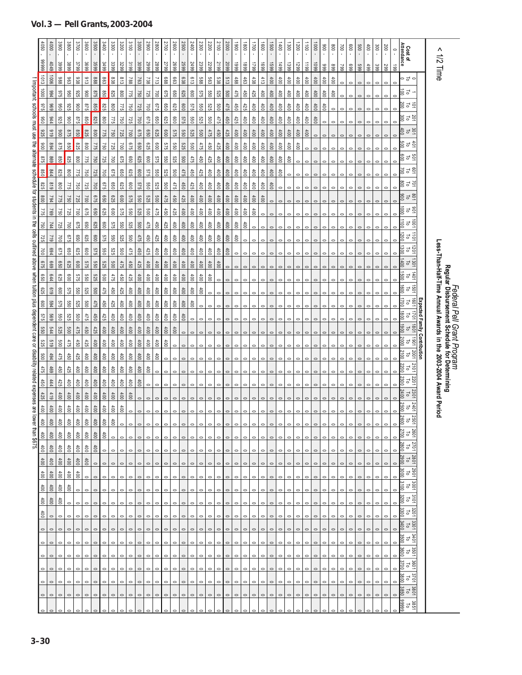|                                | 050               | 4000        | 3900            | 3800                    | 3700            | 3600            | 3500            | 3400            | 3300            | 3200            | 3100              | 3000            | 2900             | 2800           | 2700             | 2600            | 2500              | 2400           | 2300    | 2200            | 2100            | 2000            | 0061            | 0081                                        | 1700            | $\overline{1800}$ | 0091    | $rac{1}{6}$             | 1300           | 1200             | $\overline{100}$ | 000           | $006$          | $\rm 008$       | $\approx$ | $\frac{1}{2}$ | <b>500</b> | 600          | 300        | 200<br>$\cdot$ | $\circ$ | Cost of<br>Attendance                                    |                              | Λ<br>$\vec{z}$                                           |                                                                                    |
|--------------------------------|-------------------|-------------|-----------------|-------------------------|-----------------|-----------------|-----------------|-----------------|-----------------|-----------------|-------------------|-----------------|------------------|----------------|------------------|-----------------|-------------------|----------------|---------|-----------------|-----------------|-----------------|-----------------|---------------------------------------------|-----------------|-------------------|---------|-------------------------|----------------|------------------|------------------|---------------|----------------|-----------------|-----------|---------------|------------|--------------|------------|----------------|---------|----------------------------------------------------------|------------------------------|----------------------------------------------------------|------------------------------------------------------------------------------------|
|                                | 66666             | 4049        | 3999            | 3899                    | 3799            | 3699            | 3599            | 3499            | 3399            | 3299            | 3199              | 3099            | 5999             | 5899           | 5799             | 5699            | 2599              | 5499           | 2399    | 2299            | 2199            | 5099            | 6661            | 6681                                        | 6621            | 6691              | 6691    | 66+1                    | 1399           | 6621             | 66 <sub>11</sub> | 6601          | 666            | 668             | 662       | 669           | 669        | 499          | 399        | 667            | 661     |                                                          |                              | Time                                                     |                                                                                    |
|                                | 1013              | 9001        | 886             | <b>863</b>              | 838             | 813             | 888             | 863             | 838             | 813             | 788               | 763             | 738              | 713            | 889              | <b>663</b>      | 638               | 613            | 885     | 563             | 538             | 513             | 488             | 463                                         | 438             | 413               | $400$   | 400                     | 400            | 400              | 60t              | $400$         | 400            | 400             | $\circ$   | $\circ$       | $\circ$    | $\mathbf{C}$ | $\epsilon$ | $\circ$        |         | っさっ                                                      |                              |                                                          |                                                                                    |
| Important: schools must use    | $\overline{0001}$ | 766         | 975             | 096                     | 326             | 006             | 975             | 098             | 825             | 800             | 775               | 150             | 725              | 1001           | <b>S75</b>       | 099             | 625               | 009            | 575     | 099             | 525             | 009             | 475             | 450                                         | 425             | 100               | 100     | 100                     | 400            | 400              | 100              | 100           | 100            | $\frac{1}{100}$ | $\circ$   | $\circ$       |            |              |            | $\circ$        |         | re g                                                     |                              |                                                          |                                                                                    |
|                                | 978               | 696         | 096             | <b>926</b>              | 006             | 975             | 098             | <b>928</b>      | $\frac{8}{2}$   | 522             | 091               | 725             | 001              | 975            | 099              | G29             | 009               | 575            | 099     | 525             | 009             | 475             | 450             | 425                                         | 100             | 100               | 60t     | $100 +$                 | 400            | 400              | 60t              | 100           | 60t            | $\circ$         |           |               |            |              |            | $\circ$        |         | ie r š                                                   |                              |                                                          |                                                                                    |
|                                | 096               | 44          | 328             | 006                     | 978             | 098             | <b>S25</b>      | 008             | 32.1            | 097             | 725               | 002             | 975              | 099            | <b>625</b>       | 009             | 575               | 09             | 525     | 009             | 475             | 450             | 425             | 600                                         | 400             | 100               | 400     | $100 +$                 | 400            | $\frac{400}{20}$ | 60t              | $\frac{1}{2}$ | $\circ$        |                 |           |               |            |              |            |                |         | 25 P S                                                   |                              |                                                          |                                                                                    |
|                                | <b>925</b>        | 616         | 006             | 975                     | 098             | <b>S25</b>      | 008             | 522             | <b>0SZ</b>      | 725             | 007               | 975             | 099              | <b>925</b>     | 009              | 575             | 099               | 525            | 009     | 475             | 450             | 425             | 100             | 100                                         | 100             | 100               | 100     | 00t                     | 100            | 400              | 600              | $\circ$       | $\circ$        |                 |           |               |            |              |            |                |         | 30 L G                                                   |                              |                                                          |                                                                                    |
|                                | 006               | 768         | 975             | 0.98                    | <b>925</b>      | 008             | 775             | <b>0SZ</b>      | 725             | 002             | 675               | 099             | <b>925</b>       | 009            | 575              | 099             | 525               | 00g            | 475     | 450             | 425             | 60 <sup>†</sup> | 400             | 600                                         | 400             | 100               | 100     | 100t                    | 600            | 400              | $\circ$          | $\circ$       | 0              |                 |           | 0             |            |              |            |                |         | 한 은 없                                                    |                              |                                                          |                                                                                    |
| the alternate                  | 975               | 698         | 098             | <b>925</b>              | 008             | 775             | 092             | 725             | $00\lambda$     | 975             | 099               | <b>625</b>      | 009              | 575            | 099              | 525             | 009               | 475            | 450     | 425             | $\frac{40}{2}$  | $100 +$         | 100             | 600                                         | 400             | 100               | 100     | 400                     | $\frac{40}{3}$ | $\circ$          | $\circ$          |               |                |                 |           |               |            |              |            |                |         | 을 a ≌                                                    |                              |                                                          |                                                                                    |
| schedule                       | 098               | 444         | <b>925</b>      | 008                     | 775             | <b>U50</b>      | 522             | 00L             | 975             | 099             | <b>G25</b>        | 009             | 575              | 099            | 525              | 009             | 475               | 450            | 425     | 600             | 600             | 100             | 100             | 400                                         | 600             | 100               | 400     | 600                     | $\circ$        |                  |                  |               |                |                 |           |               |            |              |            |                |         | g a g                                                    |                              |                                                          |                                                                                    |
|                                | 825               | 819         | 008             | 521                     | 097             | 725             | $100\lambda$    | 1929            | 650             | <b>625</b>      | 009               | 575             | 099              | 529            | 009              | 475             | 450               | 425            | 100     | 60              | 100             | 100             | 100             | $\frac{400}{2}$                             | 100             | 100               | 60t     |                         |                |                  |                  |               |                |                 |           |               |            |              |            |                |         | 8 4 5<br>8                                               |                              |                                                          |                                                                                    |
| ਕ੍ਰ                            | 008               | 184         | 775             | 750                     | <b>22</b>       | 00L             | 975             | 0 <sup>2</sup>  | <b>625</b>      | 009             | 575               | 099             | 525              | 009            | 475              | 450             | 425               | $\approx$      | 400     | $^{400}$        | 600             | 100             | 60t             | 400                                         | 100             | 400               |         |                         |                |                  |                  |               |                |                 |           |               |            |              |            |                |         | g d g                                                    |                              |                                                          |                                                                                    |
| students                       | 322               | 697         | 097             | 725                     | 00L             | 975             | 099             | <b>625</b>      | 009             | 575             | 099               | 525             | 009              | 475            | 450              | 425             | 600               | 60t            | 60t     | 60t             | $\frac{40}{2}$  | 60t             | $\frac{4}{10}$  | 100                                         | 400             |                   |         |                         |                |                  |                  |               |                |                 |           |               |            |              |            |                |         | $\frac{5}{10}$<br>go                                     |                              |                                                          |                                                                                    |
| inthe                          | 150               | 144         | <b>225</b>      | 001                     | 975             | 09              | <b>625</b>      | 009             | <b>575</b>      | 099             | 525               | 009             | 475              | 450            | 425              | $60t$           | $\frac{400}{200}$ | 60t            | 100     | 100             | 100             | $\frac{400}{2}$ | $400\,$         | 60t                                         | $\circ$         | $\circ$           |         |                         |                |                  |                  |               |                |                 |           |               |            |              |            |                |         | 1001<br>$\overline{\circ}$<br>$\vec{0}$                  |                              |                                                          |                                                                                    |
| ells                           | 725               | 612         | 002             | 970                     | 099             | <b>625</b>      | 009             | 575             | 099             | 525             | 009               | 475             | 450              | 425            | $400$            | $60t$           | $400$             | $\overline{6}$ | 100     | 60t             | 100             | 100             | 400             | $\circ$                                     | $\circ$         |                   |         |                         |                |                  |                  |               |                |                 |           |               |            |              |            |                |         | 1011<br>$\overline{500}$<br>$\overline{c}$               |                              |                                                          |                                                                                    |
| outlined                       | 002               | 769         | 975             | 099                     | <b>625</b>      | 009             | 575             | 099             | 529             | 009             | 475               | 450             | 425              | 100            | $\frac{40}{3}$   | 60 <sup>†</sup> | 600               | 60t            | 600     | 60 <sup>†</sup> | $\frac{40}{2}$  | 00 <sub>0</sub> | $\circ$         | $\circ$                                     |                 |                   |         |                         |                |                  |                  |               |                |                 |           |               |            |              |            |                |         | 1201<br>ອຶ<br>$\overline{\circ}$                         |                              | Less-Than-Half-Time Annual Awards in the 2003-2004 Award |                                                                                    |
| avods                          | 975               | 699         | 099             | <b>925</b>              | 009             | 575             | 099             | 525             | 00 <sup>2</sup> | 475             | 450               | 425             | 400              | 600            | 600              | 600             | 600               | 600            | 400     | 400             | 00 <sub>0</sub> |                 |                 |                                             |                 |                   |         |                         |                |                  |                  |               |                |                 |           |               |            |              |            |                |         | 1301<br>₿<br>$\overline{\circ}$                          |                              |                                                          |                                                                                    |
| when                           | 099               | 644         | <b>929</b>      | 009                     | 575             | 099             | 525             | 009             | 475             | 450             | 425               | 400             | 400              | 100            | 100              | 600             | 600               | 600            | $100 +$ | 60              | $\circ$         | $\circ$         | 0               |                                             |                 |                   |         |                         |                |                  |                  |               |                |                 |           |               |            |              |            |                |         | 1401<br>guo                                              |                              |                                                          | <i>Federal Pell Grant Program</i><br>Regular Disbursement Schedule for Determining |
| g                              | <b>625</b>        | 619         | 009             | 575                     | 099             | 525             | 009             | 475             | 450             | 425             | 400               | 00 <sub>0</sub> | 400              | 60             | 600              | $\frac{40}{3}$  | 600t              | 600            | 600     | $\circ$         |                 |                 |                 |                                             |                 |                   |         |                         |                |                  |                  |               |                |                 |           |               |            |              |            |                |         | 1091<br>급<br>ខ្លី                                        |                              |                                                          |                                                                                    |
| snid                           | 009               | 769         | 575             | 099                     | 525             | 009             | 475             | 450             | 425             | 600t            | 600               | 100             | 600              | 600            | 600              | 400             | $^{400}$          | $\frac{4}{5}$  | $\circ$ |                 |                 |                 |                 |                                             |                 |                   |         |                         |                |                  |                  |               |                |                 |           |               |            |              |            |                |         | 1091<br>đ                                                |                              |                                                          |                                                                                    |
| dependent                      | 575               | 699         | 099             | <b>525</b>              | 009             | 475             | 450             | 425             | $\frac{4}{10}$  | 600             | 100               | 400             | 400              | 60t            | 400              | 60t             | $\frac{400}{200}$ | $\circ$        | $\circ$ |                 |                 |                 |                 |                                             |                 |                   |         |                         |                |                  |                  |               |                |                 |           |               |            |              | C          |                |         | 1021<br>ಕ                                                |                              |                                                          |                                                                                    |
|                                | 099               | 544         | 525             | 009                     | 475             | 65 <sub>b</sub> | 425             | 600             | 60t             | $400$           | 60t               | 100             | 60t              | 60t            | $400$            | 100             | $\circ$           |                |         |                 |                 |                 |                 |                                             |                 |                   |         |                         |                |                  |                  |               |                |                 |           |               |            |              |            |                |         | 1081<br>$\overline{c}$                                   |                              |                                                          |                                                                                    |
| care<br>9                      | 525               | 819         | 009             | 475                     | 450             | 425             | 60t             | 60t             | $\frac{400}{2}$ | 100             | $\frac{400}{2}$   | 100             | $\frac{40}{100}$ | 400            | $\frac{40}{100}$ | $\circ$         | $\circ$           | $\circ$        |         |                 |                 |                 |                 |                                             |                 |                   |         |                         |                |                  |                  |               |                |                 |           |               |            |              |            | 0              | 0       | $1061$<br>ನ                                              | Expected Family Contribution |                                                          |                                                                                    |
|                                | 009               | 494         | 475             | 69t                     | 425             | $\frac{4}{100}$ | 60t             | 60t             | $\frac{400}{2}$ | 100             | 400               | 400             | 400              | $\frac{4}{10}$ |                  |                 |                   |                |         |                 |                 |                 |                 |                                             |                 |                   |         |                         |                |                  |                  |               |                |                 |           |               |            |              |            |                |         | 2001<br>ಕ                                                |                              |                                                          |                                                                                    |
|                                | 475               | 469         | 450             | 425                     | 600             | $100 +$         | 100             | 600             | 100             | 600             | 400               | 400             | 100              | $\circ$        | $\circ$          | $\circ$         | $\circ$           | $\circ$        | $\circ$ |                 |                 |                 |                 |                                             |                 |                   |         |                         |                |                  |                  |               | $\ddot{\circ}$ |                 |           |               | $\circ$    | c            | $\subset$  | $\circ$        | $\circ$ | 2101<br>002<br>$\overline{c}$                            |                              |                                                          |                                                                                    |
|                                | 450               | 444         | 425             | 60t                     | 00 <sub>4</sub> | $\frac{1}{2}$   | 100t            | 600             | 400             | 100t            | 100               | 00 <sub>4</sub> |                  |                |                  |                 | $\circ$           | $\circ$        | $\circ$ |                 |                 |                 |                 |                                             |                 |                   |         |                         |                |                  |                  |               |                |                 |           |               |            |              |            |                |         | $\frac{2201}{10}$<br>2300                                |                              |                                                          |                                                                                    |
| related expenses are           | 425               | 419         | 60 <sup>†</sup> | $\frac{1}{2}$           | $\frac{40}{3}$  | 60 <sup>†</sup> | $\frac{40}{3}$  | 00 <sub>4</sub> | 00 <sub>4</sub> | 60 <sup>†</sup> | 60 <sup>†</sup>   |                 |                  |                |                  |                 |                   |                |         |                 |                 |                 |                 |                                             |                 |                   |         |                         |                |                  |                  |               |                |                 |           |               |            |              |            |                |         | $\frac{2301}{70}$<br>2400                                |                              |                                                          |                                                                                    |
|                                | 100               | 100         | 600             | 600                     | 600             | $\frac{1}{2}$   | 400             | 60              | 600             | 600             | $\circ$           |                 |                  |                |                  |                 |                   |                |         |                 |                 |                 |                 |                                             |                 |                   |         |                         |                |                  |                  |               |                |                 |           |               |            |              | $\circ$    | $\circ$        |         | 2401<br>2500<br>$\overline{\circ}$                       |                              | Period                                                   |                                                                                    |
| g                              |                   | $rac{5}{2}$ | S               | $\frac{8}{2}$           | ŝ               | $rac{5}{6}$     |                 | 1회회             | 흥               |                 | $\circ$   $\circ$ | $\circ$         | $\circ$          | $\circ$        | $\circ$          | $\circ$         |                   | $\circ \circ$  |         |                 |                 |                 |                 | $\circ \circ \circ \circ \circ \circ \circ$ |                 |                   |         | $\circ$ $\circ$ $\circ$ | $\circ$        | $\circ$          | $\circ$          | $\circ$       | $\circ$        | $\circ$         | $\circ$   | $\circ$       | $\circ$    | $\circ$      | $\circ$    | $\circ$        | $\circ$ | $\frac{25}{12}$<br>26<br>ă                               |                              |                                                          |                                                                                    |
| 400 400 400<br>wer than \$675. |                   | $^{400}$    | 600t            | $\overline{\mathbb{S}}$ | $\frac{4}{3}$   | 60t             | $\frac{400}{2}$ | 400             | $\circ$         | $\circ$         | $\circ$           |                 |                  | $\circ$        | $\circ$          | $\circ$         | $\circ$           | $\circ$        | $\circ$ | $\circ$         | $\circ$         | $\circ$         | $\circ$         | $\circ$                                     | $\circ$         | $\circ$           |         | $\circ$                 | $\circ$        | $\circ$          | $\circ$          | $\circ$       | $\circ$        |                 |           |               |            |              | $\circ$    | $\circ$        | $\circ$ | $rac{2601}{10}$                                          |                              |                                                          |                                                                                    |
|                                | $\frac{400}{2}$   | $^{400}$    | 60t             | $\frac{1}{2}$           | $\frac{4}{3}$   | 60t             | 100t            | $\circ$         | $\circ$         | $\circ$         | $\circ$           |                 |                  |                |                  | $\circ$         | $\circ$           | $\circ$        | $\circ$ | $\circ$         | $\circ$         | $\circ$         | $\circ$         | $\circ$                                     | $\circ$         | $\circ$           |         | $\circ$                 |                | $\circ$          | $\circ$          | $\circ$       | $\circ$        | $\circ$         |           |               |            | $\circ$      | $\circ$    | $\circ$        | $\circ$ | 2701<br>$\frac{10}{2800}$                                |                              |                                                          |                                                                                    |
|                                | 100               | 100t        | 100t            | $400$                   | $\frac{400}{2}$ | $\frac{4}{5}$   | $\circ$         | $\circ$         | $\circ$         | $\circ$         | $\circ$           | $\circ$         | $\circ$          | $\circ$        | $\circ$          | $\circ$         | $\circ$           | $\circ$        | $\circ$ | $\circ$         | $\circ$         | $\circ$         | $\circ$         | $\circ$                                     | $\circ$         | $\circ$           | $\circ$ | $\circ$                 | $\circ$        | $\circ$          | $\circ$          | $\circ$       | $\circ$        | $\circ$         | $\circ$   | $\circ$       | $\circ$    | $\circ$      | $\circ$    | $\circ$        | $\circ$ | $\frac{2801}{2900}$                                      |                              |                                                          |                                                                                    |
|                                | 100               | $400$       | 100             | $400$                   | 100             | $\circ$         | $\circ$         | $\circ$         | $\circ$         | $\circ$         | $\circ$           |                 |                  |                | $\circ$          | $\circ$         | $\circ$           | $\circ$        | $\circ$ | $\circ$         | $\circ$         | $\circ$         | $\circ$         | $\circ$                                     | $\circ$         |                   |         |                         |                |                  | $\circ$          |               |                |                 |           |               |            |              | $\circ$    | $\circ$        |         | $\frac{1280}{10}$<br>3000                                |                              |                                                          |                                                                                    |
|                                | 100               | 100         | 100t            | 60 <sub>0</sub>         | $\circ$         | $\circ$         | $\circ$         | $\circ$         | $\circ$         | $\circ$         | $\circ$           | 0               | $\circ$          | $\circ$        | $\circ$          | $\circ$         | $\circ$           | $\circ$        | $\circ$ | $\circ$         | $\circ$         | $\circ$         | $\circ$         | $\circ$                                     | $\circ$         | $\circ$           | $\circ$ | $\circ$                 | $\circ$        | 0                | $\circ$          | $\circ$       | $\circ$        | $\circ$         | $\circ$   | $\circ$       | $\circ$    | $\circ$      | $\circ$    | $\circ$        | $\circ$ | 3001 3101<br>3100<br>$\overline{\circ}$                  |                              |                                                          |                                                                                    |
|                                | 100t              | $400$       | 600t            | $\circ$                 | $\circ$         | $\circ$         | $\circ$         | $\circ$         | $\circ$         | $\circ$         | $\circ$           | $\circ$         | $\circ$          | $\circ$        | $\circ$          | $\circ$         | $\circ$           | $\circ$        | $\circ$ | $\circ$         | $\circ$         | $\circ$         | $\circ$         | $\circ$                                     | $\circ$         | $\circ$           | $\circ$ | $\circ$                 | $\circ$        | $\circ$          | $\circ$          | $\circ$       | $\circ$        | $\circ$         | $\circ$   | $\circ$       | $\circ$    |              | $\circ$    | $\circ$        | $\circ$ | $\overline{\circ}$                                       |                              |                                                          |                                                                                    |
|                                | 100               | $\circ$     | $\circ$         | $\circ$                 | $\circ$         | $\circ$         | $\circ$         | $\circ$         | $\circ$         | $\circ$         | $\circ$           | $\circ$         | $\circ$          | $\circ$        | $\circ$          | $\circ$         | $\circ$           | $\circ$        | $\circ$ | $\circ$         | $\circ$         | $\circ$         | $\circ$         | $\circ$                                     | $\circ$         | $\circ$           | $\circ$ | $\circ$                 | $\circ$        | $\circ$          | $\circ$          | $\circ$       | $\circ$        | $\circ$         |           | $\circ$       | $\circ$    | $\circ$      | $\circ$    | $\circ$        | $\circ$ | $\begin{array}{c} 3201 \\ \text{To} \end{array}$<br>3300 |                              |                                                          |                                                                                    |
|                                | $\circ$           |             |                 |                         |                 |                 |                 |                 |                 | $\circ$         | $\circ$           |                 | $\circ$          |                | $\circ$          | $\circ$         | $\circ$           | $\circ$        | $\circ$ | $\circ$         | $\circ$         | $\circ$         | $\circ$         | $\circ$                                     | $\circ$         | $\circ$           |         |                         |                |                  |                  |               |                |                 |           |               |            |              | $\circ$    | $\circ$        | $\circ$ | 3301                                                     |                              |                                                          |                                                                                    |
|                                | $\circ$           | $\circ$     | $\circ$         | $\circ$                 | $\circ$         | $\circ$         | $\circ$         | $\circ$         | $\circ$         | $\circ$         | $\circ$           | $\circ$         | $\circ$          | $\circ$        | $\circ$          | $\circ$         | $\circ$           | $\circ$        | $\circ$ | $\circ$         | $\circ$         | $\circ$         | $\circ$         | $\circ$                                     | $\circ$         | $\circ$           | $\circ$ | $\circ$                 | $\circ$        | $\circ$          | $\circ$          | $\circ$       | $\circ$        | $\circ$         | $\circ$   | $\circ$       | $\circ$    | $\circ$      | $\circ$    | $\circ$        | $\circ$ | 3401<br>To<br>3500                                       |                              |                                                          |                                                                                    |
|                                | $\circ$           | $\circ$     | $\circ$         | $\circ$                 | $\circ$         | $\circ$         | $\circ$         | $\circ$         | $\circ$         | $\circ$         | $\circ$           | $\circ$         | $\circ$          | $\circ$        | $\circ$          | $\circ$         | $\circ$           | $\circ$        | $\circ$ | $\circ$         | $\circ$         | $\circ$         | $\circ$         | $\circ$                                     | $\circ$         | $\circ$           | $\circ$ | $\circ$                 | $\circ$        | $\circ$          | $\circ$          | $\circ$       | $\circ$        | $\circ$         | $\circ$   | $\circ$       | $\circ$    | $\circ$      | $\circ$    | $\circ$        | $\circ$ | $\begin{array}{c} 3501 \\ 1301 \\ 1800 \\ \end{array}$   |                              |                                                          |                                                                                    |
|                                |                   |             |                 | $\circ$                 |                 | $\circ$         |                 |                 | $\circ$         | $\circ$         | $\circ$           |                 | $\circ$          | $\circ$        | $\circ$          | $\circ$         | $\circ$           | $\circ$        | $\circ$ | $\circ$         | $\circ$         | $\circ$         | $\circ$         | $\circ$                                     | $\circ$         | $\circ$           |         |                         |                |                  | $\circ$          | $\circ$       |                |                 |           |               |            | $\circ$      | $\circ$    |                |         | $\frac{3601}{10}$                                        |                              |                                                          |                                                                                    |
|                                | $\circ$           | $\circ$     | $\circ$         | $\circ$                 | $\circ$         | $\circ$         | $\circ$         | $\circ$         | $\circ$         | $\circ$         | $\circ$           | $\circ$         | $\circ$          | $\circ$        | $\circ$          | $\circ$         | $\circ$           | $\circ$        | $\circ$ | $\circ$         | $\circ$         | $\circ$         | $\circ$         | $\circ$                                     | $\circ$         | $\circ$           | $\circ$ | $\circ$                 | $\circ$        | $\circ$          | $\circ$          | $\circ$       | $\circ$        | $\circ$         | $\circ$   | $\circ$       | $\circ$    | $\circ$      | $\circ$    | $\circ$        | $\circ$ | 3701<br>Pago                                             |                              |                                                          |                                                                                    |
|                                |                   | $\circ$     | $\circ$         | $\circ$                 | $\circ$         | $\circ$         | $\circ$         |                 | $\circ$ $\circ$ |                 | $\circ$ $\circ$   | $\circ$         | $\circ$          | $\circ$        | $\circ$          | $\circ$         | $\circ$           | $\circ$        | $\circ$ | $\circ$         | $\circ$         |                 | $\circ$ $\circ$ |                                             | $\circ$ $\circ$ | $\circ$           | $\circ$ | $\circ$                 | $\circ$        | $\circ$          | $\circ$          | $\circ$       | $\circ$        | $\circ$         | $\circ$   | $\circ$       | $\circ$    | $\circ$      | $\circ$    | $\circ$        | $\circ$ | $\begin{array}{c} 3801 \\ 100 \\ \hline 10 \end{array}$  |                              |                                                          |                                                                                    |
|                                |                   |             |                 |                         |                 |                 |                 |                 |                 |                 |                   |                 |                  |                |                  |                 |                   |                |         |                 |                 |                 |                 |                                             |                 |                   |         |                         |                |                  |                  |               |                |                 |           |               |            |              |            |                |         | 86666<br>01<br>0386                                      |                              |                                                          |                                                                                    |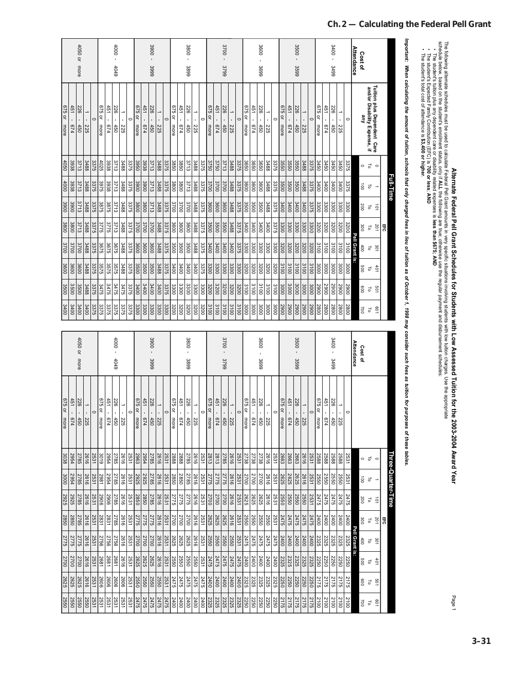| ı                                     |
|---------------------------------------|
| l                                     |
|                                       |
|                                       |
|                                       |
|                                       |
|                                       |
|                                       |
|                                       |
|                                       |
|                                       |
|                                       |
|                                       |
|                                       |
|                                       |
| וממוספים בממונים וויוו במוני המממידי  |
| I                                     |
|                                       |
|                                       |
|                                       |
|                                       |
| $\vdots$                              |
|                                       |
| I ultion for the 2003-2004 Award Year |
| ,                                     |

|                  |                                          |                | Full-Time                |                     | 띩    |                  |      |      |                    |
|------------------|------------------------------------------|----------------|--------------------------|---------------------|------|------------------|------|------|--------------------|
|                  | Tuition plus Dependent Care              | $\circ$        | $\overline{\phantom{a}}$ | $\vec{a}$           | 201  | 301              | 401  | 501  | <b>LO9</b>         |
|                  | and/or Disability Expense, if            | $\overline{c}$ | $\overline{\circ}$       | $\overline{\circ}$  | Fo   | Fo               | Fo   | Fo   | $\overline{\circ}$ |
| <b>Cost of</b>   | gmy                                      | $\circ$        | $\vec{a}$                | 200                 | 300  | 400              | 009  | 009  | 002                |
| Attendance       |                                          |                |                          |                     |      | Pell Grant is:   |      |      |                    |
|                  | $\circ$                                  | 3375           | 3375                     | 3300                | 3200 | 3100             | 3000 | 0067 | 2800               |
|                  | →<br>٠<br>225                            | 3450           | 3400                     | 3300                | 3200 | 3100             | 3000 | 0067 | 008Z               |
| $3400 -$<br>3499 | 226<br>ï<br>450                          | 3450           | 3400                     | 3300                | 3200 | 3100             | 3000 | 0067 | 2800               |
|                  | 451<br>b/4                               | 3450           | 3400                     | 3300                | 3200 | 3100             | 3000 | 0067 | 008Z               |
|                  | 675 or<br>more                           | 3450           | 3400                     | $\frac{3300}{1000}$ | 3200 | $\frac{3100}{2}$ | 3000 | 2900 | 2800               |
|                  | $\circ$                                  | 3375           | 3375                     | 3375                | 3300 | 3200             | 3100 | 3000 | 2900               |
|                  | →<br>$\mathbf{I}$<br>225                 | 3488           | 3488                     | 3400                | 3300 | 3200             | 3100 | 3000 | 2900               |
| 3500<br>3599     | 226<br>450                               | 3550           | 3500                     | 3400                | 3300 | 3200             | 3100 | 3000 | 0062               |
|                  | 451<br>$\blacksquare$<br>P <sub>14</sub> | 3550           | 3500                     | 3400                | 3300 | 3200             | 3100 | 3000 | 0062               |
|                  | 975<br>ă<br>more                         | 3550           | 3500                     | 3400                | 3300 | 3200             | 3100 | 3000 | 2900               |
|                  | 0                                        | 3375           | 3375                     | 3375                | 3375 | 3300             | 3200 | 3100 | 3000               |
|                  | ⇒<br>$\blacksquare$<br>225               | 3488           | 3488                     | 3488                | 3400 | 3300             | 3200 | 3100 | 3000               |
| 3600<br>3699     | 226<br>$\blacksquare$<br>450             | 3650           | 3600                     | 3500                | 3400 | 3300             | 3200 | 3100 | 3000               |
|                  | 451<br>674                               | 3650           | 3600                     | 3500                | 3400 | 3300             | 3200 | 3100 | 3000               |
|                  | 675 or<br>more                           | 3650           | 3600                     | 3500                | 3400 | 3300             | 3200 | 3100 | 3000               |
|                  | 0                                        | 3375           | 3375                     | 3375                | 3375 | 3375             | 3300 | 3200 | 3100               |
|                  | →<br>$\mathbf{r}$<br>225                 | 3488           | 3488                     | 3488                | 3488 | 3400             | 3300 | 3200 | 3100               |
| 3700<br>3799     | 226<br>$\blacksquare$<br>450             | 3713           | 3700                     | 3600                | 3500 | 3400             | 3300 | 3200 | 3100               |
|                  | 451<br>749                               | 3750           | 3700                     | 3600                | 3500 | 3400             | 3300 | 3200 | 3100               |
|                  | 675 or<br>more                           | 3750           | 3700                     | 3600                | 3500 | 3400             | 3300 | 3200 | 3100               |
|                  | 0                                        | 3375           | 3375                     | 3375                | 3375 | 3375             | 3375 | 3300 | 3200               |
|                  | →<br>$\mathbf{r}$<br>225                 | 3488           | 3488                     | 3488                | 3488 | 3488             | 3400 | 3300 | 3200               |
| 3800 -<br>3899   | 226<br>450                               | 3713           | 3713                     | 3700                | 3600 | 3500             | 3400 | 3300 | 3200               |
|                  | 451<br>674                               | 3850           | 3800                     | 3700                | 3600 | 3500             | 3400 | 3300 | 3200               |
|                  | 675 or<br>more                           | 3850           | 3800                     | 3700                | 3600 | 3500             | 3400 | 3300 | 3200               |
|                  | c                                        | 3375           | 3375                     | 3375                | 3375 | 3375             | 3375 | 3375 | 3300               |
|                  | →<br>$\mathbf{r}$<br>225                 | 3488           | 3488                     | 3488                | 3488 | 3488             | 3488 | 3400 | 3300               |
| $3900 -$<br>3999 | 226<br>$\blacksquare$<br>450             | 3713           | 3713                     | 3713                | 3700 | 3600             | 3500 | 3400 | 3300               |
|                  | 451<br><b>b74</b>                        | 3938           | 3900                     | 3800                | 3700 | 3600             | 3500 | 3400 | 3300               |
|                  | 675 or<br>more                           | 3950           | 3900                     | 3800                | 3700 | 3600             | 3500 | 3400 | 3300               |
|                  | 0                                        | 3375           | 3375                     | 3375                | 3375 | 3375             | 3375 | 3375 | 3375               |
|                  | →<br>r.<br>225                           | 3488           | 3488                     | 3488                | 3488 | 3488             | 3488 | 3475 | 3375               |
| $-000 +$<br>4049 | 226<br>f,<br>450                         | 3713           | 3713                     | 3713                | 3713 | 3675             | 3575 | 3475 | 3375               |
|                  | 451<br>674                               | 3938           | 3938                     | 3875                | 3775 | 3675             | 3575 | 3475 | 3375               |
|                  | 975<br>₽<br>more                         | 4025           | 3975                     | 3875                | 3775 | 3675             | 3575 | 3475 | 3375               |
|                  | $\circ$                                  | 3375           | 3375                     | 3375                | 3375 | 3375             | 3375 | 3375 | 3375               |
|                  | →<br>225                                 | 3488           | 3488                     | 3488                | 3488 | 3488             | 3488 | 3488 | 3400               |
| 4050 or more     | 226<br>450                               | 3713           | 3713                     | 3713                | 3713 | 3700             | 3600 | 3500 | 3400               |
|                  | 451<br><b>P<sub>14</sub></b>             | 3938           | 3938                     | 3900                | 3800 | 3700             | 3600 | 3500 | 3400               |
|                  | 675 or<br>more                           | 4050           | 4000                     | 3900                | 3800 | 3700             | 3600 | 3500 | 3400               |

| 4050 or<br>more<br>451<br>226<br>$\overline{\phantom{a}}$ |              |                |         |                | 451                 | $-000 +$<br>4049<br>226 | $\rightarrow$              |         |                | 451        | 3900<br>3999<br>226   |                            |                     |                     | 451        | $3800 -$<br>3899<br>226 |                                      |         |                  | 451              | 3700<br>3799<br>226 | $\rightarrow$                   |         |                | 451                   | 3600<br>3699<br>226 | ∸                                 |                     |                |              | 3500<br>3599<br>226 | →              |         | 451                                | $3400 -$<br>3499<br>226 | $\overline{\phantom{0}}$              |         | <b>Attendance</b> | <b>Cost of</b>       |                                                              |                 |    |                    | ortant: When calculating the amount of tuition, schools that only charged fees in lieu of tuition as of October 1, 1998 may consider such fees as tuition for purposes of these tables. | The student's total cost of attendance is \$3,400 or higher. | ne following alternate schedules must be used to calculate Federal Pell Grant amounts in very specific situations involving students with low tuition charges. Use the appropriate are the street of the street of the street |  |                                                                                                             |
|-----------------------------------------------------------|--------------|----------------|---------|----------------|---------------------|-------------------------|----------------------------|---------|----------------|------------|-----------------------|----------------------------|---------------------|---------------------|------------|-------------------------|--------------------------------------|---------|------------------|------------------|---------------------|---------------------------------|---------|----------------|-----------------------|---------------------|-----------------------------------|---------------------|----------------|--------------|---------------------|----------------|---------|------------------------------------|-------------------------|---------------------------------------|---------|-------------------|----------------------|--------------------------------------------------------------|-----------------|----|--------------------|-----------------------------------------------------------------------------------------------------------------------------------------------------------------------------------------|--------------------------------------------------------------|-------------------------------------------------------------------------------------------------------------------------------------------------------------------------------------------------------------------------------|--|-------------------------------------------------------------------------------------------------------------|
| ï<br>474<br>450<br>225                                    |              |                |         | 675 or<br>more | <b>P14</b>          | í.<br>450               | ×.<br>225                  |         | 675 or<br>more | <b>b74</b> | $\mathbf{r}$<br>450   | $\epsilon$<br>225          | c                   | 675 or<br>more      | k,<br>674  | ï<br>450                | $\overline{\phantom{0}}$<br>ï<br>225 | $\circ$ | 675 or<br>more   | l,<br><b>t/3</b> | i,<br>450           | Î,<br>225                       |         | 675 or<br>more | 674                   | Î,<br>450           | r.<br><b>225</b>                  | C                   | 675 or<br>more | 451 -<br>674 | ¥,<br>450           | Î,<br>225      | $\circ$ | 675 or<br>more<br>674              | ï<br>Ŷ.<br>450          | í,<br>225                             | $\circ$ |                   | due                  | Tuition plus Dependent Care<br>and/or Disability Expense, if |                 |    |                    |                                                                                                                                                                                         |                                                              |                                                                                                                                                                                                                               |  |                                                                                                             |
| 3938                                                      | 3713         | 3488           | 3375    | 4025           | 3938                | 3713                    | 3488                       | 3375    | 3950           | 3938       | 3713                  | 3488                       | 3375                | 3850                | 3850       | 3713                    | 3488                                 | 3375    | 3750             | 3750             | 3713                | 3488                            | 3375    | 3650           | 3650                  | 3650                | 3488                              | 3375                | 3550           | 3550         | 3550                | 3488           | 3375    | 3450<br>3450                       | 3450                    | 3450                                  | 3375    |                   | $\circ$              | ರ ೦                                                          |                 |    |                    |                                                                                                                                                                                         |                                                              |                                                                                                                                                                                                                               |  |                                                                                                             |
| 3938                                                      | 3713         | 3488           | 3375    | 3975           | 3938                | 3713                    | 3488                       | 3375    | 3900           | 3900       | 3713                  | 3488                       | 3375                | 3800                | 3800       | 3713                    | 3488                                 | 3375    | 3700             | 3700             | 3700                | 3488                            | 3375    | 3600           | 3600                  | 3600                | 3488                              | 3375                | 3500           | 3500         | 3500                | 3488           | 3375    | 3400<br>3400                       | 3400                    | 3400                                  | 3375    |                   | $\vec{B}$            | $\overline{\circ}$                                           |                 |    | <b>Full-Time</b>   |                                                                                                                                                                                         |                                                              |                                                                                                                                                                                                                               |  |                                                                                                             |
| 3900                                                      | 3713         | 3488           | 3375    | 3875           | 3875                | 3713                    | 3488                       | 3375    | 3800           | 3800       | 3713                  | 3488                       | 3375                | 3700                | 3700       | 3700                    | 3488                                 | 3375    | 3600             | 3600             | 3600                | 3488                            | 3375    | 3500           | 3500                  | 3500                | 3488                              | 3375                | 3400           | 3400         | 3400                | 3400           | 3375    | 3300<br>3300                       | 3300                    | 3300                                  | 3300    |                   | 200                  | $\overline{\circ}$                                           | 흐               |    |                    |                                                                                                                                                                                         |                                                              |                                                                                                                                                                                                                               |  |                                                                                                             |
| 3800                                                      | 3713         | 3488           | 3375    | 3775           | 3775                | 3713                    | 3488                       | 3375    | 3700           | 3700       | 3700                  | 3488                       | 3375                | 3600                | 3600       | 3600                    | 3488                                 | 3375    | 3500             | 3500             | 3500                | 3488                            | 3375    | 3400           | 3400                  | 3400                | 3400                              | 3375                | 3300           | 3300         | 3300                | 3300           | 3300    | 3200<br>3200                       | 3200                    | 3200                                  | 3200    |                   | 300                  | $\overline{\circ}$                                           | 201             | 띩  |                    |                                                                                                                                                                                         |                                                              |                                                                                                                                                                                                                               |  |                                                                                                             |
| 3700                                                      | 3700         | 3488           | 3375    | 3675           | 3675                | 3675                    | 3488                       | 3375    | 3600           | 3600       | 3600                  | 3488                       | 3375                | 3500                | 3500       | 3500                    | 3488                                 | 3375    | 3400             | 3400             | 3400                | 3400                            | 3375    | 3300           | 3300                  | 3300                | 3300                              | 3300                | 3200           | 3200         | 3200                | 3200           | 3200    | 3100<br>3100                       | 3100                    | 3100                                  | 3100    | Pell Grant<br>Ŝ.  | 400                  | $\overline{\circ}$                                           | Ρã              |    |                    |                                                                                                                                                                                         |                                                              |                                                                                                                                                                                                                               |  |                                                                                                             |
| 3600                                                      | 3600         | 3488           | 3375    | 3575           | 3575                | 3575                    | 3488                       | 3375    | 3500           | 3500       | 3500                  | 3488                       | 3400                |                     | 3400       | 00+8                    | 3400                                 | 3375    | 3300             | 3300             | 3300                | 3300                            | 3300    | 3200           | 3200                  | 3200                | 3200                              | 3200                | 3100           | 3100         | 3100                | 3100           | 3100    | 3000<br>3000                       | 3000                    | 3000                                  | 3000    |                   | 009                  | $\overline{\circ}$                                           | $\frac{401}{2}$ |    |                    |                                                                                                                                                                                         |                                                              |                                                                                                                                                                                                                               |  |                                                                                                             |
| 3500                                                      | 3500         | 3488           | 3375    | 3475           | 3475                | 3475                    | 3475                       | 3375    | 3400           | 3400       | 3400                  | 3400                       | $\frac{3300}{3375}$ |                     | 3300       | 3300                    | 3300                                 | 3300    | 3200             | 3200             | 3200                | 3200                            | 3200    | 3100           | 3100                  | 3100                | 3100                              | 3100                | 3000           | 3000         | 3000                | 3000           | 3000    | 0067<br>2900                       | 2900                    | 2900                                  | 2900    |                   | 009                  | $\overline{\circ}$                                           | 501             |    |                    |                                                                                                                                                                                         |                                                              |                                                                                                                                                                                                                               |  |                                                                                                             |
| 3400                                                      | 3400         | 3400           | 3375    | 3375           | 3375                | 3375                    | 3375                       | 3375    | 3300           | 3300       | 3300                  | 3300                       |                     | $\frac{3200}{3300}$ | 3200       | 3200                    | 3200                                 | 3200    | 3100             | 3100             | 3100                | 3100                            | 3100    | 3000           | 3000                  | 3000                | 3000                              | 3000                | 2900           | 0062         | 2900                | 2900           | 2900    | 2800<br>2800                       | 2800                    | 2800                                  | 2800    |                   | 700                  | $\overline{\circ}$                                           | <b>LO9</b>      |    |                    |                                                                                                                                                                                         |                                                              |                                                                                                                                                                                                                               |  |                                                                                                             |
|                                                           | 4050 or      |                |         |                |                     | 4000                    |                            |         |                |            | 3900                  |                            |                     |                     |            | $3800 -$                |                                      |         |                  |                  | 3700                |                                 |         |                |                       | 3600                |                                   |                     |                |              | 3500                |                |         |                                    | $3400 -$                |                                       |         |                   |                      |                                                              |                 |    |                    |                                                                                                                                                                                         |                                                              |                                                                                                                                                                                                                               |  |                                                                                                             |
|                                                           | more         |                |         |                |                     | Î,<br>4049              |                            |         |                |            | 3999                  |                            |                     |                     |            | 3899                    |                                      |         |                  |                  | 3799                |                                 |         |                |                       | í.<br>3699          |                                   |                     |                |              | 3599                |                |         |                                    | 8678                    |                                       |         | <b>Attendance</b> | Cost of              |                                                              |                 |    |                    |                                                                                                                                                                                         |                                                              |                                                                                                                                                                                                                               |  |                                                                                                             |
| 451                                                       | 226          |                |         |                |                     | <b>226</b>              |                            |         |                | 451        | 226                   |                            |                     |                     | 451        | 226                     |                                      |         |                  | 451              | 226                 |                                 |         |                | 451                   | 226                 |                                   |                     |                |              | 226                 |                |         | 451                                | 226                     |                                       |         |                   |                      |                                                              |                 |    |                    |                                                                                                                                                                                         |                                                              |                                                                                                                                                                                                                               |  |                                                                                                             |
| <b>t/3</b>                                                | 450          | →<br>l,<br>225 | $\circ$ | 675 or<br>more | 451 -<br><b>674</b> | ï<br>450                | $\rightarrow$<br>×,<br>225 | $\circ$ | 675 or<br>more | <b>P14</b> | $\blacksquare$<br>450 | $\rightarrow$<br>Î,<br>225 | $\circ$             | 675 or more         | <b>674</b> | 450                     | $\overline{\phantom{a}}$<br>225      | $\circ$ | 675 or<br>more   | +29 -            | i,<br>450           | $\overline{\phantom{a}}$<br>225 | $\circ$ | 675 or<br>more | <b>P<sub>14</sub></b> | í.<br>450           | $\rightarrow$<br>$\bar{t}$<br>225 | $\circ$             | 675 or more    | 451 -<br>674 | k,<br>450           | →<br>l,<br>225 | $\circ$ | 675 or<br>Î,<br>more<br><b>P14</b> | ï<br>450                | $\overline{\phantom{0}}$<br>í,<br>225 | $\circ$ |                   |                      |                                                              |                 |    |                    |                                                                                                                                                                                         |                                                              |                                                                                                                                                                                                                               |  | Alternate Federal Pell Grant Schedules for Students With Low Assessed Tuition for the Zuu3-Zuu4 Award 1 ear |
| 2954                                                      | 2785         | 2616           | 2531    | 3019           | 2954                | 2785                    | 2616                       | 2531    | 2963           | 2954       | 2785                  | 2616                       | 2888<br>2531        |                     | 2888       | 2785                    | 2616                                 | 2531    | $\frac{2813}{ }$ | 2813             | 2785                | 2616                            | 2531    | 2738           | 2738                  | 2738                | 2616                              | $\frac{2663}{2531}$ |                | 2663         | 2663                | 2531<br>2616   |         | 2588<br>2588                       | 2588                    | 2588                                  | 2531    |                   | $\frac{1}{\circ}$    |                                                              | $\circ$         |    |                    |                                                                                                                                                                                         |                                                              |                                                                                                                                                                                                                               |  |                                                                                                             |
| 5954                                                      | 2785         | 2616           | 2531    | 2981           | 2954                | <b>2785</b>             | <b>2616</b>                | 2531    | 2925           | 2925       | 2785                  | 9197                       | 2850<br>2531        |                     | 2850       | 2785                    | 2616                                 | 2531    | 2775             | 2775             | 2775                | $rac{2616}{100}$                | 2531    | 2700           | 2700                  | 2700                | <b>2616</b>                       | 2531                | 2625           | 2625         | 2625                | 2616           | 2531    | 2550<br>2550                       | 2550                    | 2550                                  | 2531    |                   | $\overrightarrow{0}$ | $\vec{\circ}$ -                                              |                 |    | Three-Quarter-Time |                                                                                                                                                                                         |                                                              |                                                                                                                                                                                                                               |  |                                                                                                             |
| 2925                                                      | 2785         | 2616           | 2531    | 2906           | 2906                | <b>2785</b>             | 2616                       | 2531    | 2850           | 2850       | 2785                  | 2616                       | 2531                | 2775                | 2775       | 2775                    | 2616                                 | 2531    | 2700             | 2700             | 2700                | 2616                            | 2531    | 2625           | 2625                  | 2625                | 2616                              | 2531                | 2550           | 2550         | 2550                | 2550           | 2531    | 2475<br>2475                       | 2475                    | 2475                                  | 2475    |                   | 200                  | $\frac{1}{2}$                                                |                 |    |                    |                                                                                                                                                                                         |                                                              |                                                                                                                                                                                                                               |  |                                                                                                             |
| 2850                                                      | 2785         | <b>2616</b>    | 2531    | 2831           | 2831                | 2785                    | <b>2616</b>                | 2531    | 2775           | 2775       | 2775                  | <b>2616</b>                | 2700<br>2531        |                     | 2700       | 2700                    | <b>2616</b>                          | 2531    | 2625             | 2625             | 2625                | 2616                            | 2531    | 2550           | 2550                  | 2550                | 2550                              | 2531                | 2475           | 2475         | 2475                | 2475           | 2475    | 2400<br>2400                       | 2400                    | 2400                                  | 2400    |                   | 300                  | $\overline{\circ}$                                           | 201             | B, |                    |                                                                                                                                                                                         |                                                              |                                                                                                                                                                                                                               |  |                                                                                                             |
| 2775                                                      | 2775         | 2616           | 2531    | 2756           | 2756                | 2756                    | <b>2616</b>                | 2531    | 2700           | 2700       | 2700                  | <b>2616</b>                | 2625<br>2531        |                     | 2625       | 2625                    | 9197                                 | 2531    | 2550             | 2550             | 2550                | 2550                            | 2531    | 2475           | 2475                  | 2475                | 2475                              | 2400<br>2475        |                | 2400         | 2400                | 2400           | 2400    | 2325<br>2325                       | 2325                    | 2325                                  | 2325    | Pell Grant is:    | 400                  | 301                                                          |                 |    |                    |                                                                                                                                                                                         |                                                              |                                                                                                                                                                                                                               |  |                                                                                                             |
| 2700                                                      | 2700         | 2616           | 2531    | 2681           | 2681                | 2681                    | 2616                       | 2531    | 2625           | 2625       | 2625                  | 2616                       | 2550<br>2531        |                     | 2550       | 2550                    | 2550                                 | 2531    | 2475             | 2475             | 2475                | 2475                            | 2475    | 2400           | 2400                  | 2400                | 2400                              | 2325                |                | 2325         | 2325                | 2325           | 2325    | 2250<br>2250                       | 2250                    | 2250                                  | 2250    |                   | 009                  | $rac{401}{10}$                                               |                 |    |                    |                                                                                                                                                                                         |                                                              |                                                                                                                                                                                                                               |  |                                                                                                             |
| 2625                                                      | 2625         | 2616           | 2531    | 2606           | <b>2606</b>         | 2606                    | 9097                       | 2531    | 2550           | 2550       | 2550                  | 2550                       | 2475                |                     | 2475       | 2475                    | 2475                                 | 2475    | 2400             |                  | $\frac{2400}{2400}$ | 2400                            | 2400    | 2325           | 2325                  | 2325                | 2325                              | 2250<br>2325        |                | 2250         | 2250                | 2250<br>2250   |         | 2175<br>2175                       | 2175                    | 2175                                  | 2175    |                   | 009                  | $\frac{50}{6}$                                               |                 |    |                    |                                                                                                                                                                                         |                                                              |                                                                                                                                                                                                                               |  |                                                                                                             |
|                                                           | 2550<br>2550 | 2550           | 2531    | 2531           | 2531                | 2531                    | 2531                       | 2531    | 2475           | 2475       | 2475                  | 2475                       | $\frac{2400}{2475}$ |                     | 2400       | 2400                    | 2400                                 | 2400    | 2325             | 2325             | 2325                | 2325                            | 2325    | 2250           | 2250                  | 2250                | 2250                              | 2175<br>2250        |                | 2175         | 2175                | 2175           | 2175    | <b>Sel</b><br>2100                 | 2100                    | 2100                                  | 2100    |                   | 700                  | $\overline{\circ}$                                           | 109             |    |                    |                                                                                                                                                                                         |                                                              |                                                                                                                                                                                                                               |  | Page 1                                                                                                      |

**3–31**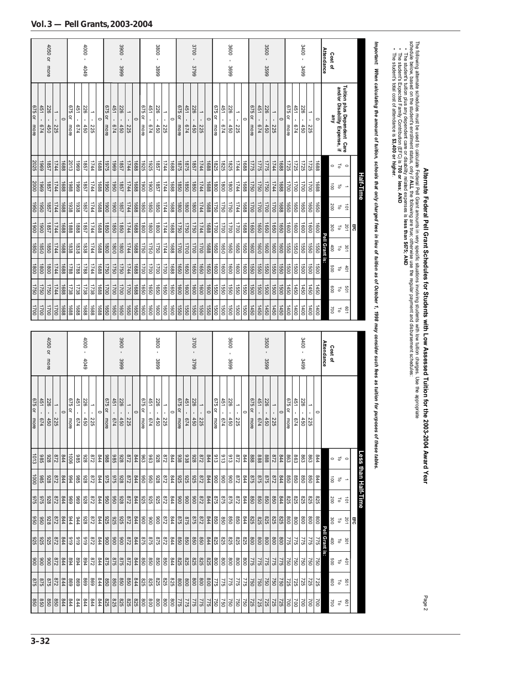|                                                                | 4050 or more |                                                                         |         |             |                  | - 000 -<br>4049           |                          |                                                                                                                                             |                |                                                                                                                                                                                                                                                                                                                                                                                                                | $3900 -$<br>3999  |                       |         |             |            | $3800 -$<br>3899 |                                                        |         |                  |                                                          | $3700 -$<br>3799                                                              |           |         |                   |                                                                                                                                                                                                                                                                                                                                                                                                                                                                               | 3600<br>3699 |                             |                  |                     | $3500 -$<br>3599 |                                                                      |         |                                        |             | $3400 -$<br>3499              |                             |            | <b>Attendance</b>     | Cost of         |                                                              |            |    |                     |  |
|----------------------------------------------------------------|--------------|-------------------------------------------------------------------------|---------|-------------|------------------|---------------------------|--------------------------|---------------------------------------------------------------------------------------------------------------------------------------------|----------------|----------------------------------------------------------------------------------------------------------------------------------------------------------------------------------------------------------------------------------------------------------------------------------------------------------------------------------------------------------------------------------------------------------------|-------------------|-----------------------|---------|-------------|------------|------------------|--------------------------------------------------------|---------|------------------|----------------------------------------------------------|-------------------------------------------------------------------------------|-----------|---------|-------------------|-------------------------------------------------------------------------------------------------------------------------------------------------------------------------------------------------------------------------------------------------------------------------------------------------------------------------------------------------------------------------------------------------------------------------------------------------------------------------------|--------------|-----------------------------|------------------|---------------------|------------------|----------------------------------------------------------------------|---------|----------------------------------------|-------------|-------------------------------|-----------------------------|------------|-----------------------|-----------------|--------------------------------------------------------------|------------|----|---------------------|--|
| 451 -<br><b>P14</b>                                            | 226<br>450   | ï<br>225                                                                | $\circ$ | 675 or more | 451<br>$p_{L9}$  | 226<br>450                | Î.<br>225                | $\circ$                                                                                                                                     | 675 or<br>more | 451 -<br>674                                                                                                                                                                                                                                                                                                                                                                                                   | 226<br>$-450$     | $\blacksquare$<br>225 | $\circ$ | 675 or more | 451<br>674 | 226<br>450       | $\blacksquare$<br>225                                  | $\circ$ | 675 or more      | 451<br>674                                               | 226<br>450                                                                    | ł,<br>225 | $\circ$ | 675 or more       | 451<br>674                                                                                                                                                                                                                                                                                                                                                                                                                                                                    | 226<br>450   | $\circ$<br>$\bar{1}$<br>225 | 675 or<br>more   | 451<br>674          | 226<br>450       | Î,<br>225                                                            | $\circ$ | 675 or more                            | 451<br>674  | 226<br>450                    | →<br>¥.<br>225              | $\circ$    |                       | Áue             | Tuition plus Dependent Care<br>and/or Disability Expense, if |            |    |                     |  |
| 2025<br>6961                                                   | 1857         | 1744                                                                    | 1688    | 2013        | 6961             | 1857                      | 1744                     | 1688                                                                                                                                        | 5261           | 6961                                                                                                                                                                                                                                                                                                                                                                                                           | 1857              | 1744                  | 1688    | 1925        | 1925       | 1857             | 1744                                                   | 1688    | 1875             | 578                                                      | 1857                                                                          | 1744      | 1688    | 1825              | 1825                                                                                                                                                                                                                                                                                                                                                                                                                                                                          | 1825         | 1744<br>1688                | 1775             | 3775                | 3221             | 1744                                                                 | 1688    | 1725                                   | 1725        | 1725                          | 1725                        | 1688       |                       | $\circ$         | ᇹ                                                            | $\circ$    |    |                     |  |
| 6961                                                           | 1857         | 1744                                                                    | 1688    | 1988        | 6961             | 1857                      | 1744                     | 1688                                                                                                                                        | 0961           | 0961                                                                                                                                                                                                                                                                                                                                                                                                           | 1857              | 1744                  | 1688    | 1900        | 0061       | 1857             | 1744                                                   | 1688    | 1850             | 0981                                                     | 0981                                                                          | 1744      | 1688    | $\frac{180}{200}$ | 0081                                                                                                                                                                                                                                                                                                                                                                                                                                                                          | 0081         | 1744<br>8891                | 1750             | 1750                | 1750             | 1744                                                                 | 1688    | 1700                                   | 1700        | 1700                          | 1700                        | 1688       |                       | $\vec{B}$       | $\overline{c}$                                               |            |    | Half-Time           |  |
| 1950<br>0961                                                   | 1857         | 1744                                                                    | 1688    | 1938        | 1938             | 1857                      | 1744                     | 1688                                                                                                                                        | 1900           | 0061                                                                                                                                                                                                                                                                                                                                                                                                           | 1857              | 1744                  | 1688    | 1850        | 0981       | 0981             | 1744                                                   | 1688    | $\frac{1}{8}$    | 1800                                                     | 0081                                                                          | 1744      | 1750    |                   | 1750                                                                                                                                                                                                                                                                                                                                                                                                                                                                          | 1750         | 1744<br>1688                | $\frac{1700}{2}$ | 1700                | 1700             | 00L1                                                                 | 1688    | 1650                                   | 0991        | 0991                          | 0991                        | 0991       |                       | 200             | ಕ                                                            | $\vec{p}$  |    |                     |  |
| 1900<br>0061                                                   | 1857         | 1744                                                                    | 1688    | 1888        | 1888             | 1857                      | 1744                     | 1688                                                                                                                                        | 1850           | 0981                                                                                                                                                                                                                                                                                                                                                                                                           | 0981              | 1744                  | 1688    | 1800        | 0081       | 0081             | 1744                                                   | 1688    | 1750             | 0921                                                     | 0921                                                                          | 1744      | 1700    |                   | $\overline{0011}$                                                                                                                                                                                                                                                                                                                                                                                                                                                             | 1700         | 0021<br>8891                | 1650             | 0991                | 0991             | 0991                                                                 | 0991    | 1600                                   | 1600        | 0091                          | 0091                        | 1600       |                       | 300             | $\overline{c}$                                               | 201        | ₩, |                     |  |
| 1850<br>1850                                                   | 1850         | 1744                                                                    | 1688    | 1838        | 1838             | 1838                      | 1744                     | 1688                                                                                                                                        | 1800           | 0081                                                                                                                                                                                                                                                                                                                                                                                                           | $\overline{0081}$ | 1744                  | 1688    | 1750        | 0921       | 1750             | 1744                                                   | 1688    | $\frac{1700}{2}$ | 1700                                                     | 1700                                                                          | 1700      | 1650    |                   | 1650                                                                                                                                                                                                                                                                                                                                                                                                                                                                          | 1650         | 0991<br>0991                | $\frac{1}{8}$    | 1600                | 1600             | 1600                                                                 | 1600    | 1550                                   | 1550        | 0991                          | 0991                        | 1550       | Pell Grant<br>.<br>8: | $400$           | $\overline{c}$                                               | 301        |    |                     |  |
| 1800<br>1800                                                   | 0081         | 1744                                                                    | 1688    | 1788        | 1788             | 1788                      | 1744                     | 1688                                                                                                                                        | 1750           | 0921                                                                                                                                                                                                                                                                                                                                                                                                           | 1750              | 1744                  | 1688    | 1700        | 0021       | 1700             | 0021                                                   | 1688    | 1650             | 0991                                                     | 1650                                                                          | 0991      | 1650    |                   | 1600                                                                                                                                                                                                                                                                                                                                                                                                                                                                          | 1600         | 1600<br>$\frac{1600}{2}$    | 1550             | 0991                | 1550             | 1550                                                                 | 1550    | 1500                                   | <b>1500</b> | 00SI                          | 1500                        | 1500       |                       | 009             | $\overline{c}$                                               | $+01$      |    |                     |  |
| 1750<br>1750                                                   | 1750         | 1744                                                                    | 1688    | 1738        | 1738             | 1738                      | 1738                     | 1688                                                                                                                                        | 1700           | 1700                                                                                                                                                                                                                                                                                                                                                                                                           | $\frac{1700}{1}$  | 1700                  | 1688    | 1650        | 0991       | 0991             | 0991                                                   | 0991    | $\frac{1}{100}$  | 1600                                                     | 0091                                                                          | 0091      | 1550    |                   | 1550                                                                                                                                                                                                                                                                                                                                                                                                                                                                          | 0991         | 0991<br>1550                | $\frac{1500}{2}$ | 1500                | 1500             | 1500                                                                 | 1500    | 1450                                   | 1450        | 1450                          | 1450                        | 1450       |                       | 009             | 5                                                            | 501        |    |                     |  |
| 1700<br>$\overline{001}$                                       | 1700         | 1700                                                                    | 1688    | 1688        | 1688             | 1688                      | 1688                     | 1688                                                                                                                                        | 1650           | 0991                                                                                                                                                                                                                                                                                                                                                                                                           | 0991              | $\frac{1650}{2}$      | 1650    | 1600        | 1600       | 1600             | 1600                                                   | 1600    | 1550             | 1550                                                     | 1550                                                                          | 1550      | 1550    |                   | 1500                                                                                                                                                                                                                                                                                                                                                                                                                                                                          | 1500         | 1500<br>1500                | $\frac{1450}{2}$ | 1450                | 1450             | 1450                                                                 | 1450    | 1400                                   | 1400        | 001                           | 1400                        | 1400       |                       | 700             | ಕ                                                            | <b>PO1</b> |    |                     |  |
|                                                                |              |                                                                         |         |             |                  |                           |                          |                                                                                                                                             |                |                                                                                                                                                                                                                                                                                                                                                                                                                |                   |                       |         |             |            |                  |                                                        |         |                  |                                                          |                                                                               |           |         |                   |                                                                                                                                                                                                                                                                                                                                                                                                                                                                               |              |                             |                  |                     |                  |                                                                      |         |                                        |             |                               |                             |            |                       |                 |                                                              |            |    |                     |  |
|                                                                | 4050 or more |                                                                         |         |             |                  | - 0001<br>4049            |                          |                                                                                                                                             |                |                                                                                                                                                                                                                                                                                                                                                                                                                | $3900c -$<br>3999 |                       |         |             |            | $-008C$<br>3899  |                                                        |         |                  |                                                          | $-0015$<br>3799                                                               |           |         |                   |                                                                                                                                                                                                                                                                                                                                                                                                                                                                               | 3600<br>3699 |                             |                  |                     | 3500 -<br>3599   |                                                                      |         |                                        |             | $-00$ t $\varepsilon$<br>3499 |                             |            | <b>Attendance</b>     | Cost of         |                                                              |            |    |                     |  |
|                                                                |              | $\begin{array}{r} 1 & -225 \\ 226 & -450 \\ 451 & -674 \end{array}$     | $\circ$ | 675 or more | 451 -            | 226<br>$ \frac{225}{674}$ | $\overline{\phantom{0}}$ | $\circ$                                                                                                                                     |                | $\begin{array}{r@{\hspace{1em}}c@{\hspace{1em}}c@{\hspace{1em}}c@{\hspace{1em}}c@{\hspace{1em}}c@{\hspace{1em}}c@{\hspace{1em}}c@{\hspace{1em}}c@{\hspace{1em}}c@{\hspace{1em}}c@{\hspace{1em}}c@{\hspace{1em}}c@{\hspace{1em}}c@{\hspace{1em}}c@{\hspace{1em}}c@{\hspace{1em}}c@{\hspace{1em}}c@{\hspace{1em}}c@{\hspace{1em}}c@{\hspace{1em}}c@{\hspace{1em}}c@{\hspace{1em}}c@{\hspace{1em}}c@{\hspace{1em$ |                   |                       | $\circ$ | 675 or more | 451 -      | 226              | $\overline{a}$<br>$\frac{1}{256}$<br>$\frac{225}{450}$ | $\circ$ | 675 or more      | 451 -                                                    | 226<br>$\frac{1}{286} - \frac{225}{450}$<br>$\frac{1}{244} - \frac{674}{674}$ |           | $\circ$ | 675 or more       | 451 -<br>$\frac{1}{26} - \frac{225}{450}$<br>$\frac{1}{51} - \frac{450}{674}$                                                                                                                                                                                                                                                                                                                                                                                                 | 226          | $\circ$                     | 675 or more      | 451 -               | 226              | $\frac{1}{26} - \frac{225}{450}$<br>$\frac{1}{51} - \frac{674}{674}$ | $\circ$ | 675 or more                            | 451 -       | 226<br>ł<br>$rac{225}{650}$   | $\rightarrow$<br>$\epsilon$ | $\circ$    |                       |                 |                                                              |            |    |                     |  |
| 986                                                            |              | $rac{6}{328}$                                                           |         |             | 386              |                           |                          | $\frac{8}{8}$ $\frac{8}{3}$ $\frac{8}{2}$ $\frac{8}{5}$ $\frac{8}{8}$ $\frac{8}{8}$ $\frac{8}{8}$ $\frac{4}{2}$ $\frac{7}{2}$               |                |                                                                                                                                                                                                                                                                                                                                                                                                                |                   |                       |         |             |            | 826              |                                                        |         |                  | $\frac{8}{8}$ $\frac{8}{8}$ $\frac{8}{8}$ $\frac{8}{12}$ |                                                                               |           |         |                   | $rac{9}{36}$ $rac{9}{36}$ $rac{9}{45}$                                                                                                                                                                                                                                                                                                                                                                                                                                        |              | 872                         |                  | $\frac{88882}{540}$ |                  |                                                                      | 844     | $ \mathbb{S} \mathbb{S} $ $\mathbb{S}$ |             |                               | 863                         | 944        |                       | ಂರ              |                                                              |            |    |                     |  |
| 385                                                            |              |                                                                         |         |             | $\frac{88}{327}$ |                           |                          | $\frac{8}{8}$ $\frac{8}{8}$ $\frac{8}{8}$ $\frac{8}{8}$ $\frac{8}{8}$ $\frac{8}{8}$ $\frac{8}{8}$ $\frac{8}{8}$ $\frac{8}{8}$ $\frac{8}{8}$ |                |                                                                                                                                                                                                                                                                                                                                                                                                                |                   |                       |         |             |            |                  |                                                        |         |                  |                                                          |                                                                               |           |         |                   | $\frac{89}{218}$                                                                                                                                                                                                                                                                                                                                                                                                                                                              |              |                             |                  |                     |                  |                                                                      |         |                                        |             |                               | 098                         | 844        |                       | $\overline{0}0$ | ಕ -                                                          |            |    |                     |  |
|                                                                |              |                                                                         |         |             |                  |                           |                          |                                                                                                                                             |                |                                                                                                                                                                                                                                                                                                                                                                                                                |                   |                       |         |             |            |                  |                                                        |         |                  |                                                          |                                                                               |           |         |                   | $\frac{8}{8} \begin{bmatrix} 89 \\ 80 \\ 80 \end{bmatrix} \begin{bmatrix} 89 \\ 80 \\ 80 \end{bmatrix} \begin{bmatrix} 89 \\ 80 \\ 80 \end{bmatrix} \begin{bmatrix} 89 \\ 80 \\ 80 \end{bmatrix} \begin{bmatrix} 89 \\ 80 \\ 80 \end{bmatrix} \begin{bmatrix} 89 \\ 80 \\ 80 \end{bmatrix} \begin{bmatrix} 89 \\ 80 \\ 80 \end{bmatrix} \begin{bmatrix} 89 \\ 80 \\ 80 \end{bmatrix} \begin{bmatrix} 89 \\ 80 \\ 80 \end{bmatrix} \begin{bmatrix}$                            |              |                             |                  |                     |                  |                                                                      |         |                                        |             |                               |                             | <b>S25</b> |                       | 200             | $\frac{1}{5}$                                                |            |    | -ess than Half-Time |  |
|                                                                |              |                                                                         |         |             |                  |                           |                          |                                                                                                                                             |                |                                                                                                                                                                                                                                                                                                                                                                                                                |                   |                       |         |             |            |                  |                                                        |         |                  |                                                          |                                                                               |           |         |                   | $\frac{8}{8}\begin{bmatrix}8\\8\\6\\8\end{bmatrix}\begin{bmatrix}8\\8\\8\\8\end{bmatrix}\begin{bmatrix}8\\8\\8\\8\end{bmatrix}\begin{bmatrix}8\\8\\8\\8\end{bmatrix}\begin{bmatrix}8\\8\\8\\8\end{bmatrix}\begin{bmatrix}8\\8\\8\\8\end{bmatrix}\begin{bmatrix}8\\8\\8\\8\end{bmatrix}\begin{bmatrix}8\\8\\8\\8\end{bmatrix}\begin{bmatrix}8\\8\\8\\8\end{bmatrix}\begin{bmatrix}8\\8\\8\\8\end{bmatrix}\begin{bmatrix}8\\8\\8\\8\end{bmatrix}\begin{bmatrix}8\\8\\8\\8\end{$ |              |                             |                  |                     |                  |                                                                      |         |                                        |             |                               |                             | 008        |                       |                 | 背 늘 일                                                        |            |    |                     |  |
|                                                                |              | $\frac{2}{3}$ $\frac{2}{4}$ $\frac{2}{5}$ $\frac{2}{10}$ $\frac{2}{10}$ |         |             | 616              |                           |                          |                                                                                                                                             |                |                                                                                                                                                                                                                                                                                                                                                                                                                |                   |                       |         |             |            |                  |                                                        |         |                  |                                                          |                                                                               |           |         |                   | $\frac{15}{16} \frac{18}{12} \frac{18}{12} \frac{18}{12} \frac{18}{12} \frac{18}{12} \frac{18}{12} \frac{18}{12} \frac{18}{12} \frac{18}{12} \frac{18}{12} \frac{18}{12} \frac{18}{12} \frac{18}{12} \frac{18}{12} \frac{18}{12} \frac{18}{12} \frac{18}{12} \frac{18}{12} \frac{18}{12} \frac{18}{12} \frac{18}{12} \frac{18}{12} \frac{18}{12} \frac{1$                                                                                                                     |              |                             |                  |                     |                  |                                                                      |         |                                        |             |                               |                             | 775        | Pell                  |                 | 30 L Q                                                       |            |    |                     |  |
|                                                                |              | $\frac{8}{3}$ $\frac{8}{4}$ $\frac{8}{5}$ $\frac{8}{8}$ $\frac{8}{8}$   |         |             |                  |                           |                          |                                                                                                                                             |                |                                                                                                                                                                                                                                                                                                                                                                                                                |                   |                       |         |             |            |                  |                                                        |         |                  |                                                          |                                                                               |           |         |                   | $\frac{16}{8} \frac{16}{8} \frac{16}{8} \frac{16}{8} \frac{16}{8} \frac{16}{8} \frac{16}{8} \frac{16}{8} \frac{16}{8} \frac{16}{8} \frac{16}{8} \frac{16}{8} \frac{16}{8} \frac{16}{8} \frac{16}{8} \frac{16}{8} \frac{16}{8} \frac{16}{8} \frac{16}{8} \frac{16}{8} \frac{16}{8} \frac{16}{8} \frac{16}{8} \frac{16}{8} \frac{16}{8} \frac{16}{8} \frac{16}{8} \frac{1$                                                                                                      |              |                             |                  |                     |                  |                                                                      |         |                                        |             |                               |                             | 750        |                       |                 | 491<br>19<br>19<br>19                                        |            |    |                     |  |
| 675 or more<br>1013<br>1000<br>975<br>950<br>925<br>006<br>875 |              |                                                                         |         |             |                  |                           |                          |                                                                                                                                             |                |                                                                                                                                                                                                                                                                                                                                                                                                                |                   |                       |         |             |            |                  |                                                        |         |                  |                                                          |                                                                               |           |         |                   |                                                                                                                                                                                                                                                                                                                                                                                                                                                                               |              |                             |                  |                     |                  |                                                                      |         |                                        |             |                               |                             |            |                       |                 | 8 9 5                                                        |            |    |                     |  |

**Alternate Federal Pell Grant Schedules for Students with Low Assessed Tuition for the 2003-2004 Award Year**

Page 2

The following alternate schedules must be used to calculate Federal Pell Grant amounts in very specific situations involving students with low tuition charges. Use the appropriate schedule below, based on the student's enrollment status, only if the following are true; otherwise use the regular payment and disbursement schedules:

**ALL** the fo<br>lated expe<br>**less; AND**  • The student's tuition plus any dependent care or disability related expenses is **less than \$675; AND**

 • The student's Expected Family Contribution (EFC) is **700 or less**

 • The student's total cost of attendance is **\$3,400 or higher**

Important: When calculating the amount of tuition, schools that only charged fees in lieu of tuition as of October 1, 1998 may consider such fees as tuition for purposes of these tables. *Important: When calculating the amount of tuition, schools that only charged fees in lieu of tuition as of October 1, 1998 may consider such fees as tuition for purposes of these tables.*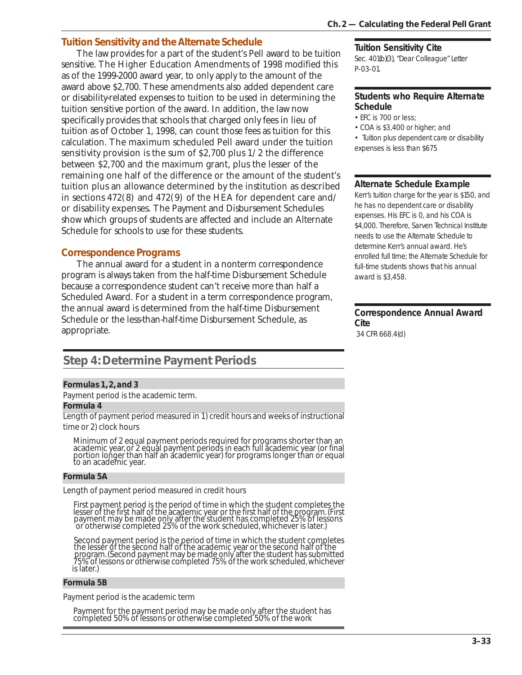## *Tuition Sensitivity and the Alternate Schedule*

The law provides for a part of the student's Pell award to be tuition sensitive. The Higher Education Amendments of 1998 modified this as of the 1999-2000 award year, to only apply to the amount of the award above \$2,700. These amendments also added dependent care or disability-related expenses to tuition to be used in determining the tuition sensitive portion of the award. In addition, the law now specifically provides that schools that charged only fees in lieu of tuition as of October 1, 1998, can count those fees as tuition for this calculation. The maximum scheduled Pell award under the tuition sensitivity provision is the sum of \$2,700 plus 1/2 the difference between \$2,700 and the maximum grant, plus the lesser of the remaining one half of the difference or the amount of the student's tuition plus an allowance determined by the institution as described in sections 472(8) and 472(9) of the HEA for dependent care and/ or disability expenses. The Payment and Disbursement Schedules show which groups of students are affected and include an Alternate Schedule for schools to use for these students.

## *Correspondence Programs*

The annual award for a student in a nonterm correspondence program is always taken from the half-time Disbursement Schedule because a correspondence student can't receive more than half a Scheduled Award. For a student in a term correspondence program, the annual award is determined from the half-time Disbursement Schedule or the less-than-half-time Disbursement Schedule, as appropriate.

## **Step 4: Determine Payment Periods**

#### *Formulas 1, 2, and 3*

Payment period is the academic term.

#### *Formula 4*

Length of payment period measured in 1) credit hours and weeks of instructional time or 2) clock hours

Minimum of 2 equal payment periods required for programs shorter than an academic year, or 2 equal payment periods in each full academic year (or final portion longer than half an academic year) for programs longer than or equal to an academic year.

#### *Formula 5A*

Length of payment period measured in credit hours

 First payment period is the period of time in which the student completes the lesser of the first half of the academic year or the first half of the program. (First payment may be made only after the student has completed 25% of lessons or otherwise completed 25% of the work scheduled, whichever is later.)

 Second payment period is the period of time in which the student completes the lesser of the second half of the academic year or the second half of the program. (Second payment may be made only after the student has submitted 75% of lessons or otherwise completed 75% of the work scheduled, whichever is later.)

#### *Formula 5B*

Payment period is the academic term

Payment for the payment period may be made only after the student has completed 50% of lessons or otherwise completed 50% of the work

#### **Tuition Sensitivity Cite**

Sec. 401(b)(3), "Dear Colleague" Letter P-03-01.

#### **Students who Require Alternate Schedule**

- EFC is 700 or less;
- COA is \$3,400 or higher; and

• Tuition plus dependent care or disability expenses is less than \$675

#### **Alternate Schedule Example**

Kerr's tuition charge for the year is \$150, and he has no dependent care or disability expenses. His EFC is 0, and his COA is \$4,000. Therefore, Sarven Technical Institute needs to use the Alternate Schedule to determine Kerr's annual award. He's enrolled full time; the Alternate Schedule for full-time students shows that his annual award is \$3,458.

#### **Correspondence Annual Award Cite**

34 CFR 668.4(d)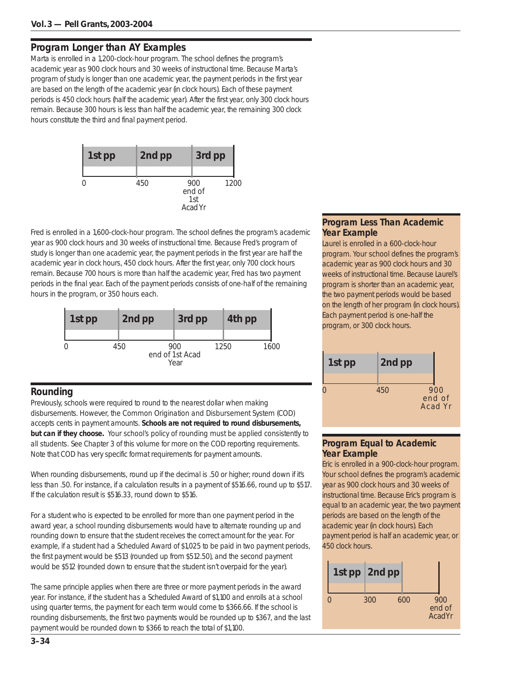## **Program Longer than AY Examples**

Marta is enrolled in a 1,200-clock-hour program. The school defines the program's academic year as 900 clock hours and 30 weeks of instructional time. Because Marta's program of study is longer than one academic year, the payment periods in the first year are based on the length of the academic year (in clock hours). Each of these payment periods is 450 clock hours (half the academic year). After the first year, only 300 clock hours remain. Because 300 hours is less than half the academic year, the remaining 300 clock hours constitute the third and final payment period.



Fred is enrolled in a 1,600-clock-hour program. The school defines the program's academic year as 900 clock hours and 30 weeks of instructional time. Because Fred's program of study is longer than one academic year, the payment periods in the first year are half the academic year in clock hours, 450 clock hours. After the first year, only 700 clock hours remain. Because 700 hours is more than half the academic year, Fred has two payment periods in the final year. Each of the payment periods consists of one-half of the remaining hours in the program, or 350 hours each.



## **Rounding**

Previously, schools were required to round to the nearest dollar when making disbursements. However, the Common Origination and Disbursement System (COD) accepts cents in payment amounts. **Schools are not required to round disbursements, but can if they choose.** Your school's policy of rounding must be applied consistently to all students. See Chapter 3 of this volume for more on the COD reporting requirements. Note that COD has very specific format requirements for payment amounts.

When rounding disbursements, round up if the decimal is .50 or higher; round down if it's less than .50. For instance, if a calculation results in a payment of \$516.66, round up to \$517. If the calculation result is \$516.33, round down to \$516.

For a student who is expected to be enrolled for more than one payment period in the award year, a school rounding disbursements would have to alternate rounding up and rounding down to ensure that the student receives the correct amount for the year. For example, if a student had a Scheduled Award of \$1,025 to be paid in two payment periods, the first payment would be \$513 (rounded up from \$512.50), and the second payment would be \$512 (rounded down to ensure that the student isn't overpaid for the year).

The same principle applies when there are three or more payment periods in the award year. For instance, if the student has a Scheduled Award of \$1,100 and enrolls at a school using quarter terms, the payment for each term would come to \$366.66. If the school is rounding disbursements, the first two payments would be rounded up to \$367, and the last payment would be rounded down to \$366 to reach the total of \$1,100.

#### **Program Less Than Academic Year Example**

Laurel is enrolled in a 600-clock-hour program. Your school defines the program's academic year as 900 clock hours and 30 weeks of instructional time. Because Laurel's program is shorter than an academic year, the two payment periods would be based on the length of her program (in clock hours). Each payment period is one-half the program, or 300 clock hours.



## **Program Equal to Academic Year Example**

Eric is enrolled in a 900-clock-hour program. Your school defines the program's academic year as 900 clock hours and 30 weeks of instructional time. Because Eric's program is equal to an academic year, the two payment periods are based on the length of the academic year (in clock hours). Each payment period is half an academic year, or 450 clock hours.

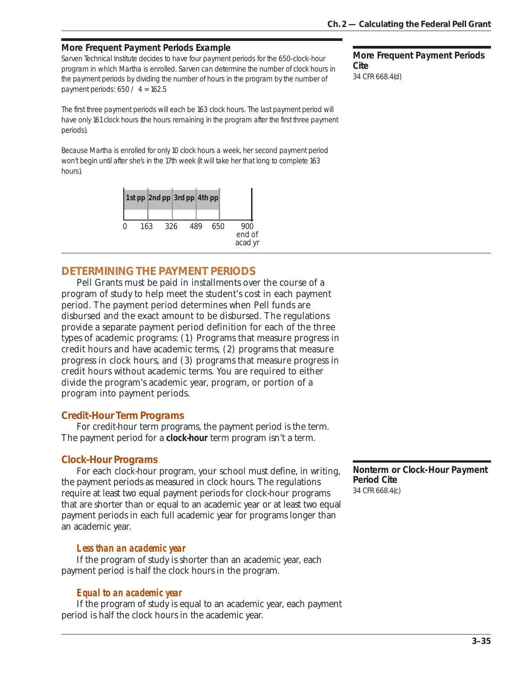## **More Frequent Payment Periods Example**

Sarven Technical Institute decides to have four payment periods for the 650-clock-hour program in which Martha is enrolled. Sarven can determine the number of clock hours in the payment periods by dividing the number of hours in the program by the number of payment periods: 650 / 4 = 162.5

The first three payment periods will each be 163 clock hours. The last payment period will have only 161 clock hours (the hours remaining in the program after the first three payment periods).

Because Martha is enrolled for only 10 clock hours a week, her second payment period won't begin until after she's in the 17th week (it will take her that long to complete 163 hours).



# **DETERMINING THE PAYMENT PERIODS**

Pell Grants must be paid in installments over the course of a program of study to help meet the student's cost in each payment period. The payment period determines when Pell funds are disbursed and the exact amount to be disbursed. The regulations provide a separate payment period definition for each of the three types of academic programs: (1) Programs that measure progress in credit hours and have academic terms, (2) programs that measure progress in clock hours, and (3) programs that measure progress in credit hours without academic terms. You are required to either divide the program's academic year, program, or portion of a program into payment periods.

# *Credit-Hour Term Programs*

For credit-hour term programs, the payment period is the term. The payment period for a **clock-hour** term program isn't a term.

# *Clock-Hour Programs*

For each clock-hour program, your school must define, in writing, the payment periods as measured in clock hours. The regulations require at least two equal payment periods for clock-hour programs that are shorter than or equal to an academic year or at least two equal payment periods in each full academic year for programs longer than an academic year.

# *Less than an academic year*

If the program of study is shorter than an academic year, each payment period is half the clock hours in the program.

# *Equal to an academic year*

If the program of study is equal to an academic year, each payment period is half the clock hours in the academic year.

**More Frequent Payment Periods Cite** 34 CFR 668.4(d)

**Nonterm or Clock-Hour Payment Period Cite** 34 CFR 668.4(c)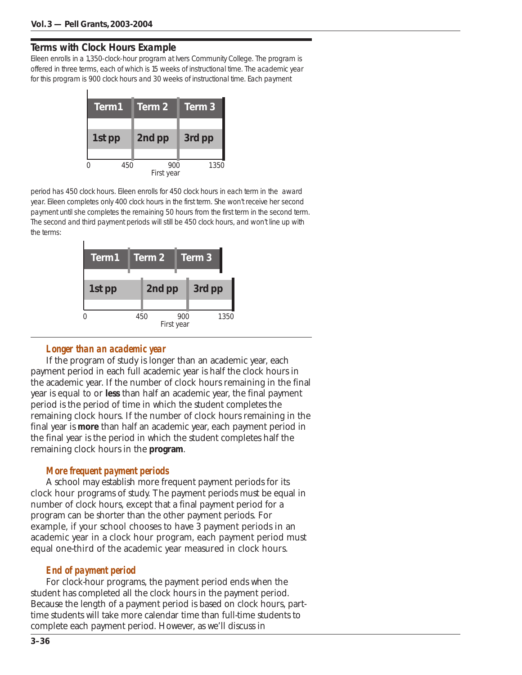# **Terms with Clock Hours Example**

Eileen enrolls in a 1,350-clock-hour program at Ivers Community College. The program is offered in three terms, each of which is 15 weeks of instructional time. The academic year for this program is 900 clock hours and 30 weeks of instructional time. Each payment



period has 450 clock hours. Eileen enrolls for 450 clock hours in each term in the award year. Eileen completes only 400 clock hours in the first term. She won't receive her second payment until she completes the remaining 50 hours from the first term in the second term. The second and third payment periods will still be 450 clock hours, and won't line up with the terms:



# *Longer than an academic year*

If the program of study is longer than an academic year, each payment period in each full academic year is half the clock hours in the academic year. If the number of clock hours remaining in the final year is equal to or **less** than half an academic year, the final payment period is the period of time in which the student completes the remaining clock hours. If the number of clock hours remaining in the final year is **more** than half an academic year, each payment period in the final year is the period in which the student completes half the remaining clock hours in the **program**.

# *More frequent payment periods*

A school may establish more frequent payment periods for its clock hour programs of study. The payment periods must be equal in number of clock hours, except that a final payment period for a program can be shorter than the other payment periods. For example, if your school chooses to have 3 payment periods in an academic year in a clock hour program, each payment period must equal one-third of the academic year measured in clock hours.

# *End of payment period*

For clock-hour programs, the payment period ends when the student has completed all the clock hours in the payment period. Because the length of a payment period is based on clock hours, parttime students will take more calendar time than full-time students to complete each payment period. However, as we'll discuss in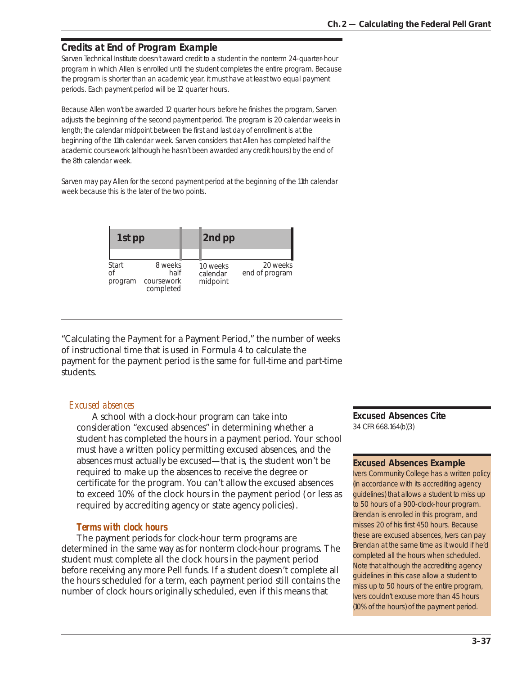# **Credits at End of Program Example**

Sarven Technical Institute doesn't award credit to a student in the nonterm 24-quarter-hour program in which Allen is enrolled until the student completes the entire program. Because the program is shorter than an academic year, it must have at least two equal payment periods. Each payment period will be 12 quarter hours.

Because Allen won't be awarded 12 quarter hours before he finishes the program, Sarven adjusts the beginning of the second payment period. The program is 20 calendar weeks in length; the calendar midpoint between the first and last day of enrollment is at the beginning of the 11th calendar week. Sarven considers that Allen has completed half the academic coursework (although he hasn't been awarded any credit hours) by the end of the 8th calendar week.

Sarven may pay Allen for the second payment period at the beginning of the 11th calendar week because this is the later of the two points.

| 1st pp                 |                                            | 2nd pp                           |                            |
|------------------------|--------------------------------------------|----------------------------------|----------------------------|
| Start<br>Ωf<br>program | 8 weeks<br>half<br>coursework<br>completed | 10 weeks<br>calendar<br>midpoint | 20 weeks<br>end of program |

"Calculating the Payment for a Payment Period," the number of weeks of instructional time that is used in Formula 4 to calculate the payment for the payment period is the same for full-time and part-time students.

# *Excused absences*

A school with a clock-hour program can take into consideration "excused absences" in determining whether a student has completed the hours in a payment period. Your school must have a written policy permitting excused absences, and the absences must actually be excused—that is, the student won't be required to make up the absences to receive the degree or certificate for the program. You can't allow the excused absences to exceed 10% of the clock hours in the payment period (or less as required by accrediting agency or state agency policies).

# *Terms with clock hours*

The payment periods for clock-hour term programs are determined in the same way as for nonterm clock-hour programs. The student must complete all the clock hours in the payment period before receiving any more Pell funds. If a student doesn't complete all the hours scheduled for a term, each payment period still contains the number of clock hours originally scheduled, even if this means that

**Excused Absences Cite** 34 CFR 668.164(b)(3)

# **Excused Absences Example**

Ivers Community College has a written policy (in accordance with its accrediting agency guidelines) that allows a student to miss up to 50 hours of a 900-clock-hour program. Brendan is enrolled in this program, and misses 20 of his first 450 hours. Because these are excused absences, Ivers can pay Brendan at the same time as it would if he'd completed all the hours when scheduled. Note that although the accrediting agency guidelines in this case allow a student to miss up to 50 hours of the entire program, Ivers couldn't excuse more than 45 hours (10% of the hours) of the payment period.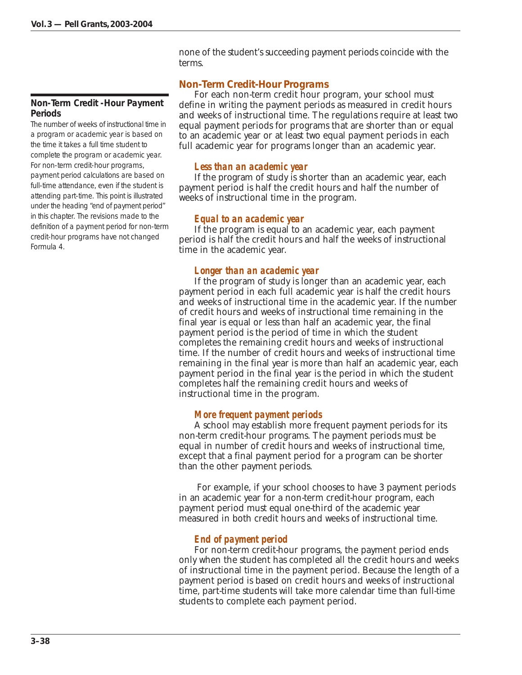#### **Non-Term Credit -Hour Payment Periods**

The number of weeks of instructional time in a program or academic year is based on the time it takes a full time student to complete the program or academic year. For non-term credit-hour programs, payment period calculations are based on full-time attendance, even if the student is attending part-time. This point is illustrated under the heading "end of payment period" in this chapter. The revisions made to the definition of a payment period for non-term credit-hour programs have not changed Formula 4.

none of the student's succeeding payment periods coincide with the terms.

# *Non-Term Credit-Hour Programs*

For each non-term credit hour program, your school must define in writing the payment periods as measured in credit hours and weeks of instructional time. The regulations require at least two equal payment periods for programs that are shorter than or equal to an academic year or at least two equal payment periods in each full academic year for programs longer than an academic year.

# *Less than an academic year*

If the program of study is shorter than an academic year, each payment period is half the credit hours and half the number of weeks of instructional time in the program.

# *Equal to an academic year*

If the program is equal to an academic year, each payment period is half the credit hours and half the weeks of instructional time in the academic year.

# *Longer than an academic year*

If the program of study is longer than an academic year, each payment period in each full academic year is half the credit hours and weeks of instructional time in the academic year. If the number of credit hours and weeks of instructional time remaining in the final year is equal or less than half an academic year, the final payment period is the period of time in which the student completes the remaining credit hours and weeks of instructional time. If the number of credit hours and weeks of instructional time remaining in the final year is more than half an academic year, each payment period in the final year is the period in which the student completes half the remaining credit hours and weeks of instructional time in the program.

# *More frequent payment periods*

A school may establish more frequent payment periods for its non-term credit-hour programs. The payment periods must be equal in number of credit hours and weeks of instructional time, except that a final payment period for a program can be shorter than the other payment periods.

 For example, if your school chooses to have 3 payment periods in an academic year for a non-term credit-hour program, each payment period must equal one-third of the academic year measured in both credit hours and weeks of instructional time.

# *End of payment period*

For non-term credit-hour programs, the payment period ends only when the student has completed all the credit hours and weeks of instructional time in the payment period. Because the length of a payment period is based on credit hours and weeks of instructional time, part-time students will take more calendar time than full-time students to complete each payment period.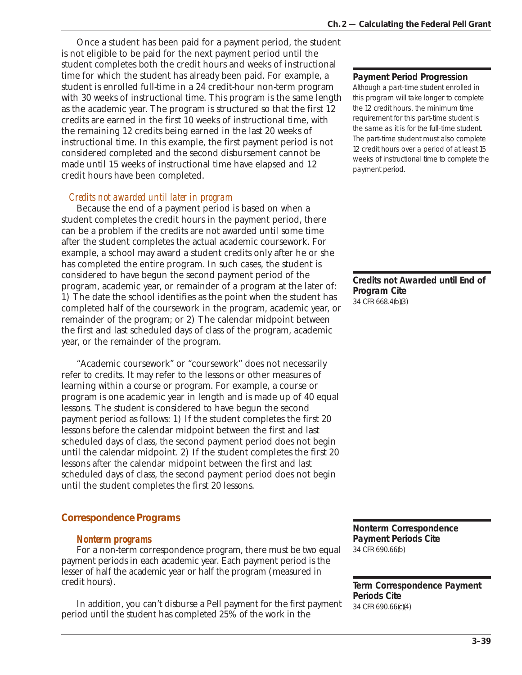Once a student has been paid for a payment period, the student is not eligible to be paid for the next payment period until the student completes both the credit hours and weeks of instructional time for which the student has already been paid. For example, a student is enrolled full-time in a 24 credit-hour non-term program with 30 weeks of instructional time. This program is the same length as the academic year. The program is structured so that the first 12 credits are earned in the first 10 weeks of instructional time, with the remaining 12 credits being earned in the last 20 weeks of instructional time. In this example, the first payment period is not considered completed and the second disbursement cannot be made until 15 weeks of instructional time have elapsed and 12 credit hours have been completed.

# *Credits not awarded until later in program*

Because the end of a payment period is based on when a student completes the credit hours in the payment period, there can be a problem if the credits are not awarded until some time after the student completes the actual academic coursework. For example, a school may award a student credits only after he or she has completed the entire program. In such cases, the student is considered to have begun the second payment period of the program, academic year, or remainder of a program at the later of: 1) The date the school identifies as the point when the student has completed half of the coursework in the program, academic year, or remainder of the program; or 2) The calendar midpoint between the first and last scheduled days of class of the program, academic year, or the remainder of the program.

"Academic coursework" or "coursework" does not necessarily refer to credits. It may refer to the lessons or other measures of learning within a course or program. For example, a course or program is one academic year in length and is made up of 40 equal lessons. The student is considered to have begun the second payment period as follows: 1) If the student completes the first 20 lessons before the calendar midpoint between the first and last scheduled days of class, the second payment period does not begin until the calendar midpoint. 2) If the student completes the first 20 lessons after the calendar midpoint between the first and last scheduled days of class, the second payment period does not begin until the student completes the first 20 lessons.

# *Correspondence Programs*

#### *Nonterm programs*

For a non-term correspondence program, there must be two equal payment periods in each academic year. Each payment period is the lesser of half the academic year or half the program (measured in credit hours).

In addition, you can't disburse a Pell payment for the first payment period until the student has completed 25% of the work in the

### **Payment Period Progression**

Although a part-time student enrolled in this program will take longer to complete the 12 credit hours, the minimum time requirement for this part-time student is the same as it is for the full-time student. The part-time student must also complete 12 credit hours over a period of at least 15 weeks of instructional time to complete the payment period.

**Credits not Awarded until End of Program Cite** 34 CFR 668.4(b)(3)

**Nonterm Correspondence Payment Periods Cite** 34 CFR 690.66(b)

**Term Correspondence Payment Periods Cite** 34 CFR 690.66(c)(4)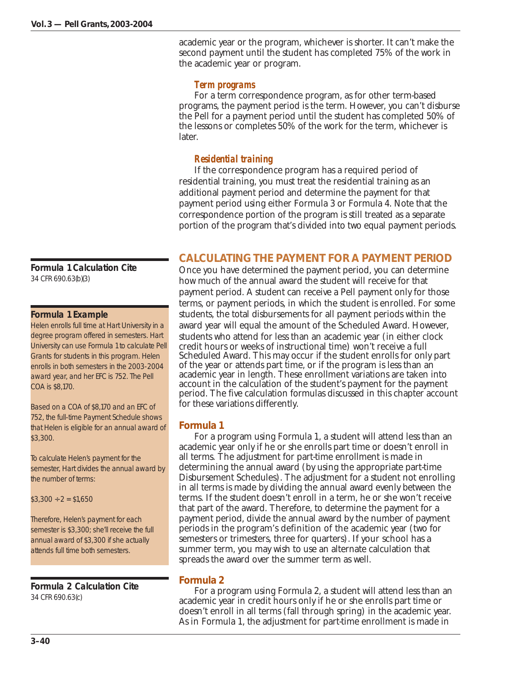**Formula 1 Calculation Cite** 34 CFR 690.63(b)(3)

#### **Formula 1 Example**

Helen enrolls full time at Hart University in a degree program offered in semesters. Hart University can use Formula 1 to calculate Pell Grants for students in this program. Helen enrolls in both semesters in the 2003-2004 award year, and her EFC is 752. The Pell COA is \$8,170.

Based on a COA of \$8,170 and an EFC of 752, the full-time Payment Schedule shows that Helen is eligible for an annual award of \$3,300.

To calculate Helen's payment for the semester, Hart divides the annual award by the number of terms:

 $$3,300 \div 2 = $1,650$ 

Therefore, Helen's payment for each semester is \$3,300; she'll receive the full annual award of \$3,300 if she actually attends full time both semesters.

**Formula 2 Calculation Cite** 34 CFR 690.63(c)

academic year or the program, whichever is shorter. It can't make the second payment until the student has completed 75% of the work in the academic year or program.

# *Term programs*

For a term correspondence program, as for other term-based programs, the payment period is the term. However, you can't disburse the Pell for a payment period until the student has completed 50% of the lessons or completes 50% of the work for the term, whichever is later.

# *Residential training*

If the correspondence program has a required period of residential training, you must treat the residential training as an additional payment period and determine the payment for that payment period using either Formula 3 or Formula 4. Note that the correspondence portion of the program is still treated as a separate portion of the program that's divided into two equal payment periods.

# **CALCULATING THE PAYMENT FOR A PAYMENT PERIOD**

Once you have determined the payment period, you can determine how much of the annual award the student will receive for that payment period. A student can receive a Pell payment only for those terms, or payment periods, in which the student is enrolled. For some students, the total disbursements for all payment periods within the award year will equal the amount of the Scheduled Award. However, students who attend for less than an academic year (in either clock credit hours or weeks of instructional time) won't receive a full Scheduled Award. This may occur if the student enrolls for only part of the year or attends part time, or if the program is less than an academic year in length. These enrollment variations are taken into account in the calculation of the student's payment for the payment period. The five calculation formulas discussed in this chapter account for these variations differently.

# *Formula 1*

For a program using Formula 1, a student will attend less than an academic year only if he or she enrolls part time or doesn't enroll in all terms. The adjustment for part-time enrollment is made in determining the annual award (by using the appropriate part-time Disbursement Schedules). The adjustment for a student not enrolling in all terms is made by dividing the annual award evenly between the terms. If the student doesn't enroll in a term, he or she won't receive that part of the award. Therefore, to determine the payment for a payment period, divide the annual award by the number of payment periods in the program's definition of the academic year (two for semesters or trimesters, three for quarters). If your school has a summer term, you may wish to use an alternate calculation that spreads the award over the summer term as well.

# *Formula 2*

For a program using Formula 2, a student will attend less than an academic year in credit hours only if he or she enrolls part time or doesn't enroll in all terms (fall through spring) in the academic year. As in Formula 1, the adjustment for part-time enrollment is made in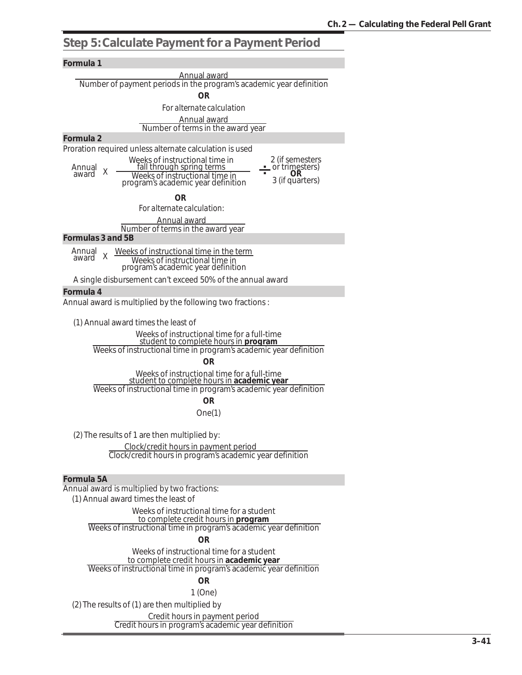# **Step 5: Calculate Payment for a Payment Period**

#### *Formula 1*

| Formula 1                                                                                                             |  |
|-----------------------------------------------------------------------------------------------------------------------|--|
| Annual award                                                                                                          |  |
| Number of payment periods in the program's academic year definition                                                   |  |
| OR                                                                                                                    |  |
| For alternate calculation                                                                                             |  |
| Annual award                                                                                                          |  |
| Number of terms in the award year                                                                                     |  |
| Formula 2                                                                                                             |  |
| Proration required unless alternate calculation is used                                                               |  |
| Weeks of instructional time in<br>2 (if semesters<br>fall through spring terms<br>or trimesters)<br>Annual            |  |
| X<br>award<br>Weeks of instructional time in<br>3 (if quarters)                                                       |  |
| program's academic year definition                                                                                    |  |
| OR                                                                                                                    |  |
| For alternate calculation:                                                                                            |  |
| Annual award                                                                                                          |  |
| Number of terms in the award year<br>Formulas 3 and 5B                                                                |  |
|                                                                                                                       |  |
| Annual<br>Weeks of instructional time in the term<br>X.<br>award<br>Weeks of instructional time in                    |  |
| program's academic year definition                                                                                    |  |
| A single disbursement can't exceed 50% of the annual award                                                            |  |
| Formula 4                                                                                                             |  |
| Annual award is multiplied by the following two fractions:                                                            |  |
|                                                                                                                       |  |
| (1) Annual award times the least of                                                                                   |  |
| Weeks of instructional time for a full-time                                                                           |  |
| student to complete hours in <b>program</b><br>Weeks of instructional time in program's academic year definition      |  |
| <b>OR</b>                                                                                                             |  |
| Weeks of instructional time for a full-time                                                                           |  |
| student to complete hours in academic year                                                                            |  |
| Weeks of instructional time in program's academic year definition                                                     |  |
| <b>OR</b>                                                                                                             |  |
| One(1)                                                                                                                |  |
|                                                                                                                       |  |
| (2) The results of 1 are then multiplied by:                                                                          |  |
| Clock/credit hours in payment period                                                                                  |  |
| Clock/credit hours in program's academic year definition                                                              |  |
|                                                                                                                       |  |
| Formula 5A                                                                                                            |  |
| Annual award is multiplied by two fractions:<br>(1) Annual award times the least of                                   |  |
| Weeks of instructional time for a student                                                                             |  |
| to complete credit hours in program                                                                                   |  |
| Weeks of instructional time in program's academic year definition                                                     |  |
| <b>OR</b>                                                                                                             |  |
| Weeks of instructional time for a student                                                                             |  |
| to complete credit hours in <b>academic year</b><br>Weeks of instructional time in program's academic year definition |  |
|                                                                                                                       |  |
| <b>OR</b>                                                                                                             |  |
| $1$ (One)                                                                                                             |  |
| (2) The results of (1) are then multiplied by                                                                         |  |
| Credit hours in payment period<br>Credit hours in program's academic year definition                                  |  |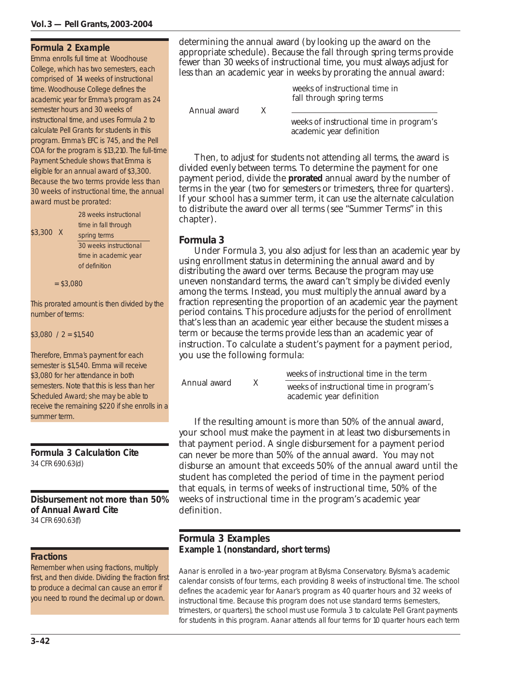#### **Formula 2 Example**

Emma enrolls full time at Woodhouse College, which has two semesters, each comprised of 14 weeks of instructional time. Woodhouse College defines the academic year for Emma's program as 24 semester hours and 30 weeks of instructional time, and uses Formula 2 to calculate Pell Grants for students in this program. Emma's EFC is 745, and the Pell COA for the program is \$13,210. The full-time Payment Schedule shows that Emma is eligible for an annual award of \$3,300. Because the two terms provide less than 30 weeks of instructional time, the annual award must be prorated:

\$3,300 X 28 weeks instructional time in fall through spring terms

30 weeks instructional time in academic year of definition

 $= $3,080$ 

This prorated amount is then divided by the number of terms:

 $$3,080 / 2 = $1,540$ 

Therefore, Emma's payment for each semester is \$1,540. Emma will receive \$3,080 for her attendance in both semesters. Note that this is less than her Scheduled Award; she may be able to receive the remaining \$220 if she enrolls in a summer term.

**Formula 3 Calculation Cite** 34 CFR 690.63(d)

**Disbursement not more than 50% of Annual Award Cite** 34 CFR 690.63(f)

#### **Fractions**

Remember when using fractions, multiply first, and then divide. Dividing the fraction first to produce a decimal can cause an error if you need to round the decimal up or down.

determining the annual award (by looking up the award on the appropriate schedule). Because the fall through spring terms provide fewer than 30 weeks of instructional time, you must always adjust for less than an academic year in weeks by prorating the annual award:

> weeks of instructional time in fall through spring terms

Annual award X

weeks of instructional time in program's academic year definition

Then, to adjust for students not attending all terms, the award is divided evenly between terms. To determine the payment for one payment period, divide the **prorated** annual award by the number of terms in the year (two for semesters or trimesters, three for quarters). If your school has a summer term, it can use the alternate calculation to distribute the award over all terms (see "Summer Terms" in this chapter).

#### *Formula 3*

Under Formula 3, you also adjust for less than an academic year by using enrollment status in determining the annual award and by distributing the award over terms. Because the program may use uneven nonstandard terms, the award can't simply be divided evenly among the terms. Instead, you must multiply the annual award by a fraction representing the proportion of an academic year the payment period contains. This procedure adjusts for the period of enrollment that's less than an academic year either because the student misses a term or because the terms provide less than an academic year of instruction. To calculate a student's payment for a payment period, you use the following formula:

| Annual award | weeks of instructional time in the term                              |
|--------------|----------------------------------------------------------------------|
|              | weeks of instructional time in program's<br>academic year definition |
|              |                                                                      |

If the resulting amount is more than 50% of the annual award, your school must make the payment in at least two disbursements in that payment period. A single disbursement for a payment period can never be more than 50% of the annual award. You may not disburse an amount that exceeds 50% of the annual award until the student has completed the period of time in the payment period that equals, in terms of weeks of instructional time, 50% of the weeks of instructional time in the program's academic year definition.

### **Formula 3 Examples Example 1 (nonstandard, short terms)**

Aanar is enrolled in a two-year program at Bylsma Conservatory. Bylsma's academic calendar consists of four terms, each providing 8 weeks of instructional time. The school defines the academic year for Aanar's program as 40 quarter hours and 32 weeks of instructional time. Because this program does not use standard terms (semesters, trimesters, or quarters), the school must use Formula 3 to calculate Pell Grant payments for students in this program. Aanar attends all four terms for 10 quarter hours each term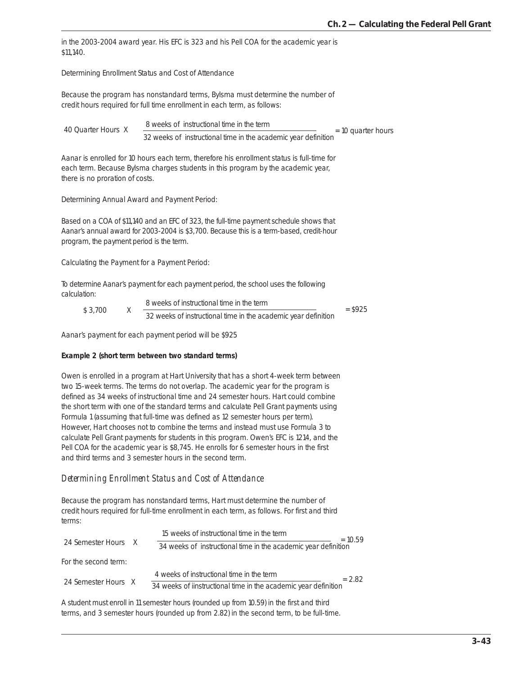in the 2003-2004 award year. His EFC is 323 and his Pell COA for the academic year is \$11,140.

Determining Enrollment Status and Cost of Attendance

Because the program has nonstandard terms, Bylsma must determine the number of credit hours required for full time enrollment in each term, as follows:

```
40 Quarter Hours X = \frac{32 \text{ weeks of historical time in the term}}{32 \text{ weeks of instructional time in the academic year definition}} = 10 \text{ quarter hours}8 weeks of instructional time in the term
```
Aanar is enrolled for 10 hours each term, therefore his enrollment status is full-time for each term. Because Bylsma charges students in this program by the academic year, there is no proration of costs.

Determining Annual Award and Payment Period:

Based on a COA of \$11,140 and an EFC of 323, the full-time payment schedule shows that Aanar's annual award for 2003-2004 is \$3,700. Because this is a term-based, credit-hour program, the payment period is the term.

Calculating the Payment for a Payment Period:

To determine Aanar's payment for each payment period, the school uses the following calculation:

|         | 8 weeks of instructional time in the term                      | $=$ \$925 |
|---------|----------------------------------------------------------------|-----------|
| \$3.700 | 32 weeks of instructional time in the academic vear definition |           |

Aanar's payment for each payment period will be \$925

#### **Example 2 (short term between two standard terms)**

Owen is enrolled in a program at Hart University that has a short 4-week term between two 15-week terms. The terms do not overlap. The academic year for the program is defined as 34 weeks of instructional time and 24 semester hours. Hart could combine the short term with one of the standard terms and calculate Pell Grant payments using Formula 1 (assuming that full-time was defined as 12 semester hours per term). However, Hart chooses not to combine the terms and instead must use Formula 3 to calculate Pell Grant payments for students in this program. Owen's EFC is 1214, and the Pell COA for the academic year is \$8,745. He enrolls for 6 semester hours in the first and third terms and 3 semester hours in the second term.

#### *Determining Enrollment Status and Cost of Attendance*

Because the program has nonstandard terms, Hart must determine the number of credit hours required for full-time enrollment in each term, as follows. For first and third terms:

|                      | 15 weeks of instructional time in the term                      | $= 10.59$ |
|----------------------|-----------------------------------------------------------------|-----------|
| 24 Semester Hours X  | 34 weeks of instructional time in the academic year definition  |           |
| For the second term: |                                                                 |           |
|                      | 4 weeks of instructional time in the term                       | $= 2.82$  |
| 24 Semester Hours X  | 34 weeks of iinstructional time in the academic year definition |           |

A student must enroll in 11 semester hours (rounded up from 10.59) in the first and third terms, and 3 semester hours (rounded up from 2.82) in the second term, to be full-time.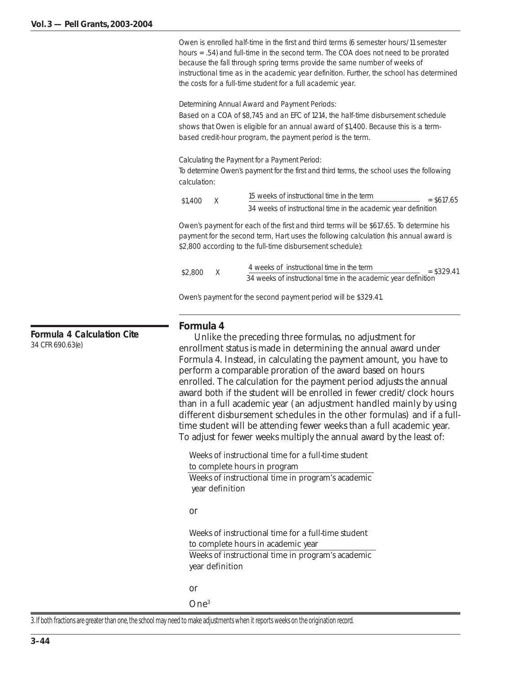Owen is enrolled half-time in the first and third terms (6 semester hours/11 semester hours = .54) and full-time in the second term. The COA does not need to be prorated because the fall through spring terms provide the same number of weeks of instructional time as in the academic year definition. Further, the school has determined the costs for a full-time student for a full academic year.

Determining Annual Award and Payment Periods:

Based on a COA of \$8,745 and an EFC of 1214, the half-time disbursement schedule shows that Owen is eligible for an annual award of \$1,400. Because this is a termbased credit-hour program, the payment period is the term.

Calculating the Payment for a Payment Period:

To determine Owen's payment for the first and third terms, the school uses the following calculation:

| \$1,400 |  | 15 weeks of instructional time in the term                     | $=$ \$617.65 |
|---------|--|----------------------------------------------------------------|--------------|
|         |  | 34 weeks of instructional time in the academic year definition |              |

Owen's payment for each of the first and third terms will be \$617.65. To determine his payment for the second term, Hart uses the following calculation (his annual award is \$2,800 according to the full-time disbursement schedule):

| \$2,800 |  | 4 weeks of instructional time in the term<br>$=$ \$329.41      |
|---------|--|----------------------------------------------------------------|
|         |  | 34 weeks of instructional time in the academic year definition |

Owen's payment for the second payment period will be \$329.41.

#### *Formula 4*

Unlike the preceding three formulas, no adjustment for enrollment status is made in determining the annual award under Formula 4. Instead, in calculating the payment amount, you have to perform a comparable proration of the award based on hours enrolled. The calculation for the payment period adjusts the annual award both if the student will be enrolled in fewer credit/clock hours than in a full academic year (an adjustment handled mainly by using different disbursement schedules in the other formulas) and if a fulltime student will be attending fewer weeks than a full academic year. To adjust for fewer weeks multiply the annual award by the least of:

Weeks of instructional time for a full-time student to complete hours in program Weeks of instructional time in program's academic year definition

#### or

Weeks of instructional time for a full-time student to complete hours in academic year Weeks of instructional time in program's academic year definition

or

One3

3. If both fractions are greater than one, the school may need to make adjustments when it reports weeks on the origination record.

**Formula 4 Calculation Cite** 34 CFR 690.63(e)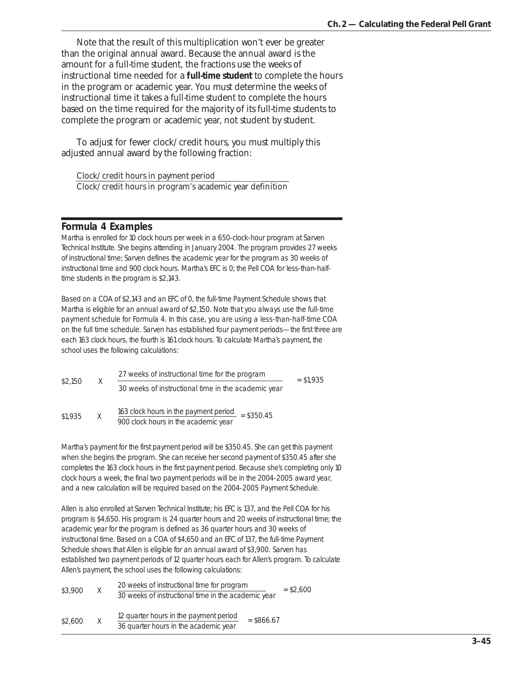Note that the result of this multiplication won't ever be greater than the original annual award. Because the annual award is the amount for a full-time student, the fractions use the weeks of instructional time needed for a **full-time student** to complete the hours in the program or academic year. You must determine the weeks of instructional time it takes a full-time student to complete the hours based on the time required for the majority of its full-time students to complete the program or academic year, not student by student.

To adjust for fewer clock/credit hours, you must multiply this adjusted annual award by the following fraction:

Clock/credit hours in payment period Clock/credit hours in program's academic year definition

# **Formula 4 Examples**

Martha is enrolled for 10 clock hours per week in a 650-clock-hour program at Sarven Technical Institute. She begins attending in January 2004. The program provides 27 weeks of instructional time; Sarven defines the academic year for the program as 30 weeks of instructional time and 900 clock hours. Martha's EFC is 0; the Pell COA for less-than-halftime students in the program is \$2,143.

Based on a COA of \$2,143 and an EFC of 0, the full-time Payment Schedule shows that Martha is eligible for an annual award of \$2,150. Note that you always use the full-time payment schedule for Formula 4. In this case, you are using a less-than-half-time COA on the full time schedule. Sarven has established four payment periods—the first three are each 163 clock hours, the fourth is 161 clock hours. To calculate Martha's payment, the school uses the following calculations:

| \$2,150 | X | 27 weeks of instructional time for the program                                                         | $=$ \$1.935 |
|---------|---|--------------------------------------------------------------------------------------------------------|-------------|
|         |   | 30 weeks of instructional time in the academic year                                                    |             |
| \$1,935 |   | 163 clock hours in the payment period<br>$= $350.45$<br>000 should become the them are almost a common |             |

900 clock hours in the academic year

Martha's payment for the first payment period will be \$350.45. She can get this payment when she begins the program. She can receive her second payment of \$350.45 after she completes the 163 clock hours in the first payment period. Because she's completing only 10 clock hours a week, the final two payment periods will be in the 2004-2005 award year, and a new calculation will be required based on the 2004-2005 Payment Schedule.

Allen is also enrolled at Sarven Technical Institute; his EFC is 137, and the Pell COA for his program is \$4,650. His program is 24 quarter hours and 20 weeks of instructional time; the academic year for the program is defined as 36 quarter hours and 30 weeks of instructional time. Based on a COA of \$4,650 and an EFC of 137, the full-time Payment Schedule shows that Allen is eligible for an annual award of \$3,900. Sarven has established two payment periods of 12 quarter hours each for Allen's program. To calculate Allen's payment, the school uses the following calculations:

| \$3,900 | X | 20 weeks of instructional time for program<br>30 weeks of instructional time in the academic year |              | $=$ \$2,600 |
|---------|---|---------------------------------------------------------------------------------------------------|--------------|-------------|
| \$2,600 | X | 12 quarter hours in the payment period<br>36 quarter hours in the academic year                   | $=$ \$866.67 |             |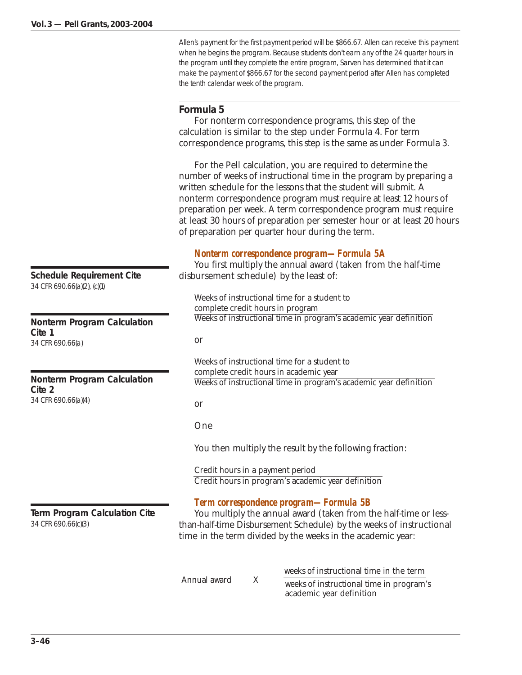Allen's payment for the first payment period will be \$866.67. Allen can receive this payment when he begins the program. Because students don't earn any of the 24 quarter hours in the program until they complete the entire program, Sarven has determined that it can make the payment of \$866.67 for the second payment period after Allen has completed the tenth calendar week of the program.

# *Formula 5*

For nonterm correspondence programs, this step of the calculation is similar to the step under Formula 4. For term correspondence programs, this step is the same as under Formula 3.

For the Pell calculation, you are required to determine the number of weeks of instructional time in the program by preparing a written schedule for the lessons that the student will submit. A nonterm correspondence program must require at least 12 hours of preparation per week. A term correspondence program must require at least 30 hours of preparation per semester hour or at least 20 hours of preparation per quarter hour during the term.

# *Nonterm correspondence program—Formula 5A*

You first multiply the annual award (taken from the half-time disbursement schedule) by the least of:

Weeks of instructional time for a student to complete credit hours in program Weeks of instructional time in program's academic year definition

or

Weeks of instructional time for a student to complete credit hours in academic year Weeks of instructional time in program's academic year definition

or

One

You then multiply the result by the following fraction:

Credit hours in a payment period Credit hours in program's academic year definition

# *Term correspondence program—Formula 5B*

You multiply the annual award (taken from the half-time or lessthan-half-time Disbursement Schedule) by the weeks of instructional time in the term divided by the weeks in the academic year:

weeks of instructional time in the term

Annual award  $X = \frac{1}{\text{ weeks of instructional time in program's}}$ academic year definition

**Schedule Requirement Cite** 34 CFR 690.66(a)(2), (c)(1)

**Nonterm Program Calculation Cite 1** 34 CFR 690.66(a)

**Nonterm Program Calculation Cite 2** 34 CFR 690.66(a)(4)

**Term Program Calculation Cite** 34 CFR 690.66(c)(3)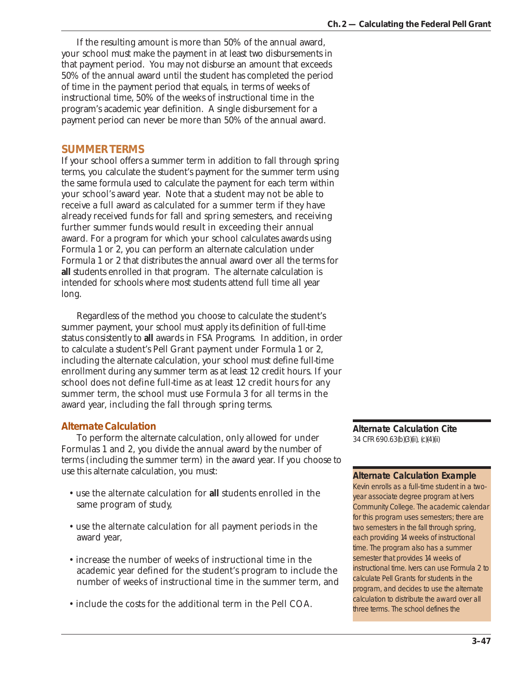If the resulting amount is more than 50% of the annual award, your school must make the payment in at least two disbursements in that payment period. You may not disburse an amount that exceeds 50% of the annual award until the student has completed the period of time in the payment period that equals, in terms of weeks of instructional time, 50% of the weeks of instructional time in the program's academic year definition. A single disbursement for a payment period can never be more than 50% of the annual award.

# **SUMMER TERMS**

If your school offers a summer term in addition to fall through spring terms, you calculate the student's payment for the summer term using the same formula used to calculate the payment for each term within your school's award year. Note that a student may not be able to receive a full award as calculated for a summer term if they have already received funds for fall and spring semesters, and receiving further summer funds would result in exceeding their annual award. For a program for which your school calculates awards using Formula 1 or 2, you can perform an alternate calculation under Formula 1 or 2 that distributes the annual award over all the terms for **all** students enrolled in that program. The alternate calculation is intended for schools where most students attend full time all year long.

Regardless of the method you choose to calculate the student's summer payment, your school must apply its definition of full-time status consistently to **all** awards in FSA Programs. In addition, in order to calculate a student's Pell Grant payment under Formula 1 or 2, including the alternate calculation, your school must define full-time enrollment during any summer term as at least 12 credit hours. If your school does not define full-time as at least 12 credit hours for any summer term, the school must use Formula 3 for all terms in the award year, including the fall through spring terms.

# *Alternate Calculation*

To perform the alternate calculation, only allowed for under Formulas 1 and 2, you divide the annual award by the number of terms (including the summer term) in the award year. If you choose to use this alternate calculation, you must:

- use the alternate calculation for **all** students enrolled in the same program of study,
- use the alternate calculation for all payment periods in the award year,
- increase the number of weeks of instructional time in the academic year defined for the student's program to include the number of weeks of instructional time in the summer term, and
- include the costs for the additional term in the Pell COA.

**Alternate Calculation Cite** 34 CFR 690.63(b)(3)(ii), (c)(4)(ii)

#### **Alternate Calculation Example**

Kevin enrolls as a full-time student in a twoyear associate degree program at Ivers Community College. The academic calendar for this program uses semesters; there are two semesters in the fall through spring, each providing 14 weeks of instructional time. The program also has a summer semester that provides 14 weeks of instructional time. Ivers can use Formula 2 to calculate Pell Grants for students in the program, and decides to use the alternate calculation to distribute the award over all three terms. The school defines the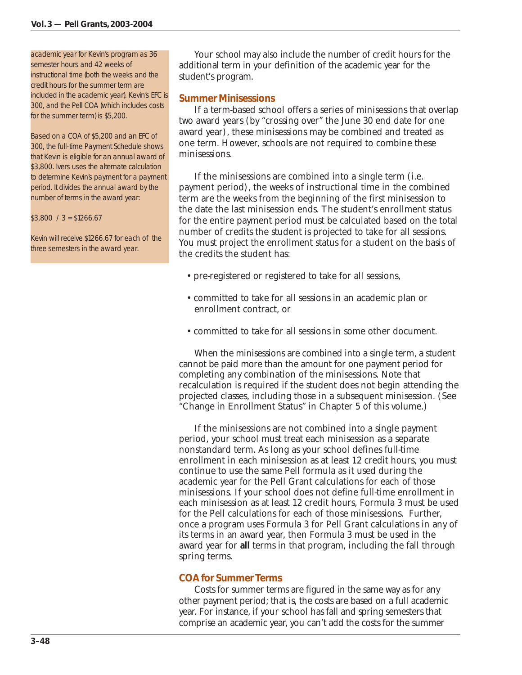#### academic year for Kevin's program as 36

semester hours and 42 weeks of instructional time (both the weeks and the credit hours for the summer term are included in the academic year). Kevin's EFC is 300, and the Pell COA (which includes costs for the summer term) is \$5,200.

Based on a COA of \$5,200 and an EFC of 300, the full-time Payment Schedule shows that Kevin is eligible for an annual award of \$3,800. Ivers uses the alternate calculation to determine Kevin's payment for a payment period. It divides the annual award by the number of terms in the award year:

 $$3,800 / 3 = $1266.67$ 

Kevin will receive \$1266.67 for each of the three semesters in the award year.

Your school may also include the number of credit hours for the additional term in your definition of the academic year for the student's program.

#### *Summer Minisessions*

If a term-based school offers a series of minisessions that overlap two award years (by "crossing over" the June 30 end date for one award year), these minisessions may be combined and treated as one term. However, schools are not required to combine these minisessions.

If the minisessions are combined into a single term (i.e. payment period), the weeks of instructional time in the combined term are the weeks from the beginning of the first minisession to the date the last minisession ends. The student's enrollment status for the entire payment period must be calculated based on the total number of credits the student is projected to take for all sessions. You must project the enrollment status for a student on the basis of the credits the student has:

- pre-registered or registered to take for all sessions,
- committed to take for all sessions in an academic plan or enrollment contract, or
- committed to take for all sessions in some other document.

When the minisessions are combined into a single term, a student cannot be paid more than the amount for one payment period for completing any combination of the minisessions. Note that recalculation is required if the student does not begin attending the projected classes, including those in a subsequent minisession. (See "Change in Enrollment Status" in Chapter 5 of this volume.)

If the minisessions are not combined into a single payment period, your school must treat each minisession as a separate nonstandard term. As long as your school defines full-time enrollment in each minisession as at least 12 credit hours, you must continue to use the same Pell formula as it used during the academic year for the Pell Grant calculations for each of those minisessions. If your school does not define full-time enrollment in each minisession as at least 12 credit hours, Formula 3 must be used for the Pell calculations for each of those minisessions. Further, once a program uses Formula 3 for Pell Grant calculations in any of its terms in an award year, then Formula 3 must be used in the award year for **all** terms in that program, including the fall through spring terms.

# *COA for Summer Terms*

Costs for summer terms are figured in the same way as for any other payment period; that is, the costs are based on a full academic year. For instance, if your school has fall and spring semesters that comprise an academic year, you can't add the costs for the summer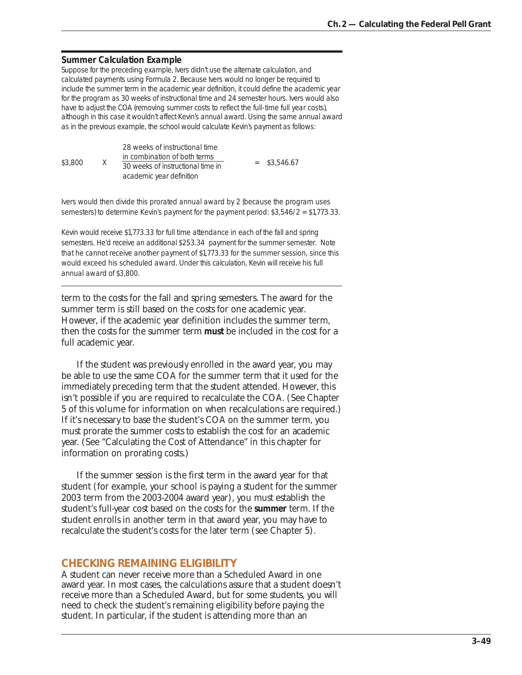#### **Summer Calculation Example**

Suppose for the preceding example, Ivers didn't use the alternate calculation, and calculated payments using Formula 2. Because Ivers would no longer be required to include the summer term in the academic year definition, it could define the academic year for the program as 30 weeks of instructional time and 24 semester hours. Ivers would also have to adjust the COA (removing summer costs to reflect the full-time full year costs), although in this case it wouldn't affect Kevin's annual award. Using the same annual award as in the previous example, the school would calculate Kevin's payment as follows:

\$3,800 X 28 weeks of instructional time  $\frac{\text{in combination of both terms}}{20 \text{ seconds of information of both times in terms}}$  = \$3,546.67 30 weeks of instructional time in academic year definition

Ivers would then divide this prorated annual award by 2 (because the program uses semesters) to determine Kevin's payment for the payment period: \$3,546/2 = \$1,773.33.

Kevin would receive \$1,773.33 for full time attendance in each of the fall and spring semesters. He'd receive an additional \$253.34 payment for the summer semester. Note that he cannot receive another payment of \$1,773.33 for the summer session, since this would exceed his scheduled award. Under this calculation, Kevin will receive his full annual award of \$3,800.

term to the costs for the fall and spring semesters. The award for the summer term is still based on the costs for one academic year. However, if the academic year definition includes the summer term, then the costs for the summer term **must** be included in the cost for a full academic year.

If the student was previously enrolled in the award year, you may be able to use the same COA for the summer term that it used for the immediately preceding term that the student attended. However, this isn't possible if you are required to recalculate the COA. (See Chapter 5 of this volume for information on when recalculations are required.) If it's necessary to base the student's COA on the summer term, you must prorate the summer costs to establish the cost for an academic year. (See "Calculating the Cost of Attendance" in this chapter for information on prorating costs.)

If the summer session is the first term in the award year for that student (for example, your school is paying a student for the summer 2003 term from the 2003-2004 award year), you must establish the student's full-year cost based on the costs for the **summer** term. If the student enrolls in another term in that award year, you may have to recalculate the student's costs for the later term (see Chapter 5).

## **CHECKING REMAINING ELIGIBILITY**

A student can never receive more than a Scheduled Award in one award year. In most cases, the calculations assure that a student doesn't receive more than a Scheduled Award, but for some students, you will need to check the student's remaining eligibility before paying the student. In particular, if the student is attending more than an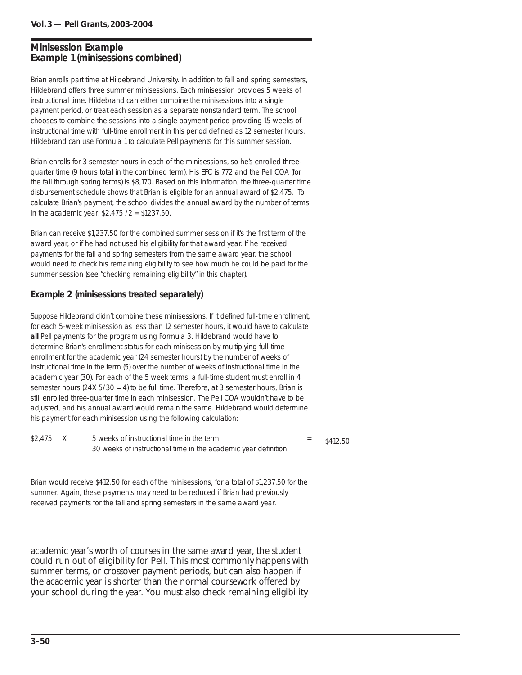# **Minisession Example Example 1 (minisessions combined)**

Brian enrolls part time at Hildebrand University. In addition to fall and spring semesters, Hildebrand offers three summer minisessions. Each minisession provides 5 weeks of instructional time. Hildebrand can either combine the minisessions into a single payment period, or treat each session as a separate nonstandard term. The school chooses to combine the sessions into a single payment period providing 15 weeks of instructional time with full-time enrollment in this period defined as 12 semester hours. Hildebrand can use Formula 1 to calculate Pell payments for this summer session.

Brian enrolls for 3 semester hours in each of the minisessions, so he's enrolled threequarter time (9 hours total in the combined term). His EFC is 772 and the Pell COA (for the fall through spring terms) is \$8,170. Based on this information, the three-quarter time disbursement schedule shows that Brian is eligible for an annual award of \$2,475. To calculate Brian's payment, the school divides the annual award by the number of terms in the academic year: \$2,475 /2 = \$1237.50.

Brian can receive \$1,237.50 for the combined summer session if it's the first term of the award year, or if he had not used his eligibility for that award year. If he received payments for the fall and spring semesters from the same award year, the school would need to check his remaining eligibility to see how much he could be paid for the summer session (see "checking remaining eligibility" in this chapter).

# **Example 2 (minisessions treated separately)**

Suppose Hildebrand didn't combine these minisessions. If it defined full-time enrollment, for each 5-week minisession as less than 12 semester hours, it would have to calculate **all** Pell payments for the program using Formula 3. Hildebrand would have to determine Brian's enrollment status for each minisession by multiplying full-time enrollment for the academic year (24 semester hours) by the number of weeks of instructional time in the term (5) over the number of weeks of instructional time in the academic year (30). For each of the 5 week terms, a full-time student must enroll in 4 semester hours (24X 5/30 = 4) to be full time. Therefore, at 3 semester hours, Brian is still enrolled three-quarter time in each minisession. The Pell COA wouldn't have to be adjusted, and his annual award would remain the same. Hildebrand would determine his payment for each minisession using the following calculation:

| \$2,475 | 5 weeks of instructional time in the term                      | \$412.50 |
|---------|----------------------------------------------------------------|----------|
|         | 30 weeks of instructional time in the academic year definition |          |

Brian would receive \$412.50 for each of the minisessions, for a total of \$1,237.50 for the summer. Again, these payments may need to be reduced if Brian had previously received payments for the fall and spring semesters in the same award year.

academic year's worth of courses in the same award year, the student could run out of eligibility for Pell. This most commonly happens with summer terms, or crossover payment periods, but can also happen if the academic year is shorter than the normal coursework offered by your school during the year. You must also check remaining eligibility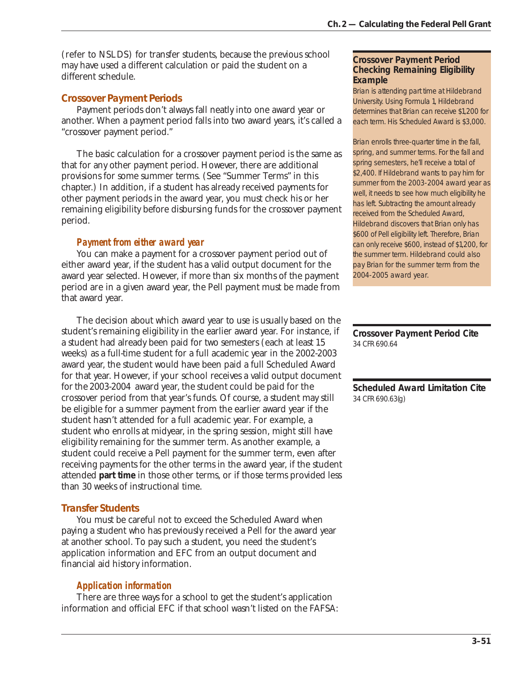(refer to NSLDS) for transfer students, because the previous school may have used a different calculation or paid the student on a different schedule.

# *Crossover Payment Periods*

Payment periods don't always fall neatly into one award year or another. When a payment period falls into two award years, it's called a "crossover payment period."

The basic calculation for a crossover payment period is the same as that for any other payment period. However, there are additional provisions for some summer terms. (See "Summer Terms" in this chapter.) In addition, if a student has already received payments for other payment periods in the award year, you must check his or her remaining eligibility before disbursing funds for the crossover payment period.

# *Payment from either award year*

You can make a payment for a crossover payment period out of either award year, if the student has a valid output document for the award year selected. However, if more than six months of the payment period are in a given award year, the Pell payment must be made from that award year.

The decision about which award year to use is usually based on the student's remaining eligibility in the earlier award year. For instance, if a student had already been paid for two semesters (each at least 15 weeks) as a full-time student for a full academic year in the 2002-2003 award year, the student would have been paid a full Scheduled Award for that year. However, if your school receives a valid output document for the 2003-2004 award year, the student could be paid for the crossover period from that year's funds. Of course, a student may still be eligible for a summer payment from the earlier award year if the student hasn't attended for a full academic year. For example, a student who enrolls at midyear, in the spring session, might still have eligibility remaining for the summer term. As another example, a student could receive a Pell payment for the summer term, even after receiving payments for the other terms in the award year, if the student attended **part time** in those other terms, or if those terms provided less than 30 weeks of instructional time.

# *Transfer Students*

You must be careful not to exceed the Scheduled Award when paying a student who has previously received a Pell for the award year at another school. To pay such a student, you need the student's application information and EFC from an output document and financial aid history information.

# *Application information*

There are three ways for a school to get the student's application information and official EFC if that school wasn't listed on the FAFSA:

### **Crossover Payment Period Checking Remaining Eligibility Example**

Brian is attending part time at Hildebrand University. Using Formula 1, Hildebrand determines that Brian can receive \$1,200 for each term. His Scheduled Award is \$3,000.

Brian enrolls three-quarter time in the fall, spring, and summer terms. For the fall and spring semesters, he'll receive a total of \$2,400. If Hildebrand wants to pay him for summer from the 2003-2004 award year as well, it needs to see how much eligibility he has left. Subtracting the amount already received from the Scheduled Award, Hildebrand discovers that Brian only has \$600 of Pell eligibility left. Therefore, Brian can only receive \$600, instead of \$1,200, for the summer term. Hildebrand could also pay Brian for the summer term from the 2004-2005 award year.

**Crossover Payment Period Cite** 34 CFR 690.64

**Scheduled Award Limitation Cite** 34 CFR 690.63(g)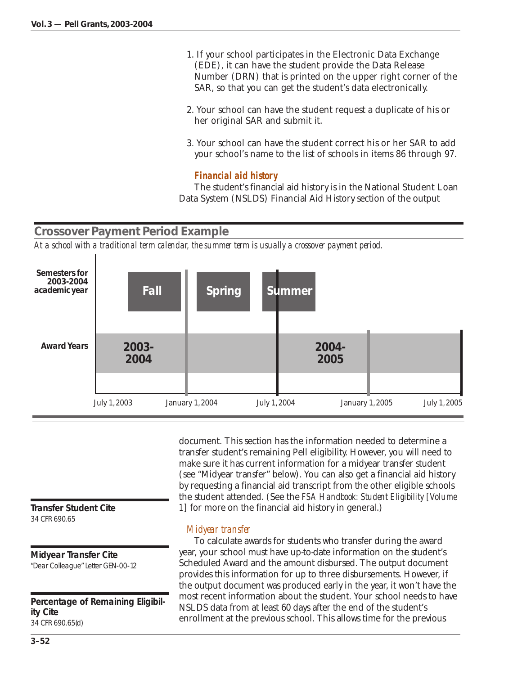- 1. If your school participates in the Electronic Data Exchange (EDE), it can have the student provide the Data Release Number (DRN) that is printed on the upper right corner of the SAR, so that you can get the student's data electronically.
- 2. Your school can have the student request a duplicate of his or her original SAR and submit it.
- 3. Your school can have the student correct his or her SAR to add your school's name to the list of schools in items 86 through 97.

# *Financial aid history*

The student's financial aid history is in the National Student Loan Data System (NSLDS) Financial Aid History section of the output

# **Crossover Payment Period Example**

*At a school with a traditional term calendar, the summer term is usually a crossover payment period.*



**Transfer Student Cite** 34 CFR 690.65

**Midyear Transfer Cite**

"Dear Colleague" Letter GEN-00-12

**Percentage of Remaining Eligibility Cite** 34 CFR 690.65(d)

document. This section has the information needed to determine a transfer student's remaining Pell eligibility. However, you will need to make sure it has current information for a midyear transfer student (see "Midyear transfer" below). You can also get a financial aid history by requesting a financial aid transcript from the other eligible schools the student attended. (See the *FSA Handbook: Student Eligibility [Volume 1]* for more on the financial aid history in general.)

# *Midyear transfer*

To calculate awards for students who transfer during the award year, your school must have up-to-date information on the student's Scheduled Award and the amount disbursed. The output document provides this information for up to three disbursements. However, if the output document was produced early in the year, it won't have the most recent information about the student. Your school needs to have NSLDS data from at least 60 days after the end of the student's enrollment at the previous school. This allows time for the previous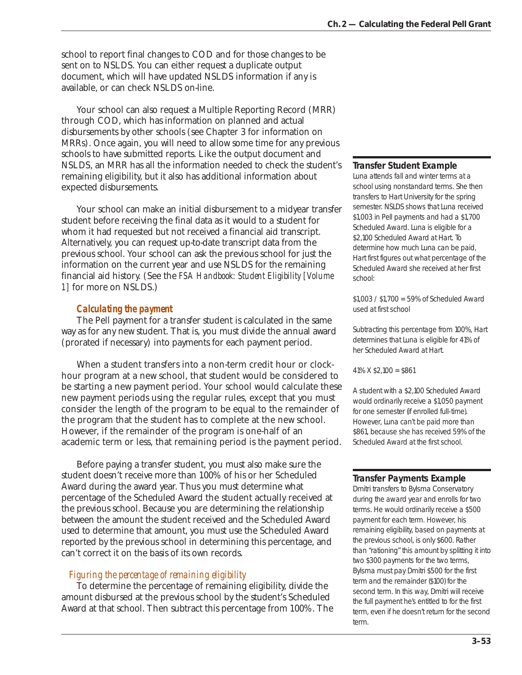school to report final changes to COD and for those changes to be sent on to NSLDS. You can either request a duplicate output document, which will have updated NSLDS information if any is available, or can check NSLDS on-line.

Your school can also request a Multiple Reporting Record (MRR) through COD, which has information on planned and actual disbursements by other schools (see Chapter 3 for information on MRRs). Once again, you will need to allow some time for any previous schools to have submitted reports. Like the output document and NSLDS, an MRR has all the information needed to check the student's remaining eligibility, but it also has additional information about expected disbursements.

Your school can make an initial disbursement to a midyear transfer student before receiving the final data as it would to a student for whom it had requested but not received a financial aid transcript. Alternatively, you can request up-to-date transcript data from the previous school. Your school can ask the previous school for just the information on the current year and use NSLDS for the remaining financial aid history. (See the *FSA Handbook: Student Eligibility [Volume 1]* for more on NSLDS.)

## *Calculating the payment*

The Pell payment for a transfer student is calculated in the same way as for any new student. That is, you must divide the annual award (prorated if necessary) into payments for each payment period.

When a student transfers into a non-term credit hour or clockhour program at a new school, that student would be considered to be starting a new payment period. Your school would calculate these new payment periods using the regular rules, except that you must consider the length of the program to be equal to the remainder of the program that the student has to complete at the new school. However, if the remainder of the program is one-half of an academic term or less, that remaining period is the payment period.

Before paying a transfer student, you must also make sure the student doesn't receive more than 100% of his or her Scheduled Award during the award year. Thus you must determine what percentage of the Scheduled Award the student actually received at the previous school. Because you are determining the relationship between the amount the student received and the Scheduled Award used to determine that amount, you must use the Scheduled Award reported by the previous school in determining this percentage, and can't correct it on the basis of its own records.

#### *Figuring the percentage of remaining eligibility*

To determine the percentage of remaining eligibility, divide the amount disbursed at the previous school by the student's Scheduled Award at that school. Then subtract this percentage from 100%. The

#### **Transfer Student Example**

Luna attends fall and winter terms at a school using nonstandard terms. She then transfers to Hart University for the spring semester. NSLDS shows that Luna received \$1,003 in Pell payments and had a \$1,700 Scheduled Award. Luna is eligible for a \$2,100 Scheduled Award at Hart. To determine how much Luna can be paid, Hart first figures out what percentage of the Scheduled Award she received at her first school:

\$1,003 / \$1,700 = 59% of Scheduled Award used at first school

Subtracting this percentage from 100%, Hart determines that Luna is eligible for 41% of her Scheduled Award at Hart.

41% X \$2,100 = \$861

A student with a \$2,100 Scheduled Award would ordinarily receive a \$1,050 payment for one semester (if enrolled full-time). However, Luna can't be paid more than \$861, because she has received 59% of the Scheduled Award at the first school.

#### **Transfer Payments Example**

Dmitri transfers to Bylsma Conservatory during the award year and enrolls for two terms. He would ordinarily receive a \$500 payment for each term. However, his remaining eligibility, based on payments at the previous school, is only \$600. Rather than "rationing" this amount by splitting it into two \$300 payments for the two terms, Bylsma must pay Dmitri \$500 for the first term and the remainder (\$100) for the second term. In this way, Dmitri will receive the full payment he's entitled to for the first term, even if he doesn't return for the second term.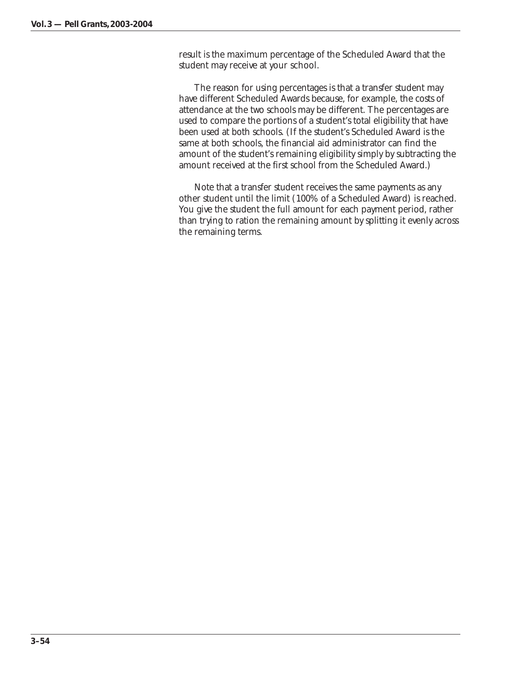result is the maximum percentage of the Scheduled Award that the student may receive at your school.

The reason for using percentages is that a transfer student may have different Scheduled Awards because, for example, the costs of attendance at the two schools may be different. The percentages are used to compare the portions of a student's total eligibility that have been used at both schools. (If the student's Scheduled Award is the same at both schools, the financial aid administrator can find the amount of the student's remaining eligibility simply by subtracting the amount received at the first school from the Scheduled Award.)

Note that a transfer student receives the same payments as any other student until the limit (100% of a Scheduled Award) is reached. You give the student the full amount for each payment period, rather than trying to ration the remaining amount by splitting it evenly across the remaining terms.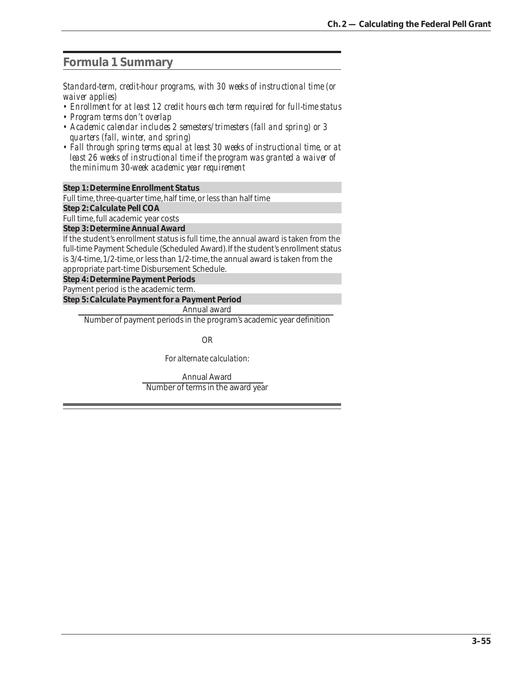# **Formula 1 Summary**

*Standard-term, credit-hour programs, with 30 weeks of instructional time (or waiver applies)*

- *Enrollment for at least 12 credit hours each term required for full-time status*
- *Program terms don't overlap*
- *Academic calendar includes 2 semesters/trimesters (fall and spring) or 3 quarters (fall, winter, and spring)*
- *Fall through spring terms equal at least 30 weeks of instructional time, or at least 26 weeks of instructional time if the program was granted a waiver of the minimum 30-week academic year requirement*

*Step 1: Determine Enrollment Status*

Full time, three-quarter time, half time, or less than half time

*Step 2: Calculate Pell COA* Full time, full academic year costs

*Step 3: Determine Annual Award*

If the student's enrollment status is full time, the annual award is taken from the full-time Payment Schedule (Scheduled Award). If the student's enrollment status is 3/4-time, 1/2-time, or less than 1/2-time, the annual award is taken from the appropriate part-time Disbursement Schedule.

*Step 4: Determine Payment Periods*

Payment period is the academic term.

*Step 5: Calculate Payment for a Payment Period*

Annual award

Number of payment periods in the program's academic year definition

OR

*For alternate calculation:*

Annual Award Number of terms in the award year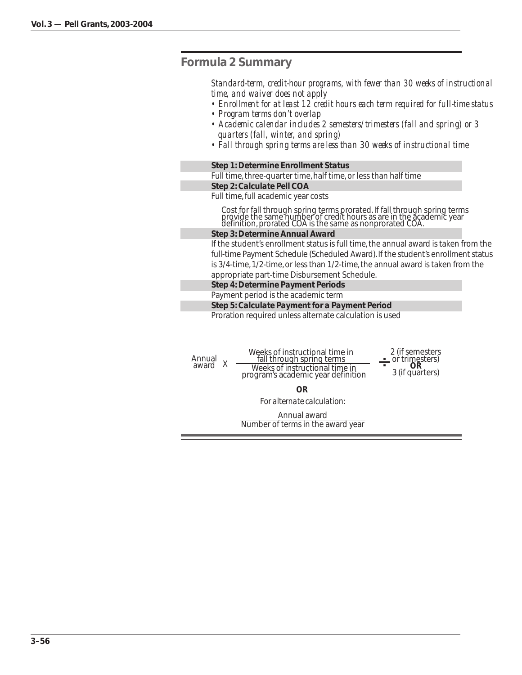# **Formula 2 Summary**

*Standard-term, credit-hour programs, with fewer than 30 weeks of instructional time, and waiver does not apply*

- *Enrollment for at least 12 credit hours each term required for full-time status*
- *Program terms don't overlap*
- *Academic calendar includes 2 semesters/trimesters (fall and spring) or 3 quarters (fall, winter, and spring)*
- *Fall through spring terms are less than 30 weeks of instructional time*

*Step 1: Determine Enrollment Status*

Full time, three-quarter time, half time, or less than half time *Step 2: Calculate Pell COA*

Full time, full academic year costs

Cost for fall through spring terms prorated. If fall through spring terms provide the same number of credit hours as are in the academic year definition, prorated COA is the same as nonprorated COA.

#### *Step 3: Determine Annual Award*

If the student's enrollment status is full time, the annual award is taken from the full-time Payment Schedule (Scheduled Award). If the student's enrollment status is 3/4-time, 1/2-time, or less than 1/2-time, the annual award is taken from the appropriate part-time Disbursement Schedule.

*Step 4: Determine Payment Periods*

#### Payment period is the academic term

*Step 5: Calculate Payment for a Payment Period*

Proration required unless alternate calculation is used

| Annual<br>award | Weeks of instructional time in<br>fall through spring terms<br>Weeks of instructional time in<br>program's academic year definition | 2 (if semesters<br>or trimesters)<br>OR<br>3 (if quarters) |
|-----------------|-------------------------------------------------------------------------------------------------------------------------------------|------------------------------------------------------------|
|                 | <b>OR</b>                                                                                                                           |                                                            |
|                 | For alternate calculation:                                                                                                          |                                                            |
|                 | Annual award<br>Number of terms in the award year                                                                                   |                                                            |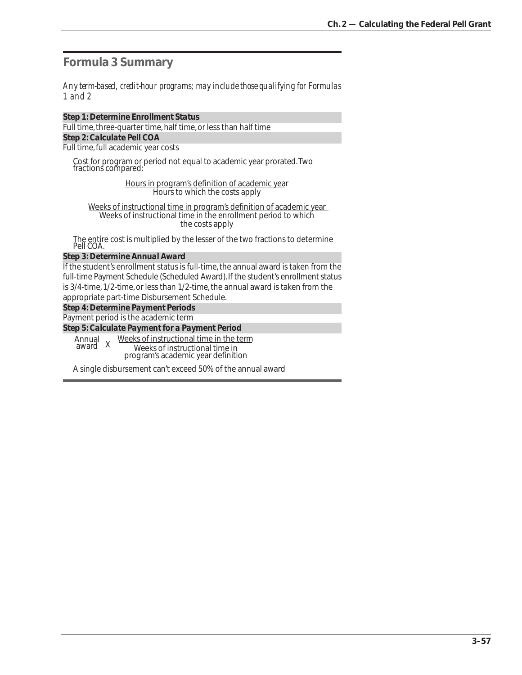**Formula 3 Summary**

*Any term-based, credit-hour programs; may include those qualifying for Formulas 1 and 2*

*Step 1: Determine Enrollment Status* Full time, three-quarter time, half time, or less than half time *Step 2: Calculate Pell COA* Full time, full academic year costs

Cost for program or period not equal to academic year prorated. Two fractions compared:

> Hours in program's definition of academic year Hours to which the costs apply

Weeks of instructional time in program's definition of academic year Weeks of instructional time in the enrollment period to which the costs apply

The entire cost is multiplied by the lesser of the two fractions to determine Pell COA.

#### *Step 3: Determine Annual Award*

If the student's enrollment status is full-time, the annual award is taken from the full-time Payment Schedule (Scheduled Award). If the student's enrollment status is 3/4-time, 1/2-time, or less than 1/2-time, the annual award is taken from the appropriate part-time Disbursement Schedule.

*Step 4: Determine Payment Periods*

Payment period is the academic term

*Step 5: Calculate Payment for a Payment Period*

Weeks of instructional time in Annual<br>award X award <sup>X</sup> Weeks of instructional time in the term

program's academic year definition

A single disbursement can't exceed 50% of the annual award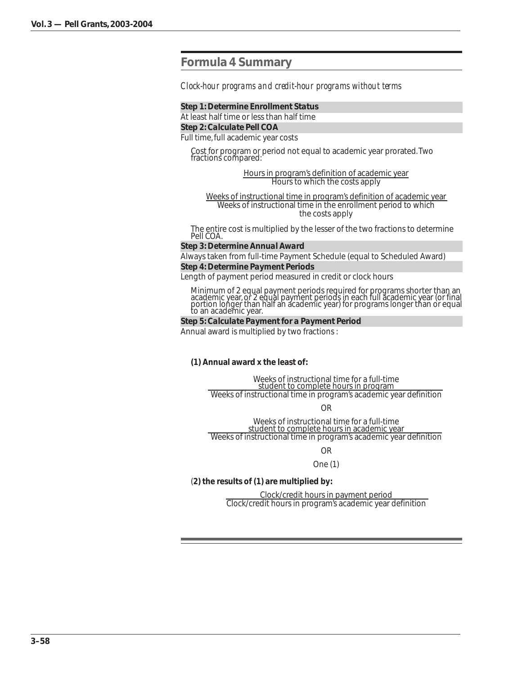# **Formula 4 Summary**

*Clock-hour programs and credit-hour programs without terms*

#### *Step 1: Determine Enrollment Status*

At least half time or less than half time *Step 2: Calculate Pell COA*

Full time, full academic year costs

Cost for program or period not equal to academic year prorated. Two fractions compared:

> Hours in program's definition of academic year Hours to which the costs apply

Weeks of instructional time in program's definition of academic year Weeks of instructional time in the enrollment period to which the costs apply

The entire cost is multiplied by the lesser of the two fractions to determine Pell COA.

#### *Step 3: Determine Annual Award*

Always taken from full-time Payment Schedule (equal to Scheduled Award) *Step 4: Determine Payment Periods*

Length of payment period measured in credit or clock hours

Minimum of 2 equal payment periods required for programs shorter than an academic year, or 2 equal payment periods in each full academic year (or final portion longer than half ah academic year) for programs longer than or equal<br>to an academic year.

#### *Step 5: Calculate Payment for a Payment Period*

Annual award is multiplied by two fractions :

**(1) Annual award x the least of:**

Weeks of instructional time for a full-time student to complete hours in program Weeks of instructional time in program's academic year definition

OR

Weeks of instructional time for a full-time student to complete hours in academic year Weeks of instructional time in program's academic year definition

OR

One (1)

#### (**2) the results of (1) are multiplied by:**

Clock/credit hours in payment period Clock/credit hours in program's academic year definition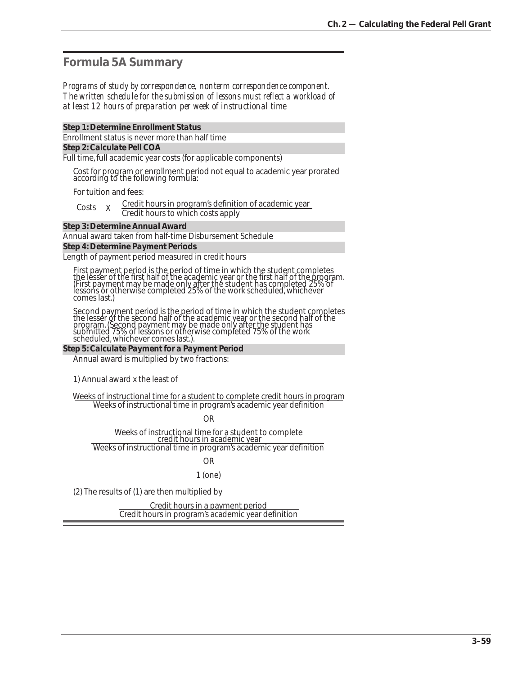# **Formula 5A Summary**

#### *Programs of study by correspondence, nonterm correspondence component. The written schedule for the submission of lessons must reflect a workload of at least 12 hours of preparation per week of instructional time*

#### *Step 1: Determine Enrollment Status*

Enrollment status is never more than half time

#### *Step 2: Calculate Pell COA*

Full time, full academic year costs (for applicable components)

Cost for program or enrollment period not equal to academic year prorated according to the following formula:

For tuition and fees:

| Costs |  | Credit hours in program's definition of academic year |
|-------|--|-------------------------------------------------------|
|       |  | Credit hours to which costs apply                     |

#### *Step 3: Determine Annual Award*

Annual award taken from half-time Disbursement Schedule *Step 4: Determine Payment Periods*

Length of payment period measured in credit hours

First payment period is the period of time in which the student completes the lesser of the first half of the academic year or the first half of the program. (First payment may be made only after the student has completed 25% of lessons or otherwise completed 25% of the work scheduled, whichever comes last.)

Second payment period is the period of time in which the student completes the lesser of the second half of the academic year or the second half of the program. (Second payment may be made only after the student has submitted 75% of lessons or otherwise completed 75% of the work scheduled, whichever comes last.).

#### *Step 5: Calculate Payment for a Payment Period*

Annual award is multiplied by two fractions:

1) Annual award x the least of

Weeks of instructional time for a student to complete credit hours in program Weeks of instructional time in program's academic year definition

OR

Weeks of instructional time for a student to complete<br>credit hours in academic year Weeks of instructional time in program's academic year definition

#### OR 1 (one)

(2) The results of (1) are then multiplied by

Credit hours in a payment period Credit hours in program's academic year definition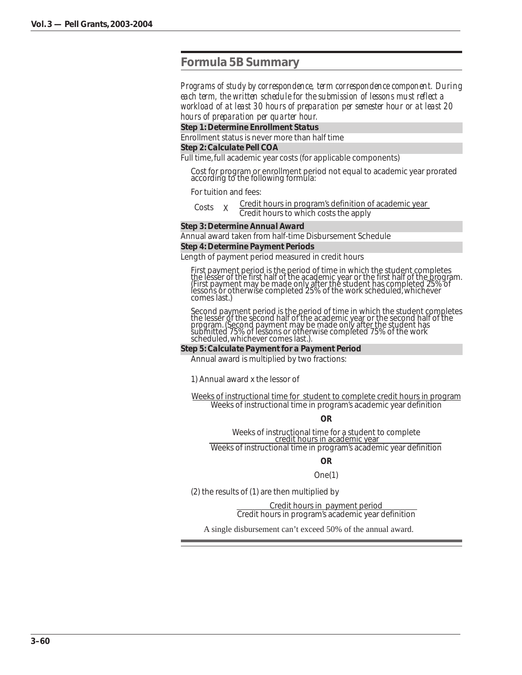# **Formula 5B Summary**

*Programs of study by correspondence, term correspondence component. During each term, the written schedule for the submission of lessons must reflect a workload of at least 30 hours of preparation per semester hour or at least 20 hours of preparation per quarter hour.*

*Step 1: Determine Enrollment Status*

Enrollment status is never more than half time

#### *Step 2: Calculate Pell COA*

Full time, full academic year costs (for applicable components)

Cost for program or enrollment period not equal to academic year prorated according to the following formula:

For tuition and fees:

| Costs |  | Credit hours in program's definition of academic year |
|-------|--|-------------------------------------------------------|
|       |  | Credit hours to which costs the apply                 |

#### *Step 3: Determine Annual Award*

Annual award taken from half-time Disbursement Schedule

#### *Step 4: Determine Payment Periods*

Length of payment period measured in credit hours

First payment period is the period of time in which the student completes the lesser of the first half of the academic year or the first half of the program. (First payment may be made only after the student has completed 25% of lessons or otherwise completed 25% of the work scheduled, whichever comes last.)

Second payment period is the period of time in which the student completes the lesser of the second half of the academic year or the second half of the program. (Second payment may be made only after the student has submitted 75% of lessons or otherwise completed 75% of the work scheduled, whichever comes last.).

#### *Step 5: Calculate Payment for a Payment Period*

Annual award is multiplied by two fractions:

1) Annual award x the lessor of

Weeks of instructional time for student to complete credit hours in program Weeks of instructional time in program's academic year definition

**OR**

Weeks of instructional time for a student to complete<br>credit hours in academic year

Weeks of instructional time in program's academic year definition

**OR**

#### One(1)

(2) the results of (1) are then multiplied by

Credit hours in payment period Credit hours in program's academic year definition

A single disbursement can't exceed 50% of the annual award.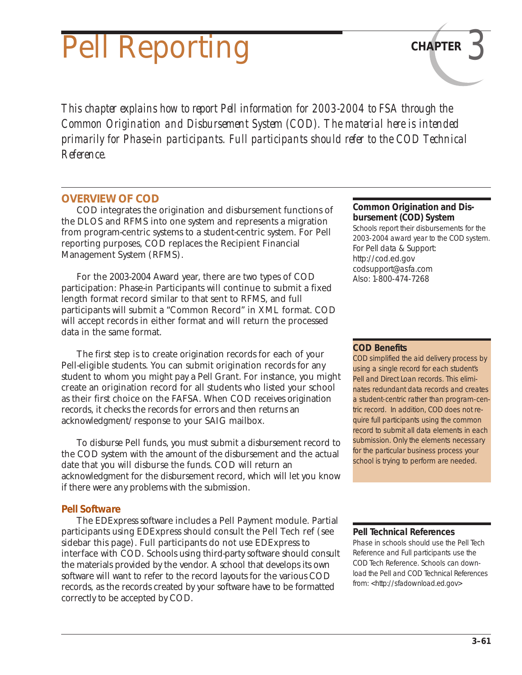# **Pell Reporting CHAPTER**

*This chapter explains how to report Pell information for 2003-2004 to FSA through the Common Origination and Disbursement System (COD). The material here is intended primarily for Phase-in participants. Full participants should refer to the COD Technical Reference.*

# **OVERVIEW OF COD**

COD integrates the origination and disbursement functions of the DLOS and RFMS into one system and represents a migration from program-centric systems to a student-centric system. For Pell reporting purposes, COD replaces the Recipient Financial Management System (RFMS).

For the 2003-2004 Award year, there are two types of COD participation: Phase-in Participants will continue to submit a fixed length format record similar to that sent to RFMS, and full participants will submit a "Common Record" in XML format. COD will accept records in either format and will return the processed data in the same format.

The first step is to create origination records for each of your Pell-eligible students. You can submit origination records for any student to whom you might pay a Pell Grant. For instance, you might create an origination record for all students who listed your school as their first choice on the FAFSA. When COD receives origination records, it checks the records for errors and then returns an acknowledgment/response to your SAIG mailbox.

To disburse Pell funds, you must submit a disbursement record to the COD system with the amount of the disbursement and the actual date that you will disburse the funds. COD will return an acknowledgment for the disbursement record, which will let you know if there were any problems with the submission.

# *Pell Software*

The EDExpress software includes a Pell Payment module. Partial participants using EDExpress should consult the Pell Tech ref (see sidebar this page). Full participants do not use EDExpress to interface with COD. Schools using third-party software should consult the materials provided by the vendor. A school that develops its own software will want to refer to the record layouts for the various COD records, as the records created by your software have to be formatted correctly to be accepted by COD.

#### **Common Origination and Disbursement (COD) System**

Schools report their disbursements for the 2003-2004 award year to the COD system. For Pell data & Support: http://cod.ed.gov codsupport@asfa.com Also: 1-800-474-7268

# **COD Benefits**

COD simplified the aid delivery process by using a single record for each student's Pell and Direct Loan records. This eliminates redundant data records and creates a student-centric rather than program-centric record. In addition, COD does not require full participants using the common record to submit all data elements in each submission. Only the elements necessary for the particular business process your school is trying to perform are needed.

#### **Pell Technical References**

Phase in schools should use the Pell Tech Reference and Full participants use the COD Tech Reference. Schools can download the Pell and COD Technical References from: <http://sfadownload.ed.gov>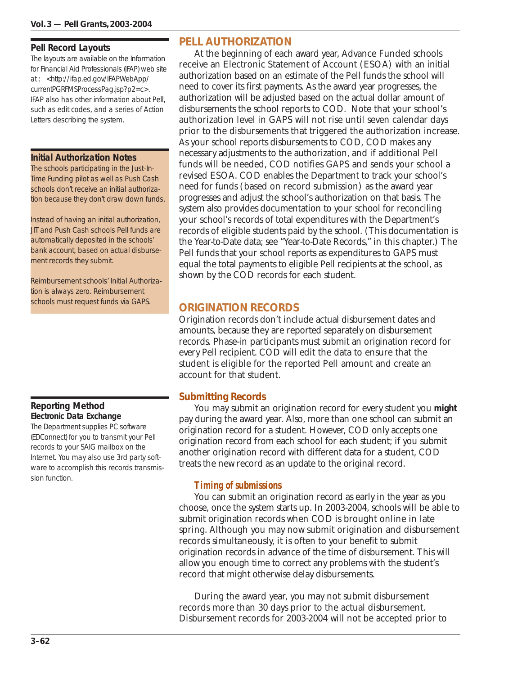#### **Pell Record Layouts**

The layouts are available on the Information for Financial Aid Professionals (IFAP) web site at : <http://ifap.ed.gov/IFAPWebApp/ currentPGRFMSProcessPag.jsp?p2=c>. IFAP also has other information about Pell, such as edit codes, and a series of Action Letters describing the system.

#### **Initial Authorization Notes**

The schools participating in the Just-In-Time Funding pilot as well as Push Cash schools don't receive an initial authorization because they don't draw down funds.

Instead of having an initial authorization, JIT and Push Cash schools Pell funds are automatically deposited in the schools' bank account, based on actual disbursement records they submit.

Reimbursement schools' Initial Authorization is always zero. Reimbursement schools must request funds via GAPS.

## **Reporting Method Electronic Data Exchange**

The Department supplies PC software (EDConnect) for you to transmit your Pell records to your SAIG mailbox on the Internet. You may also use 3rd party software to accomplish this records transmission function.

# **PELL AUTHORIZATION**

At the beginning of each award year, Advance Funded schools receive an Electronic Statement of Account (ESOA) with an initial authorization based on an estimate of the Pell funds the school will need to cover its first payments. As the award year progresses, the authorization will be adjusted based on the actual dollar amount of disbursements the school reports to COD. Note that your school's authorization level in GAPS will not rise until seven calendar days prior to the disbursements that triggered the authorization increase. As your school reports disbursements to COD, COD makes any necessary adjustments to the authorization, and if additional Pell funds will be needed, COD notifies GAPS and sends your school a revised ESOA. COD enables the Department to track your school's need for funds (based on record submission) as the award year progresses and adjust the school's authorization on that basis. The system also provides documentation to your school for reconciling your school's records of total expenditures with the Department's records of eligible students paid by the school. (This documentation is the Year-to-Date data; see "Year-to-Date Records," in this chapter.) The Pell funds that your school reports as expenditures to GAPS must equal the total payments to eligible Pell recipients at the school, as shown by the COD records for each student.

# **ORIGINATION RECORDS**

Origination records don't include actual disbursement dates and amounts, because they are reported separately on disbursement records. Phase-in participants must submit an origination record for every Pell recipient. COD will edit the data to ensure that the student is eligible for the reported Pell amount and create an account for that student.

# *Submitting Records*

You may submit an origination record for every student you **might** pay during the award year. Also, more than one school can submit an origination record for a student. However, COD only accepts one origination record from each school for each student; if you submit another origination record with different data for a student, COD treats the new record as an update to the original record.

# *Timing of submissions*

You can submit an origination record as early in the year as you choose, once the system starts up. In 2003-2004, schools will be able to submit origination records when COD is brought online in late spring. Although you may now submit origination and disbursement records simultaneously, it is often to your benefit to submit origination records in advance of the time of disbursement. This will allow you enough time to correct any problems with the student's record that might otherwise delay disbursements.

During the award year, you may not submit disbursement records more than 30 days prior to the actual disbursement. Disbursement records for 2003-2004 will not be accepted prior to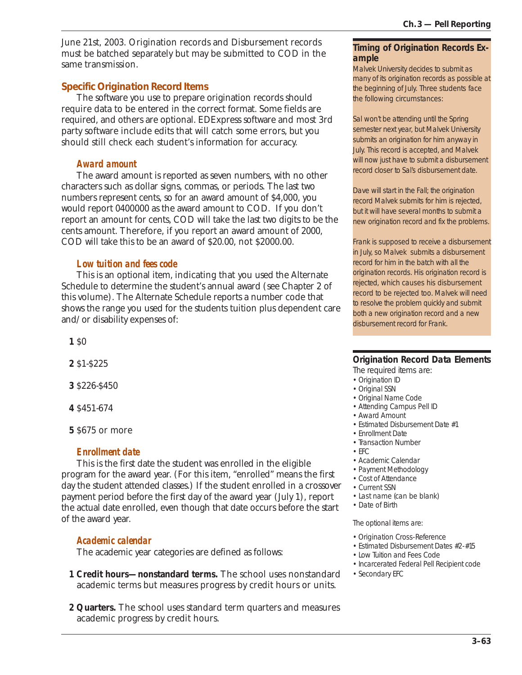June 21st, 2003. Origination records and Disbursement records must be batched separately but may be submitted to COD in the same transmission.

# *Specific Origination Record Items*

The software you use to prepare origination records should require data to be entered in the correct format. Some fields are required, and others are optional. EDExpress software and most 3rd party software include edits that will catch some errors, but you should still check each student's information for accuracy.

# *Award amount*

The award amount is reported as seven numbers, with no other characters such as dollar signs, commas, or periods. The last two numbers represent cents, so for an award amount of \$4,000, you would report 0400000 as the award amount to COD. If you don't report an amount for cents, COD will take the last two digits to be the cents amount. Therefore, if you report an award amount of 2000, COD will take this to be an award of \$20.00, not \$2000.00.

# *Low tuition and fees code*

This is an optional item, indicating that you used the Alternate Schedule to determine the student's annual award (see Chapter 2 of this volume). The Alternate Schedule reports a number code that shows the range you used for the students tuition plus dependent care and/or disability expenses of:

**1** \$0

**2** \$1-\$225

**3** \$226-\$450

**4** \$451-674

**5** \$675 or more

#### *Enrollment date*

This is the first date the student was enrolled in the eligible program for the award year. (For this item, "enrolled" means the first day the student attended classes.) If the student enrolled in a crossover payment period before the first day of the award year (July 1), report the actual date enrolled, even though that date occurs before the start of the award year.

# *Academic calendar*

The academic year categories are defined as follows:

- **1 Credit hours—nonstandard terms.** The school uses nonstandard academic terms but measures progress by credit hours or units.
- **2 Quarters.** The school uses standard term quarters and measures academic progress by credit hours.

#### **Timing of Origination Records Example**

Malvek University decides to submit as many of its origination records as possible at the beginning of July. Three students face the following circumstances:

Sal won't be attending until the Spring semester next year, but Malvek University submits an origination for him anyway in July. This record is accepted, and Malvek will now just have to submit a disbursement record closer to Sal's disbursement date.

Dave will start in the Fall; the origination record Malvek submits for him is rejected, but it will have several months to submit a new origination record and fix the problems.

Frank is supposed to receive a disbursement in July, so Malvek submits a disbursement record for him in the batch with all the origination records. His origination record is rejected, which causes his disbursement record to be rejected too. Malvek will need to resolve the problem quickly and submit both a new origination record and a new disbursement record for Frank.

### **Origination Record Data Elements**

The required items are:

- Origination ID
- Original SSN
- Original Name Code
- Attending Campus Pell ID
- Award Amount
- Estimated Disbursement Date #1
- Enrollment Date
- Transaction Number
- EFC
- Academic Calendar
- Payment Methodology
- Cost of Attendance
- Current SSN
- Last name (can be blank)
- Date of Birth

The optional items are:

- Origination Cross-Reference
- Estimated Disbursement Dates #2-#15
- Low Tuition and Fees Code
- Incarcerated Federal Pell Recipient code
- Secondary EFC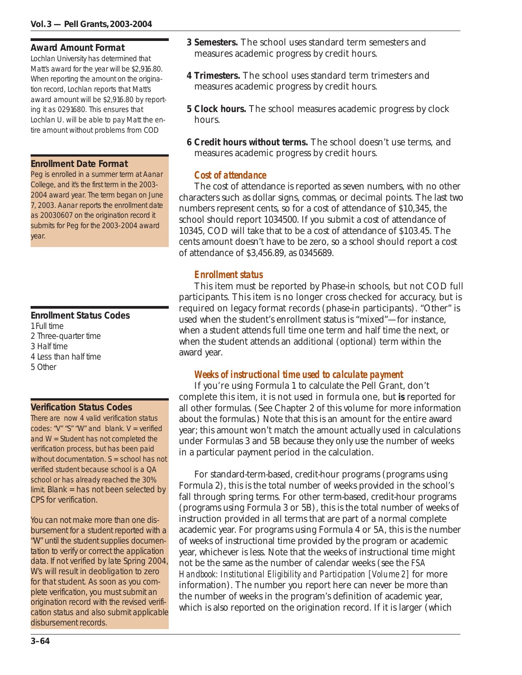#### **Award Amount Format**

Lochlan University has determined that Matt's award for the year will be \$2,916.80. When reporting the amount on the origination record, Lochlan reports that Matt's award amount will be \$2,916.80 by reporting it as 0291680. This ensures that Lochlan U. will be able to pay Matt the entire amount without problems from COD

#### **Enrollment Date Format**

Peg is enrolled in a summer term at Aanar College, and it's the first term in the 2003- 2004 award year. The term began on June 7, 2003. Aanar reports the enrollment date as 20030607 on the origination record it submits for Peg for the 2003-2004 award year.

# **Enrollment Status Codes**

1 Full time 2 Three-quarter time 3 Half time 4 Less than half time 5 Other

#### **Verification Status Codes**

There are now 4 valid verification status codes: "V" "S" "W" and blank.  $V =$  verified and W = Student has not completed the verification process, but has been paid without documentation. S = school has not verified student because school is a QA school or has already reached the 30% limit. Blank = has not been selected by CPS for verification.

You can not make more than one disbursement for a student reported with a "W" until the student supplies documentation to verify or correct the application data. If not verified by late Spring 2004, W's will result in deobligation to zero for that student. As soon as you complete verification, you must submit an origination record with the revised verification status and also submit applicable disbursement records.

- **3 Semesters.** The school uses standard term semesters and measures academic progress by credit hours.
- **4 Trimesters.** The school uses standard term trimesters and measures academic progress by credit hours.
- **5 Clock hours.** The school measures academic progress by clock hours.
- **6 Credit hours without terms.** The school doesn't use terms, and measures academic progress by credit hours.

## *Cost of attendance*

The cost of attendance is reported as seven numbers, with no other characters such as dollar signs, commas, or decimal points. The last two numbers represent cents, so for a cost of attendance of \$10,345, the school should report 1034500. If you submit a cost of attendance of 10345, COD will take that to be a cost of attendance of \$103.45. The cents amount doesn't have to be zero, so a school should report a cost of attendance of \$3,456.89, as 0345689.

## *Enrollment status*

This item must be reported by Phase-in schools, but not COD full participants. This item is no longer cross checked for accuracy, but is required on legacy format records (phase-in participants). "Other" is used when the student's enrollment status is "mixed"—for instance, when a student attends full time one term and half time the next, or when the student attends an additional (optional) term within the award year.

#### *Weeks of instructional time used to calculate payment*

If you're using Formula 1 to calculate the Pell Grant, don't complete this item, it is not used in formula one, but **is** reported for all other formulas. (See Chapter 2 of this volume for more information about the formulas.) Note that this is an amount for the entire award year; this amount won't match the amount actually used in calculations under Formulas 3 and 5B because they only use the number of weeks in a particular payment period in the calculation.

For standard-term-based, credit-hour programs (programs using Formula 2), this is the total number of weeks provided in the school's fall through spring terms. For other term-based, credit-hour programs (programs using Formula 3 or 5B), this is the total number of weeks of instruction provided in all terms that are part of a normal complete academic year. For programs using Formula 4 or 5A, this is the number of weeks of instructional time provided by the program or academic year, whichever is less. Note that the weeks of instructional time might not be the same as the number of calendar weeks (see the *FSA Handbook: Institutional Eligibility and Participation [Volume 2]* for more information). The number you report here can never be more than the number of weeks in the program's definition of academic year, which is also reported on the origination record. If it is larger (which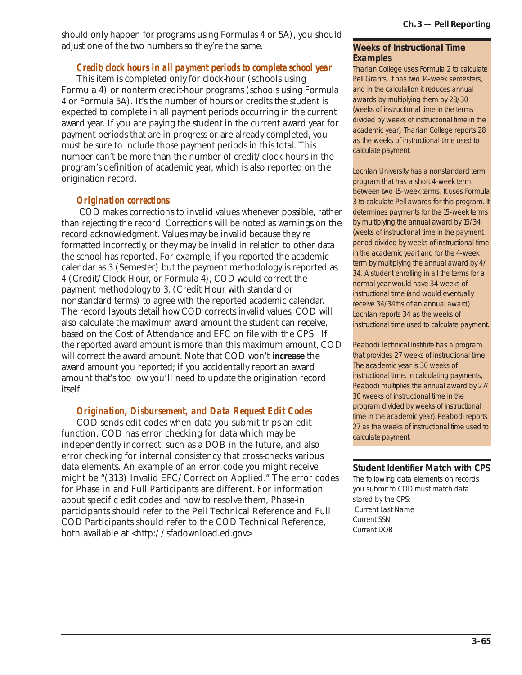should only happen for programs using Formulas 4 or 5A), you should adjust one of the two numbers so they're the same.

## *Credit/clock hours in all payment periods to complete school year*

This item is completed only for clock-hour (schools using Formula 4) or nonterm credit-hour programs (schools using Formula 4 or Formula 5A). It's the number of hours or credits the student is expected to complete in all payment periods occurring in the current award year. If you are paying the student in the current award year for payment periods that are in progress or are already completed, you must be sure to include those payment periods in this total. This number can't be more than the number of credit/clock hours in the program's definition of academic year, which is also reported on the origination record.

#### *Origination corrections*

 COD makes corrections to invalid values whenever possible, rather than rejecting the record. Corrections will be noted as warnings on the record acknowledgment. Values may be invalid because they're formatted incorrectly, or they may be invalid in relation to other data the school has reported. For example, if you reported the academic calendar as 3 (Semester) but the payment methodology is reported as 4 (Credit/Clock Hour, or Formula 4), COD would correct the payment methodology to 3, (Credit Hour with standard or nonstandard terms) to agree with the reported academic calendar. The record layouts detail how COD corrects invalid values. COD will also calculate the maximum award amount the student can receive, based on the Cost of Attendance and EFC on file with the CPS. If the reported award amount is more than this maximum amount, COD will correct the award amount. Note that COD won't **increase** the award amount you reported; if you accidentally report an award amount that's too low you'll need to update the origination record itself.

# *Origination, Disbursement, and Data Request Edit Codes*

COD sends edit codes when data you submit trips an edit function. COD has error checking for data which may be independently incorrect, such as a DOB in the future, and also error checking for internal consistency that cross-checks various data elements. An example of an error code you might receive might be "(313) Invalid EFC/Correction Applied." The error codes for Phase in and Full Participants are different. For information about specific edit codes and how to resolve them, Phase-in participants should refer to the Pell Technical Reference and Full COD Participants should refer to the COD Technical Reference, both available at <http://sfadownload.ed.gov>

#### **Weeks of Instructional Time Examples**

Tharian College uses Formula 2 to calculate Pell Grants. It has two 14-week semesters, and in the calculation it reduces annual awards by multiplying them by 28/30 (weeks of instructional time in the terms divided by weeks of instructional time in the academic year). Tharian College reports 28 as the weeks of instructional time used to calculate payment.

Lochlan University has a nonstandard term program that has a short 4-week term between two 15-week terms. It uses Formula 3 to calculate Pell awards for this program. It determines payments for the 15-week terms by multiplying the annual award by 15/34 (weeks of instructional time in the payment period divided by weeks of instructional time in the academic year) and for the 4-week term by multiplying the annual award by 4/ 34. A student enrolling in all the terms for a normal year would have 34 weeks of instructional time (and would eventually receive 34/34ths of an annual award). Lochlan reports 34 as the weeks of instructional time used to calculate payment.

Peabodi Technical Institute has a program that provides 27 weeks of instructional time. The academic year is 30 weeks of instructional time. In calculating payments, Peabodi multiplies the annual award by 27/ 30 (weeks of instructional time in the program divided by weeks of instructional time in the academic year). Peabodi reports 27 as the weeks of instructional time used to calculate payment.

#### **Student Identifier Match with CPS**

The following data elements on records you submit to COD must match data stored by the CPS: Current Last Name Current SSN Current DOB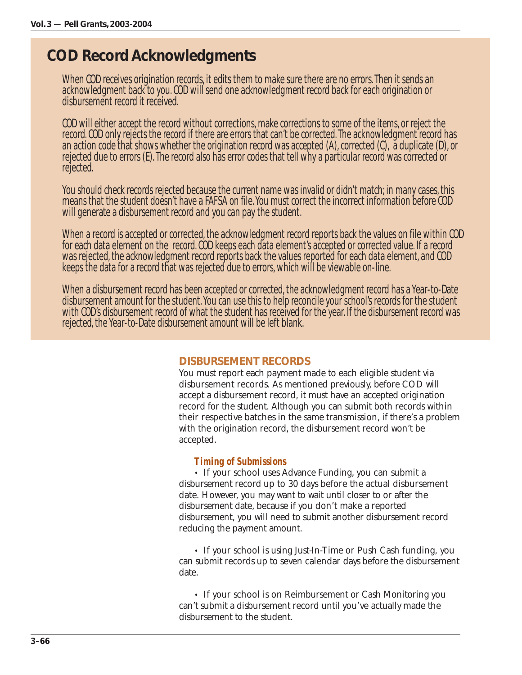# *COD Record Acknowledgments*

When COD receives origination records, it edits them to make sure there are no errors. Then it sends an acknowledgment back to you. COD will send one acknowledgment record back for each origination or disbursement record it received.

COD will either accept the record without corrections, make corrections to some of the items, or reject the record. COD only rejects the record if there are errors that can't be corrected. The acknowledgment record has an action code that shows whether the origination record was accepted (A), corrected (C), a duplicate (D), or rejected due to errors (E). The record also has error codes that tell why a particular record was corrected or rejected.

You should check records rejected because the current name was invalid or didn't match; in many cases, this means that the student doesn't have a FAFSA on file. You must correct the incorrect information before COD will generate a disbursement record and you can pay the student.

When a record is accepted or corrected, the acknowledgment record reports back the values on file within COD for each data element on the record. COD keeps each data element's accepted or corrected value. If a record was rejected, the acknowledgment record reports back the values reported for each data element, and COD keeps the data for a record that was rejected due to errors, which will be viewable on-line.

When a disbursement record has been accepted or corrected, the acknowledgment record has a Year-to-Date disbursement amount for the student. You can use this to help reconcile your school's records for the student with COD's disbursement record of what the student has received for the year. If the disbursement record was rejected, the Year-to-Date disbursement amount will be left blank.

# **DISBURSEMENT RECORDS**

You must report each payment made to each eligible student via disbursement records. As mentioned previously, before COD will accept a disbursement record, it must have an accepted origination record for the student. Although you can submit both records within their respective batches in the same transmission, if there's a problem with the origination record, the disbursement record won't be accepted.

# *Timing of Submissions*

• If your school uses Advance Funding, you can submit a disbursement record up to 30 days before the actual disbursement date. However, you may want to wait until closer to or after the disbursement date, because if you don't make a reported disbursement, you will need to submit another disbursement record reducing the payment amount.

• If your school is using Just-In-Time or Push Cash funding, you can submit records up to seven calendar days before the disbursement date.

• If your school is on Reimbursement or Cash Monitoring you can't submit a disbursement record until you've actually made the disbursement to the student.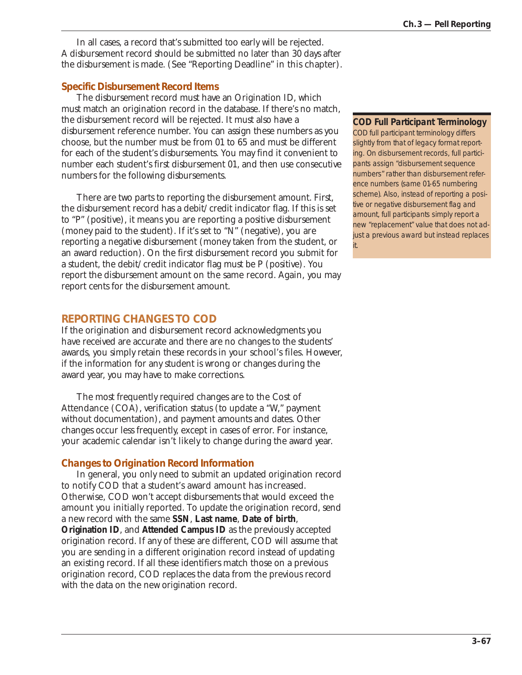In all cases, a record that's submitted too early will be rejected. A disbursement record should be submitted no later than 30 days after the disbursement is made. (See "Reporting Deadline" in this chapter).

## *Specific Disbursement Record Items*

The disbursement record must have an Origination ID, which must match an origination record in the database. If there's no match, the disbursement record will be rejected. It must also have a disbursement reference number. You can assign these numbers as you choose, but the number must be from 01 to 65 and must be different for each of the student's disbursements. You may find it convenient to number each student's first disbursement 01, and then use consecutive numbers for the following disbursements.

There are two parts to reporting the disbursement amount. First, the disbursement record has a debit/credit indicator flag. If this is set to "P" (positive), it means you are reporting a positive disbursement (money paid to the student). If it's set to "N" (negative), you are reporting a negative disbursement (money taken from the student, or an award reduction). On the first disbursement record you submit for a student, the debit/credit indicator flag must be P (positive). You report the disbursement amount on the same record. Again, you may report cents for the disbursement amount.

# **REPORTING CHANGES TO COD**

If the origination and disbursement record acknowledgments you have received are accurate and there are no changes to the students' awards, you simply retain these records in your school's files. However, if the information for any student is wrong or changes during the award year, you may have to make corrections.

The most frequently required changes are to the Cost of Attendance (COA), verification status (to update a "W," payment without documentation), and payment amounts and dates. Other changes occur less frequently, except in cases of error. For instance, your academic calendar isn't likely to change during the award year.

# *Changes to Origination Record Information*

In general, you only need to submit an updated origination record to notify COD that a student's award amount has increased. Otherwise, COD won't accept disbursements that would exceed the amount you initially reported. To update the origination record, send a new record with the same **SSN**, **Last name**, **Date of birth**, **Origination ID**, and **Attended Campus ID** as the previously accepted origination record. If any of these are different, COD will assume that you are sending in a different origination record instead of updating an existing record. If all these identifiers match those on a previous origination record, COD replaces the data from the previous record with the data on the new origination record.

#### **COD Full Participant Terminology**

COD full participant terminology differs slightly from that of legacy format reporting. On disbursement records, full participants assign "disbursement sequence numbers" rather than disbursement reference numbers (same 01-65 numbering scheme). Also, instead of reporting a positive or negative disbursement flag and amount, full participants simply report a new "replacement" value that does not adjust a previous award but instead replaces

it.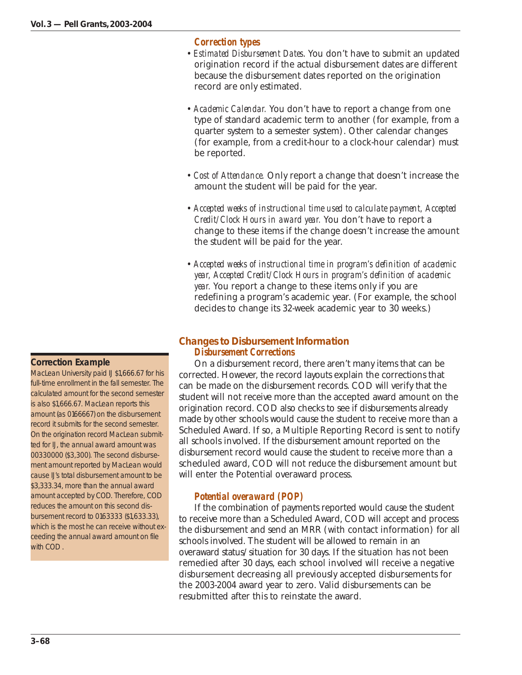## *Correction types*

- *Estimated Disbursement Dates*. You don't have to submit an updated origination record if the actual disbursement dates are different because the disbursement dates reported on the origination record are only estimated.
- *Academic Calendar.* You don't have to report a change from one type of standard academic term to another (for example, from a quarter system to a semester system). Other calendar changes (for example, from a credit-hour to a clock-hour calendar) must be reported.
- • *Cost of Attendance.* Only report a change that doesn't increase the amount the student will be paid for the year.
- *Accepted weeks of instructional time used to calculate payment, Accepted Credit/Clock Hours in award year.* You don't have to report a change to these items if the change doesn't increase the amount the student will be paid for the year.
- *Accepted weeks of instructional time in program's definition of academic year, Accepted Credit/Clock Hours in program's definition of academic year.* You report a change to these items only if you are redefining a program's academic year. (For example, the school decides to change its 32-week academic year to 30 weeks.)

# *Changes to Disbursement Information Disbursement Corrections*

On a disbursement record, there aren't many items that can be corrected. However, the record layouts explain the corrections that can be made on the disbursement records. COD will verify that the student will not receive more than the accepted award amount on the origination record. COD also checks to see if disbursements already made by other schools would cause the student to receive more than a Scheduled Award. If so, a Multiple Reporting Record is sent to notify all schools involved. If the disbursement amount reported on the disbursement record would cause the student to receive more than a scheduled award, COD will not reduce the disbursement amount but will enter the Potential overaward process.

# *Potential overaward (POP)*

If the combination of payments reported would cause the student to receive more than a Scheduled Award, COD will accept and process the disbursement and send an MRR (with contact information) for all schools involved. The student will be allowed to remain in an overaward status/situation for 30 days. If the situation has not been remedied after 30 days, each school involved will receive a negative disbursement decreasing all previously accepted disbursements for the 2003-2004 award year to zero. Valid disbursements can be resubmitted after this to reinstate the award.

#### **Correction Example**

MacLean University paid IJ \$1,666.67 for his full-time enrollment in the fall semester. The calculated amount for the second semester is also \$1,666.67. MacLean reports this amount (as 0166667) on the disbursement record it submits for the second semester. On the origination record MacLean submitted for IJ, the annual award amount was 00330000 (\$3,300). The second disbursement amount reported by MacLean would cause IJ's total disbursement amount to be \$3,333.34, more than the annual award amount accepted by COD. Therefore, COD reduces the amount on this second disbursement record to 0163333 (\$1,633.33), which is the most he can receive without exceeding the annual award amount on file with COD .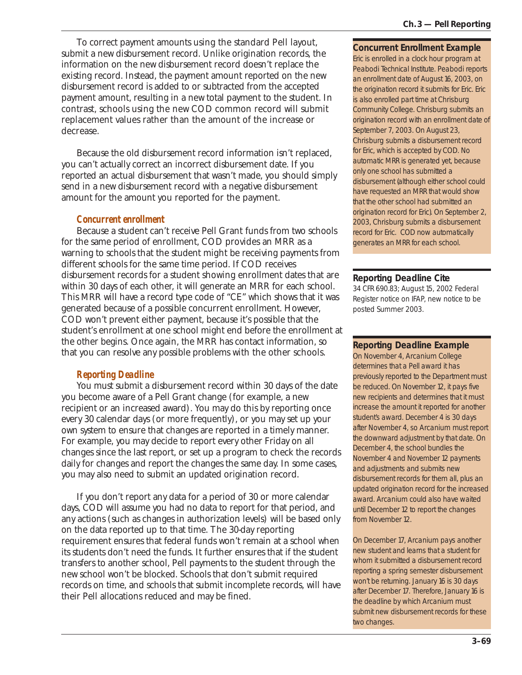To correct payment amounts using the standard Pell layout, submit a new disbursement record. Unlike origination records, the information on the new disbursement record doesn't replace the existing record. Instead, the payment amount reported on the new disbursement record is added to or subtracted from the accepted payment amount, resulting in a new total payment to the student. In contrast, schools using the new COD common record will submit replacement values rather than the amount of the increase or decrease.

Because the old disbursement record information isn't replaced, you can't actually correct an incorrect disbursement date. If you reported an actual disbursement that wasn't made, you should simply send in a new disbursement record with a negative disbursement amount for the amount you reported for the payment.

#### *Concurrent enrollment*

Because a student can't receive Pell Grant funds from two schools for the same period of enrollment, COD provides an MRR as a warning to schools that the student might be receiving payments from different schools for the same time period. If COD receives disbursement records for a student showing enrollment dates that are within 30 days of each other, it will generate an MRR for each school. This MRR will have a record type code of "CE" which shows that it was generated because of a possible concurrent enrollment. However, COD won't prevent either payment, because it's possible that the student's enrollment at one school might end before the enrollment at the other begins. Once again, the MRR has contact information, so that you can resolve any possible problems with the other schools.

# *Reporting Deadline*

You must submit a disbursement record within 30 days of the date you become aware of a Pell Grant change (for example, a new recipient or an increased award). You may do this by reporting once every 30 calendar days (or more frequently), or you may set up your own system to ensure that changes are reported in a timely manner. For example, you may decide to report every other Friday on all changes since the last report, or set up a program to check the records daily for changes and report the changes the same day. In some cases, you may also need to submit an updated origination record.

If you don't report any data for a period of 30 or more calendar days, COD will assume you had no data to report for that period, and any actions (such as changes in authorization levels) will be based only on the data reported up to that time. The 30-day reporting requirement ensures that federal funds won't remain at a school when its students don't need the funds. It further ensures that if the student transfers to another school, Pell payments to the student through the new school won't be blocked. Schools that don't submit required records on time, and schools that submit incomplete records, will have their Pell allocations reduced and may be fined.

#### **Concurrent Enrollment Example**

Eric is enrolled in a clock hour program at Peabodi Technical Institute. Peabodi reports an enrollment date of August 16, 2003, on the origination record it submits for Eric. Eric is also enrolled part time at Chrisburg Community College. Chrisburg submits an origination record with an enrollment date of September 7, 2003. On August 23, Chrisburg submits a disbursement record for Eric, which is accepted by COD. No automatic MRR is generated yet, because only one school has submitted a disbursement (although either school could have requested an MRR that would show that the other school had submitted an origination record for Eric). On September 2, 2003, Chrisburg submits a disbursement record for Eric. COD now automatically generates an MRR for each school.

## **Reporting Deadline Cite**

34 CFR 690.83; August 15, 2002 Federal Register notice on IFAP, new notice to be posted Summer 2003.

# **Reporting Deadline Example**

On November 4, Arcanium College determines that a Pell award it has previously reported to the Department must be reduced. On November 12, it pays five new recipients and determines that it must increase the amount it reported for another student's award. December 4 is 30 days after November 4, so Arcanium must report the downward adjustment by that date. On December 4, the school bundles the November 4 and November 12 payments and adjustments and submits new disbursement records for them all, plus an updated origination record for the increased award. Arcanium could also have waited until December 12 to report the changes from November 12.

On December 17, Arcanium pays another new student and learns that a student for whom it submitted a disbursement record reporting a spring semester disbursement won't be returning. January 16 is 30 days after December 17. Therefore, January 16 is the deadline by which Arcanium must submit new disbursement records for these two changes.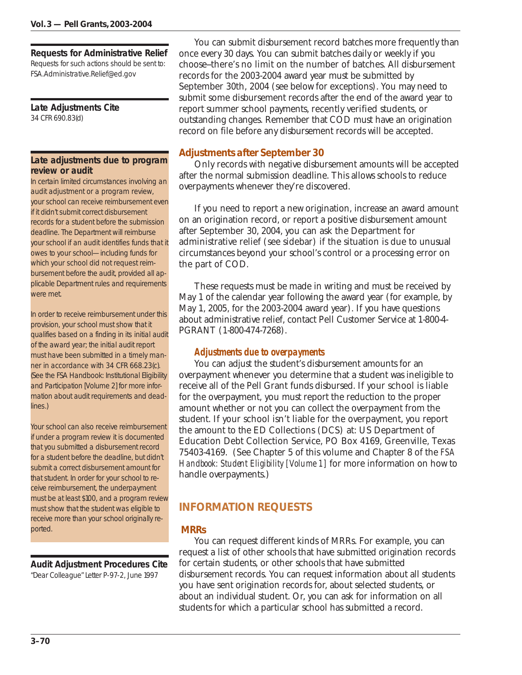**Requests for Administrative Relief**

Requests for such actions should be sent to: FSA.Administrative.Relief@ed.gov

**Late Adjustments Cite** 34 CFR 690.83(d)

### **Late adjustments due to program review or audit**

In certain limited circumstances involving an audit adjustment or a program review, your school can receive reimbursement even if it didn't submit correct disbursement records for a student before the submission deadline. The Department will reimburse your school if an audit identifies funds that it owes to your school—including funds for which your school did not request reimbursement before the audit, provided all applicable Department rules and requirements were met.

In order to receive reimbursement under this provision, your school must show that it qualifies based on a finding in its initial audit of the award year; the initial audit report must have been submitted in a timely manner in accordance with 34 CFR 668.23(c). (See the FSA Handbook: Institutional Eligibility and Participation [Volume 2] for more information about audit requirements and deadlines.)

Your school can also receive reimbursement if under a program review it is documented that you submitted a disbursement record for a student before the deadline, but didn't submit a correct disbursement amount for that student. In order for your school to receive reimbursement, the underpayment must be at least \$100, and a program review must show that the student was eligible to receive more than your school originally reported.

**Audit Adjustment Procedures Cite**

"Dear Colleague" Letter P-97-2, June 1997

You can submit disbursement record batches more frequently than once every 30 days. You can submit batches daily or weekly if you choose--there's no limit on the number of batches. All disbursement records for the 2003-2004 award year must be submitted by September 30th, 2004 (see below for exceptions). You may need to submit some disbursement records after the end of the award year to report summer school payments, recently verified students, or outstanding changes. Remember that COD must have an origination record on file before any disbursement records will be accepted.

# *Adjustments after September 30*

Only records with negative disbursement amounts will be accepted after the normal submission deadline. This allows schools to reduce overpayments whenever they're discovered.

If you need to report a new origination, increase an award amount on an origination record, or report a positive disbursement amount after September 30, 2004, you can ask the Department for administrative relief (see sidebar) if the situation is due to unusual circumstances beyond your school's control or a processing error on the part of COD.

These requests must be made in writing and must be received by May 1 of the calendar year following the award year (for example, by May 1, 2005, for the 2003-2004 award year). If you have questions about administrative relief, contact Pell Customer Service at 1-800-4- PGRANT (1-800-474-7268).

# *Adjustments due to overpayments*

You can adjust the student's disbursement amounts for an overpayment whenever you determine that a student was ineligible to receive all of the Pell Grant funds disbursed. If your school is liable for the overpayment, you must report the reduction to the proper amount whether or not you can collect the overpayment from the student. If your school isn't liable for the overpayment, you report the amount to the ED Collections (DCS) at: US Department of Education Debt Collection Service, PO Box 4169, Greenville, Texas 75403-4169. (See Chapter 5 of this volume and Chapter 8 of the *FSA Handbook: Student Eligibility [Volume 1]* for more information on how to handle overpayments.)

# **INFORMATION REQUESTS**

# *MRRs*

You can request different kinds of MRRs. For example, you can request a list of other schools that have submitted origination records for certain students, or other schools that have submitted disbursement records. You can request information about all students you have sent origination records for, about selected students, or about an individual student. Or, you can ask for information on all students for which a particular school has submitted a record.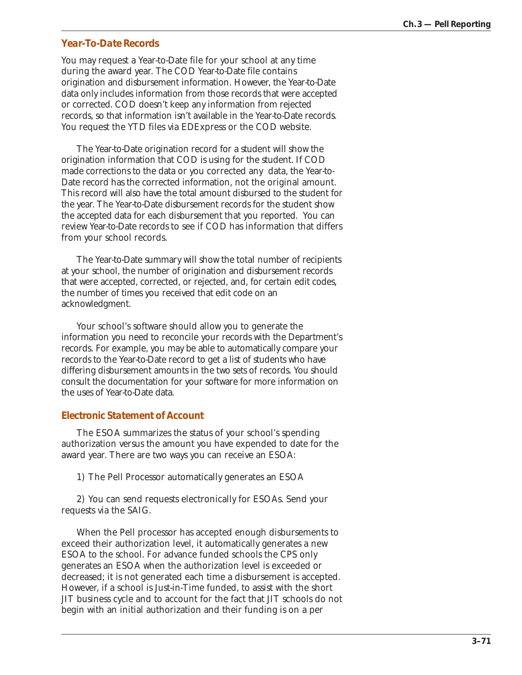## *Year-To-Date Records*

You may request a Year-to-Date file for your school at any time during the award year. The COD Year-to-Date file contains origination and disbursement information. However, the Year-to-Date data only includes information from those records that were accepted or corrected. COD doesn't keep any information from rejected records, so that information isn't available in the Year-to-Date records. You request the YTD files via EDExpress or the COD website.

The Year-to-Date origination record for a student will show the origination information that COD is using for the student. If COD made corrections to the data or you corrected any data, the Year-to-Date record has the corrected information, not the original amount. This record will also have the total amount disbursed to the student for the year. The Year-to-Date disbursement records for the student show the accepted data for each disbursement that you reported. You can review Year-to-Date records to see if COD has information that differs from your school records.

The Year-to-Date summary will show the total number of recipients at your school, the number of origination and disbursement records that were accepted, corrected, or rejected, and, for certain edit codes, the number of times you received that edit code on an acknowledgment.

Your school's software should allow you to generate the information you need to reconcile your records with the Department's records. For example, you may be able to automatically compare your records to the Year-to-Date record to get a list of students who have differing disbursement amounts in the two sets of records. You should consult the documentation for your software for more information on the uses of Year-to-Date data.

#### *Electronic Statement of Account*

The ESOA summarizes the status of your school's spending authorization versus the amount you have expended to date for the award year. There are two ways you can receive an ESOA:

1) The Pell Processor automatically generates an ESOA

2) You can send requests electronically for ESOAs. Send your requests via the SAIG.

When the Pell processor has accepted enough disbursements to exceed their authorization level, it automatically generates a new ESOA to the school. For advance funded schools the CPS only generates an ESOA when the authorization level is exceeded or decreased; it is not generated each time a disbursement is accepted. However, if a school is Just-in-Time funded, to assist with the short JIT business cycle and to account for the fact that JIT schools do not begin with an initial authorization and their funding is on a per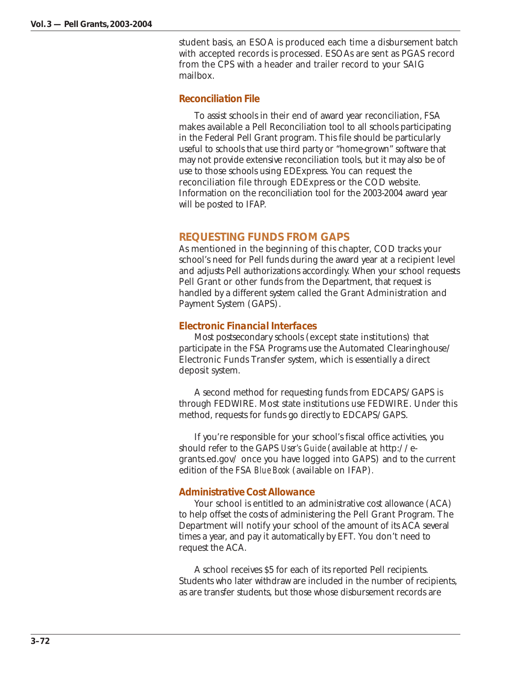student basis, an ESOA is produced each time a disbursement batch with accepted records is processed. ESOAs are sent as PGAS record from the CPS with a header and trailer record to your SAIG mailbox.

## *Reconciliation File*

To assist schools in their end of award year reconciliation, FSA makes available a Pell Reconciliation tool to all schools participating in the Federal Pell Grant program. This file should be particularly useful to schools that use third party or "home-grown" software that may not provide extensive reconciliation tools, but it may also be of use to those schools using EDExpress. You can request the reconciliation file through EDExpress or the COD website. Information on the reconciliation tool for the 2003-2004 award year will be posted to IFAP.

## **REQUESTING FUNDS FROM GAPS**

As mentioned in the beginning of this chapter, COD tracks your school's need for Pell funds during the award year at a recipient level and adjusts Pell authorizations accordingly. When your school requests Pell Grant or other funds from the Department, that request is handled by a different system called the Grant Administration and Payment System (GAPS).

## *Electronic Financial Interfaces*

Most postsecondary schools (except state institutions) that participate in the FSA Programs use the Automated Clearinghouse/ Electronic Funds Transfer system, which is essentially a direct deposit system.

A second method for requesting funds from EDCAPS/GAPS is through FEDWIRE. Most state institutions use FEDWIRE. Under this method, requests for funds go directly to EDCAPS/GAPS.

If you're responsible for your school's fiscal office activities, you should refer to the GAPS *User's Guide* (available at http://egrants.ed.gov/ once you have logged into GAPS) and to the current edition of the FSA *Blue Book* (available on IFAP)*.*

#### *Administrative Cost Allowance*

Your school is entitled to an administrative cost allowance (ACA) to help offset the costs of administering the Pell Grant Program. The Department will notify your school of the amount of its ACA several times a year, and pay it automatically by EFT. You don't need to request the ACA.

A school receives \$5 for each of its reported Pell recipients. Students who later withdraw are included in the number of recipients, as are transfer students, but those whose disbursement records are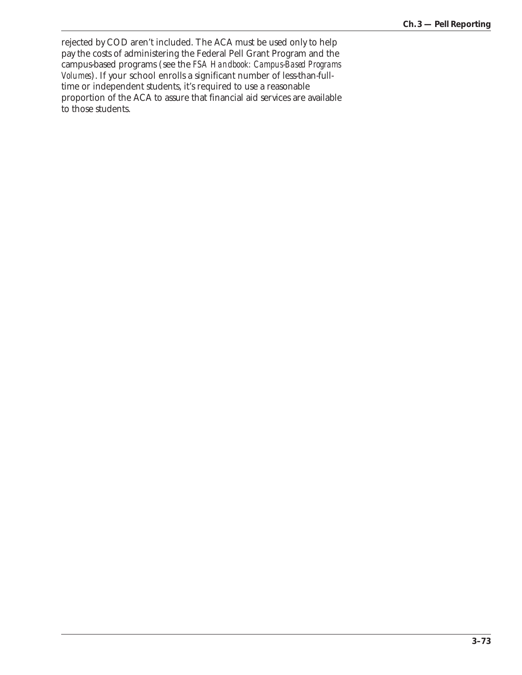rejected by COD aren't included. The ACA must be used only to help pay the costs of administering the Federal Pell Grant Program and the campus-based programs (see the *FSA Handbook: Campus-Based Programs Volumes*). If your school enrolls a significant number of less-than-fulltime or independent students, it's required to use a reasonable proportion of the ACA to assure that financial aid services are available to those students.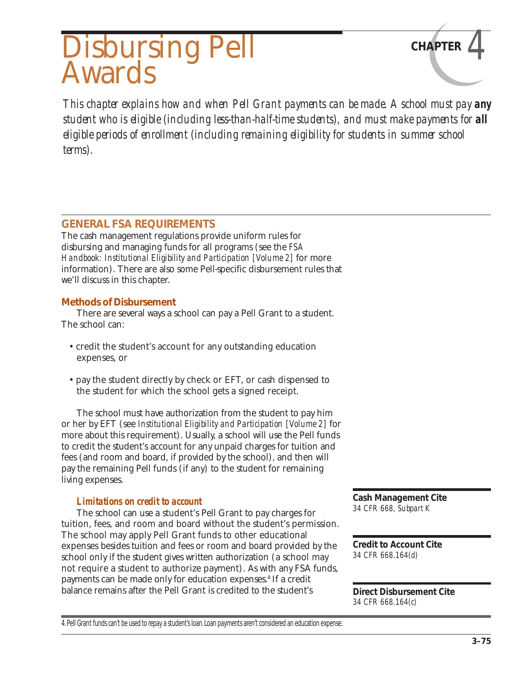# Disbursing Pell **CHAPTER** *4* Awards

*This chapter explains how and when Pell Grant payments can be made. A school must pay any student who is eligible (including less-than-half-time students), and must make payments for <i>all eligible periods of enrollment (including remaining eligibility for students in summer school terms).*

# **GENERAL FSA REQUIREMENTS**

The cash management regulations provide uniform rules for disbursing and managing funds for all programs (see the *FSA Handbook: Institutional Eligibility and Participation [Volume 2]* for more information). There are also some Pell-specific disbursement rules that we'll discuss in this chapter.

## *Methods of Disbursement*

There are several ways a school can pay a Pell Grant to a student. The school can:

- credit the student's account for any outstanding education expenses, or
- pay the student directly by check or EFT, or cash dispensed to the student for which the school gets a signed receipt.

The school must have authorization from the student to pay him or her by EFT (see *Institutional Eligibility and Participation [Volume 2]* for more about this requirement). Usually, a school will use the Pell funds to credit the student's account for any unpaid charges for tuition and fees (and room and board, if provided by the school), and then will pay the remaining Pell funds (if any) to the student for remaining living expenses.

## *Limitations on credit to account*

The school can use a student's Pell Grant to pay charges for tuition, fees, and room and board without the student's permission. The school may apply Pell Grant funds to other educational expenses besides tuition and fees or room and board provided by the school only if the student gives written authorization (a school may not require a student to authorize payment). As with any FSA funds, payments can be made only for education expenses.4 If a credit balance remains after the Pell Grant is credited to the student's

**Cash Management Cite** *34 CFR 668, Subpart K*

**Credit to Account Cite** *34 CFR 668.164(d)*

**Direct Disbursement Cite** *34 CFR 668.164(c)*

4. Pell Grant funds can't be used to repay a student's loan. Loan payments aren't considered an education expense.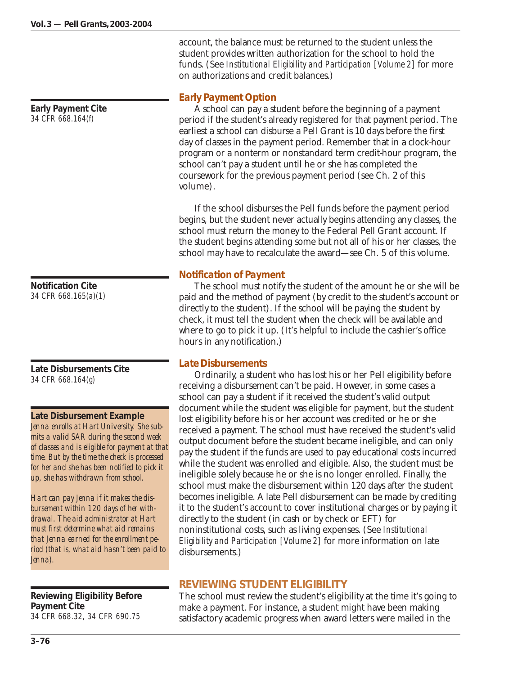**Early Payment Cite** *34 CFR 668.164(f)*

**Notification Cite** *34 CFR 668.165(a)(1)*

**Late Disbursements Cite** *34 CFR 668.164(g)*

#### **Late Disbursement Example**

*Jenna enrolls at Hart University. She submits a valid SAR during the second week of classes and is eligible for payment at that time. But by the time the check is processed for her and she has been notified to pick it up, she has withdrawn from school.*

*Hart can pay Jenna if it makes the disbursement within 120 days of her withdrawal. The aid administrator at Hart must first determine what aid remains that Jenna earned for the enrollment period (that is, what aid hasn't been paid to Jenna).*

**Reviewing Eligibility Before Payment Cite** *34 CFR 668.32, 34 CFR 690.75*

account, the balance must be returned to the student unless the student provides written authorization for the school to hold the funds. (See *Institutional Eligibility and Participation [Volume 2]* for more on authorizations and credit balances.)

## *Early Payment Option*

A school can pay a student before the beginning of a payment period if the student's already registered for that payment period. The earliest a school can disburse a Pell Grant is 10 days before the first day of classes in the payment period. Remember that in a clock-hour program or a nonterm or nonstandard term credit-hour program, the school can't pay a student until he or she has completed the coursework for the previous payment period (see Ch. 2 of this volume).

If the school disburses the Pell funds before the payment period begins, but the student never actually begins attending any classes, the school must return the money to the Federal Pell Grant account. If the student begins attending some but not all of his or her classes, the school may have to recalculate the award—see Ch. 5 of this volume.

## *Notification of Payment*

The school must notify the student of the amount he or she will be paid and the method of payment (by credit to the student's account or directly to the student). If the school will be paying the student by check, it must tell the student when the check will be available and where to go to pick it up. (It's helpful to include the cashier's office hours in any notification.)

## *Late Disbursements*

Ordinarily, a student who has lost his or her Pell eligibility before receiving a disbursement can't be paid. However, in some cases a school can pay a student if it received the student's valid output document while the student was eligible for payment, but the student lost eligibility before his or her account was credited or he or she received a payment. The school must have received the student's valid output document before the student became ineligible, and can only pay the student if the funds are used to pay educational costs incurred while the student was enrolled and eligible. Also, the student must be ineligible solely because he or she is no longer enrolled. Finally, the school must make the disbursement within 120 days after the student becomes ineligible. A late Pell disbursement can be made by crediting it to the student's account to cover institutional charges or by paying it directly to the student (in cash or by check or EFT) for noninstitutional costs, such as living expenses. (See *Institutional Eligibility and Participation [Volume 2]* for more information on late disbursements.)

# **REVIEWING STUDENT ELIGIBILITY**

The school must review the student's eligibility at the time it's going to make a payment. For instance, a student might have been making satisfactory academic progress when award letters were mailed in the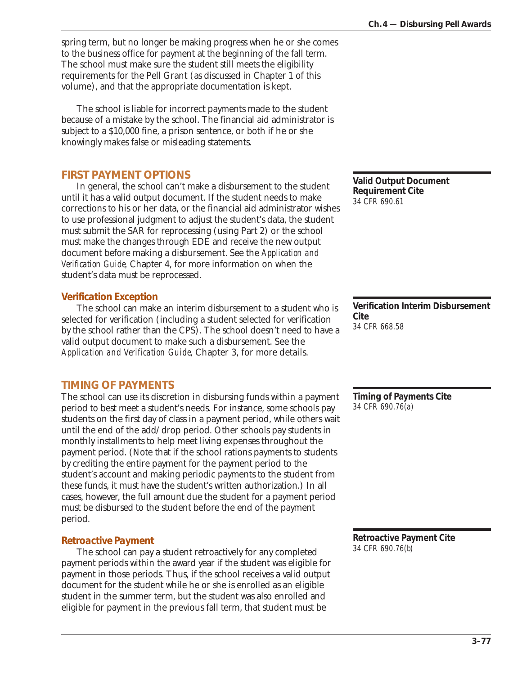spring term, but no longer be making progress when he or she comes to the business office for payment at the beginning of the fall term. The school must make sure the student still meets the eligibility requirements for the Pell Grant (as discussed in Chapter 1 of this volume), and that the appropriate documentation is kept.

The school is liable for incorrect payments made to the student because of a mistake by the school. The financial aid administrator is subject to a \$10,000 fine, a prison sentence, or both if he or she knowingly makes false or misleading statements.

# **FIRST PAYMENT OPTIONS**

In general, the school can't make a disbursement to the student until it has a valid output document. If the student needs to make corrections to his or her data, or the financial aid administrator wishes to use professional judgment to adjust the student's data, the student must submit the SAR for reprocessing (using Part 2) or the school must make the changes through EDE and receive the new output document before making a disbursement. See the *Application and Verification Guide,* Chapter 4, for more information on when the student's data must be reprocessed.

## *Verification Exception*

The school can make an interim disbursement to a student who is selected for verification (including a student selected for verification by the school rather than the CPS). The school doesn't need to have a valid output document to make such a disbursement. See the *Application and Verification Guide*, Chapter 3, for more details.

# **TIMING OF PAYMENTS**

The school can use its discretion in disbursing funds within a payment period to best meet a student's needs. For instance, some schools pay students on the first day of class in a payment period, while others wait until the end of the add/drop period. Other schools pay students in monthly installments to help meet living expenses throughout the payment period. (Note that if the school rations payments to students by crediting the entire payment for the payment period to the student's account and making periodic payments to the student from these funds, it must have the student's written authorization.) In all cases, however, the full amount due the student for a payment period must be disbursed to the student before the end of the payment period.

# *Retroactive Payment*

The school can pay a student retroactively for any completed payment periods within the award year if the student was eligible for payment in those periods. Thus, if the school receives a valid output document for the student while he or she is enrolled as an eligible student in the summer term, but the student was also enrolled and eligible for payment in the previous fall term, that student must be

**Valid Output Document Requirement Cite** *34 CFR 690.61*

**Verification Interim Disbursement Cite** *34 CFR 668.58*

**Timing of Payments Cite** *34 CFR 690.76(a)*

**Retroactive Payment Cite** *34 CFR 690.76(b)*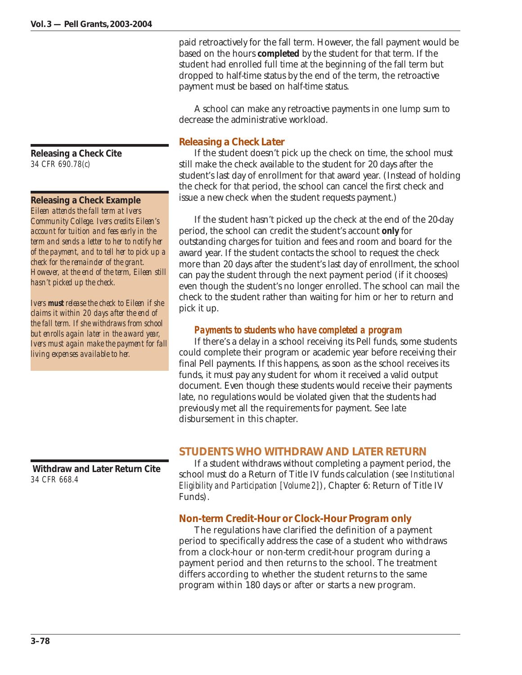**Releasing a Check Cite** *34 CFR 690.78(c)*

#### **Releasing a Check Example** *Eileen attends the fall term at Ivers Community College. Ivers credits Eileen's account for tuition and fees early in the term and sends a letter to her to notify her of the payment, and to tell her to pick up a check for the remainder of the grant. However, at the end of the term, Eileen still hasn't picked up the check.*

*Ivers must release the check to Eileen if she claims it within 20 days after the end of the fall term. If she withdraws from school but enrolls again later in the award year, Ivers must again make the payment for fall living expenses available to her.*

 **Withdraw and Later Return Cite** *34 CFR 668.4*

paid retroactively for the fall term. However, the fall payment would be based on the hours **completed** by the student for that term. If the student had enrolled full time at the beginning of the fall term but dropped to half-time status by the end of the term, the retroactive payment must be based on half-time status.

A school can make any retroactive payments in one lump sum to decrease the administrative workload.

# *Releasing a Check Later*

If the student doesn't pick up the check on time, the school must still make the check available to the student for 20 days after the student's last day of enrollment for that award year. (Instead of holding the check for that period, the school can cancel the first check and issue a new check when the student requests payment.)

If the student hasn't picked up the check at the end of the 20-day period, the school can credit the student's account **only** for outstanding charges for tuition and fees and room and board for the award year. If the student contacts the school to request the check more than 20 days after the student's last day of enrollment, the school can pay the student through the next payment period (if it chooses) even though the student's no longer enrolled. The school can mail the check to the student rather than waiting for him or her to return and pick it up.

# *Payments to students who have completed a program*

If there's a delay in a school receiving its Pell funds, some students could complete their program or academic year before receiving their final Pell payments. If this happens, as soon as the school receives its funds, it must pay any student for whom it received a valid output document. Even though these students would receive their payments late, no regulations would be violated given that the students had previously met all the requirements for payment. See late disbursement in this chapter.

# **STUDENTS WHO WITHDRAW AND LATER RETURN**

If a student withdraws without completing a payment period, the school must do a Return of Title IV funds calculation (see *Institutional Eligibility and Participation [Volume 2]*), Chapter 6: Return of Title IV Funds).

# *Non-term Credit-Hour or Clock-Hour Program only*

The regulations have clarified the definition of a payment period to specifically address the case of a student who withdraws from a clock-hour or non-term credit-hour program during a payment period and then returns to the school. The treatment differs according to whether the student returns to the same program within 180 days or after or starts a new program.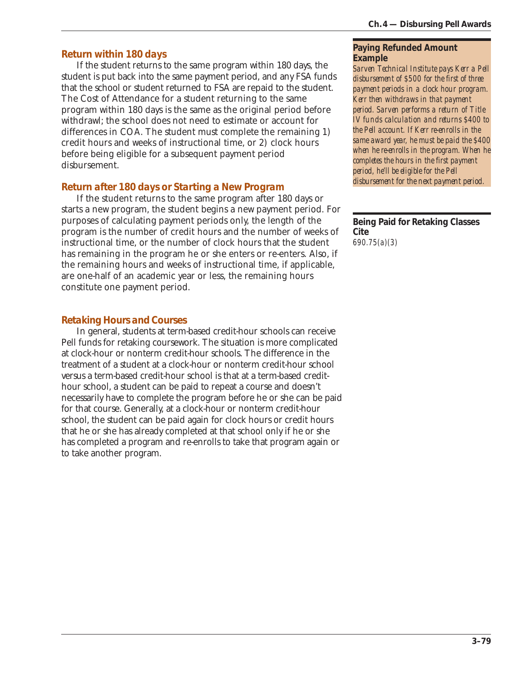# *Return within 180 days*

If the student returns to the same program within 180 days, the student is put back into the same payment period, and any FSA funds that the school or student returned to FSA are repaid to the student. The Cost of Attendance for a student returning to the same program within 180 days is the same as the original period before withdrawl; the school does not need to estimate or account for differences in COA. The student must complete the remaining 1) credit hours and weeks of instructional time, or 2) clock hours before being eligible for a subsequent payment period disbursement.

## *Return after 180 days or Starting a New Program*

If the student returns to the same program after 180 days or starts a new program, the student begins a new payment period. For purposes of calculating payment periods only, the length of the program is the number of credit hours and the number of weeks of instructional time, or the number of clock hours that the student has remaining in the program he or she enters or re-enters. Also, if the remaining hours and weeks of instructional time, if applicable, are one-half of an academic year or less, the remaining hours constitute one payment period.

# *Retaking Hours and Courses*

In general, students at term-based credit-hour schools can receive Pell funds for retaking coursework. The situation is more complicated at clock-hour or nonterm credit-hour schools. The difference in the treatment of a student at a clock-hour or nonterm credit-hour school versus a term-based credit-hour school is that at a term-based credithour school, a student can be paid to repeat a course and doesn't necessarily have to complete the program before he or she can be paid for that course. Generally, at a clock-hour or nonterm credit-hour school, the student can be paid again for clock hours or credit hours that he or she has already completed at that school only if he or she has completed a program and re-enrolls to take that program again or to take another program.

#### **Paying Refunded Amount Example**

*Sarven Technical Institute pays Kerr a Pell disbursement of \$500 for the first of three payment periods in a clock hour program. Kerr then withdraws in that payment period. Sarven performs a return of Title IV funds calculation and returns \$400 to the Pell account. If Kerr re-enrolls in the same award year, he must be paid the \$400 when he re-enrolls in the program. When he completes the hours in the first payment period, he'll be eligible for the Pell disbursement for the next payment period.*

**Being Paid for Retaking Classes Cite** *690.75(a)(3)*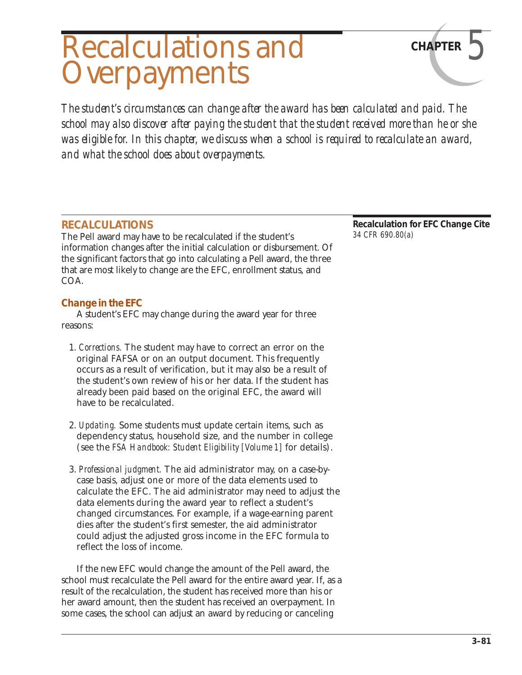# Recalculations and **CHAPTER Overpayments**

*The student's circumstances can change after the award has been calculated and paid. The school may also discover after paying the student that the student received more than he or she was eligible for. In this chapter, we discuss when a school is required to recalculate an award, and what the school does about overpayments.*

# **RECALCULATIONS**

The Pell award may have to be recalculated if the student's information changes after the initial calculation or disbursement. Of the significant factors that go into calculating a Pell award, the three that are most likely to change are the EFC, enrollment status, and COA.

# *Change in the EFC*

A student's EFC may change during the award year for three reasons:

- 1. *Corrections.* The student may have to correct an error on the original FAFSA or on an output document. This frequently occurs as a result of verification, but it may also be a result of the student's own review of his or her data. If the student has already been paid based on the original EFC, the award will have to be recalculated.
- 2. *Updating.* Some students must update certain items, such as dependency status, household size, and the number in college (see the *FSA Handbook: Student Eligibility [Volume 1]* for details).
- 3. *Professional judgment.* The aid administrator may, on a case-bycase basis, adjust one or more of the data elements used to calculate the EFC. The aid administrator may need to adjust the data elements during the award year to reflect a student's changed circumstances. For example, if a wage-earning parent dies after the student's first semester, the aid administrator could adjust the adjusted gross income in the EFC formula to reflect the loss of income.

If the new EFC would change the amount of the Pell award, the school must recalculate the Pell award for the entire award year. If, as a result of the recalculation, the student has received more than his or her award amount, then the student has received an overpayment. In some cases, the school can adjust an award by reducing or canceling

**Recalculation for EFC Change Cite** *34 CFR 690.80(a)*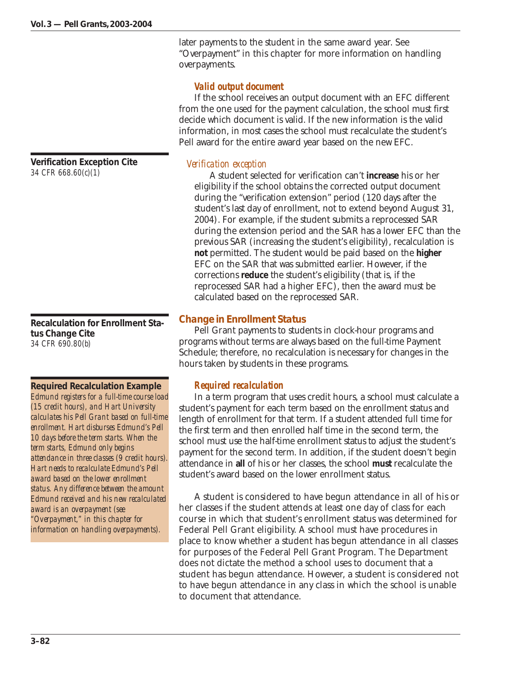later payments to the student in the same award year. See "Overpayment" in this chapter for more information on handling overpayments.

## *Valid output document*

If the school receives an output document with an EFC different from the one used for the payment calculation, the school must first decide which document is valid. If the new information is the valid information, in most cases the school must recalculate the student's Pell award for the entire award year based on the new EFC.

## *Verification exception*

A student selected for verification can't **increase** his or her eligibility if the school obtains the corrected output document during the "verification extension" period (120 days after the student's last day of enrollment, not to extend beyond August 31, 2004). For example, if the student submits a reprocessed SAR during the extension period and the SAR has a lower EFC than the previous SAR (increasing the student's eligibility), recalculation is **not** permitted. The student would be paid based on the **higher** EFC on the SAR that was submitted earlier. However, if the corrections **reduce** the student's eligibility (that is, if the reprocessed SAR had a higher EFC), then the award must be calculated based on the reprocessed SAR.

# *Change in Enrollment Status*

Pell Grant payments to students in clock-hour programs and programs without terms are always based on the full-time Payment Schedule; therefore, no recalculation is necessary for changes in the hours taken by students in these programs.

# *Required recalculation*

In a term program that uses credit hours, a school must calculate a student's payment for each term based on the enrollment status and length of enrollment for that term. If a student attended full time for the first term and then enrolled half time in the second term, the school must use the half-time enrollment status to adjust the student's payment for the second term. In addition, if the student doesn't begin attendance in **all** of his or her classes, the school **must** recalculate the student's award based on the lower enrollment status.

A student is considered to have begun attendance in all of his or her classes if the student attends at least one day of class for each course in which that student's enrollment status was determined for Federal Pell Grant eligibility. A school must have procedures in place to know whether a student has begun attendance in all classes for purposes of the Federal Pell Grant Program. The Department does not dictate the method a school uses to document that a student has begun attendance. However, a student is considered not to have begun attendance in any class in which the school is unable to document that attendance.

**Verification Exception Cite** *34 CFR 668.60(c)(1)*

**Recalculation for Enrollment Status Change Cite** *34 CFR 690.80(b)*

**Required Recalculation Example** *Edmund registers for a full-time course load (15 credit hours), and Hart University calculates his Pell Grant based on full-time enrollment. Hart disburses Edmund's Pell 10 days before the term starts. When the term starts, Edmund only begins attendance in three classes (9 credit hours). Hart needs to recalculate Edmund's Pell award based on the lower enrollment status. Any difference between the amount Edmund received and his new recalculated award is an overpayment (see "Overpayment," in this chapter for information on handling overpayments).*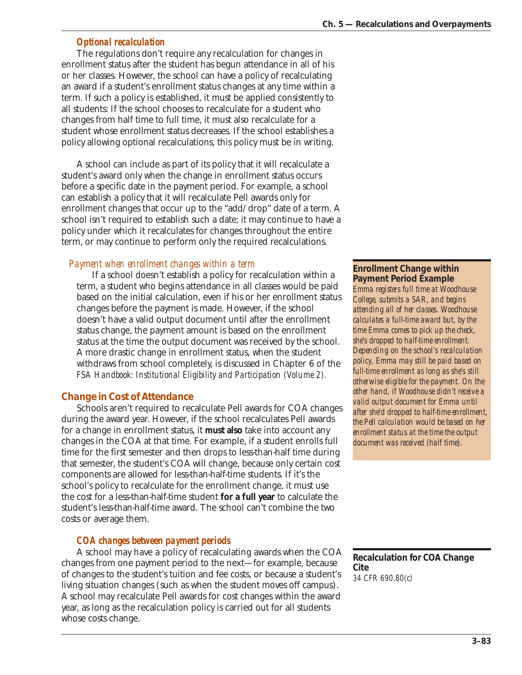# *Optional recalculation*

The regulations don't require any recalculation for changes in enrollment status after the student has begun attendance in all of his or her classes. However, the school can have a policy of recalculating an award if a student's enrollment status changes at any time within a term. If such a policy is established, it must be applied consistently to all students: If the school chooses to recalculate for a student who changes from half time to full time, it must also recalculate for a student whose enrollment status decreases. If the school establishes a policy allowing optional recalculations, this policy must be in writing.

A school can include as part of its policy that it will recalculate a student's award only when the change in enrollment status occurs before a specific date in the payment period. For example, a school can establish a policy that it will recalculate Pell awards only for enrollment changes that occur up to the "add/drop" date of a term. A school isn't required to establish such a date; it may continue to have a policy under which it recalculates for changes throughout the entire term, or may continue to perform only the required recalculations.

# *Payment when enrollment changes within a term*

If a school doesn't establish a policy for recalculation within a term, a student who begins attendance in all classes would be paid based on the initial calculation, even if his or her enrollment status changes before the payment is made. However, if the school doesn't have a valid output document until after the enrollment status change, the payment amount is based on the enrollment status at the time the output document was received by the school. A more drastic change in enrollment status, when the student withdraws from school completely, is discussed in Chapter 6 of the *FSA Handbook: Institutional Eligibility and Participation (Volume 2).*

# *Change in Cost of Attendance*

Schools aren't required to recalculate Pell awards for COA changes during the award year. However, if the school recalculates Pell awards for a change in enrollment status, it **must also** take into account any changes in the COA at that time. For example, if a student enrolls full time for the first semester and then drops to less-than-half time during that semester, the student's COA will change, because only certain cost components are allowed for less-than-half-time students. If it's the school's policy to recalculate for the enrollment change, it must use the cost for a less-than-half-time student **for a full year** to calculate the student's less-than-half-time award. The school can't combine the two costs or average them.

# *COA changes between payment periods*

A school may have a policy of recalculating awards when the COA changes from one payment period to the next—for example, because of changes to the student's tuition and fee costs, or because a student's living situation changes (such as when the student moves off campus). A school may recalculate Pell awards for cost changes within the award year, as long as the recalculation policy is carried out for all students whose costs change.

**Enrollment Change within Payment Period Example** *Emma registers full time at Woodhouse College, submits a SAR, and begins attending all of her classes. Woodhouse calculates a full-time award but, by the time Emma comes to pick up the check, she's dropped to half-time enrollment. Depending on the school's recalculation policy, Emma may still be paid based on full-time enrollment as long as she's still otherwise eligible for the payment. On the other hand, if Woodhouse didn't receive a valid output document for Emma until after she'd dropped to half-time enrollment, the Pell calculation would be based on her enrollment status at the time the output document was received (half time).*

**Recalculation for COA Change Cite** *34 CFR 690.80(c)*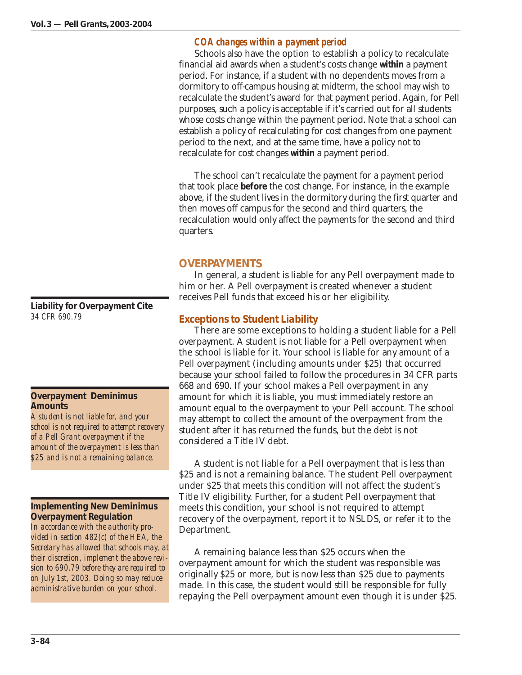## *COA changes within a payment period*

Schools also have the option to establish a policy to recalculate financial aid awards when a student's costs change **within** a payment period. For instance, if a student with no dependents moves from a dormitory to off-campus housing at midterm, the school may wish to recalculate the student's award for that payment period. Again, for Pell purposes, such a policy is acceptable if it's carried out for all students whose costs change within the payment period. Note that a school can establish a policy of recalculating for cost changes from one payment period to the next, and at the same time, have a policy not to recalculate for cost changes **within** a payment period.

The school can't recalculate the payment for a payment period that took place **before** the cost change. For instance, in the example above, if the student lives in the dormitory during the first quarter and then moves off campus for the second and third quarters, the recalculation would only affect the payments for the second and third quarters.

## **OVERPAYMENTS**

In general, a student is liable for any Pell overpayment made to him or her. A Pell overpayment is created whenever a student receives Pell funds that exceed his or her eligibility.

## *Exceptions to Student Liability*

There are some exceptions to holding a student liable for a Pell overpayment. A student is not liable for a Pell overpayment when the school is liable for it. Your school is liable for any amount of a Pell overpayment (including amounts under \$25) that occurred because your school failed to follow the procedures in 34 CFR parts 668 and 690. If your school makes a Pell overpayment in any amount for which it is liable, you must immediately restore an amount equal to the overpayment to your Pell account. The school may attempt to collect the amount of the overpayment from the student after it has returned the funds, but the debt is not considered a Title IV debt.

A student is not liable for a Pell overpayment that is less than \$25 and is not a remaining balance. The student Pell overpayment under \$25 that meets this condition will not affect the student's Title IV eligibility. Further, for a student Pell overpayment that meets this condition, your school is not required to attempt recovery of the overpayment, report it to NSLDS, or refer it to the Department.

A remaining balance less than \$25 occurs when the overpayment amount for which the student was responsible was originally \$25 or more, but is now less than \$25 due to payments made. In this case, the student would still be responsible for fully repaying the Pell overpayment amount even though it is under \$25.

**Liability for Overpayment Cite** *34 CFR 690.79*

## **Overpayment Deminimus Amounts**

*A student is not liable for, and your school is not required to attempt recovery of a Pell Grant overpayment if the amount of the overpayment is less than \$25 and is not a remaining balance.*

**Implementing New Deminimus Overpayment Regulation** *In accordance with the authority provided in section 482(c) of the HEA, the Secretary has allowed that schools may, at their discretion, implement the above revision to 690.79 before they are required to on July 1st, 2003. Doing so may reduce administrative burden on your school.*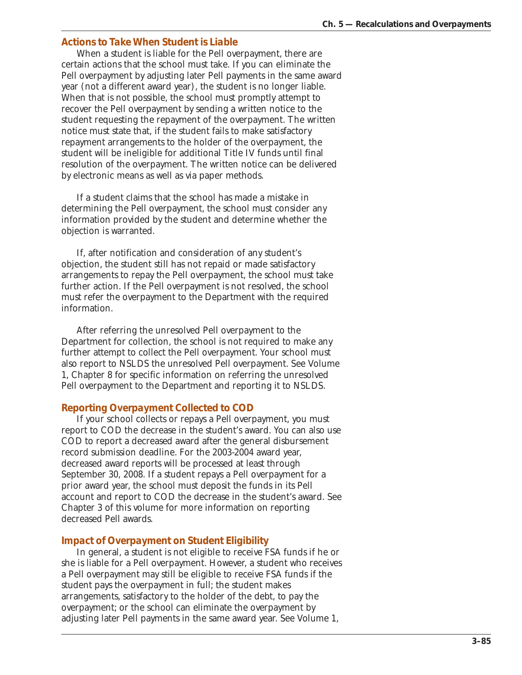## *Actions to Take When Student is Liable*

When a student is liable for the Pell overpayment, there are certain actions that the school must take. If you can eliminate the Pell overpayment by adjusting later Pell payments in the same award year (not a different award year), the student is no longer liable. When that is not possible, the school must promptly attempt to recover the Pell overpayment by sending a written notice to the student requesting the repayment of the overpayment. The written notice must state that, if the student fails to make satisfactory repayment arrangements to the holder of the overpayment, the student will be ineligible for additional Title IV funds until final resolution of the overpayment. The written notice can be delivered by electronic means as well as via paper methods.

If a student claims that the school has made a mistake in determining the Pell overpayment, the school must consider any information provided by the student and determine whether the objection is warranted.

If, after notification and consideration of any student's objection, the student still has not repaid or made satisfactory arrangements to repay the Pell overpayment, the school must take further action. If the Pell overpayment is not resolved, the school must refer the overpayment to the Department with the required information.

After referring the unresolved Pell overpayment to the Department for collection, the school is not required to make any further attempt to collect the Pell overpayment. Your school must also report to NSLDS the unresolved Pell overpayment. See Volume 1, Chapter 8 for specific information on referring the unresolved Pell overpayment to the Department and reporting it to NSLDS.

#### *Reporting Overpayment Collected to COD*

If your school collects or repays a Pell overpayment, you must report to COD the decrease in the student's award. You can also use COD to report a decreased award after the general disbursement record submission deadline. For the 2003-2004 award year, decreased award reports will be processed at least through September 30, 2008. If a student repays a Pell overpayment for a prior award year, the school must deposit the funds in its Pell account and report to COD the decrease in the student's award. See Chapter 3 of this volume for more information on reporting decreased Pell awards.

#### *Impact of Overpayment on Student Eligibility*

In general, a student is not eligible to receive FSA funds if he or she is liable for a Pell overpayment. However, a student who receives a Pell overpayment may still be eligible to receive FSA funds if the student pays the overpayment in full; the student makes arrangements, satisfactory to the holder of the debt, to pay the overpayment; or the school can eliminate the overpayment by adjusting later Pell payments in the same award year. See Volume 1,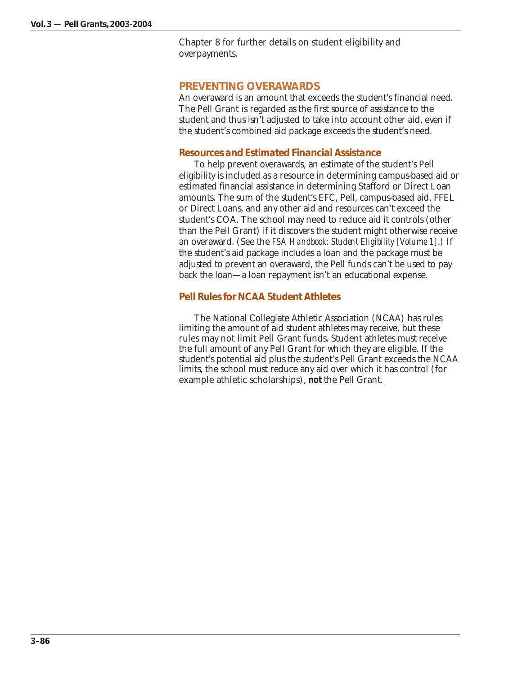Chapter 8 for further details on student eligibility and overpayments.

## **PREVENTING OVERAWARDS**

An overaward is an amount that exceeds the student's financial need. The Pell Grant is regarded as the first source of assistance to the student and thus isn't adjusted to take into account other aid, even if the student's combined aid package exceeds the student's need.

## *Resources and Estimated Financial Assistance*

To help prevent overawards, an estimate of the student's Pell eligibility is included as a resource in determining campus-based aid or estimated financial assistance in determining Stafford or Direct Loan amounts. The sum of the student's EFC, Pell, campus-based aid, FFEL or Direct Loans, and any other aid and resources can't exceed the student's COA. The school may need to reduce aid it controls (other than the Pell Grant) if it discovers the student might otherwise receive an overaward. (See the *FSA Handbook: Student Eligibility [Volume 1]*.) If the student's aid package includes a loan and the package must be adjusted to prevent an overaward, the Pell funds can't be used to pay back the loan—a loan repayment isn't an educational expense.

## *Pell Rules for NCAA Student Athletes*

The National Collegiate Athletic Association (NCAA) has rules limiting the amount of aid student athletes may receive, but these rules may not limit Pell Grant funds. Student athletes must receive the full amount of any Pell Grant for which they are eligible. If the student's potential aid plus the student's Pell Grant exceeds the NCAA limits, the school must reduce any aid over which it has control (for example athletic scholarships), **not** the Pell Grant.